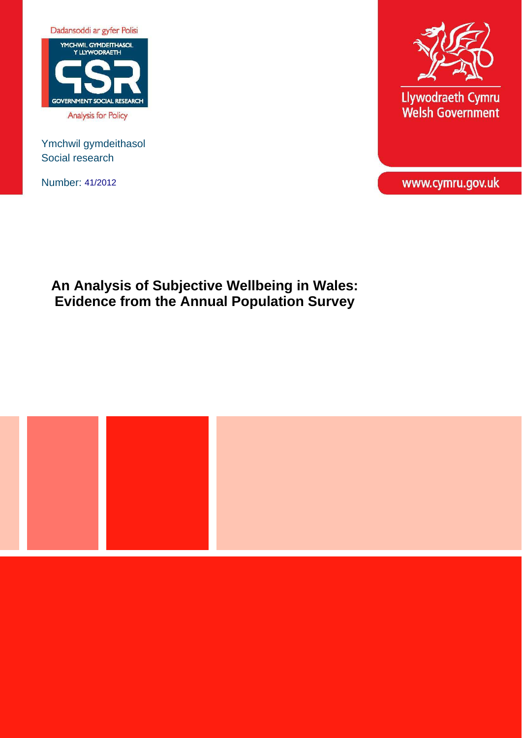

Ymchwil gymdeithasol Social research

Number: 41/2012



Llywodraeth Cymru<br>Welsh Government

www.cymru.gov.uk

**An Analysis of Subjective Wellbeing in Wales: Evidence from the Annual Population Survey** 

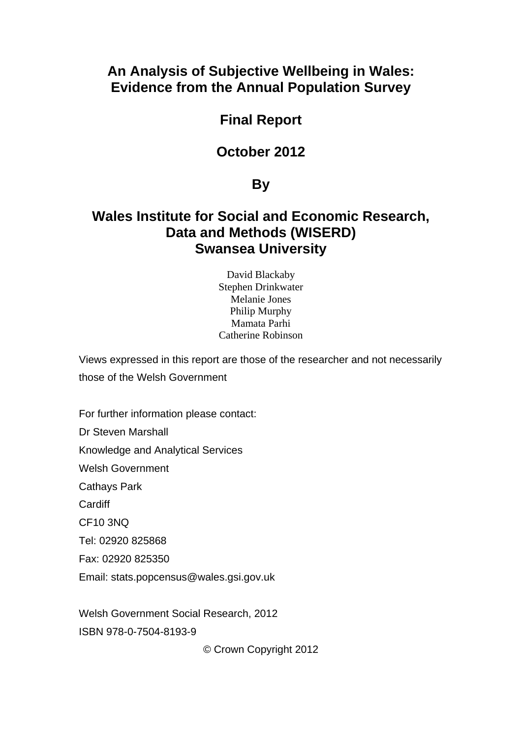# **An Analysis of Subjective Wellbeing in Wales: Evidence from the Annual Population Survey**

# **Final Report**

# **October 2012**

# **By**

# **Wales Institute for Social and Economic Research, Data and Methods (WISERD) Swansea University**

David Blackaby Stephen Drinkwater Melanie Jones Philip Murphy Mamata Parhi Catherine Robinson

Views expressed in this report are those of the researcher and not necessarily those of the Welsh Government

For further information please contact:

Dr Steven Marshall

Knowledge and Analytical Services

Welsh Government

Cathays Park

**Cardiff** 

CF10 3NQ

Tel: 02920 825868

Fax: 02920 825350

Email: stats.popcensus@wales.gsi.gov.uk

Welsh Government Social Research, 2012

ISBN 978-0-7504-8193-9

© Crown Copyright 2012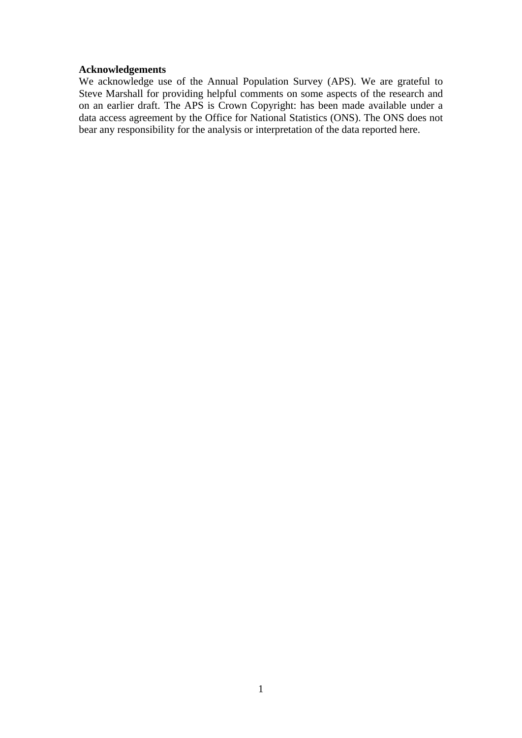### **Acknowledgements**

We acknowledge use of the Annual Population Survey (APS). We are grateful to Steve Marshall for providing helpful comments on some aspects of the research and on an earlier draft. The APS is Crown Copyright: has been made available under a data access agreement by the Office for National Statistics (ONS). The ONS does not bear any responsibility for the analysis or interpretation of the data reported here.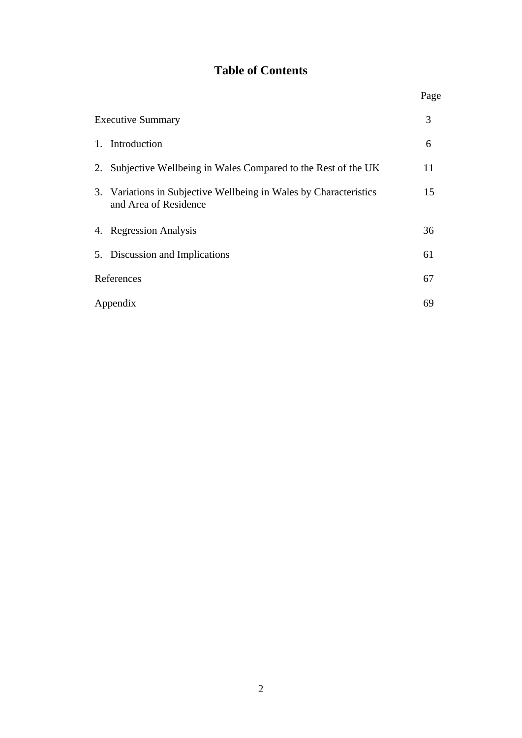# **Table of Contents**

Page **Page** 

|    | <b>Executive Summary</b>                                                                   | 3  |
|----|--------------------------------------------------------------------------------------------|----|
|    | 1. Introduction                                                                            | 6  |
| 2. | Subjective Wellbeing in Wales Compared to the Rest of the UK                               | 11 |
|    | 3. Variations in Subjective Wellbeing in Wales by Characteristics<br>and Area of Residence | 15 |
|    | 4. Regression Analysis                                                                     | 36 |
|    | 5. Discussion and Implications                                                             | 61 |
|    | References                                                                                 | 67 |
|    | Appendix                                                                                   | 69 |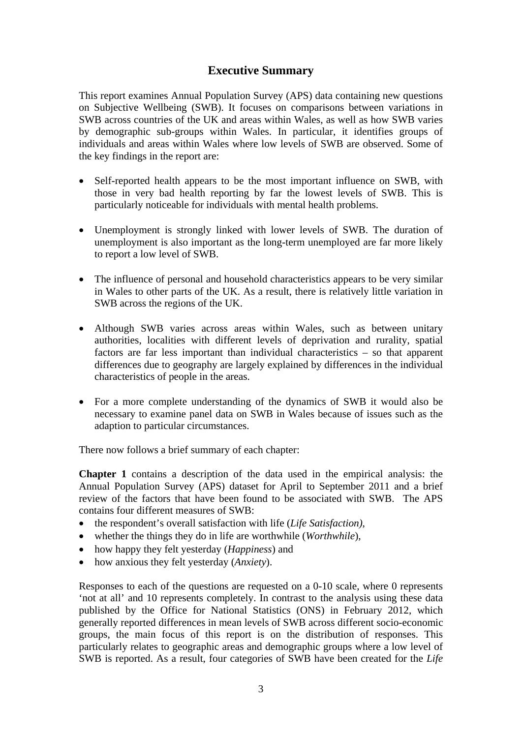## **Executive Summary**

This report examines Annual Population Survey (APS) data containing new questions on Subjective Wellbeing (SWB). It focuses on comparisons between variations in SWB across countries of the UK and areas within Wales, as well as how SWB varies by demographic sub-groups within Wales. In particular, it identifies groups of individuals and areas within Wales where low levels of SWB are observed. Some of the key findings in the report are:

- Self-reported health appears to be the most important influence on SWB, with those in very bad health reporting by far the lowest levels of SWB. This is particularly noticeable for individuals with mental health problems.
- Unemployment is strongly linked with lower levels of SWB. The duration of unemployment is also important as the long-term unemployed are far more likely to report a low level of SWB.
- The influence of personal and household characteristics appears to be very similar in Wales to other parts of the UK. As a result, there is relatively little variation in SWB across the regions of the UK.
- Although SWB varies across areas within Wales, such as between unitary authorities, localities with different levels of deprivation and rurality, spatial factors are far less important than individual characteristics – so that apparent differences due to geography are largely explained by differences in the individual characteristics of people in the areas.
- For a more complete understanding of the dynamics of SWB it would also be necessary to examine panel data on SWB in Wales because of issues such as the adaption to particular circumstances.

There now follows a brief summary of each chapter:

**Chapter 1** contains a description of the data used in the empirical analysis: the Annual Population Survey (APS) dataset for April to September 2011 and a brief review of the factors that have been found to be associated with SWB. The APS contains four different measures of SWB:

- the respondent's overall satisfaction with life (*Life Satisfaction)*,
- whether the things they do in life are worthwhile (*Worthwhile*),
- how happy they felt yesterday (*Happiness*) and
- how anxious they felt yesterday (*Anxiety*).

Responses to each of the questions are requested on a 0-10 scale, where 0 represents 'not at all' and 10 represents completely. In contrast to the analysis using these data published by the Office for National Statistics (ONS) in February 2012, which generally reported differences in mean levels of SWB across different socio-economic groups, the main focus of this report is on the distribution of responses. This particularly relates to geographic areas and demographic groups where a low level of SWB is reported. As a result, four categories of SWB have been created for the *Life*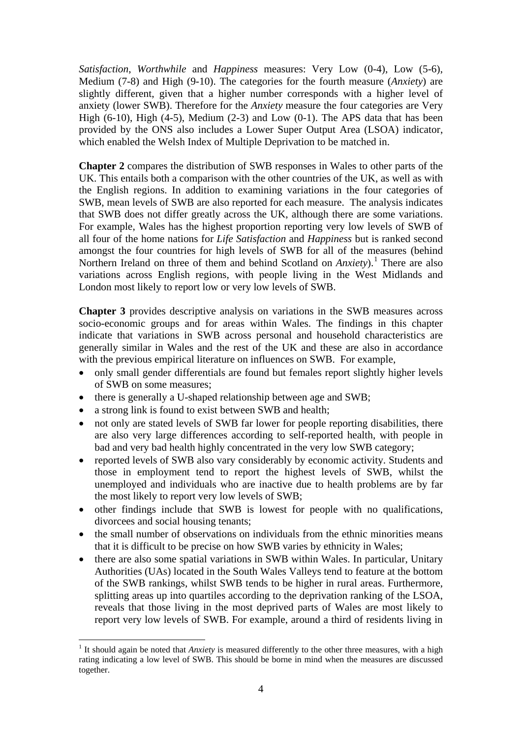*Satisfaction*, *Worthwhile* and *Happiness* measures: Very Low (0-4), Low (5-6), Medium (7-8) and High (9-10). The categories for the fourth measure (*Anxiety*) are slightly different, given that a higher number corresponds with a higher level of anxiety (lower SWB). Therefore for the *Anxiety* measure the four categories are Very High (6-10), High (4-5), Medium (2-3) and Low (0-1). The APS data that has been provided by the ONS also includes a Lower Super Output Area (LSOA) indicator, which enabled the Welsh Index of Multiple Deprivation to be matched in.

**Chapter 2** compares the distribution of SWB responses in Wales to other parts of the UK. This entails both a comparison with the other countries of the UK, as well as with the English regions. In addition to examining variations in the four categories of SWB, mean levels of SWB are also reported for each measure. The analysis indicates that SWB does not differ greatly across the UK, although there are some variations. For example, Wales has the highest proportion reporting very low levels of SWB of all four of the home nations for *Life Satisfaction* and *Happiness* but is ranked second amongst the four countries for high levels of SWB for all of the measures (behind Northern Ireland on three of them and behind Scotland on *Anxiety*).<sup>[1](#page-5-0)</sup> There are also variations across English regions, with people living in the West Midlands and London most likely to report low or very low levels of SWB.

**Chapter 3** provides descriptive analysis on variations in the SWB measures across socio-economic groups and for areas within Wales. The findings in this chapter indicate that variations in SWB across personal and household characteristics are generally similar in Wales and the rest of the UK and these are also in accordance with the previous empirical literature on influences on SWB. For example,

- only small gender differentials are found but females report slightly higher levels of SWB on some measures;
- there is generally a U-shaped relationship between age and SWB;
- a strong link is found to exist between SWB and health;

1

- not only are stated levels of SWB far lower for people reporting disabilities, there are also very large differences according to self-reported health, with people in bad and very bad health highly concentrated in the very low SWB category;
- reported levels of SWB also vary considerably by economic activity. Students and those in employment tend to report the highest levels of SWB, whilst the unemployed and individuals who are inactive due to health problems are by far the most likely to report very low levels of SWB;
- other findings include that SWB is lowest for people with no qualifications, divorcees and social housing tenants;
- the small number of observations on individuals from the ethnic minorities means that it is difficult to be precise on how SWB varies by ethnicity in Wales;
- there are also some spatial variations in SWB within Wales. In particular, Unitary Authorities (UAs) located in the South Wales Valleys tend to feature at the bottom of the SWB rankings, whilst SWB tends to be higher in rural areas. Furthermore, splitting areas up into quartiles according to the deprivation ranking of the LSOA, reveals that those living in the most deprived parts of Wales are most likely to report very low levels of SWB. For example, around a third of residents living in

<span id="page-5-0"></span><sup>&</sup>lt;sup>1</sup> It should again be noted that *Anxiety* is measured differently to the other three measures, with a high rating indicating a low level of SWB. This should be borne in mind when the measures are discussed together.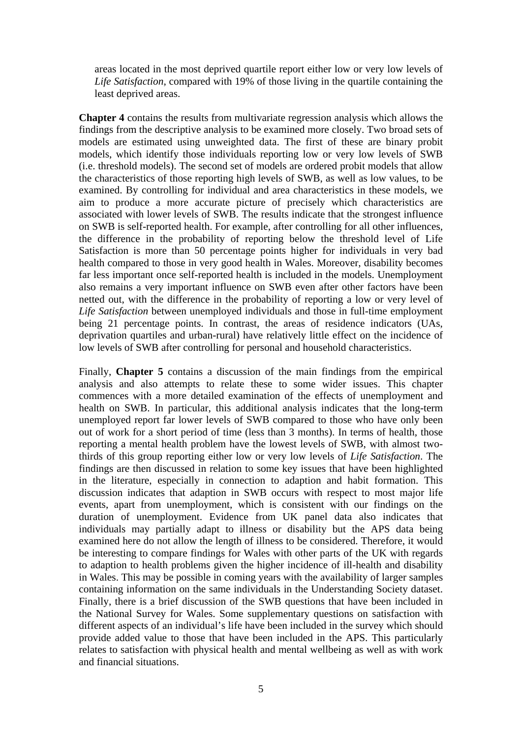areas located in the most deprived quartile report either low or very low levels of *Life Satisfaction*, compared with 19% of those living in the quartile containing the least deprived areas.

**Chapter 4** contains the results from multivariate regression analysis which allows the findings from the descriptive analysis to be examined more closely. Two broad sets of models are estimated using unweighted data. The first of these are binary probit models, which identify those individuals reporting low or very low levels of SWB (i.e. threshold models). The second set of models are ordered probit models that allow the characteristics of those reporting high levels of SWB, as well as low values, to be examined. By controlling for individual and area characteristics in these models, we aim to produce a more accurate picture of precisely which characteristics are associated with lower levels of SWB. The results indicate that the strongest influence on SWB is self-reported health. For example, after controlling for all other influences, the difference in the probability of reporting below the threshold level of Life Satisfaction is more than 50 percentage points higher for individuals in very bad health compared to those in very good health in Wales. Moreover, disability becomes far less important once self-reported health is included in the models. Unemployment also remains a very important influence on SWB even after other factors have been netted out, with the difference in the probability of reporting a low or very level of *Life Satisfaction* between unemployed individuals and those in full-time employment being 21 percentage points. In contrast, the areas of residence indicators (UAs, deprivation quartiles and urban-rural) have relatively little effect on the incidence of low levels of SWB after controlling for personal and household characteristics.

Finally, **Chapter 5** contains a discussion of the main findings from the empirical analysis and also attempts to relate these to some wider issues. This chapter commences with a more detailed examination of the effects of unemployment and health on SWB. In particular, this additional analysis indicates that the long-term unemployed report far lower levels of SWB compared to those who have only been out of work for a short period of time (less than 3 months). In terms of health, those reporting a mental health problem have the lowest levels of SWB, with almost twothirds of this group reporting either low or very low levels of *Life Satisfaction*. The findings are then discussed in relation to some key issues that have been highlighted in the literature, especially in connection to adaption and habit formation. This discussion indicates that adaption in SWB occurs with respect to most major life events, apart from unemployment, which is consistent with our findings on the duration of unemployment. Evidence from UK panel data also indicates that individuals may partially adapt to illness or disability but the APS data being examined here do not allow the length of illness to be considered. Therefore, it would be interesting to compare findings for Wales with other parts of the UK with regards to adaption to health problems given the higher incidence of ill-health and disability in Wales. This may be possible in coming years with the availability of larger samples containing information on the same individuals in the Understanding Society dataset. Finally, there is a brief discussion of the SWB questions that have been included in the National Survey for Wales. Some supplementary questions on satisfaction with different aspects of an individual's life have been included in the survey which should provide added value to those that have been included in the APS. This particularly relates to satisfaction with physical health and mental wellbeing as well as with work and financial situations.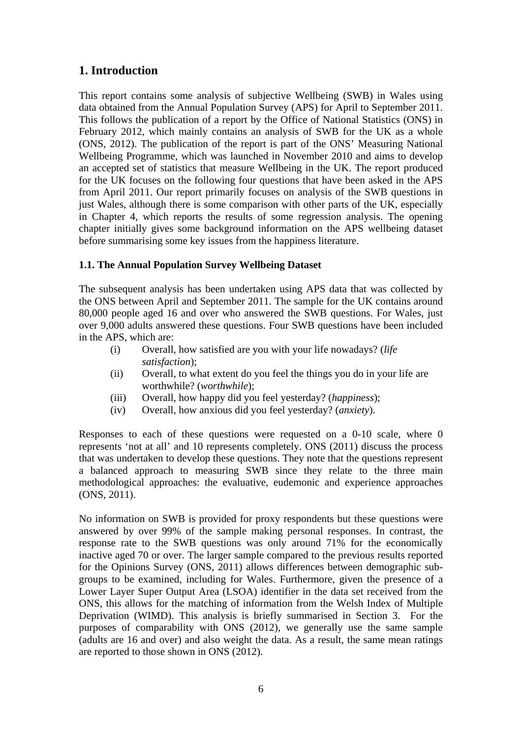# **1. Introduction**

This report contains some analysis of subjective Wellbeing (SWB) in Wales using data obtained from the Annual Population Survey (APS) for April to September 2011. This follows the publication of a report by the Office of National Statistics (ONS) in February 2012, which mainly contains an analysis of SWB for the UK as a whole (ONS, 2012). The publication of the report is part of the ONS' Measuring National Wellbeing Programme, which was launched in November 2010 and aims to develop an accepted set of statistics that measure Wellbeing in the UK. The report produced for the UK focuses on the following four questions that have been asked in the APS from April 2011. Our report primarily focuses on analysis of the SWB questions in just Wales, although there is some comparison with other parts of the UK, especially in Chapter 4, which reports the results of some regression analysis. The opening chapter initially gives some background information on the APS wellbeing dataset before summarising some key issues from the happiness literature.

## **1.1. The Annual Population Survey Wellbeing Dataset**

The subsequent analysis has been undertaken using APS data that was collected by the ONS between April and September 2011. The sample for the UK contains around 80,000 people aged 16 and over who answered the SWB questions. For Wales, just over 9,000 adults answered these questions. Four SWB questions have been included in the APS, which are:

- (i) Overall, how satisfied are you with your life nowadays? (*life satisfaction*);
- (ii) Overall, to what extent do you feel the things you do in your life are worthwhile? (*worthwhile*);
- (iii) Overall, how happy did you feel yesterday? (*happiness*);
- (iv) Overall, how anxious did you feel yesterday? (*anxiety*).

Responses to each of these questions were requested on a 0-10 scale, where 0 represents 'not at all' and 10 represents completely. ONS (2011) discuss the process that was undertaken to develop these questions. They note that the questions represent a balanced approach to measuring SWB since they relate to the three main methodological approaches: the evaluative, eudemonic and experience approaches (ONS, 2011).

No information on SWB is provided for proxy respondents but these questions were answered by over 99% of the sample making personal responses. In contrast, the response rate to the SWB questions was only around 71% for the economically inactive aged 70 or over. The larger sample compared to the previous results reported for the Opinions Survey (ONS, 2011) allows differences between demographic subgroups to be examined, including for Wales. Furthermore, given the presence of a Lower Layer Super Output Area (LSOA) identifier in the data set received from the ONS, this allows for the matching of information from the Welsh Index of Multiple Deprivation (WIMD). This analysis is briefly summarised in Section 3. For the purposes of comparability with ONS (2012), we generally use the same sample (adults are 16 and over) and also weight the data. As a result, the same mean ratings are reported to those shown in ONS (2012).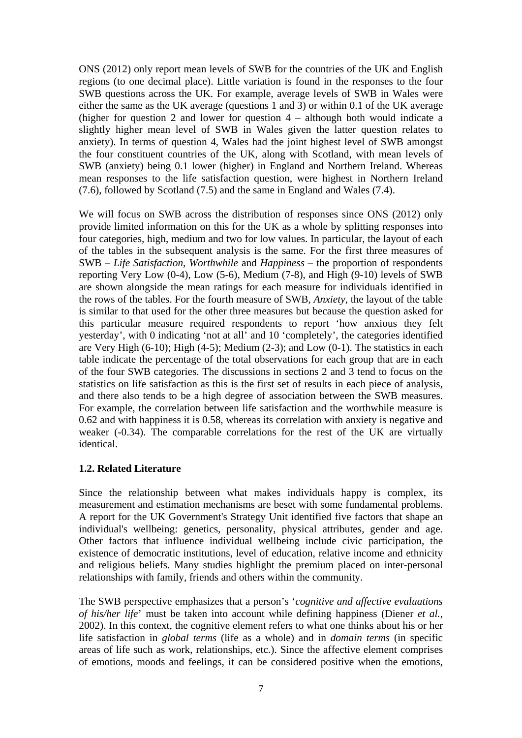ONS (2012) only report mean levels of SWB for the countries of the UK and English regions (to one decimal place). Little variation is found in the responses to the four SWB questions across the UK. For example, average levels of SWB in Wales were either the same as the UK average (questions 1 and 3) or within 0.1 of the UK average (higher for question 2 and lower for question 4 – although both would indicate a slightly higher mean level of SWB in Wales given the latter question relates to anxiety). In terms of question 4, Wales had the joint highest level of SWB amongst the four constituent countries of the UK, along with Scotland, with mean levels of SWB (anxiety) being 0.1 lower (higher) in England and Northern Ireland. Whereas mean responses to the life satisfaction question, were highest in Northern Ireland (7.6), followed by Scotland (7.5) and the same in England and Wales (7.4).

We will focus on SWB across the distribution of responses since ONS (2012) only provide limited information on this for the UK as a whole by splitting responses into four categories, high, medium and two for low values. In particular, the layout of each of the tables in the subsequent analysis is the same. For the first three measures of SWB – *Life Satisfaction*, *Worthwhile* and *Happiness* – the proportion of respondents reporting Very Low  $(0-4)$ , Low  $(5-6)$ , Medium  $(7-8)$ , and High  $(9-10)$  levels of SWB are shown alongside the mean ratings for each measure for individuals identified in the rows of the tables. For the fourth measure of SWB, *Anxiety*, the layout of the table is similar to that used for the other three measures but because the question asked for this particular measure required respondents to report 'how anxious they felt yesterday', with 0 indicating 'not at all' and 10 'completely', the categories identified are Very High (6-10); High (4-5); Medium (2-3); and Low (0-1). The statistics in each table indicate the percentage of the total observations for each group that are in each of the four SWB categories. The discussions in sections 2 and 3 tend to focus on the statistics on life satisfaction as this is the first set of results in each piece of analysis, and there also tends to be a high degree of association between the SWB measures. For example, the correlation between life satisfaction and the worthwhile measure is 0.62 and with happiness it is 0.58, whereas its correlation with anxiety is negative and weaker (-0.34). The comparable correlations for the rest of the UK are virtually identical.

### **1.2. Related Literature**

Since the relationship between what makes individuals happy is complex, its measurement and estimation mechanisms are beset with some fundamental problems. A report for the UK Government's Strategy Unit identified five factors that shape an individual's wellbeing: genetics, personality, physical attributes, gender and age. Other factors that influence individual wellbeing include civic participation, the existence of democratic institutions, level of education, relative income and ethnicity and religious beliefs. Many studies highlight the premium placed on inter-personal relationships with family, friends and others within the community.

The SWB perspective emphasizes that a person's '*cognitive and affective evaluations of his/her life*' must be taken into account while defining happiness (Diener *et al.*, 2002). In this context, the cognitive element refers to what one thinks about his or her life satisfaction in *global terms* (life as a whole) and in *domain terms* (in specific areas of life such as work, relationships, etc.). Since the affective element comprises of emotions, moods and feelings, it can be considered positive when the emotions,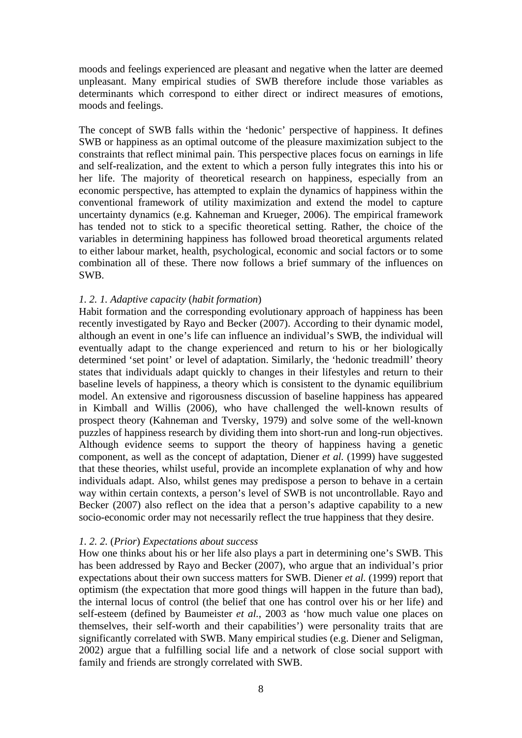moods and feelings experienced are pleasant and negative when the latter are deemed unpleasant. Many empirical studies of SWB therefore include those variables as determinants which correspond to either direct or indirect measures of emotions, moods and feelings.

The concept of SWB falls within the 'hedonic' perspective of happiness. It defines SWB or happiness as an optimal outcome of the pleasure maximization subject to the constraints that reflect minimal pain. This perspective places focus on earnings in life and self-realization, and the extent to which a person fully integrates this into his or her life. The majority of theoretical research on happiness, especially from an economic perspective, has attempted to explain the dynamics of happiness within the conventional framework of utility maximization and extend the model to capture uncertainty dynamics (e.g. Kahneman and Krueger, 2006). The empirical framework has tended not to stick to a specific theoretical setting. Rather, the choice of the variables in determining happiness has followed broad theoretical arguments related to either labour market, health, psychological, economic and social factors or to some combination all of these. There now follows a brief summary of the influences on SWB.

#### *1. 2. 1. Adaptive capacity* (*habit formation*)

Habit formation and the corresponding evolutionary approach of happiness has been recently investigated by Rayo and Becker (2007). According to their dynamic model, although an event in one's life can influence an individual's SWB, the individual will eventually adapt to the change experienced and return to his or her biologically determined 'set point' or level of adaptation. Similarly, the 'hedonic treadmill' theory states that individuals adapt quickly to changes in their lifestyles and return to their baseline levels of happiness, a theory which is consistent to the dynamic equilibrium model. An extensive and rigorousness discussion of baseline happiness has appeared in Kimball and Willis (2006), who have challenged the well-known results of prospect theory (Kahneman and Tversky, 1979) and solve some of the well-known puzzles of happiness research by dividing them into short-run and long-run objectives. Although evidence seems to support the theory of happiness having a genetic component, as well as the concept of adaptation, Diener *et al.* (1999) have suggested that these theories, whilst useful, provide an incomplete explanation of why and how individuals adapt. Also, whilst genes may predispose a person to behave in a certain way within certain contexts, a person's level of SWB is not uncontrollable. Rayo and Becker (2007) also reflect on the idea that a person's adaptive capability to a new socio-economic order may not necessarily reflect the true happiness that they desire.

#### *1. 2. 2.* (*Prior*) *Expectations about success*

How one thinks about his or her life also plays a part in determining one's SWB. This has been addressed by Rayo and Becker (2007), who argue that an individual's prior expectations about their own success matters for SWB. Diener *et al.* (1999) report that optimism (the expectation that more good things will happen in the future than bad), the internal locus of control (the belief that one has control over his or her life) and self-esteem (defined by Baumeister *et al.*, 2003 as 'how much value one places on themselves, their self-worth and their capabilities') were personality traits that are significantly correlated with SWB. Many empirical studies (e.g. Diener and Seligman, 2002) argue that a fulfilling social life and a network of close social support with family and friends are strongly correlated with SWB.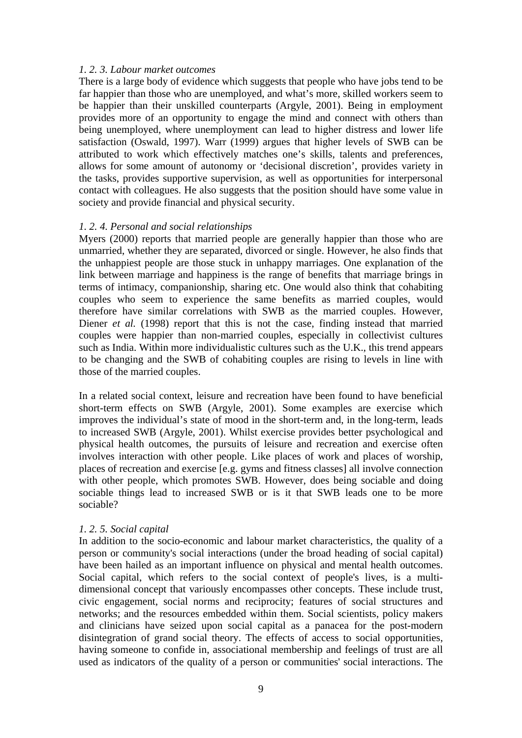### *1. 2. 3. Labour market outcomes*

There is a large body of evidence which suggests that people who have jobs tend to be far happier than those who are unemployed, and what's more, skilled workers seem to be happier than their unskilled counterparts (Argyle, 2001). Being in employment provides more of an opportunity to engage the mind and connect with others than being unemployed, where unemployment can lead to higher distress and lower life satisfaction (Oswald, 1997). Warr (1999) argues that higher levels of SWB can be attributed to work which effectively matches one's skills, talents and preferences, allows for some amount of autonomy or 'decisional discretion', provides variety in the tasks, provides supportive supervision, as well as opportunities for interpersonal contact with colleagues. He also suggests that the position should have some value in society and provide financial and physical security.

### *1. 2. 4. Personal and social relationships*

Myers (2000) reports that married people are generally happier than those who are unmarried, whether they are separated, divorced or single. However, he also finds that the unhappiest people are those stuck in unhappy marriages. One explanation of the link between marriage and happiness is the range of benefits that marriage brings in terms of intimacy, companionship, sharing etc. One would also think that cohabiting couples who seem to experience the same benefits as married couples, would therefore have similar correlations with SWB as the married couples. However, Diener *et al.* (1998) report that this is not the case, finding instead that married couples were happier than non-married couples, especially in collectivist cultures such as India. Within more individualistic cultures such as the U.K., this trend appears to be changing and the SWB of cohabiting couples are rising to levels in line with those of the married couples.

In a related social context, leisure and recreation have been found to have beneficial short-term effects on SWB (Argyle, 2001). Some examples are exercise which improves the individual's state of mood in the short-term and, in the long-term, leads to increased SWB (Argyle, 2001). Whilst exercise provides better psychological and physical health outcomes, the pursuits of leisure and recreation and exercise often involves interaction with other people. Like places of work and places of worship, places of recreation and exercise [e.g. gyms and fitness classes] all involve connection with other people, which promotes SWB. However, does being sociable and doing sociable things lead to increased SWB or is it that SWB leads one to be more sociable?

#### *1. 2. 5. Social capital*

In addition to the socio-economic and labour market characteristics, the quality of a person or community's social interactions (under the broad heading of social capital) have been hailed as an important influence on physical and mental health outcomes. Social capital, which refers to the social context of people's lives, is a multidimensional concept that variously encompasses other concepts. These include trust, civic engagement, social norms and reciprocity; features of social structures and networks; and the resources embedded within them. Social scientists, policy makers and clinicians have seized upon social capital as a panacea for the post-modern disintegration of grand social theory. The effects of access to social opportunities, having someone to confide in, associational membership and feelings of trust are all used as indicators of the quality of a person or communities' social interactions. The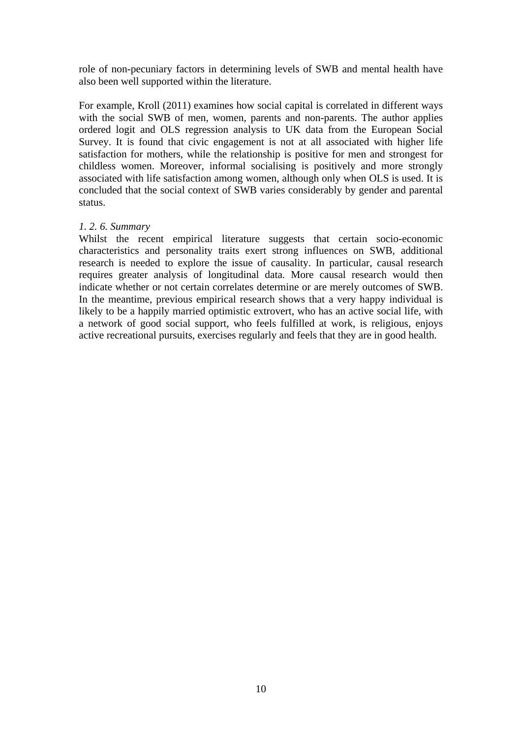role of non-pecuniary factors in determining levels of SWB and mental health have also been well supported within the literature.

For example, Kroll (2011) examines how social capital is correlated in different ways with the social SWB of men, women, parents and non-parents. The author applies ordered logit and OLS regression analysis to UK data from the European Social Survey. It is found that civic engagement is not at all associated with higher life satisfaction for mothers, while the relationship is positive for men and strongest for childless women. Moreover, informal socialising is positively and more strongly associated with life satisfaction among women, although only when OLS is used. It is concluded that the social context of SWB varies considerably by gender and parental status.

### *1. 2. 6. Summary*

Whilst the recent empirical literature suggests that certain socio-economic characteristics and personality traits exert strong influences on SWB, additional research is needed to explore the issue of causality. In particular, causal research requires greater analysis of longitudinal data. More causal research would then indicate whether or not certain correlates determine or are merely outcomes of SWB. In the meantime, previous empirical research shows that a very happy individual is likely to be a happily married optimistic extrovert, who has an active social life, with a network of good social support, who feels fulfilled at work, is religious, enjoys active recreational pursuits, exercises regularly and feels that they are in good health.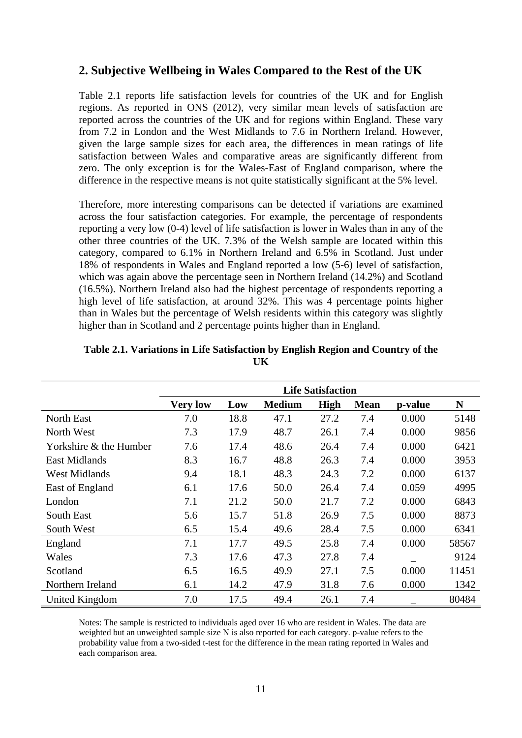## **2. Subjective Wellbeing in Wales Compared to the Rest of the UK**

Table 2.1 reports life satisfaction levels for countries of the UK and for English regions. As reported in ONS (2012), very similar mean levels of satisfaction are reported across the countries of the UK and for regions within England. These vary from 7.2 in London and the West Midlands to 7.6 in Northern Ireland. However, given the large sample sizes for each area, the differences in mean ratings of life satisfaction between Wales and comparative areas are significantly different from zero. The only exception is for the Wales-East of England comparison, where the difference in the respective means is not quite statistically significant at the 5% level.

Therefore, more interesting comparisons can be detected if variations are examined across the four satisfaction categories. For example, the percentage of respondents reporting a very low (0-4) level of life satisfaction is lower in Wales than in any of the other three countries of the UK. 7.3% of the Welsh sample are located within this category, compared to 6.1% in Northern Ireland and 6.5% in Scotland. Just under 18% of respondents in Wales and England reported a low (5-6) level of satisfaction, which was again above the percentage seen in Northern Ireland (14.2%) and Scotland (16.5%). Northern Ireland also had the highest percentage of respondents reporting a high level of life satisfaction, at around 32%. This was 4 percentage points higher than in Wales but the percentage of Welsh residents within this category was slightly higher than in Scotland and 2 percentage points higher than in England.

|                        | <b>Life Satisfaction</b> |      |               |             |             |         |       |  |  |
|------------------------|--------------------------|------|---------------|-------------|-------------|---------|-------|--|--|
|                        | <b>Very low</b>          | Low  | <b>Medium</b> | <b>High</b> | <b>Mean</b> | p-value | N     |  |  |
| North East             | 7.0                      | 18.8 | 47.1          | 27.2        | 7.4         | 0.000   | 5148  |  |  |
| North West             | 7.3                      | 17.9 | 48.7          | 26.1        | 7.4         | 0.000   | 9856  |  |  |
| Yorkshire & the Humber | 7.6                      | 17.4 | 48.6          | 26.4        | 7.4         | 0.000   | 6421  |  |  |
| East Midlands          | 8.3                      | 16.7 | 48.8          | 26.3        | 7.4         | 0.000   | 3953  |  |  |
| <b>West Midlands</b>   | 9.4                      | 18.1 | 48.3          | 24.3        | 7.2         | 0.000   | 6137  |  |  |
| East of England        | 6.1                      | 17.6 | 50.0          | 26.4        | 7.4         | 0.059   | 4995  |  |  |
| London                 | 7.1                      | 21.2 | 50.0          | 21.7        | 7.2         | 0.000   | 6843  |  |  |
| South East             | 5.6                      | 15.7 | 51.8          | 26.9        | 7.5         | 0.000   | 8873  |  |  |
| South West             | 6.5                      | 15.4 | 49.6          | 28.4        | 7.5         | 0.000   | 6341  |  |  |
| England                | 7.1                      | 17.7 | 49.5          | 25.8        | 7.4         | 0.000   | 58567 |  |  |
| Wales                  | 7.3                      | 17.6 | 47.3          | 27.8        | 7.4         |         | 9124  |  |  |
| Scotland               | 6.5                      | 16.5 | 49.9          | 27.1        | 7.5         | 0.000   | 11451 |  |  |
| Northern Ireland       | 6.1                      | 14.2 | 47.9          | 31.8        | 7.6         | 0.000   | 1342  |  |  |
| United Kingdom         | 7.0                      | 17.5 | 49.4          | 26.1        | 7.4         |         | 80484 |  |  |

| Table 2.1. Variations in Life Satisfaction by English Region and Country of the |  |  |
|---------------------------------------------------------------------------------|--|--|
|                                                                                 |  |  |

Notes: The sample is restricted to individuals aged over 16 who are resident in Wales. The data are weighted but an unweighted sample size N is also reported for each category. p-value refers to the probability value from a two-sided t-test for the difference in the mean rating reported in Wales and each comparison area.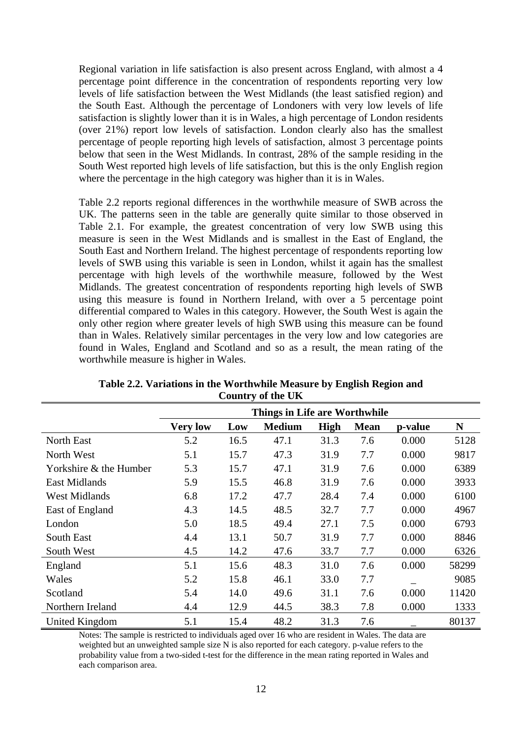Regional variation in life satisfaction is also present across England, with almost a 4 percentage point difference in the concentration of respondents reporting very low levels of life satisfaction between the West Midlands (the least satisfied region) and the South East. Although the percentage of Londoners with very low levels of life satisfaction is slightly lower than it is in Wales, a high percentage of London residents (over 21%) report low levels of satisfaction. London clearly also has the smallest percentage of people reporting high levels of satisfaction, almost 3 percentage points below that seen in the West Midlands. In contrast, 28% of the sample residing in the South West reported high levels of life satisfaction, but this is the only English region where the percentage in the high category was higher than it is in Wales.

Table 2.2 reports regional differences in the worthwhile measure of SWB across the UK. The patterns seen in the table are generally quite similar to those observed in Table 2.1. For example, the greatest concentration of very low SWB using this measure is seen in the West Midlands and is smallest in the East of England, the South East and Northern Ireland. The highest percentage of respondents reporting low levels of SWB using this variable is seen in London, whilst it again has the smallest percentage with high levels of the worthwhile measure, followed by the West Midlands. The greatest concentration of respondents reporting high levels of SWB using this measure is found in Northern Ireland, with over a 5 percentage point differential compared to Wales in this category. However, the South West is again the only other region where greater levels of high SWB using this measure can be found than in Wales. Relatively similar percentages in the very low and low categories are found in Wales, England and Scotland and so as a result, the mean rating of the worthwhile measure is higher in Wales.

|                        | Things in Life are Worthwhile |      |               |             |             |         |       |  |
|------------------------|-------------------------------|------|---------------|-------------|-------------|---------|-------|--|
|                        | <b>Very low</b>               | Low  | <b>Medium</b> | <b>High</b> | <b>Mean</b> | p-value | N     |  |
| North East             | 5.2                           | 16.5 | 47.1          | 31.3        | 7.6         | 0.000   | 5128  |  |
| North West             | 5.1                           | 15.7 | 47.3          | 31.9        | 7.7         | 0.000   | 9817  |  |
| Yorkshire & the Humber | 5.3                           | 15.7 | 47.1          | 31.9        | 7.6         | 0.000   | 6389  |  |
| <b>East Midlands</b>   | 5.9                           | 15.5 | 46.8          | 31.9        | 7.6         | 0.000   | 3933  |  |
| <b>West Midlands</b>   | 6.8                           | 17.2 | 47.7          | 28.4        | 7.4         | 0.000   | 6100  |  |
| East of England        | 4.3                           | 14.5 | 48.5          | 32.7        | 7.7         | 0.000   | 4967  |  |
| London                 | 5.0                           | 18.5 | 49.4          | 27.1        | 7.5         | 0.000   | 6793  |  |
| South East             | 4.4                           | 13.1 | 50.7          | 31.9        | 7.7         | 0.000   | 8846  |  |
| South West             | 4.5                           | 14.2 | 47.6          | 33.7        | 7.7         | 0.000   | 6326  |  |
| England                | 5.1                           | 15.6 | 48.3          | 31.0        | 7.6         | 0.000   | 58299 |  |
| Wales                  | 5.2                           | 15.8 | 46.1          | 33.0        | 7.7         |         | 9085  |  |
| Scotland               | 5.4                           | 14.0 | 49.6          | 31.1        | 7.6         | 0.000   | 11420 |  |
| Northern Ireland       | 4.4                           | 12.9 | 44.5          | 38.3        | 7.8         | 0.000   | 1333  |  |
| United Kingdom         | 5.1                           | 15.4 | 48.2          | 31.3        | 7.6         |         | 80137 |  |

|  | Table 2.2. Variations in the Worthwhile Measure by English Region and |  |
|--|-----------------------------------------------------------------------|--|
|  | Country of the UK                                                     |  |

Notes: The sample is restricted to individuals aged over 16 who are resident in Wales. The data are weighted but an unweighted sample size N is also reported for each category. p-value refers to the probability value from a two-sided t-test for the difference in the mean rating reported in Wales and each comparison area.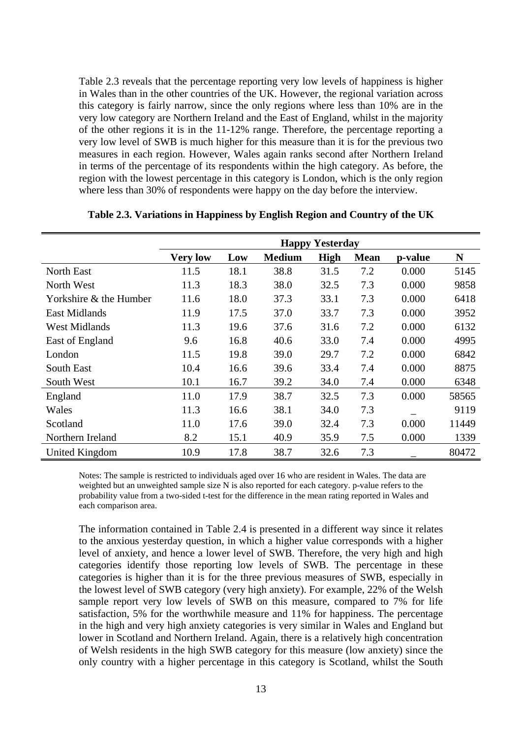Table 2.3 reveals that the percentage reporting very low levels of happiness is higher in Wales than in the other countries of the UK. However, the regional variation across this category is fairly narrow, since the only regions where less than 10% are in the very low category are Northern Ireland and the East of England, whilst in the majority of the other regions it is in the 11-12% range. Therefore, the percentage reporting a very low level of SWB is much higher for this measure than it is for the previous two measures in each region. However, Wales again ranks second after Northern Ireland in terms of the percentage of its respondents within the high category. As before, the region with the lowest percentage in this category is London, which is the only region where less than 30% of respondents were happy on the day before the interview.

|                        | <b>Happy Yesterday</b> |      |               |             |             |         |       |  |
|------------------------|------------------------|------|---------------|-------------|-------------|---------|-------|--|
|                        | <b>Very low</b>        | Low  | <b>Medium</b> | <b>High</b> | <b>Mean</b> | p-value | N     |  |
| <b>North East</b>      | 11.5                   | 18.1 | 38.8          | 31.5        | 7.2         | 0.000   | 5145  |  |
| North West             | 11.3                   | 18.3 | 38.0          | 32.5        | 7.3         | 0.000   | 9858  |  |
| Yorkshire & the Humber | 11.6                   | 18.0 | 37.3          | 33.1        | 7.3         | 0.000   | 6418  |  |
| <b>East Midlands</b>   | 11.9                   | 17.5 | 37.0          | 33.7        | 7.3         | 0.000   | 3952  |  |
| <b>West Midlands</b>   | 11.3                   | 19.6 | 37.6          | 31.6        | 7.2         | 0.000   | 6132  |  |
| East of England        | 9.6                    | 16.8 | 40.6          | 33.0        | 7.4         | 0.000   | 4995  |  |
| London                 | 11.5                   | 19.8 | 39.0          | 29.7        | 7.2         | 0.000   | 6842  |  |
| South East             | 10.4                   | 16.6 | 39.6          | 33.4        | 7.4         | 0.000   | 8875  |  |
| South West             | 10.1                   | 16.7 | 39.2          | 34.0        | 7.4         | 0.000   | 6348  |  |
| England                | 11.0                   | 17.9 | 38.7          | 32.5        | 7.3         | 0.000   | 58565 |  |
| Wales                  | 11.3                   | 16.6 | 38.1          | 34.0        | 7.3         |         | 9119  |  |
| Scotland               | 11.0                   | 17.6 | 39.0          | 32.4        | 7.3         | 0.000   | 11449 |  |
| Northern Ireland       | 8.2                    | 15.1 | 40.9          | 35.9        | 7.5         | 0.000   | 1339  |  |
| United Kingdom         | 10.9                   | 17.8 | 38.7          | 32.6        | 7.3         |         | 80472 |  |

**Table 2.3. Variations in Happiness by English Region and Country of the UK** 

Notes: The sample is restricted to individuals aged over 16 who are resident in Wales. The data are weighted but an unweighted sample size N is also reported for each category. p-value refers to the probability value from a two-sided t-test for the difference in the mean rating reported in Wales and each comparison area.

The information contained in Table 2.4 is presented in a different way since it relates to the anxious yesterday question, in which a higher value corresponds with a higher level of anxiety, and hence a lower level of SWB. Therefore, the very high and high categories identify those reporting low levels of SWB. The percentage in these categories is higher than it is for the three previous measures of SWB, especially in the lowest level of SWB category (very high anxiety). For example, 22% of the Welsh sample report very low levels of SWB on this measure, compared to 7% for life satisfaction, 5% for the worthwhile measure and 11% for happiness. The percentage in the high and very high anxiety categories is very similar in Wales and England but lower in Scotland and Northern Ireland. Again, there is a relatively high concentration of Welsh residents in the high SWB category for this measure (low anxiety) since the only country with a higher percentage in this category is Scotland, whilst the South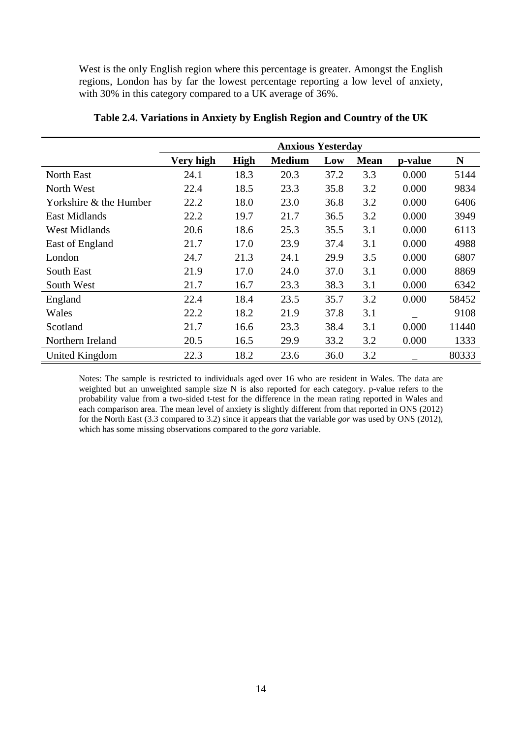West is the only English region where this percentage is greater. Amongst the English regions, London has by far the lowest percentage reporting a low level of anxiety, with 30% in this category compared to a UK average of 36%.

|                        | <b>Anxious Yesterday</b> |             |               |      |             |         |       |
|------------------------|--------------------------|-------------|---------------|------|-------------|---------|-------|
|                        | Very high                | <b>High</b> | <b>Medium</b> | Low  | <b>Mean</b> | p-value | N     |
| North East             | 24.1                     | 18.3        | 20.3          | 37.2 | 3.3         | 0.000   | 5144  |
| North West             | 22.4                     | 18.5        | 23.3          | 35.8 | 3.2         | 0.000   | 9834  |
| Yorkshire & the Humber | 22.2                     | 18.0        | 23.0          | 36.8 | 3.2         | 0.000   | 6406  |
| <b>East Midlands</b>   | 22.2                     | 19.7        | 21.7          | 36.5 | 3.2         | 0.000   | 3949  |
| <b>West Midlands</b>   | 20.6                     | 18.6        | 25.3          | 35.5 | 3.1         | 0.000   | 6113  |
| East of England        | 21.7                     | 17.0        | 23.9          | 37.4 | 3.1         | 0.000   | 4988  |
| London                 | 24.7                     | 21.3        | 24.1          | 29.9 | 3.5         | 0.000   | 6807  |
| South East             | 21.9                     | 17.0        | 24.0          | 37.0 | 3.1         | 0.000   | 8869  |
| South West             | 21.7                     | 16.7        | 23.3          | 38.3 | 3.1         | 0.000   | 6342  |
| England                | 22.4                     | 18.4        | 23.5          | 35.7 | 3.2         | 0.000   | 58452 |
| Wales                  | 22.2                     | 18.2        | 21.9          | 37.8 | 3.1         |         | 9108  |
| Scotland               | 21.7                     | 16.6        | 23.3          | 38.4 | 3.1         | 0.000   | 11440 |
| Northern Ireland       | 20.5                     | 16.5        | 29.9          | 33.2 | 3.2         | 0.000   | 1333  |
| United Kingdom         | 22.3                     | 18.2        | 23.6          | 36.0 | 3.2         |         | 80333 |

**Table 2.4. Variations in Anxiety by English Region and Country of the UK** 

Notes: The sample is restricted to individuals aged over 16 who are resident in Wales. The data are weighted but an unweighted sample size N is also reported for each category. p-value refers to the probability value from a two-sided t-test for the difference in the mean rating reported in Wales and each comparison area. The mean level of anxiety is slightly different from that reported in ONS (2012) for the North East (3.3 compared to 3.2) since it appears that the variable *gor* was used by ONS (2012), which has some missing observations compared to the *gora* variable.

l.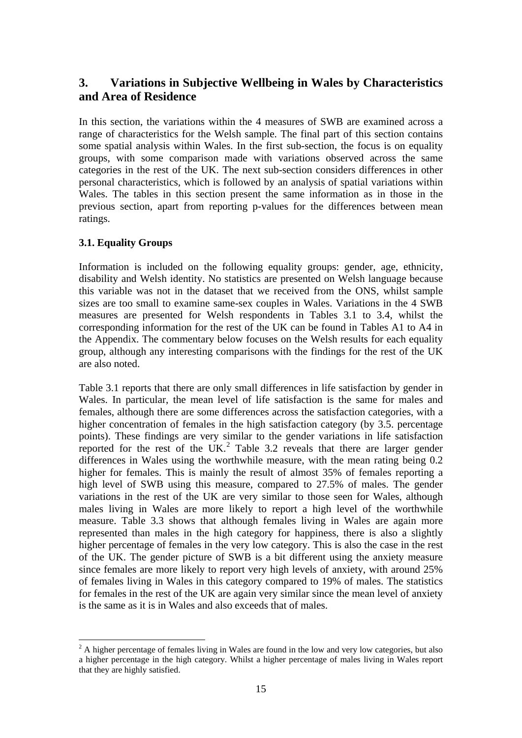# **3. Variations in Subjective Wellbeing in Wales by Characteristics and Area of Residence**

In this section, the variations within the 4 measures of SWB are examined across a range of characteristics for the Welsh sample. The final part of this section contains some spatial analysis within Wales. In the first sub-section, the focus is on equality groups, with some comparison made with variations observed across the same categories in the rest of the UK. The next sub-section considers differences in other personal characteristics, which is followed by an analysis of spatial variations within Wales. The tables in this section present the same information as in those in the previous section, apart from reporting p-values for the differences between mean ratings.

## **3.1. Equality Groups**

1

Information is included on the following equality groups: gender, age, ethnicity, disability and Welsh identity. No statistics are presented on Welsh language because this variable was not in the dataset that we received from the ONS, whilst sample sizes are too small to examine same-sex couples in Wales. Variations in the 4 SWB measures are presented for Welsh respondents in Tables 3.1 to 3.4, whilst the corresponding information for the rest of the UK can be found in Tables A1 to A4 in the Appendix. The commentary below focuses on the Welsh results for each equality group, although any interesting comparisons with the findings for the rest of the UK are also noted.

Table 3.1 reports that there are only small differences in life satisfaction by gender in Wales. In particular, the mean level of life satisfaction is the same for males and females, although there are some differences across the satisfaction categories, with a higher concentration of females in the high satisfaction category (by 3.5. percentage points). These findings are very similar to the gender variations in life satisfaction reported for the rest of the UK.<sup>[2](#page-16-0)</sup> Table 3.2 reveals that there are larger gender differences in Wales using the worthwhile measure, with the mean rating being 0.2 higher for females. This is mainly the result of almost 35% of females reporting a high level of SWB using this measure, compared to 27.5% of males. The gender variations in the rest of the UK are very similar to those seen for Wales, although males living in Wales are more likely to report a high level of the worthwhile measure. Table 3.3 shows that although females living in Wales are again more represented than males in the high category for happiness, there is also a slightly higher percentage of females in the very low category. This is also the case in the rest of the UK. The gender picture of SWB is a bit different using the anxiety measure since females are more likely to report very high levels of anxiety, with around 25% of females living in Wales in this category compared to 19% of males. The statistics for females in the rest of the UK are again very similar since the mean level of anxiety is the same as it is in Wales and also exceeds that of males.

<span id="page-16-0"></span> $2^2$  A higher percentage of females living in Wales are found in the low and very low categories, but also a higher percentage in the high category. Whilst a higher percentage of males living in Wales report that they are highly satisfied.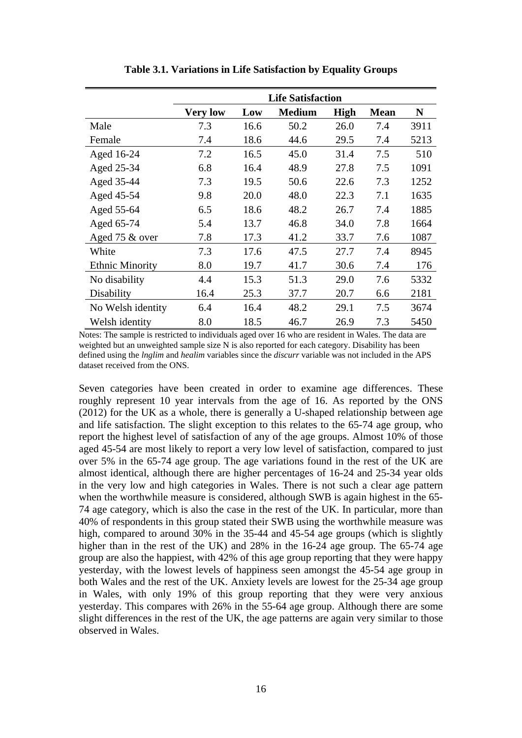|                        | <b>Life Satisfaction</b> |      |               |             |             |      |  |  |
|------------------------|--------------------------|------|---------------|-------------|-------------|------|--|--|
|                        | <b>Very low</b>          | Low  | <b>Medium</b> | <b>High</b> | <b>Mean</b> | N    |  |  |
| Male                   | 7.3                      | 16.6 | 50.2          | 26.0        | 7.4         | 3911 |  |  |
| Female                 | 7.4                      | 18.6 | 44.6          | 29.5        | 7.4         | 5213 |  |  |
| Aged 16-24             | 7.2                      | 16.5 | 45.0          | 31.4        | 7.5         | 510  |  |  |
| Aged 25-34             | 6.8                      | 16.4 | 48.9          | 27.8        | 7.5         | 1091 |  |  |
| Aged 35-44             | 7.3                      | 19.5 | 50.6          | 22.6        | 7.3         | 1252 |  |  |
| Aged 45-54             | 9.8                      | 20.0 | 48.0          | 22.3        | 7.1         | 1635 |  |  |
| Aged 55-64             | 6.5                      | 18.6 | 48.2          | 26.7        | 7.4         | 1885 |  |  |
| Aged 65-74             | 5.4                      | 13.7 | 46.8          | 34.0        | 7.8         | 1664 |  |  |
| Aged 75 & over         | 7.8                      | 17.3 | 41.2          | 33.7        | 7.6         | 1087 |  |  |
| White                  | 7.3                      | 17.6 | 47.5          | 27.7        | 7.4         | 8945 |  |  |
| <b>Ethnic Minority</b> | 8.0                      | 19.7 | 41.7          | 30.6        | 7.4         | 176  |  |  |
| No disability          | 4.4                      | 15.3 | 51.3          | 29.0        | 7.6         | 5332 |  |  |
| Disability             | 16.4                     | 25.3 | 37.7          | 20.7        | 6.6         | 2181 |  |  |
| No Welsh identity      | 6.4                      | 16.4 | 48.2          | 29.1        | 7.5         | 3674 |  |  |
| Welsh identity         | 8.0                      | 18.5 | 46.7          | 26.9        | 7.3         | 5450 |  |  |

**Table 3.1. Variations in Life Satisfaction by Equality Groups** 

Notes: The sample is restricted to individuals aged over 16 who are resident in Wales. The data are weighted but an unweighted sample size N is also reported for each category. Disability has been defined using the *lnglim* and *healim* variables since the *discurr* variable was not included in the APS dataset received from the ONS.

Seven categories have been created in order to examine age differences. These roughly represent 10 year intervals from the age of 16. As reported by the ONS (2012) for the UK as a whole, there is generally a U-shaped relationship between age and life satisfaction. The slight exception to this relates to the 65-74 age group, who report the highest level of satisfaction of any of the age groups. Almost 10% of those aged 45-54 are most likely to report a very low level of satisfaction, compared to just over 5% in the 65-74 age group. The age variations found in the rest of the UK are almost identical, although there are higher percentages of 16-24 and 25-34 year olds in the very low and high categories in Wales. There is not such a clear age pattern when the worthwhile measure is considered, although SWB is again highest in the 65- 74 age category, which is also the case in the rest of the UK. In particular, more than 40% of respondents in this group stated their SWB using the worthwhile measure was high, compared to around 30% in the 35-44 and 45-54 age groups (which is slightly higher than in the rest of the UK) and 28% in the 16-24 age group. The 65-74 age group are also the happiest, with 42% of this age group reporting that they were happy yesterday, with the lowest levels of happiness seen amongst the 45-54 age group in both Wales and the rest of the UK. Anxiety levels are lowest for the 25-34 age group in Wales, with only 19% of this group reporting that they were very anxious yesterday. This compares with 26% in the 55-64 age group. Although there are some slight differences in the rest of the UK, the age patterns are again very similar to those observed in Wales.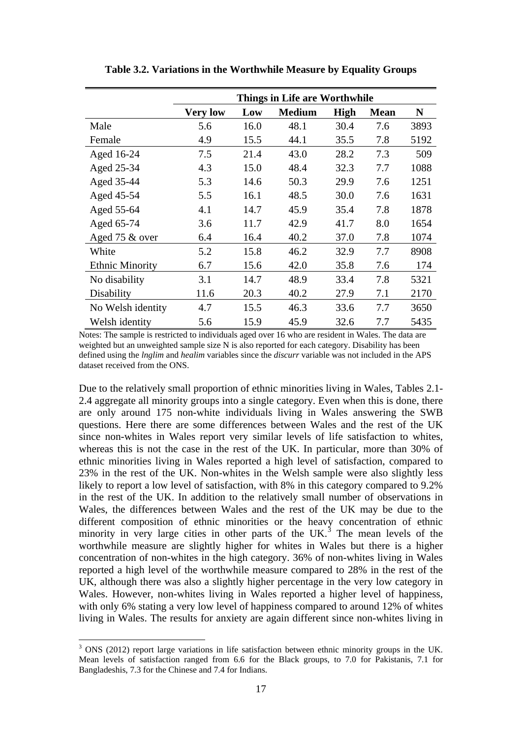|                        | Things in Life are Worthwhile |      |               |      |             |      |  |  |
|------------------------|-------------------------------|------|---------------|------|-------------|------|--|--|
|                        | <b>Very low</b>               | Low  | <b>Medium</b> | High | <b>Mean</b> | N    |  |  |
| Male                   | 5.6                           | 16.0 | 48.1          | 30.4 | 7.6         | 3893 |  |  |
| Female                 | 4.9                           | 15.5 | 44.1          | 35.5 | 7.8         | 5192 |  |  |
| Aged 16-24             | 7.5                           | 21.4 | 43.0          | 28.2 | 7.3         | 509  |  |  |
| Aged 25-34             | 4.3                           | 15.0 | 48.4          | 32.3 | 7.7         | 1088 |  |  |
| Aged 35-44             | 5.3                           | 14.6 | 50.3          | 29.9 | 7.6         | 1251 |  |  |
| Aged 45-54             | 5.5                           | 16.1 | 48.5          | 30.0 | 7.6         | 1631 |  |  |
| Aged 55-64             | 4.1                           | 14.7 | 45.9          | 35.4 | 7.8         | 1878 |  |  |
| Aged 65-74             | 3.6                           | 11.7 | 42.9          | 41.7 | 8.0         | 1654 |  |  |
| Aged 75 & over         | 6.4                           | 16.4 | 40.2          | 37.0 | 7.8         | 1074 |  |  |
| White                  | 5.2                           | 15.8 | 46.2          | 32.9 | 7.7         | 8908 |  |  |
| <b>Ethnic Minority</b> | 6.7                           | 15.6 | 42.0          | 35.8 | 7.6         | 174  |  |  |
| No disability          | 3.1                           | 14.7 | 48.9          | 33.4 | 7.8         | 5321 |  |  |
| Disability             | 11.6                          | 20.3 | 40.2          | 27.9 | 7.1         | 2170 |  |  |
| No Welsh identity      | 4.7                           | 15.5 | 46.3          | 33.6 | 7.7         | 3650 |  |  |
| Welsh identity         | 5.6                           | 15.9 | 45.9          | 32.6 | 7.7         | 5435 |  |  |

**Table 3.2. Variations in the Worthwhile Measure by Equality Groups** 

Notes: The sample is restricted to individuals aged over 16 who are resident in Wales. The data are weighted but an unweighted sample size N is also reported for each category. Disability has been defined using the *lnglim* and *healim* variables since the *discurr* variable was not included in the APS dataset received from the ONS.

Due to the relatively small proportion of ethnic minorities living in Wales, Tables 2.1- 2.4 aggregate all minority groups into a single category. Even when this is done, there are only around 175 non-white individuals living in Wales answering the SWB questions. Here there are some differences between Wales and the rest of the UK since non-whites in Wales report very similar levels of life satisfaction to whites, whereas this is not the case in the rest of the UK. In particular, more than 30% of ethnic minorities living in Wales reported a high level of satisfaction, compared to 23% in the rest of the UK. Non-whites in the Welsh sample were also slightly less likely to report a low level of satisfaction, with 8% in this category compared to 9.2% in the rest of the UK. In addition to the relatively small number of observations in Wales, the differences between Wales and the rest of the UK may be due to the different composition of ethnic minorities or the heavy concentration of ethnic minority in very large cities in other parts of the UK.<sup>[3](#page-18-0)</sup> The mean levels of the worthwhile measure are slightly higher for whites in Wales but there is a higher concentration of non-whites in the high category. 36% of non-whites living in Wales reported a high level of the worthwhile measure compared to 28% in the rest of the UK, although there was also a slightly higher percentage in the very low category in Wales. However, non-whites living in Wales reported a higher level of happiness, with only 6% stating a very low level of happiness compared to around 12% of whites living in Wales. The results for anxiety are again different since non-whites living in

1

<span id="page-18-0"></span> $3$  ONS (2012) report large variations in life satisfaction between ethnic minority groups in the UK. Mean levels of satisfaction ranged from 6.6 for the Black groups, to 7.0 for Pakistanis, 7.1 for Bangladeshis, 7.3 for the Chinese and 7.4 for Indians.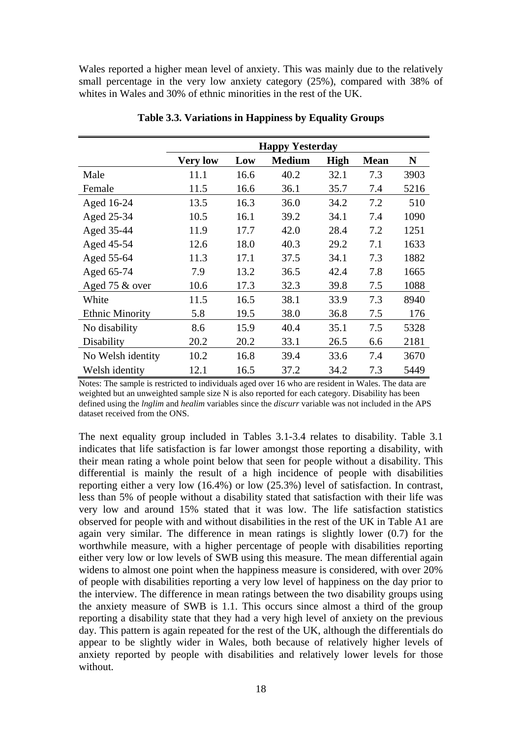Wales reported a higher mean level of anxiety. This was mainly due to the relatively small percentage in the very low anxiety category (25%), compared with 38% of whites in Wales and 30% of ethnic minorities in the rest of the UK.

|                        | <b>Happy Yesterday</b> |      |               |             |             |      |  |  |
|------------------------|------------------------|------|---------------|-------------|-------------|------|--|--|
|                        | <b>Very low</b>        | Low  | <b>Medium</b> | <b>High</b> | <b>Mean</b> | N    |  |  |
| Male                   | 11.1                   | 16.6 | 40.2          | 32.1        | 7.3         | 3903 |  |  |
| Female                 | 11.5                   | 16.6 | 36.1          | 35.7        | 7.4         | 5216 |  |  |
| Aged 16-24             | 13.5                   | 16.3 | 36.0          | 34.2        | 7.2         | 510  |  |  |
| Aged 25-34             | 10.5                   | 16.1 | 39.2          | 34.1        | 7.4         | 1090 |  |  |
| Aged 35-44             | 11.9                   | 17.7 | 42.0          | 28.4        | 7.2         | 1251 |  |  |
| Aged 45-54             | 12.6                   | 18.0 | 40.3          | 29.2        | 7.1         | 1633 |  |  |
| Aged 55-64             | 11.3                   | 17.1 | 37.5          | 34.1        | 7.3         | 1882 |  |  |
| Aged 65-74             | 7.9                    | 13.2 | 36.5          | 42.4        | 7.8         | 1665 |  |  |
| Aged 75 & over         | 10.6                   | 17.3 | 32.3          | 39.8        | 7.5         | 1088 |  |  |
| White                  | 11.5                   | 16.5 | 38.1          | 33.9        | 7.3         | 8940 |  |  |
| <b>Ethnic Minority</b> | 5.8                    | 19.5 | 38.0          | 36.8        | 7.5         | 176  |  |  |
| No disability          | 8.6                    | 15.9 | 40.4          | 35.1        | 7.5         | 5328 |  |  |
| Disability             | 20.2                   | 20.2 | 33.1          | 26.5        | 6.6         | 2181 |  |  |
| No Welsh identity      | 10.2                   | 16.8 | 39.4          | 33.6        | 7.4         | 3670 |  |  |
| Welsh identity         | 12.1                   | 16.5 | 37.2          | 34.2        | 7.3         | 5449 |  |  |

**Table 3.3. Variations in Happiness by Equality Groups** 

Notes: The sample is restricted to individuals aged over 16 who are resident in Wales. The data are weighted but an unweighted sample size N is also reported for each category. Disability has been defined using the *lnglim* and *healim* variables since the *discurr* variable was not included in the APS dataset received from the ONS.

The next equality group included in Tables 3.1-3.4 relates to disability. Table 3.1 indicates that life satisfaction is far lower amongst those reporting a disability, with their mean rating a whole point below that seen for people without a disability. This differential is mainly the result of a high incidence of people with disabilities reporting either a very low (16.4%) or low (25.3%) level of satisfaction. In contrast, less than 5% of people without a disability stated that satisfaction with their life was very low and around 15% stated that it was low. The life satisfaction statistics observed for people with and without disabilities in the rest of the UK in Table A1 are again very similar. The difference in mean ratings is slightly lower (0.7) for the worthwhile measure, with a higher percentage of people with disabilities reporting either very low or low levels of SWB using this measure. The mean differential again widens to almost one point when the happiness measure is considered, with over 20% of people with disabilities reporting a very low level of happiness on the day prior to the interview. The difference in mean ratings between the two disability groups using the anxiety measure of SWB is 1.1. This occurs since almost a third of the group reporting a disability state that they had a very high level of anxiety on the previous day. This pattern is again repeated for the rest of the UK, although the differentials do appear to be slightly wider in Wales, both because of relatively higher levels of anxiety reported by people with disabilities and relatively lower levels for those without.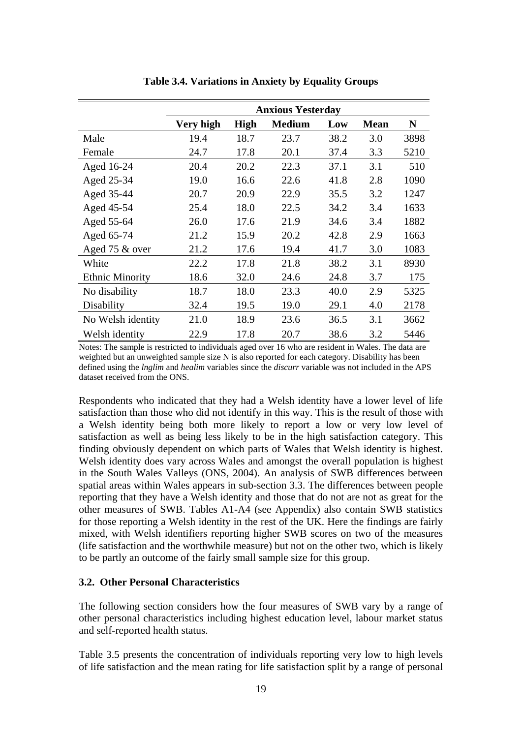|                        | <b>Anxious Yesterday</b> |             |               |      |             |      |  |  |
|------------------------|--------------------------|-------------|---------------|------|-------------|------|--|--|
|                        | Very high                | <b>High</b> | <b>Medium</b> | Low  | <b>Mean</b> | N    |  |  |
| Male                   | 19.4                     | 18.7        | 23.7          | 38.2 | 3.0         | 3898 |  |  |
| Female                 | 24.7                     | 17.8        | 20.1          | 37.4 | 3.3         | 5210 |  |  |
| Aged 16-24             | 20.4                     | 20.2        | 22.3          | 37.1 | 3.1         | 510  |  |  |
| Aged 25-34             | 19.0                     | 16.6        | 22.6          | 41.8 | 2.8         | 1090 |  |  |
| Aged 35-44             | 20.7                     | 20.9        | 22.9          | 35.5 | 3.2         | 1247 |  |  |
| Aged 45-54             | 25.4                     | 18.0        | 22.5          | 34.2 | 3.4         | 1633 |  |  |
| Aged 55-64             | 26.0                     | 17.6        | 21.9          | 34.6 | 3.4         | 1882 |  |  |
| Aged 65-74             | 21.2                     | 15.9        | 20.2          | 42.8 | 2.9         | 1663 |  |  |
| Aged 75 & over         | 21.2                     | 17.6        | 19.4          | 41.7 | 3.0         | 1083 |  |  |
| White                  | 22.2                     | 17.8        | 21.8          | 38.2 | 3.1         | 8930 |  |  |
| <b>Ethnic Minority</b> | 18.6                     | 32.0        | 24.6          | 24.8 | 3.7         | 175  |  |  |
| No disability          | 18.7                     | 18.0        | 23.3          | 40.0 | 2.9         | 5325 |  |  |
| Disability             | 32.4                     | 19.5        | 19.0          | 29.1 | 4.0         | 2178 |  |  |
| No Welsh identity      | 21.0                     | 18.9        | 23.6          | 36.5 | 3.1         | 3662 |  |  |
| Welsh identity         | 22.9                     | 17.8        | 20.7          | 38.6 | 3.2         | 5446 |  |  |

**Table 3.4. Variations in Anxiety by Equality Groups** 

Notes: The sample is restricted to individuals aged over 16 who are resident in Wales. The data are weighted but an unweighted sample size N is also reported for each category. Disability has been defined using the *lnglim* and *healim* variables since the *discurr* variable was not included in the APS dataset received from the ONS.

Respondents who indicated that they had a Welsh identity have a lower level of life satisfaction than those who did not identify in this way. This is the result of those with a Welsh identity being both more likely to report a low or very low level of satisfaction as well as being less likely to be in the high satisfaction category. This finding obviously dependent on which parts of Wales that Welsh identity is highest. Welsh identity does vary across Wales and amongst the overall population is highest in the South Wales Valleys (ONS, 2004). An analysis of SWB differences between spatial areas within Wales appears in sub-section 3.3. The differences between people reporting that they have a Welsh identity and those that do not are not as great for the other measures of SWB. Tables A1-A4 (see Appendix) also contain SWB statistics for those reporting a Welsh identity in the rest of the UK. Here the findings are fairly mixed, with Welsh identifiers reporting higher SWB scores on two of the measures (life satisfaction and the worthwhile measure) but not on the other two, which is likely to be partly an outcome of the fairly small sample size for this group.

### **3.2. Other Personal Characteristics**

The following section considers how the four measures of SWB vary by a range of other personal characteristics including highest education level, labour market status and self-reported health status.

Table 3.5 presents the concentration of individuals reporting very low to high levels of life satisfaction and the mean rating for life satisfaction split by a range of personal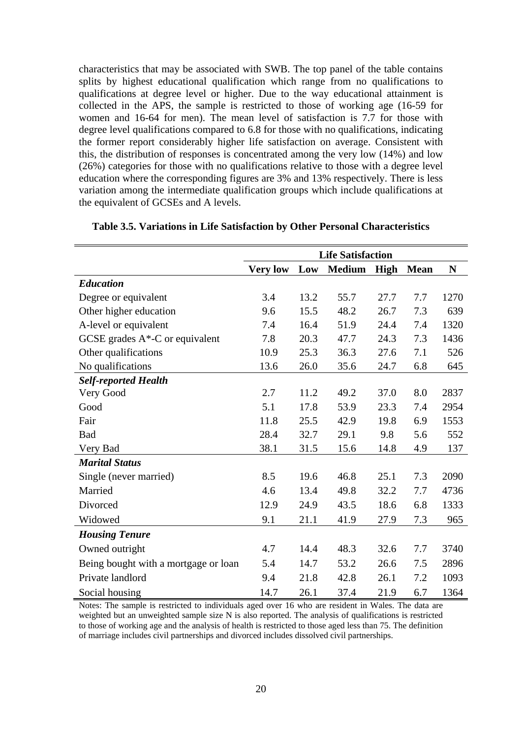characteristics that may be associated with SWB. The top panel of the table contains splits by highest educational qualification which range from no qualifications to qualifications at degree level or higher. Due to the way educational attainment is collected in the APS, the sample is restricted to those of working age (16-59 for women and 16-64 for men). The mean level of satisfaction is 7.7 for those with degree level qualifications compared to 6.8 for those with no qualifications, indicating the former report considerably higher life satisfaction on average. Consistent with this, the distribution of responses is concentrated among the very low (14%) and low (26%) categories for those with no qualifications relative to those with a degree level education where the corresponding figures are 3% and 13% respectively. There is less variation among the intermediate qualification groups which include qualifications at the equivalent of GCSEs and A levels.

|                                      | <b>Life Satisfaction</b> |      |               |             |             |      |
|--------------------------------------|--------------------------|------|---------------|-------------|-------------|------|
|                                      | <b>Very low</b>          | Low  | <b>Medium</b> | <b>High</b> | <b>Mean</b> | N    |
| <b>Education</b>                     |                          |      |               |             |             |      |
| Degree or equivalent                 | 3.4                      | 13.2 | 55.7          | 27.7        | 7.7         | 1270 |
| Other higher education               | 9.6                      | 15.5 | 48.2          | 26.7        | 7.3         | 639  |
| A-level or equivalent                | 7.4                      | 16.4 | 51.9          | 24.4        | 7.4         | 1320 |
| GCSE grades $A^*$ -C or equivalent   | 7.8                      | 20.3 | 47.7          | 24.3        | 7.3         | 1436 |
| Other qualifications                 | 10.9                     | 25.3 | 36.3          | 27.6        | 7.1         | 526  |
| No qualifications                    | 13.6                     | 26.0 | 35.6          | 24.7        | 6.8         | 645  |
| <b>Self-reported Health</b>          |                          |      |               |             |             |      |
| Very Good                            | 2.7                      | 11.2 | 49.2          | 37.0        | 8.0         | 2837 |
| Good                                 | 5.1                      | 17.8 | 53.9          | 23.3        | 7.4         | 2954 |
| Fair                                 | 11.8                     | 25.5 | 42.9          | 19.8        | 6.9         | 1553 |
| Bad                                  | 28.4                     | 32.7 | 29.1          | 9.8         | 5.6         | 552  |
| Very Bad                             | 38.1                     | 31.5 | 15.6          | 14.8        | 4.9         | 137  |
| <b>Marital Status</b>                |                          |      |               |             |             |      |
| Single (never married)               | 8.5                      | 19.6 | 46.8          | 25.1        | 7.3         | 2090 |
| Married                              | 4.6                      | 13.4 | 49.8          | 32.2        | 7.7         | 4736 |
| Divorced                             | 12.9                     | 24.9 | 43.5          | 18.6        | 6.8         | 1333 |
| Widowed                              | 9.1                      | 21.1 | 41.9          | 27.9        | 7.3         | 965  |
| <b>Housing Tenure</b>                |                          |      |               |             |             |      |
| Owned outright                       | 4.7                      | 14.4 | 48.3          | 32.6        | 7.7         | 3740 |
| Being bought with a mortgage or loan | 5.4                      | 14.7 | 53.2          | 26.6        | 7.5         | 2896 |
| Private landlord                     | 9.4                      | 21.8 | 42.8          | 26.1        | 7.2         | 1093 |
| Social housing                       | 14.7                     | 26.1 | 37.4          | 21.9        | 6.7         | 1364 |

## **Table 3.5. Variations in Life Satisfaction by Other Personal Characteristics**

Notes: The sample is restricted to individuals aged over 16 who are resident in Wales. The data are weighted but an unweighted sample size N is also reported. The analysis of qualifications is restricted to those of working age and the analysis of health is restricted to those aged less than 75. The definition of marriage includes civil partnerships and divorced includes dissolved civil partnerships.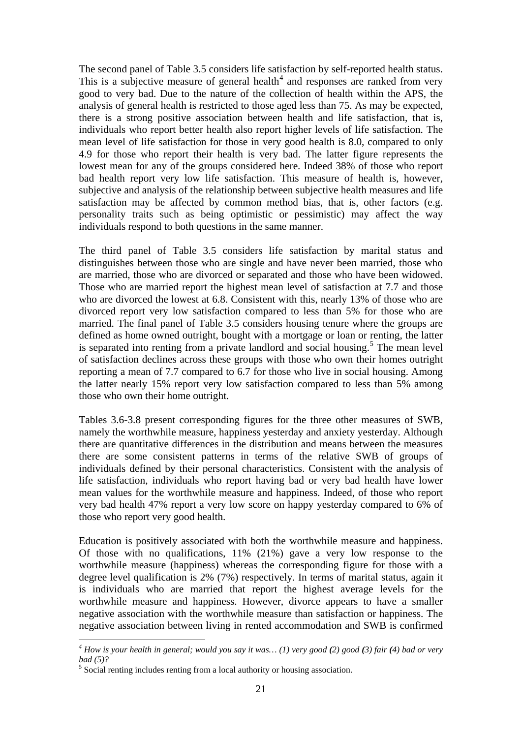The second panel of Table 3.5 considers life satisfaction by self-reported health status. This is a subjective measure of general health<sup>[4](#page-22-0)</sup> and responses are ranked from very good to very bad. Due to the nature of the collection of health within the APS, the analysis of general health is restricted to those aged less than 75. As may be expected, there is a strong positive association between health and life satisfaction, that is, individuals who report better health also report higher levels of life satisfaction. The mean level of life satisfaction for those in very good health is 8.0, compared to only 4.9 for those who report their health is very bad. The latter figure represents the lowest mean for any of the groups considered here. Indeed 38% of those who report bad health report very low life satisfaction. This measure of health is, however, subjective and analysis of the relationship between subjective health measures and life satisfaction may be affected by common method bias, that is, other factors (e.g. personality traits such as being optimistic or pessimistic) may affect the way individuals respond to both questions in the same manner.

The third panel of Table 3.5 considers life satisfaction by marital status and distinguishes between those who are single and have never been married, those who are married, those who are divorced or separated and those who have been widowed. Those who are married report the highest mean level of satisfaction at 7.7 and those who are divorced the lowest at 6.8. Consistent with this, nearly 13% of those who are divorced report very low satisfaction compared to less than 5% for those who are married. The final panel of Table 3.5 considers housing tenure where the groups are defined as home owned outright, bought with a mortgage or loan or renting, the latter is separated into renting from a private landlord and social housing.<sup>[5](#page-22-1)</sup> The mean level of satisfaction declines across these groups with those who own their homes outright reporting a mean of 7.7 compared to 6.7 for those who live in social housing. Among the latter nearly 15% report very low satisfaction compared to less than 5% among those who own their home outright.

Tables 3.6-3.8 present corresponding figures for the three other measures of SWB, namely the worthwhile measure, happiness yesterday and anxiety yesterday. Although there are quantitative differences in the distribution and means between the measures there are some consistent patterns in terms of the relative SWB of groups of individuals defined by their personal characteristics. Consistent with the analysis of life satisfaction, individuals who report having bad or very bad health have lower mean values for the worthwhile measure and happiness. Indeed, of those who report very bad health 47% report a very low score on happy yesterday compared to 6% of those who report very good health.

Education is positively associated with both the worthwhile measure and happiness. Of those with no qualifications, 11% (21%) gave a very low response to the worthwhile measure (happiness) whereas the corresponding figure for those with a degree level qualification is 2% (7%) respectively. In terms of marital status, again it is individuals who are married that report the highest average levels for the worthwhile measure and happiness. However, divorce appears to have a smaller negative association with the worthwhile measure than satisfaction or happiness. The negative association between living in rented accommodation and SWB is confirmed

1

<span id="page-22-0"></span>*<sup>4</sup> How is your health in general; would you say it was… (1) very good (2) good (3) fair (4) bad or very bad (5)?* 

<span id="page-22-1"></span><sup>&</sup>lt;sup>5</sup> Social renting includes renting from a local authority or housing association.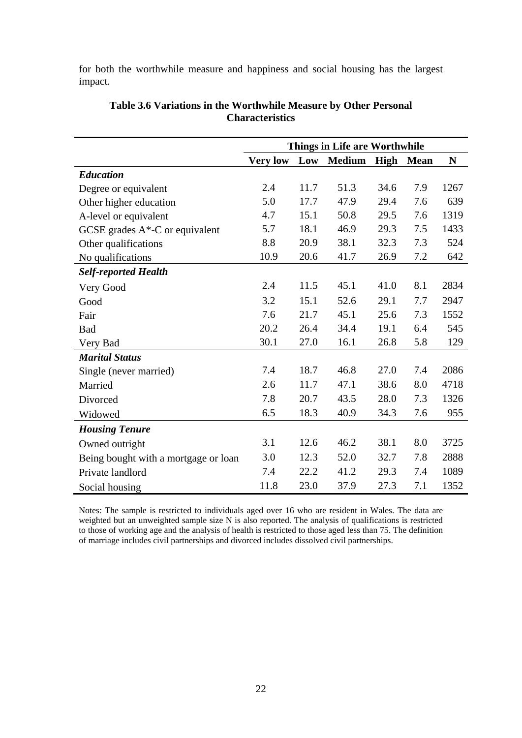for both the worthwhile measure and happiness and social housing has the largest impact.

|                                      |                 |      | <b>Things in Life are Worthwhile</b> |             |             |      |
|--------------------------------------|-----------------|------|--------------------------------------|-------------|-------------|------|
|                                      | <b>Very low</b> | Low  | <b>Medium</b>                        | <b>High</b> | <b>Mean</b> | N    |
| <b>Education</b>                     |                 |      |                                      |             |             |      |
| Degree or equivalent                 | 2.4             | 11.7 | 51.3                                 | 34.6        | 7.9         | 1267 |
| Other higher education               | 5.0             | 17.7 | 47.9                                 | 29.4        | 7.6         | 639  |
| A-level or equivalent                | 4.7             | 15.1 | 50.8                                 | 29.5        | 7.6         | 1319 |
| GCSE grades $A^*$ -C or equivalent   | 5.7             | 18.1 | 46.9                                 | 29.3        | 7.5         | 1433 |
| Other qualifications                 | 8.8             | 20.9 | 38.1                                 | 32.3        | 7.3         | 524  |
| No qualifications                    | 10.9            | 20.6 | 41.7                                 | 26.9        | 7.2         | 642  |
| <b>Self-reported Health</b>          |                 |      |                                      |             |             |      |
| Very Good                            | 2.4             | 11.5 | 45.1                                 | 41.0        | 8.1         | 2834 |
| Good                                 | 3.2             | 15.1 | 52.6                                 | 29.1        | 7.7         | 2947 |
| Fair                                 | 7.6             | 21.7 | 45.1                                 | 25.6        | 7.3         | 1552 |
| <b>Bad</b>                           | 20.2            | 26.4 | 34.4                                 | 19.1        | 6.4         | 545  |
| Very Bad                             | 30.1            | 27.0 | 16.1                                 | 26.8        | 5.8         | 129  |
| <b>Marital Status</b>                |                 |      |                                      |             |             |      |
| Single (never married)               | 7.4             | 18.7 | 46.8                                 | 27.0        | 7.4         | 2086 |
| Married                              | 2.6             | 11.7 | 47.1                                 | 38.6        | 8.0         | 4718 |
| Divorced                             | 7.8             | 20.7 | 43.5                                 | 28.0        | 7.3         | 1326 |
| Widowed                              | 6.5             | 18.3 | 40.9                                 | 34.3        | 7.6         | 955  |
| <b>Housing Tenure</b>                |                 |      |                                      |             |             |      |
| Owned outright                       | 3.1             | 12.6 | 46.2                                 | 38.1        | 8.0         | 3725 |
| Being bought with a mortgage or loan | 3.0             | 12.3 | 52.0                                 | 32.7        | 7.8         | 2888 |
| Private landlord                     | 7.4             | 22.2 | 41.2                                 | 29.3        | 7.4         | 1089 |
| Social housing                       | 11.8            | 23.0 | 37.9                                 | 27.3        | 7.1         | 1352 |

## **Table 3.6 Variations in the Worthwhile Measure by Other Personal Characteristics**

Notes: The sample is restricted to individuals aged over 16 who are resident in Wales. The data are weighted but an unweighted sample size N is also reported. The analysis of qualifications is restricted to those of working age and the analysis of health is restricted to those aged less than 75. The definition of marriage includes civil partnerships and divorced includes dissolved civil partnerships.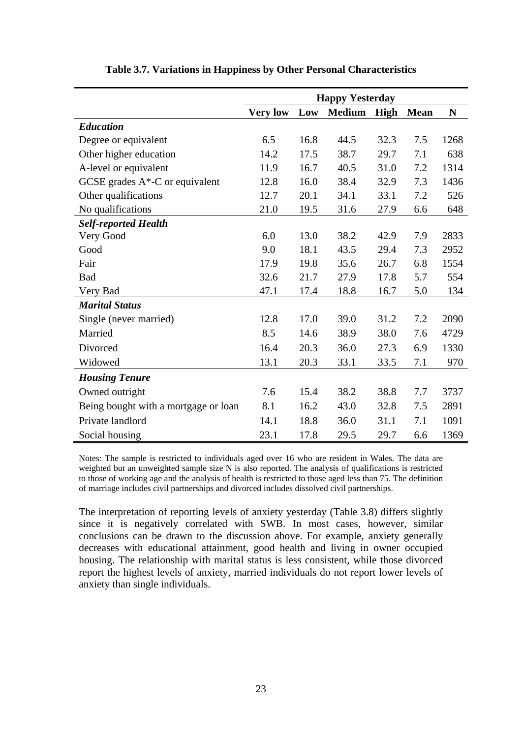|                                      |                 |      | <b>Happy Yesterday</b> |      |             |      |
|--------------------------------------|-----------------|------|------------------------|------|-------------|------|
|                                      | <b>Very low</b> | Low  | <b>Medium</b>          | High | <b>Mean</b> | N    |
| <b>Education</b>                     |                 |      |                        |      |             |      |
| Degree or equivalent                 | 6.5             | 16.8 | 44.5                   | 32.3 | 7.5         | 1268 |
| Other higher education               | 14.2            | 17.5 | 38.7                   | 29.7 | 7.1         | 638  |
| A-level or equivalent                | 11.9            | 16.7 | 40.5                   | 31.0 | 7.2         | 1314 |
| GCSE grades $A^*$ -C or equivalent   | 12.8            | 16.0 | 38.4                   | 32.9 | 7.3         | 1436 |
| Other qualifications                 | 12.7            | 20.1 | 34.1                   | 33.1 | 7.2         | 526  |
| No qualifications                    | 21.0            | 19.5 | 31.6                   | 27.9 | 6.6         | 648  |
| <b>Self-reported Health</b>          |                 |      |                        |      |             |      |
| Very Good                            | 6.0             | 13.0 | 38.2                   | 42.9 | 7.9         | 2833 |
| Good                                 | 9.0             | 18.1 | 43.5                   | 29.4 | 7.3         | 2952 |
| Fair                                 | 17.9            | 19.8 | 35.6                   | 26.7 | 6.8         | 1554 |
| <b>Bad</b>                           | 32.6            | 21.7 | 27.9                   | 17.8 | 5.7         | 554  |
| Very Bad                             | 47.1            | 17.4 | 18.8                   | 16.7 | 5.0         | 134  |
| <b>Marital Status</b>                |                 |      |                        |      |             |      |
| Single (never married)               | 12.8            | 17.0 | 39.0                   | 31.2 | 7.2         | 2090 |
| Married                              | 8.5             | 14.6 | 38.9                   | 38.0 | 7.6         | 4729 |
| Divorced                             | 16.4            | 20.3 | 36.0                   | 27.3 | 6.9         | 1330 |
| Widowed                              | 13.1            | 20.3 | 33.1                   | 33.5 | 7.1         | 970  |
| <b>Housing Tenure</b>                |                 |      |                        |      |             |      |
| Owned outright                       | 7.6             | 15.4 | 38.2                   | 38.8 | 7.7         | 3737 |
| Being bought with a mortgage or loan | 8.1             | 16.2 | 43.0                   | 32.8 | 7.5         | 2891 |
| Private landlord                     | 14.1            | 18.8 | 36.0                   | 31.1 | 7.1         | 1091 |
| Social housing                       | 23.1            | 17.8 | 29.5                   | 29.7 | 6.6         | 1369 |

### **Table 3.7. Variations in Happiness by Other Personal Characteristics**

Notes: The sample is restricted to individuals aged over 16 who are resident in Wales. The data are weighted but an unweighted sample size N is also reported. The analysis of qualifications is restricted to those of working age and the analysis of health is restricted to those aged less than 75. The definition of marriage includes civil partnerships and divorced includes dissolved civil partnerships.

The interpretation of reporting levels of anxiety yesterday (Table 3.8) differs slightly since it is negatively correlated with SWB. In most cases, however, similar conclusions can be drawn to the discussion above. For example, anxiety generally decreases with educational attainment, good health and living in owner occupied housing. The relationship with marital status is less consistent, while those divorced report the highest levels of anxiety, married individuals do not report lower levels of anxiety than single individuals.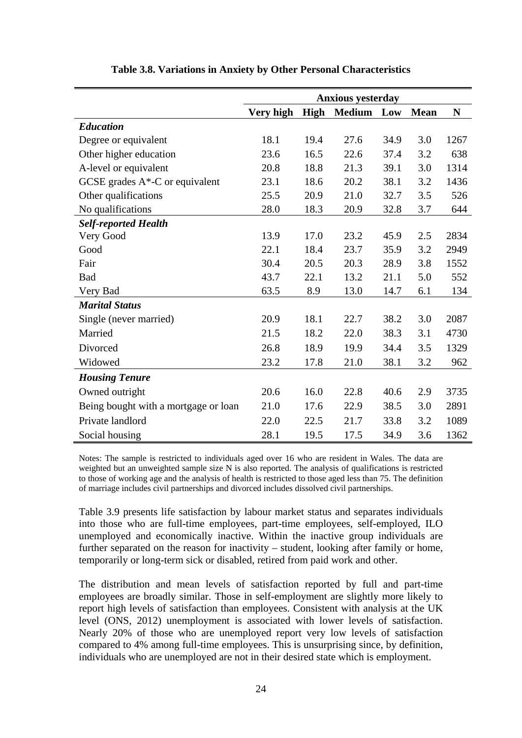|                                      |           |      | <b>Anxious yesterday</b> |      |             |      |
|--------------------------------------|-----------|------|--------------------------|------|-------------|------|
|                                      | Very high | High | <b>Medium</b>            | Low  | <b>Mean</b> | N    |
| <b>Education</b>                     |           |      |                          |      |             |      |
| Degree or equivalent                 | 18.1      | 19.4 | 27.6                     | 34.9 | 3.0         | 1267 |
| Other higher education               | 23.6      | 16.5 | 22.6                     | 37.4 | 3.2         | 638  |
| A-level or equivalent                | 20.8      | 18.8 | 21.3                     | 39.1 | 3.0         | 1314 |
| GCSE grades $A^*$ -C or equivalent   | 23.1      | 18.6 | 20.2                     | 38.1 | 3.2         | 1436 |
| Other qualifications                 | 25.5      | 20.9 | 21.0                     | 32.7 | 3.5         | 526  |
| No qualifications                    | 28.0      | 18.3 | 20.9                     | 32.8 | 3.7         | 644  |
| <b>Self-reported Health</b>          |           |      |                          |      |             |      |
| Very Good                            | 13.9      | 17.0 | 23.2                     | 45.9 | 2.5         | 2834 |
| Good                                 | 22.1      | 18.4 | 23.7                     | 35.9 | 3.2         | 2949 |
| Fair                                 | 30.4      | 20.5 | 20.3                     | 28.9 | 3.8         | 1552 |
| <b>Bad</b>                           | 43.7      | 22.1 | 13.2                     | 21.1 | 5.0         | 552  |
| Very Bad                             | 63.5      | 8.9  | 13.0                     | 14.7 | 6.1         | 134  |
| <b>Marital Status</b>                |           |      |                          |      |             |      |
| Single (never married)               | 20.9      | 18.1 | 22.7                     | 38.2 | 3.0         | 2087 |
| Married                              | 21.5      | 18.2 | 22.0                     | 38.3 | 3.1         | 4730 |
| Divorced                             | 26.8      | 18.9 | 19.9                     | 34.4 | 3.5         | 1329 |
| Widowed                              | 23.2      | 17.8 | 21.0                     | 38.1 | 3.2         | 962  |
| <b>Housing Tenure</b>                |           |      |                          |      |             |      |
| Owned outright                       | 20.6      | 16.0 | 22.8                     | 40.6 | 2.9         | 3735 |
| Being bought with a mortgage or loan | 21.0      | 17.6 | 22.9                     | 38.5 | 3.0         | 2891 |
| Private landlord                     | 22.0      | 22.5 | 21.7                     | 33.8 | 3.2         | 1089 |
| Social housing                       | 28.1      | 19.5 | 17.5                     | 34.9 | 3.6         | 1362 |

### **Table 3.8. Variations in Anxiety by Other Personal Characteristics**

Notes: The sample is restricted to individuals aged over 16 who are resident in Wales. The data are weighted but an unweighted sample size N is also reported. The analysis of qualifications is restricted to those of working age and the analysis of health is restricted to those aged less than 75. The definition of marriage includes civil partnerships and divorced includes dissolved civil partnerships.

Table 3.9 presents life satisfaction by labour market status and separates individuals into those who are full-time employees, part-time employees, self-employed, ILO unemployed and economically inactive. Within the inactive group individuals are further separated on the reason for inactivity – student, looking after family or home, temporarily or long-term sick or disabled, retired from paid work and other.

The distribution and mean levels of satisfaction reported by full and part-time employees are broadly similar. Those in self-employment are slightly more likely to report high levels of satisfaction than employees. Consistent with analysis at the UK level (ONS, 2012) unemployment is associated with lower levels of satisfaction. Nearly 20% of those who are unemployed report very low levels of satisfaction compared to 4% among full-time employees. This is unsurprising since, by definition, individuals who are unemployed are not in their desired state which is employment.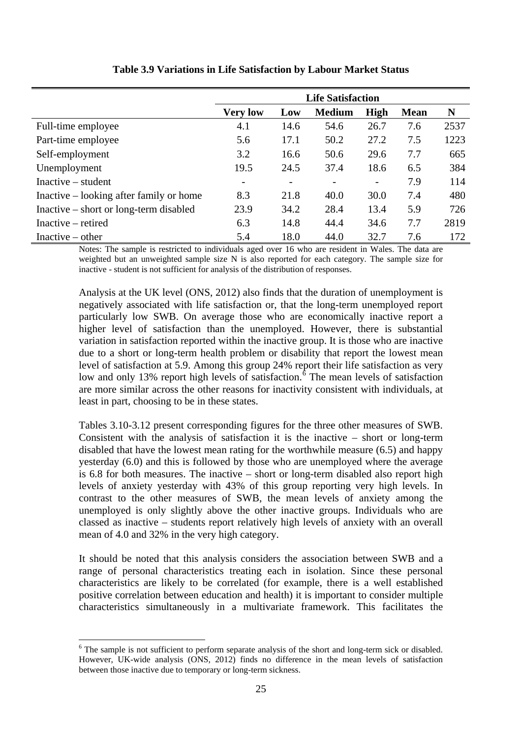|                                         | <b>Life Satisfaction</b> |      |                 |                          |             |      |  |  |
|-----------------------------------------|--------------------------|------|-----------------|--------------------------|-------------|------|--|--|
|                                         | <b>Very low</b>          | Low  | <b>Medium</b>   | High                     | <b>Mean</b> | N    |  |  |
| Full-time employee                      | 4.1                      | 14.6 | 54.6            | 26.7                     | 7.6         | 2537 |  |  |
| Part-time employee                      | 5.6                      | 17.1 | 50.2            | 27.2                     | 7.5         | 1223 |  |  |
| Self-employment                         | 3.2                      | 16.6 | 50.6            | 29.6                     | 7.7         | 665  |  |  |
| Unemployment                            | 19.5                     | 24.5 | 37.4            | 18.6                     | 6.5         | 384  |  |  |
| $Inactive - student$                    | $\overline{\phantom{a}}$ | -    | $\qquad \qquad$ | $\overline{\phantom{a}}$ | 7.9         | 114  |  |  |
| Inactive – looking after family or home | 8.3                      | 21.8 | 40.0            | 30.0                     | 7.4         | 480  |  |  |
| Inactive – short or long-term disabled  | 23.9                     | 34.2 | 28.4            | 13.4                     | 5.9         | 726  |  |  |
| Inactive – retired                      | 6.3                      | 14.8 | 44.4            | 34.6                     | 7.7         | 2819 |  |  |
| Inactive $-$ other                      | 5.4                      | 18.0 | 44.0            | 32.7                     | 7.6         | 172  |  |  |

## **Table 3.9 Variations in Life Satisfaction by Labour Market Status**

Notes: The sample is restricted to individuals aged over 16 who are resident in Wales. The data are weighted but an unweighted sample size N is also reported for each category. The sample size for inactive - student is not sufficient for analysis of the distribution of responses.

Analysis at the UK level (ONS, 2012) also finds that the duration of unemployment is negatively associated with life satisfaction or, that the long-term unemployed report particularly low SWB. On average those who are economically inactive report a higher level of satisfaction than the unemployed. However, there is substantial variation in satisfaction reported within the inactive group. It is those who are inactive due to a short or long-term health problem or disability that report the lowest mean level of satisfaction at 5.9. Among this group 24% report their life satisfaction as very low and only 13% report high levels of satisfaction.<sup> $\delta$ </sup> The mean levels of satisfaction are more similar across the other reasons for inactivity consistent with individuals, at least in part, choosing to be in these states.

Tables 3.10-3.12 present corresponding figures for the three other measures of SWB. Consistent with the analysis of satisfaction it is the inactive – short or long-term disabled that have the lowest mean rating for the worthwhile measure (6.5) and happy yesterday (6.0) and this is followed by those who are unemployed where the average is 6.8 for both measures. The inactive – short or long-term disabled also report high levels of anxiety yesterday with 43% of this group reporting very high levels. In contrast to the other measures of SWB, the mean levels of anxiety among the unemployed is only slightly above the other inactive groups. Individuals who are classed as inactive – students report relatively high levels of anxiety with an overall mean of 4.0 and 32% in the very high category.

It should be noted that this analysis considers the association between SWB and a range of personal characteristics treating each in isolation. Since these personal characteristics are likely to be correlated (for example, there is a well established positive correlation between education and health) it is important to consider multiple characteristics simultaneously in a multivariate framework. This facilitates the

1

<span id="page-26-0"></span><sup>&</sup>lt;sup>6</sup> The sample is not sufficient to perform separate analysis of the short and long-term sick or disabled. However, UK-wide analysis (ONS, 2012) finds no difference in the mean levels of satisfaction between those inactive due to temporary or long-term sickness.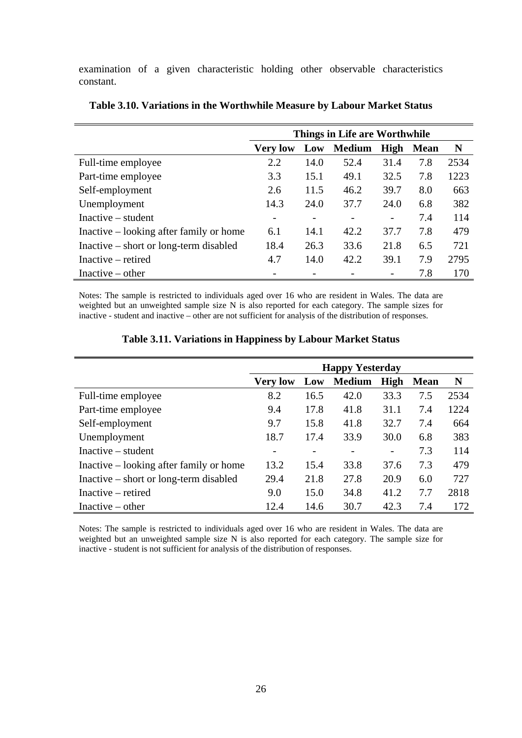examination of a given characteristic holding other observable characteristics constant.

|                                         | Things in Life are Worthwhile |      |               |      |             |      |  |  |
|-----------------------------------------|-------------------------------|------|---------------|------|-------------|------|--|--|
|                                         | <b>Very low</b>               | Low  | <b>Medium</b> | High | <b>Mean</b> | N    |  |  |
| Full-time employee                      | 2.2                           | 14.0 | 52.4          | 31.4 | 7.8         | 2534 |  |  |
| Part-time employee                      | 3.3                           | 15.1 | 49.1          | 32.5 | 7.8         | 1223 |  |  |
| Self-employment                         | 2.6                           | 11.5 | 46.2          | 39.7 | 8.0         | 663  |  |  |
| Unemployment                            | 14.3                          | 24.0 | 37.7          | 24.0 | 6.8         | 382  |  |  |
| $Inactive-student$                      |                               |      |               | -    | 7.4         | 114  |  |  |
| Inactive – looking after family or home | 6.1                           | 14.1 | 42.2          | 37.7 | 7.8         | 479  |  |  |
| Inactive – short or long-term disabled  | 18.4                          | 26.3 | 33.6          | 21.8 | 6.5         | 721  |  |  |
| Inactive – retired                      | 4.7                           | 14.0 | 42.2          | 39.1 | 7.9         | 2795 |  |  |
| Inactive $-$ other                      |                               |      |               |      | 7.8         | 170  |  |  |

| Table 3.10. Variations in the Worthwhile Measure by Labour Market Status |  |  |  |  |  |  |  |  |  |  |  |  |  |
|--------------------------------------------------------------------------|--|--|--|--|--|--|--|--|--|--|--|--|--|
|--------------------------------------------------------------------------|--|--|--|--|--|--|--|--|--|--|--|--|--|

Notes: The sample is restricted to individuals aged over 16 who are resident in Wales. The data are weighted but an unweighted sample size N is also reported for each category. The sample sizes for inactive - student and inactive – other are not sufficient for analysis of the distribution of responses.

|                                         |                          |                 | <b>Happy Yesterday</b> |      |             |      |
|-----------------------------------------|--------------------------|-----------------|------------------------|------|-------------|------|
|                                         | <b>Very low</b>          | Low             | <b>Medium</b>          | High | <b>Mean</b> | N    |
| Full-time employee                      | 8.2                      | 16.5            | 42.0                   | 33.3 | 7.5         | 2534 |
| Part-time employee                      | 9.4                      | 17.8            | 41.8                   | 31.1 | 7.4         | 1224 |
| Self-employment                         | 9.7                      | 15.8            | 41.8                   | 32.7 | 7.4         | 664  |
| Unemployment                            | 18.7                     | 17.4            | 33.9                   | 30.0 | 6.8         | 383  |
| $Inactive - student$                    | $\overline{\phantom{m}}$ | $\qquad \qquad$ | -                      | -    | 7.3         | 114  |
| Inactive – looking after family or home | 13.2                     | 15.4            | 33.8                   | 37.6 | 7.3         | 479  |
| Inactive – short or long-term disabled  | 29.4                     | 21.8            | 27.8                   | 20.9 | 6.0         | 727  |
| Inactive – retired                      | 9.0                      | 15.0            | 34.8                   | 41.2 | 7.7         | 2818 |
| Inactive $-$ other                      | 12.4                     | 14.6            | 30.7                   | 42.3 | 7.4         | 172  |

### **Table 3.11. Variations in Happiness by Labour Market Status**

Notes: The sample is restricted to individuals aged over 16 who are resident in Wales. The data are weighted but an unweighted sample size N is also reported for each category. The sample size for inactive - student is not sufficient for analysis of the distribution of responses.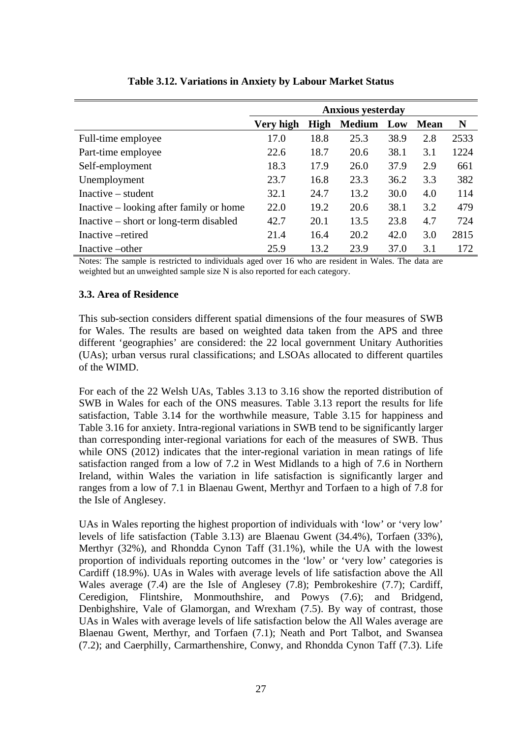|                                         |           |      | <b>Anxious yesterday</b> |      |             |      |
|-----------------------------------------|-----------|------|--------------------------|------|-------------|------|
|                                         | Very high | High | <b>Medium</b>            | Low  | <b>Mean</b> | N    |
| Full-time employee                      | 17.0      | 18.8 | 25.3                     | 38.9 | 2.8         | 2533 |
| Part-time employee                      | 22.6      | 18.7 | 20.6                     | 38.1 | 3.1         | 1224 |
| Self-employment                         | 18.3      | 17.9 | 26.0                     | 37.9 | 2.9         | 661  |
| Unemployment                            | 23.7      | 16.8 | 23.3                     | 36.2 | 3.3         | 382  |
| Inactive – student                      | 32.1      | 24.7 | 13.2                     | 30.0 | 4.0         | 114  |
| Inactive – looking after family or home | 22.0      | 19.2 | 20.6                     | 38.1 | 3.2         | 479  |
| Inactive – short or long-term disabled  | 42.7      | 20.1 | 13.5                     | 23.8 | 4.7         | 724  |
| Inactive –retired                       | 21.4      | 16.4 | 20.2                     | 42.0 | 3.0         | 2815 |
| Inactive – other                        | 25.9      | 13.2 | 23.9                     | 37.0 | 3.1         | 172  |

### **Table 3.12. Variations in Anxiety by Labour Market Status**

Notes: The sample is restricted to individuals aged over 16 who are resident in Wales. The data are weighted but an unweighted sample size N is also reported for each category.

### **3.3. Area of Residence**

This sub-section considers different spatial dimensions of the four measures of SWB for Wales. The results are based on weighted data taken from the APS and three different 'geographies' are considered: the 22 local government Unitary Authorities (UAs); urban versus rural classifications; and LSOAs allocated to different quartiles of the WIMD.

For each of the 22 Welsh UAs, Tables 3.13 to 3.16 show the reported distribution of SWB in Wales for each of the ONS measures. Table 3.13 report the results for life satisfaction, Table 3.14 for the worthwhile measure, Table 3.15 for happiness and Table 3.16 for anxiety. Intra-regional variations in SWB tend to be significantly larger than corresponding inter-regional variations for each of the measures of SWB. Thus while ONS (2012) indicates that the inter-regional variation in mean ratings of life satisfaction ranged from a low of 7.2 in West Midlands to a high of 7.6 in Northern Ireland, within Wales the variation in life satisfaction is significantly larger and ranges from a low of 7.1 in Blaenau Gwent, Merthyr and Torfaen to a high of 7.8 for the Isle of Anglesey.

UAs in Wales reporting the highest proportion of individuals with 'low' or 'very low' levels of life satisfaction (Table 3.13) are Blaenau Gwent (34.4%), Torfaen (33%), Merthyr (32%), and Rhondda Cynon Taff (31.1%), while the UA with the lowest proportion of individuals reporting outcomes in the 'low' or 'very low' categories is Cardiff (18.9%). UAs in Wales with average levels of life satisfaction above the All Wales average (7.4) are the Isle of Anglesey (7.8); Pembrokeshire (7.7); Cardiff, Ceredigion, Flintshire, Monmouthshire, and Powys (7.6); and Bridgend, Denbighshire, Vale of Glamorgan, and Wrexham (7.5). By way of contrast, those UAs in Wales with average levels of life satisfaction below the All Wales average are Blaenau Gwent, Merthyr, and Torfaen (7.1); Neath and Port Talbot, and Swansea (7.2); and Caerphilly, Carmarthenshire, Conwy, and Rhondda Cynon Taff (7.3). Life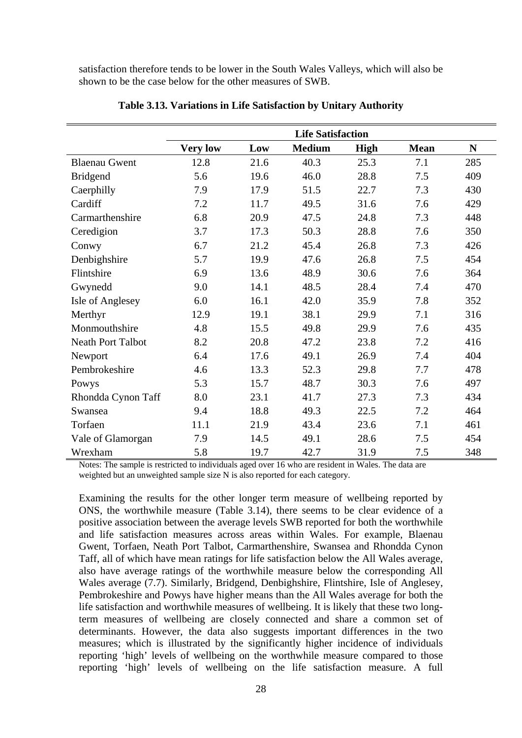satisfaction therefore tends to be lower in the South Wales Valleys, which will also be shown to be the case below for the other measures of SWB.

|                          |                 |      | <b>Life Satisfaction</b> |             |             |             |
|--------------------------|-----------------|------|--------------------------|-------------|-------------|-------------|
|                          | <b>Very low</b> | Low  | <b>Medium</b>            | <b>High</b> | <b>Mean</b> | $\mathbf N$ |
| <b>Blaenau Gwent</b>     | 12.8            | 21.6 | 40.3                     | 25.3        | 7.1         | 285         |
| <b>Bridgend</b>          | 5.6             | 19.6 | 46.0                     | 28.8        | 7.5         | 409         |
| Caerphilly               | 7.9             | 17.9 | 51.5                     | 22.7        | 7.3         | 430         |
| Cardiff                  | 7.2             | 11.7 | 49.5                     | 31.6        | 7.6         | 429         |
| Carmarthenshire          | 6.8             | 20.9 | 47.5                     | 24.8        | 7.3         | 448         |
| Ceredigion               | 3.7             | 17.3 | 50.3                     | 28.8        | 7.6         | 350         |
| Conwy                    | 6.7             | 21.2 | 45.4                     | 26.8        | 7.3         | 426         |
| Denbighshire             | 5.7             | 19.9 | 47.6                     | 26.8        | 7.5         | 454         |
| Flintshire               | 6.9             | 13.6 | 48.9                     | 30.6        | 7.6         | 364         |
| Gwynedd                  | 9.0             | 14.1 | 48.5                     | 28.4        | 7.4         | 470         |
| Isle of Anglesey         | 6.0             | 16.1 | 42.0                     | 35.9        | 7.8         | 352         |
| Merthyr                  | 12.9            | 19.1 | 38.1                     | 29.9        | 7.1         | 316         |
| Monmouthshire            | 4.8             | 15.5 | 49.8                     | 29.9        | 7.6         | 435         |
| <b>Neath Port Talbot</b> | 8.2             | 20.8 | 47.2                     | 23.8        | 7.2         | 416         |
| Newport                  | 6.4             | 17.6 | 49.1                     | 26.9        | 7.4         | 404         |
| Pembrokeshire            | 4.6             | 13.3 | 52.3                     | 29.8        | 7.7         | 478         |
| Powys                    | 5.3             | 15.7 | 48.7                     | 30.3        | 7.6         | 497         |
| Rhondda Cynon Taff       | 8.0             | 23.1 | 41.7                     | 27.3        | 7.3         | 434         |
| Swansea                  | 9.4             | 18.8 | 49.3                     | 22.5        | 7.2         | 464         |
| Torfaen                  | 11.1            | 21.9 | 43.4                     | 23.6        | 7.1         | 461         |
| Vale of Glamorgan        | 7.9             | 14.5 | 49.1                     | 28.6        | 7.5         | 454         |
| Wrexham                  | 5.8             | 19.7 | 42.7                     | 31.9        | 7.5         | 348         |

**Table 3.13. Variations in Life Satisfaction by Unitary Authority** 

Notes: The sample is restricted to individuals aged over 16 who are resident in Wales. The data are weighted but an unweighted sample size N is also reported for each category.

Examining the results for the other longer term measure of wellbeing reported by ONS, the worthwhile measure (Table 3.14), there seems to be clear evidence of a positive association between the average levels SWB reported for both the worthwhile and life satisfaction measures across areas within Wales. For example, Blaenau Gwent, Torfaen, Neath Port Talbot, Carmarthenshire, Swansea and Rhondda Cynon Taff, all of which have mean ratings for life satisfaction below the All Wales average, also have average ratings of the worthwhile measure below the corresponding All Wales average (7.7). Similarly, Bridgend, Denbighshire, Flintshire, Isle of Anglesey, Pembrokeshire and Powys have higher means than the All Wales average for both the life satisfaction and worthwhile measures of wellbeing. It is likely that these two longterm measures of wellbeing are closely connected and share a common set of determinants. However, the data also suggests important differences in the two measures; which is illustrated by the significantly higher incidence of individuals reporting 'high' levels of wellbeing on the worthwhile measure compared to those reporting 'high' levels of wellbeing on the life satisfaction measure. A full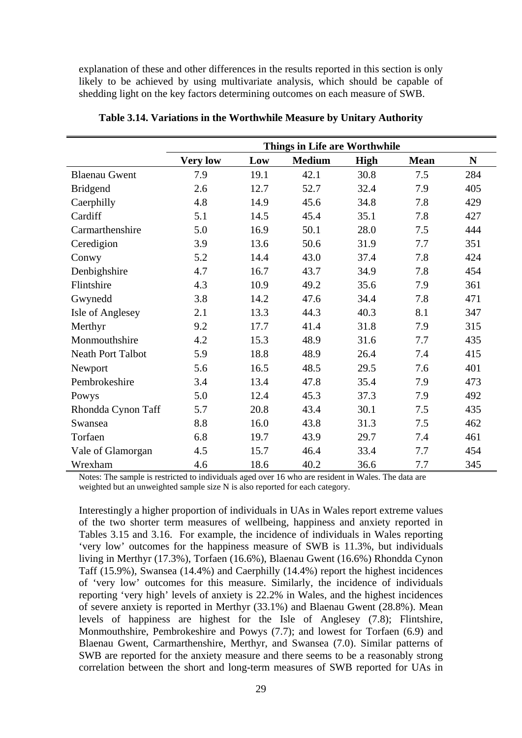explanation of these and other differences in the results reported in this section is only likely to be achieved by using multivariate analysis, which should be capable of shedding light on the key factors determining outcomes on each measure of SWB.

|                      |                 |      | Things in Life are Worthwhile |             |             |             |
|----------------------|-----------------|------|-------------------------------|-------------|-------------|-------------|
|                      | <b>Very low</b> | Low  | <b>Medium</b>                 | <b>High</b> | <b>Mean</b> | $\mathbf N$ |
| <b>Blaenau Gwent</b> | 7.9             | 19.1 | 42.1                          | 30.8        | 7.5         | 284         |
| <b>Bridgend</b>      | 2.6             | 12.7 | 52.7                          | 32.4        | 7.9         | 405         |
| Caerphilly           | 4.8             | 14.9 | 45.6                          | 34.8        | 7.8         | 429         |
| Cardiff              | 5.1             | 14.5 | 45.4                          | 35.1        | 7.8         | 427         |
| Carmarthenshire      | 5.0             | 16.9 | 50.1                          | 28.0        | 7.5         | 444         |
| Ceredigion           | 3.9             | 13.6 | 50.6                          | 31.9        | 7.7         | 351         |
| Conwy                | 5.2             | 14.4 | 43.0                          | 37.4        | 7.8         | 424         |
| Denbighshire         | 4.7             | 16.7 | 43.7                          | 34.9        | 7.8         | 454         |
| Flintshire           | 4.3             | 10.9 | 49.2                          | 35.6        | 7.9         | 361         |
| Gwynedd              | 3.8             | 14.2 | 47.6                          | 34.4        | 7.8         | 471         |
| Isle of Anglesey     | 2.1             | 13.3 | 44.3                          | 40.3        | 8.1         | 347         |
| Merthyr              | 9.2             | 17.7 | 41.4                          | 31.8        | 7.9         | 315         |
| Monmouthshire        | 4.2             | 15.3 | 48.9                          | 31.6        | 7.7         | 435         |
| Neath Port Talbot    | 5.9             | 18.8 | 48.9                          | 26.4        | 7.4         | 415         |
| Newport              | 5.6             | 16.5 | 48.5                          | 29.5        | 7.6         | 401         |
| Pembrokeshire        | 3.4             | 13.4 | 47.8                          | 35.4        | 7.9         | 473         |
| Powys                | 5.0             | 12.4 | 45.3                          | 37.3        | 7.9         | 492         |
| Rhondda Cynon Taff   | 5.7             | 20.8 | 43.4                          | 30.1        | 7.5         | 435         |
| Swansea              | 8.8             | 16.0 | 43.8                          | 31.3        | 7.5         | 462         |
| Torfaen              | 6.8             | 19.7 | 43.9                          | 29.7        | 7.4         | 461         |
| Vale of Glamorgan    | 4.5             | 15.7 | 46.4                          | 33.4        | 7.7         | 454         |
| Wrexham              | 4.6             | 18.6 | 40.2                          | 36.6        | 7.7         | 345         |

**Table 3.14. Variations in the Worthwhile Measure by Unitary Authority** 

Notes: The sample is restricted to individuals aged over 16 who are resident in Wales. The data are weighted but an unweighted sample size N is also reported for each category.

Interestingly a higher proportion of individuals in UAs in Wales report extreme values of the two shorter term measures of wellbeing, happiness and anxiety reported in Tables 3.15 and 3.16. For example, the incidence of individuals in Wales reporting 'very low' outcomes for the happiness measure of SWB is 11.3%, but individuals living in Merthyr (17.3%), Torfaen (16.6%), Blaenau Gwent (16.6%) Rhondda Cynon Taff (15.9%), Swansea (14.4%) and Caerphilly (14.4%) report the highest incidences of 'very low' outcomes for this measure. Similarly, the incidence of individuals reporting 'very high' levels of anxiety is 22.2% in Wales, and the highest incidences of severe anxiety is reported in Merthyr (33.1%) and Blaenau Gwent (28.8%). Mean levels of happiness are highest for the Isle of Anglesey (7.8); Flintshire, Monmouthshire, Pembrokeshire and Powys (7.7); and lowest for Torfaen (6.9) and Blaenau Gwent, Carmarthenshire, Merthyr, and Swansea (7.0). Similar patterns of SWB are reported for the anxiety measure and there seems to be a reasonably strong correlation between the short and long-term measures of SWB reported for UAs in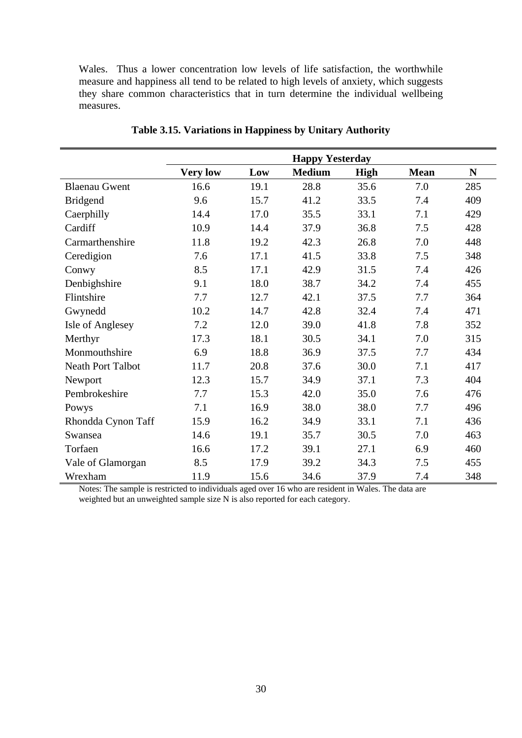Wales. Thus a lower concentration low levels of life satisfaction, the worthwhile measure and happiness all tend to be related to high levels of anxiety, which suggests they share common characteristics that in turn determine the individual wellbeing measures.

|                          |                 |      | <b>Happy Yesterday</b> |             |             |             |
|--------------------------|-----------------|------|------------------------|-------------|-------------|-------------|
|                          | <b>Very low</b> | Low  | <b>Medium</b>          | <b>High</b> | <b>Mean</b> | $\mathbf N$ |
| <b>Blaenau Gwent</b>     | 16.6            | 19.1 | 28.8                   | 35.6        | 7.0         | 285         |
| <b>Bridgend</b>          | 9.6             | 15.7 | 41.2                   | 33.5        | 7.4         | 409         |
| Caerphilly               | 14.4            | 17.0 | 35.5                   | 33.1        | 7.1         | 429         |
| Cardiff                  | 10.9            | 14.4 | 37.9                   | 36.8        | 7.5         | 428         |
| Carmarthenshire          | 11.8            | 19.2 | 42.3                   | 26.8        | 7.0         | 448         |
| Ceredigion               | 7.6             | 17.1 | 41.5                   | 33.8        | 7.5         | 348         |
| Conwy                    | 8.5             | 17.1 | 42.9                   | 31.5        | 7.4         | 426         |
| Denbighshire             | 9.1             | 18.0 | 38.7                   | 34.2        | 7.4         | 455         |
| Flintshire               | 7.7             | 12.7 | 42.1                   | 37.5        | 7.7         | 364         |
| Gwynedd                  | 10.2            | 14.7 | 42.8                   | 32.4        | 7.4         | 471         |
| <b>Isle of Anglesey</b>  | 7.2             | 12.0 | 39.0                   | 41.8        | 7.8         | 352         |
| Merthyr                  | 17.3            | 18.1 | 30.5                   | 34.1        | 7.0         | 315         |
| Monmouthshire            | 6.9             | 18.8 | 36.9                   | 37.5        | 7.7         | 434         |
| <b>Neath Port Talbot</b> | 11.7            | 20.8 | 37.6                   | 30.0        | 7.1         | 417         |
| Newport                  | 12.3            | 15.7 | 34.9                   | 37.1        | 7.3         | 404         |
| Pembrokeshire            | 7.7             | 15.3 | 42.0                   | 35.0        | 7.6         | 476         |
| Powys                    | 7.1             | 16.9 | 38.0                   | 38.0        | 7.7         | 496         |
| Rhondda Cynon Taff       | 15.9            | 16.2 | 34.9                   | 33.1        | 7.1         | 436         |
| Swansea                  | 14.6            | 19.1 | 35.7                   | 30.5        | 7.0         | 463         |
| Torfaen                  | 16.6            | 17.2 | 39.1                   | 27.1        | 6.9         | 460         |
| Vale of Glamorgan        | 8.5             | 17.9 | 39.2                   | 34.3        | 7.5         | 455         |
| Wrexham                  | 11.9            | 15.6 | 34.6                   | 37.9        | 7.4         | 348         |

**Table 3.15. Variations in Happiness by Unitary Authority** 

Notes: The sample is restricted to individuals aged over 16 who are resident in Wales. The data are weighted but an unweighted sample size N is also reported for each category.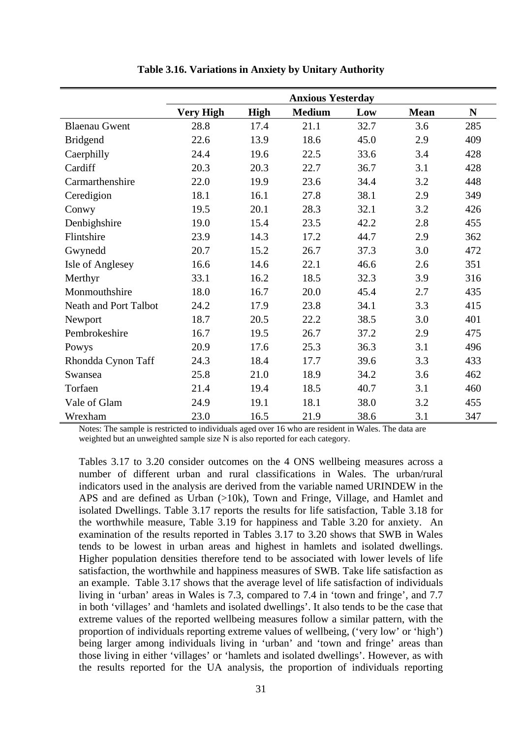|                              |                  |             | <b>Anxious Yesterday</b> |      |             |           |
|------------------------------|------------------|-------------|--------------------------|------|-------------|-----------|
|                              | <b>Very High</b> | <b>High</b> | <b>Medium</b>            | Low  | <b>Mean</b> | ${\bf N}$ |
| <b>Blaenau Gwent</b>         | 28.8             | 17.4        | 21.1                     | 32.7 | 3.6         | 285       |
| <b>Bridgend</b>              | 22.6             | 13.9        | 18.6                     | 45.0 | 2.9         | 409       |
| Caerphilly                   | 24.4             | 19.6        | 22.5                     | 33.6 | 3.4         | 428       |
| Cardiff                      | 20.3             | 20.3        | 22.7                     | 36.7 | 3.1         | 428       |
| Carmarthenshire              | 22.0             | 19.9        | 23.6                     | 34.4 | 3.2         | 448       |
| Ceredigion                   | 18.1             | 16.1        | 27.8                     | 38.1 | 2.9         | 349       |
| Conwy                        | 19.5             | 20.1        | 28.3                     | 32.1 | 3.2         | 426       |
| Denbighshire                 | 19.0             | 15.4        | 23.5                     | 42.2 | 2.8         | 455       |
| Flintshire                   | 23.9             | 14.3        | 17.2                     | 44.7 | 2.9         | 362       |
| Gwynedd                      | 20.7             | 15.2        | 26.7                     | 37.3 | 3.0         | 472       |
| Isle of Anglesey             | 16.6             | 14.6        | 22.1                     | 46.6 | 2.6         | 351       |
| Merthyr                      | 33.1             | 16.2        | 18.5                     | 32.3 | 3.9         | 316       |
| Monmouthshire                | 18.0             | 16.7        | 20.0                     | 45.4 | 2.7         | 435       |
| <b>Neath and Port Talbot</b> | 24.2             | 17.9        | 23.8                     | 34.1 | 3.3         | 415       |
| Newport                      | 18.7             | 20.5        | 22.2                     | 38.5 | 3.0         | 401       |
| Pembrokeshire                | 16.7             | 19.5        | 26.7                     | 37.2 | 2.9         | 475       |
| Powys                        | 20.9             | 17.6        | 25.3                     | 36.3 | 3.1         | 496       |
| Rhondda Cynon Taff           | 24.3             | 18.4        | 17.7                     | 39.6 | 3.3         | 433       |
| Swansea                      | 25.8             | 21.0        | 18.9                     | 34.2 | 3.6         | 462       |
| Torfaen                      | 21.4             | 19.4        | 18.5                     | 40.7 | 3.1         | 460       |
| Vale of Glam                 | 24.9             | 19.1        | 18.1                     | 38.0 | 3.2         | 455       |
| Wrexham                      | 23.0             | 16.5        | 21.9                     | 38.6 | 3.1         | 347       |

**Table 3.16. Variations in Anxiety by Unitary Authority** 

Notes: The sample is restricted to individuals aged over 16 who are resident in Wales. The data are weighted but an unweighted sample size N is also reported for each category.

Tables 3.17 to 3.20 consider outcomes on the 4 ONS wellbeing measures across a number of different urban and rural classifications in Wales. The urban/rural indicators used in the analysis are derived from the variable named URINDEW in the APS and are defined as Urban (>10k), Town and Fringe, Village, and Hamlet and isolated Dwellings. Table 3.17 reports the results for life satisfaction, Table 3.18 for the worthwhile measure, Table 3.19 for happiness and Table 3.20 for anxiety. An examination of the results reported in Tables 3.17 to 3.20 shows that SWB in Wales tends to be lowest in urban areas and highest in hamlets and isolated dwellings. Higher population densities therefore tend to be associated with lower levels of life satisfaction, the worthwhile and happiness measures of SWB. Take life satisfaction as an example. Table 3.17 shows that the average level of life satisfaction of individuals living in 'urban' areas in Wales is 7.3, compared to 7.4 in 'town and fringe', and 7.7 in both 'villages' and 'hamlets and isolated dwellings'. It also tends to be the case that extreme values of the reported wellbeing measures follow a similar pattern, with the proportion of individuals reporting extreme values of wellbeing, ('very low' or 'high') being larger among individuals living in 'urban' and 'town and fringe' areas than those living in either 'villages' or 'hamlets and isolated dwellings'. However, as with the results reported for the UA analysis, the proportion of individuals reporting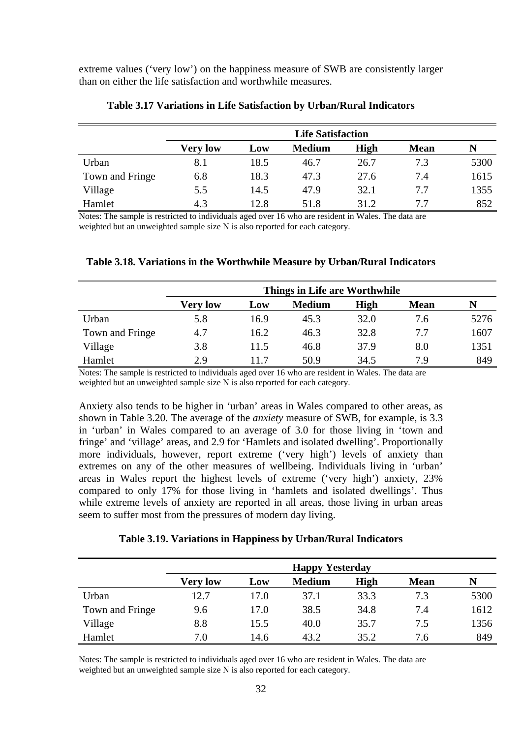extreme values ('very low') on the happiness measure of SWB are consistently larger than on either the life satisfaction and worthwhile measures.

|                 | <b>Life Satisfaction</b> |      |               |             |             |      |  |
|-----------------|--------------------------|------|---------------|-------------|-------------|------|--|
|                 | <b>Very low</b>          | Low  | <b>Medium</b> | <b>High</b> | <b>Mean</b> | N    |  |
| Urban           | 8.1                      | 18.5 | 46.7          | 26.7        | 7.3         | 5300 |  |
| Town and Fringe | 6.8                      | 18.3 | 47.3          | 27.6        | 7.4         | 1615 |  |
| Village         | 5.5                      | 14.5 | 47.9          | 32.1        | 7.7         | 1355 |  |
| Hamlet          | 4.3                      | 12.8 | 51.8          | 31.2        | 7.7         | 852  |  |

#### **Table 3.17 Variations in Life Satisfaction by Urban/Rural Indicators**

Notes: The sample is restricted to individuals aged over 16 who are resident in Wales. The data are weighted but an unweighted sample size N is also reported for each category.

|  |  | Table 3.18. Variations in the Worthwhile Measure by Urban/Rural Indicators |  |  |  |
|--|--|----------------------------------------------------------------------------|--|--|--|
|--|--|----------------------------------------------------------------------------|--|--|--|

|                 | Things in Life are Worthwhile |      |               |      |             |      |  |
|-----------------|-------------------------------|------|---------------|------|-------------|------|--|
|                 | <b>Very low</b>               | Low  | <b>Medium</b> | High | <b>Mean</b> |      |  |
| Urban           | 5.8                           | 16.9 | 45.3          | 32.0 | 7.6         | 5276 |  |
| Town and Fringe | 4.7                           | 16.2 | 46.3          | 32.8 | 7.7         | 1607 |  |
| Village         | 3.8                           | 11.5 | 46.8          | 37.9 | 8.0         | 1351 |  |
| Hamlet          | 2.9                           | 117  | 50.9          | 34.5 | 7.9         | 849  |  |

Notes: The sample is restricted to individuals aged over 16 who are resident in Wales. The data are weighted but an unweighted sample size N is also reported for each category.

Anxiety also tends to be higher in 'urban' areas in Wales compared to other areas, as shown in Table 3.20. The average of the *anxiety* measure of SWB, for example, is 3.3 in 'urban' in Wales compared to an average of 3.0 for those living in 'town and fringe' and 'village' areas, and 2.9 for 'Hamlets and isolated dwelling'. Proportionally more individuals, however, report extreme ('very high') levels of anxiety than extremes on any of the other measures of wellbeing. Individuals living in 'urban' areas in Wales report the highest levels of extreme ('very high') anxiety, 23% compared to only 17% for those living in 'hamlets and isolated dwellings'. Thus while extreme levels of anxiety are reported in all areas, those living in urban areas seem to suffer most from the pressures of modern day living.

### **Table 3.19. Variations in Happiness by Urban/Rural Indicators**

|                 | <b>Happy Yesterday</b> |      |               |      |             |      |
|-----------------|------------------------|------|---------------|------|-------------|------|
|                 | <b>Very low</b>        | Low  | <b>Medium</b> | High | <b>Mean</b> | N    |
| Urban           | 12.7                   | 17.0 | 37.1          | 33.3 | 7.3         | 5300 |
| Town and Fringe | 9.6                    | 17.0 | 38.5          | 34.8 | 7.4         | 1612 |
| Village         | 8.8                    | 15.5 | 40.0          | 35.7 | 7.5         | 1356 |
| Hamlet          | 7.0                    | 14.6 | 43.2          | 35.2 | 7.6         | 849  |

Notes: The sample is restricted to individuals aged over 16 who are resident in Wales. The data are weighted but an unweighted sample size N is also reported for each category.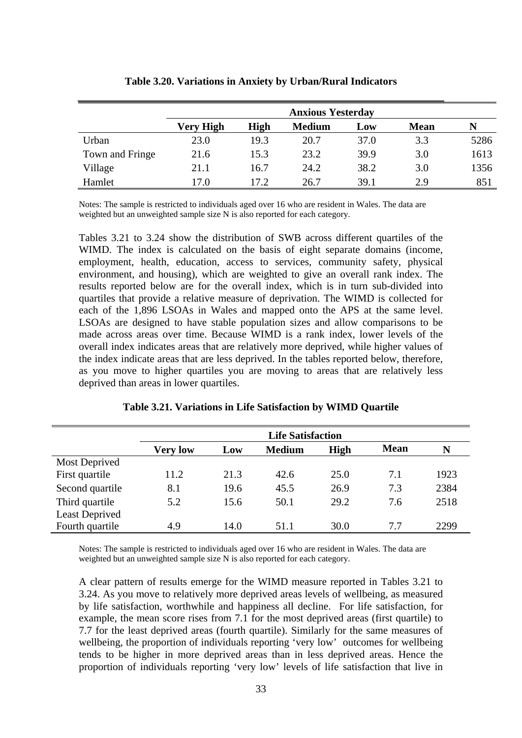|                 | <b>Anxious Yesterday</b> |             |               |      |             |      |
|-----------------|--------------------------|-------------|---------------|------|-------------|------|
|                 | Very High                | <b>High</b> | <b>Medium</b> | Low  | <b>Mean</b> | N    |
| Urban           | 23.0                     | 19.3        | 20.7          | 37.0 | 3.3         | 5286 |
| Town and Fringe | 21.6                     | 15.3        | 23.2          | 39.9 | 3.0         | 1613 |
| Village         | 21.1                     | 16.7        | 24.2          | 38.2 | 3.0         | 1356 |
| Hamlet          | 17.0                     | 17.2.       | 26.7          | 39.1 | 2.9         | 851  |

#### **Table 3.20. Variations in Anxiety by Urban/Rural Indicators**

Notes: The sample is restricted to individuals aged over 16 who are resident in Wales. The data are weighted but an unweighted sample size N is also reported for each category.

Tables 3.21 to 3.24 show the distribution of SWB across different quartiles of the WIMD. The index is calculated on the basis of eight separate domains (income, employment, health, education, access to services, community safety, physical environment, and housing), which are weighted to give an overall rank index. The results reported below are for the overall index, which is in turn sub-divided into quartiles that provide a relative measure of deprivation. The WIMD is collected for each of the 1,896 LSOAs in Wales and mapped onto the APS at the same level. LSOAs are designed to have stable population sizes and allow comparisons to be made across areas over time. Because WIMD is a rank index, lower levels of the overall index indicates areas that are relatively more deprived, while higher values of the index indicate areas that are less deprived. In the tables reported below, therefore, as you move to higher quartiles you are moving to areas that are relatively less deprived than areas in lower quartiles.

|                 | <b>Life Satisfaction</b> |      |               |      |             |      |  |
|-----------------|--------------------------|------|---------------|------|-------------|------|--|
|                 | <b>Very low</b>          | Low  | <b>Medium</b> | High | <b>Mean</b> | N    |  |
| Most Deprived   |                          |      |               |      |             |      |  |
| First quartile  | 11.2                     | 21.3 | 42.6          | 25.0 | 7.1         | 1923 |  |
| Second quartile | 8.1                      | 19.6 | 45.5          | 26.9 | 7.3         | 2384 |  |
| Third quartile  | 5.2                      | 15.6 | 50.1          | 29.2 | 7.6         | 2518 |  |
| Least Deprived  |                          |      |               |      |             |      |  |
| Fourth quartile | 4.9                      | 14.0 | 51.1          | 30.0 | 7.7         | 2299 |  |

**Table 3.21. Variations in Life Satisfaction by WIMD Quartile** 

 $\blacksquare$ 

Notes: The sample is restricted to individuals aged over 16 who are resident in Wales. The data are weighted but an unweighted sample size N is also reported for each category.

A clear pattern of results emerge for the WIMD measure reported in Tables 3.21 to 3.24. As you move to relatively more deprived areas levels of wellbeing, as measured by life satisfaction, worthwhile and happiness all decline. For life satisfaction, for example, the mean score rises from 7.1 for the most deprived areas (first quartile) to 7.7 for the least deprived areas (fourth quartile). Similarly for the same measures of wellbeing, the proportion of individuals reporting 'very low' outcomes for wellbeing tends to be higher in more deprived areas than in less deprived areas. Hence the proportion of individuals reporting 'very low' levels of life satisfaction that live in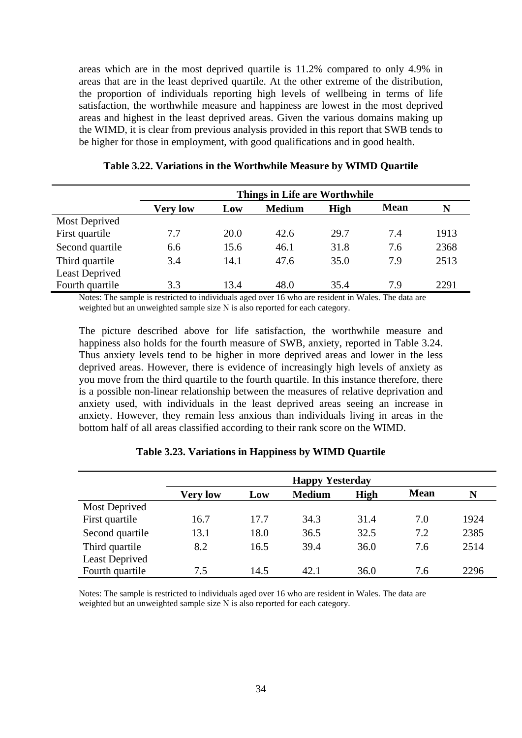areas which are in the most deprived quartile is 11.2% compared to only 4.9% in areas that are in the least deprived quartile. At the other extreme of the distribution, the proportion of individuals reporting high levels of wellbeing in terms of life satisfaction, the worthwhile measure and happiness are lowest in the most deprived areas and highest in the least deprived areas. Given the various domains making up the WIMD, it is clear from previous analysis provided in this report that SWB tends to be higher for those in employment, with good qualifications and in good health.

|                       | Things in Life are Worthwhile |      |               |      |             |      |  |  |
|-----------------------|-------------------------------|------|---------------|------|-------------|------|--|--|
|                       | <b>Very low</b>               | Low  | <b>Medium</b> | High | <b>Mean</b> | N    |  |  |
| Most Deprived         |                               |      |               |      |             |      |  |  |
| First quartile        | 7.7                           | 20.0 | 42.6          | 29.7 | 7.4         | 1913 |  |  |
| Second quartile       | 6.6                           | 15.6 | 46.1          | 31.8 | 7.6         | 2368 |  |  |
| Third quartile        | 3.4                           | 14.1 | 47.6          | 35.0 | 7.9         | 2513 |  |  |
| <b>Least Deprived</b> |                               |      |               |      |             |      |  |  |
| Fourth quartile       | 3.3                           | 13.4 | 48.0          | 35.4 | 7.9         | 2291 |  |  |

**Table 3.22. Variations in the Worthwhile Measure by WIMD Quartile** 

Notes: The sample is restricted to individuals aged over 16 who are resident in Wales. The data are weighted but an unweighted sample size N is also reported for each category.

The picture described above for life satisfaction, the worthwhile measure and happiness also holds for the fourth measure of SWB, anxiety, reported in Table 3.24. Thus anxiety levels tend to be higher in more deprived areas and lower in the less deprived areas. However, there is evidence of increasingly high levels of anxiety as you move from the third quartile to the fourth quartile. In this instance therefore, there is a possible non-linear relationship between the measures of relative deprivation and anxiety used, with individuals in the least deprived areas seeing an increase in anxiety. However, they remain less anxious than individuals living in areas in the bottom half of all areas classified according to their rank score on the WIMD.

|                       | <b>Happy Yesterday</b> |      |               |             |             |      |  |
|-----------------------|------------------------|------|---------------|-------------|-------------|------|--|
|                       | <b>Very low</b>        | Low  | <b>Medium</b> | <b>High</b> | <b>Mean</b> | N    |  |
| <b>Most Deprived</b>  |                        |      |               |             |             |      |  |
| First quartile        | 16.7                   | 17.7 | 34.3          | 31.4        | 7.0         | 1924 |  |
| Second quartile       | 13.1                   | 18.0 | 36.5          | 32.5        | 7.2         | 2385 |  |
| Third quartile        | 8.2                    | 16.5 | 39.4          | 36.0        | 7.6         | 2514 |  |
| <b>Least Deprived</b> |                        |      |               |             |             |      |  |
| Fourth quartile       | 7.5                    | 14.5 | 42.1          | 36.0        | 7.6         | 2296 |  |

**Table 3.23. Variations in Happiness by WIMD Quartile** 

Notes: The sample is restricted to individuals aged over 16 who are resident in Wales. The data are weighted but an unweighted sample size N is also reported for each category.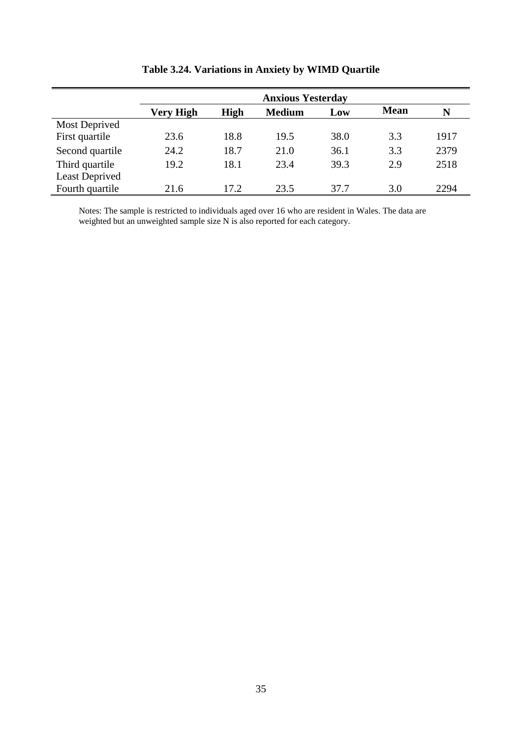|                       | <b>Anxious Yesterday</b> |             |               |      |             |      |  |  |  |  |
|-----------------------|--------------------------|-------------|---------------|------|-------------|------|--|--|--|--|
|                       | <b>Very High</b>         | <b>High</b> | <b>Medium</b> | Low  | <b>Mean</b> | N    |  |  |  |  |
| <b>Most Deprived</b>  |                          |             |               |      |             |      |  |  |  |  |
| First quartile        | 23.6                     | 18.8        | 19.5          | 38.0 | 3.3         | 1917 |  |  |  |  |
| Second quartile       | 24.2                     | 18.7        | 21.0          | 36.1 | 3.3         | 2379 |  |  |  |  |
| Third quartile        | 19.2                     | 18.1        | 23.4          | 39.3 | 2.9         | 2518 |  |  |  |  |
| <b>Least Deprived</b> |                          |             |               |      |             |      |  |  |  |  |
| Fourth quartile       | 21.6                     | 17.2        | 23.5          | 37.7 | 3.0         | 2294 |  |  |  |  |

**Table 3.24. Variations in Anxiety by WIMD Quartile** 

Notes: The sample is restricted to individuals aged over 16 who are resident in Wales. The data are weighted but an unweighted sample size N is also reported for each category.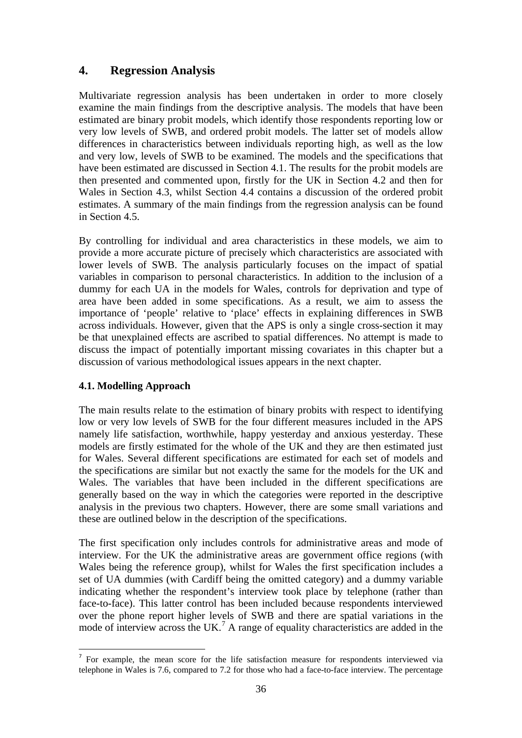# **4. Regression Analysis**

Multivariate regression analysis has been undertaken in order to more closely examine the main findings from the descriptive analysis. The models that have been estimated are binary probit models, which identify those respondents reporting low or very low levels of SWB, and ordered probit models. The latter set of models allow differences in characteristics between individuals reporting high, as well as the low and very low, levels of SWB to be examined. The models and the specifications that have been estimated are discussed in Section 4.1. The results for the probit models are then presented and commented upon, firstly for the UK in Section 4.2 and then for Wales in Section 4.3, whilst Section 4.4 contains a discussion of the ordered probit estimates. A summary of the main findings from the regression analysis can be found in Section 4.5.

By controlling for individual and area characteristics in these models, we aim to provide a more accurate picture of precisely which characteristics are associated with lower levels of SWB. The analysis particularly focuses on the impact of spatial variables in comparison to personal characteristics. In addition to the inclusion of a dummy for each UA in the models for Wales, controls for deprivation and type of area have been added in some specifications. As a result, we aim to assess the importance of 'people' relative to 'place' effects in explaining differences in SWB across individuals. However, given that the APS is only a single cross-section it may be that unexplained effects are ascribed to spatial differences. No attempt is made to discuss the impact of potentially important missing covariates in this chapter but a discussion of various methodological issues appears in the next chapter.

# **4.1. Modelling Approach**

The main results relate to the estimation of binary probits with respect to identifying low or very low levels of SWB for the four different measures included in the APS namely life satisfaction, worthwhile, happy yesterday and anxious yesterday. These models are firstly estimated for the whole of the UK and they are then estimated just for Wales. Several different specifications are estimated for each set of models and the specifications are similar but not exactly the same for the models for the UK and Wales. The variables that have been included in the different specifications are generally based on the way in which the categories were reported in the descriptive analysis in the previous two chapters. However, there are some small variations and these are outlined below in the description of the specifications.

The first specification only includes controls for administrative areas and mode of interview. For the UK the administrative areas are government office regions (with Wales being the reference group), whilst for Wales the first specification includes a set of UA dummies (with Cardiff being the omitted category) and a dummy variable indicating whether the respondent's interview took place by telephone (rather than face-to-face). This latter control has been included because respondents interviewed over the phone report higher levels of SWB and there are spatial variations in the mode of interview across the UK.<sup>[7](#page-37-0)</sup> A range of equality characteristics are added in the

<span id="page-37-0"></span><sup>1</sup>  $<sup>7</sup>$  For example, the mean score for the life satisfaction measure for respondents interviewed via</sup> telephone in Wales is 7.6, compared to 7.2 for those who had a face-to-face interview. The percentage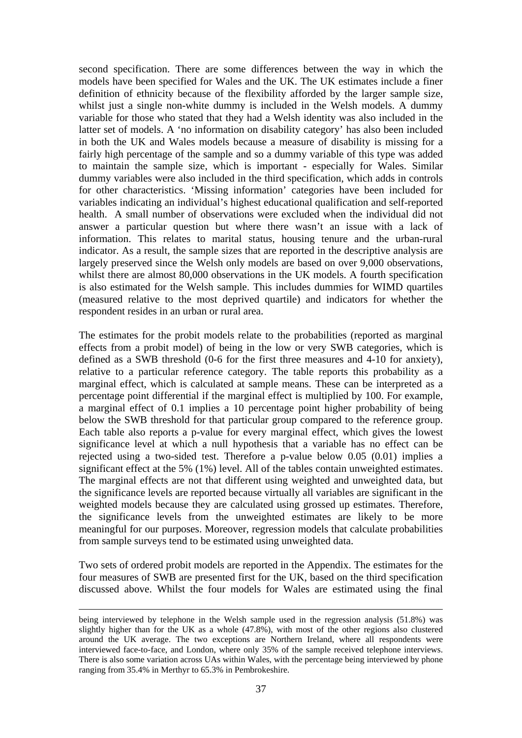second specification. There are some differences between the way in which the models have been specified for Wales and the UK. The UK estimates include a finer definition of ethnicity because of the flexibility afforded by the larger sample size, whilst just a single non-white dummy is included in the Welsh models. A dummy variable for those who stated that they had a Welsh identity was also included in the latter set of models. A 'no information on disability category' has also been included in both the UK and Wales models because a measure of disability is missing for a fairly high percentage of the sample and so a dummy variable of this type was added to maintain the sample size, which is important - especially for Wales. Similar dummy variables were also included in the third specification, which adds in controls for other characteristics. 'Missing information' categories have been included for variables indicating an individual's highest educational qualification and self-reported health. A small number of observations were excluded when the individual did not answer a particular question but where there wasn't an issue with a lack of information. This relates to marital status, housing tenure and the urban-rural indicator. As a result, the sample sizes that are reported in the descriptive analysis are largely preserved since the Welsh only models are based on over 9,000 observations, whilst there are almost 80,000 observations in the UK models. A fourth specification is also estimated for the Welsh sample. This includes dummies for WIMD quartiles (measured relative to the most deprived quartile) and indicators for whether the respondent resides in an urban or rural area.

The estimates for the probit models relate to the probabilities (reported as marginal effects from a probit model) of being in the low or very SWB categories, which is defined as a SWB threshold (0-6 for the first three measures and 4-10 for anxiety), relative to a particular reference category. The table reports this probability as a marginal effect, which is calculated at sample means. These can be interpreted as a percentage point differential if the marginal effect is multiplied by 100. For example, a marginal effect of 0.1 implies a 10 percentage point higher probability of being below the SWB threshold for that particular group compared to the reference group. Each table also reports a p-value for every marginal effect, which gives the lowest significance level at which a null hypothesis that a variable has no effect can be rejected using a two-sided test. Therefore a p-value below 0.05 (0.01) implies a significant effect at the 5% (1%) level. All of the tables contain unweighted estimates. The marginal effects are not that different using weighted and unweighted data, but the significance levels are reported because virtually all variables are significant in the weighted models because they are calculated using grossed up estimates. Therefore, the significance levels from the unweighted estimates are likely to be more meaningful for our purposes. Moreover, regression models that calculate probabilities from sample surveys tend to be estimated using unweighted data.

Two sets of ordered probit models are reported in the Appendix. The estimates for the four measures of SWB are presented first for the UK, based on the third specification discussed above. Whilst the four models for Wales are estimated using the final

being interviewed by telephone in the Welsh sample used in the regression analysis (51.8%) was slightly higher than for the UK as a whole (47.8%), with most of the other regions also clustered around the UK average. The two exceptions are Northern Ireland, where all respondents were interviewed face-to-face, and London, where only 35% of the sample received telephone interviews. There is also some variation across UAs within Wales, with the percentage being interviewed by phone ranging from 35.4% in Merthyr to 65.3% in Pembrokeshire.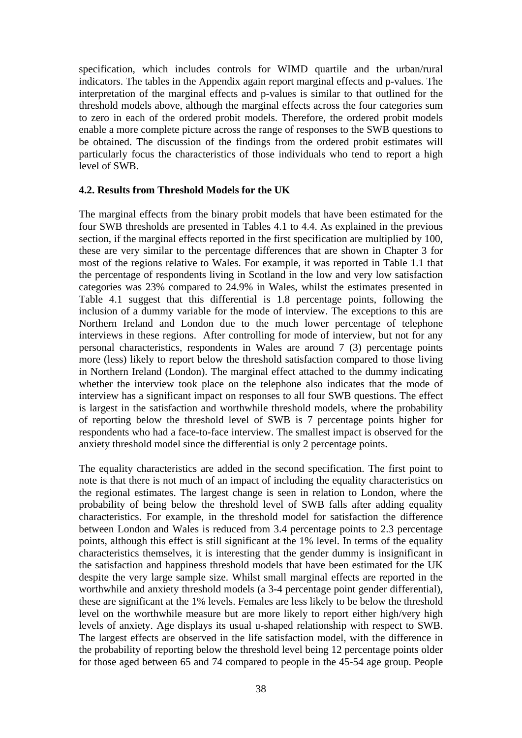specification, which includes controls for WIMD quartile and the urban/rural indicators. The tables in the Appendix again report marginal effects and p-values. The interpretation of the marginal effects and p-values is similar to that outlined for the threshold models above, although the marginal effects across the four categories sum to zero in each of the ordered probit models. Therefore, the ordered probit models enable a more complete picture across the range of responses to the SWB questions to be obtained. The discussion of the findings from the ordered probit estimates will particularly focus the characteristics of those individuals who tend to report a high level of SWB.

#### **4.2. Results from Threshold Models for the UK**

The marginal effects from the binary probit models that have been estimated for the four SWB thresholds are presented in Tables 4.1 to 4.4. As explained in the previous section, if the marginal effects reported in the first specification are multiplied by 100, these are very similar to the percentage differences that are shown in Chapter 3 for most of the regions relative to Wales. For example, it was reported in Table 1.1 that the percentage of respondents living in Scotland in the low and very low satisfaction categories was 23% compared to 24.9% in Wales, whilst the estimates presented in Table 4.1 suggest that this differential is 1.8 percentage points, following the inclusion of a dummy variable for the mode of interview. The exceptions to this are Northern Ireland and London due to the much lower percentage of telephone interviews in these regions. After controlling for mode of interview, but not for any personal characteristics, respondents in Wales are around 7 (3) percentage points more (less) likely to report below the threshold satisfaction compared to those living in Northern Ireland (London). The marginal effect attached to the dummy indicating whether the interview took place on the telephone also indicates that the mode of interview has a significant impact on responses to all four SWB questions. The effect is largest in the satisfaction and worthwhile threshold models, where the probability of reporting below the threshold level of SWB is 7 percentage points higher for respondents who had a face-to-face interview. The smallest impact is observed for the anxiety threshold model since the differential is only 2 percentage points.

The equality characteristics are added in the second specification. The first point to note is that there is not much of an impact of including the equality characteristics on the regional estimates. The largest change is seen in relation to London, where the probability of being below the threshold level of SWB falls after adding equality characteristics. For example, in the threshold model for satisfaction the difference between London and Wales is reduced from 3.4 percentage points to 2.3 percentage points, although this effect is still significant at the 1% level. In terms of the equality characteristics themselves, it is interesting that the gender dummy is insignificant in the satisfaction and happiness threshold models that have been estimated for the UK despite the very large sample size. Whilst small marginal effects are reported in the worthwhile and anxiety threshold models (a 3-4 percentage point gender differential), these are significant at the 1% levels. Females are less likely to be below the threshold level on the worthwhile measure but are more likely to report either high/very high levels of anxiety. Age displays its usual u-shaped relationship with respect to SWB. The largest effects are observed in the life satisfaction model, with the difference in the probability of reporting below the threshold level being 12 percentage points older for those aged between 65 and 74 compared to people in the 45-54 age group. People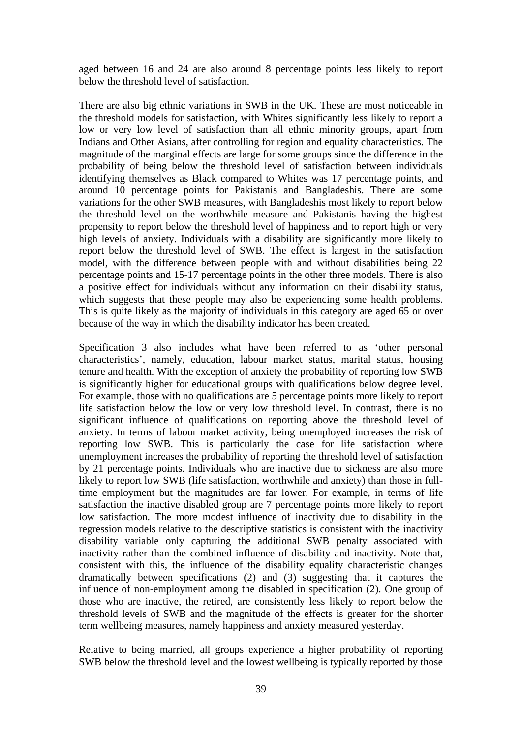aged between 16 and 24 are also around 8 percentage points less likely to report below the threshold level of satisfaction.

There are also big ethnic variations in SWB in the UK. These are most noticeable in the threshold models for satisfaction, with Whites significantly less likely to report a low or very low level of satisfaction than all ethnic minority groups, apart from Indians and Other Asians, after controlling for region and equality characteristics. The magnitude of the marginal effects are large for some groups since the difference in the probability of being below the threshold level of satisfaction between individuals identifying themselves as Black compared to Whites was 17 percentage points, and around 10 percentage points for Pakistanis and Bangladeshis. There are some variations for the other SWB measures, with Bangladeshis most likely to report below the threshold level on the worthwhile measure and Pakistanis having the highest propensity to report below the threshold level of happiness and to report high or very high levels of anxiety. Individuals with a disability are significantly more likely to report below the threshold level of SWB. The effect is largest in the satisfaction model, with the difference between people with and without disabilities being 22 percentage points and 15-17 percentage points in the other three models. There is also a positive effect for individuals without any information on their disability status, which suggests that these people may also be experiencing some health problems. This is quite likely as the majority of individuals in this category are aged 65 or over because of the way in which the disability indicator has been created.

Specification 3 also includes what have been referred to as 'other personal characteristics', namely, education, labour market status, marital status, housing tenure and health. With the exception of anxiety the probability of reporting low SWB is significantly higher for educational groups with qualifications below degree level. For example, those with no qualifications are 5 percentage points more likely to report life satisfaction below the low or very low threshold level. In contrast, there is no significant influence of qualifications on reporting above the threshold level of anxiety. In terms of labour market activity, being unemployed increases the risk of reporting low SWB. This is particularly the case for life satisfaction where unemployment increases the probability of reporting the threshold level of satisfaction by 21 percentage points. Individuals who are inactive due to sickness are also more likely to report low SWB (life satisfaction, worthwhile and anxiety) than those in fulltime employment but the magnitudes are far lower. For example, in terms of life satisfaction the inactive disabled group are 7 percentage points more likely to report low satisfaction. The more modest influence of inactivity due to disability in the regression models relative to the descriptive statistics is consistent with the inactivity disability variable only capturing the additional SWB penalty associated with inactivity rather than the combined influence of disability and inactivity. Note that, consistent with this, the influence of the disability equality characteristic changes dramatically between specifications (2) and (3) suggesting that it captures the influence of non-employment among the disabled in specification (2). One group of those who are inactive, the retired, are consistently less likely to report below the threshold levels of SWB and the magnitude of the effects is greater for the shorter term wellbeing measures, namely happiness and anxiety measured yesterday.

Relative to being married, all groups experience a higher probability of reporting SWB below the threshold level and the lowest wellbeing is typically reported by those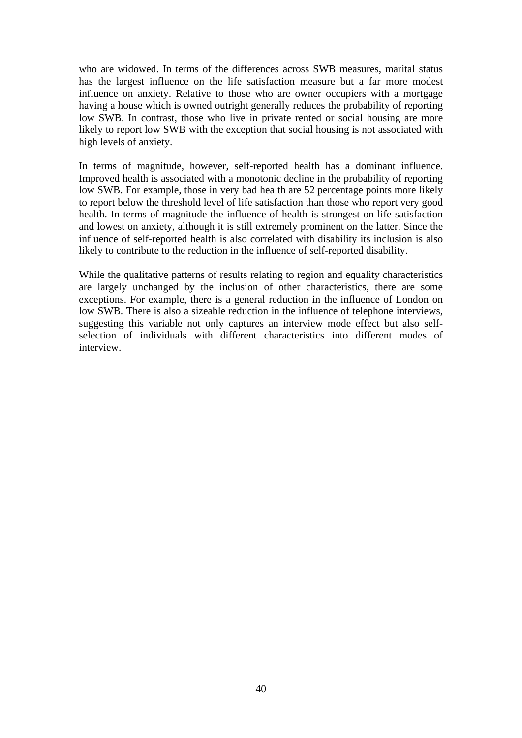who are widowed. In terms of the differences across SWB measures, marital status has the largest influence on the life satisfaction measure but a far more modest influence on anxiety. Relative to those who are owner occupiers with a mortgage having a house which is owned outright generally reduces the probability of reporting low SWB. In contrast, those who live in private rented or social housing are more likely to report low SWB with the exception that social housing is not associated with high levels of anxiety.

In terms of magnitude, however, self-reported health has a dominant influence. Improved health is associated with a monotonic decline in the probability of reporting low SWB. For example, those in very bad health are 52 percentage points more likely to report below the threshold level of life satisfaction than those who report very good health. In terms of magnitude the influence of health is strongest on life satisfaction and lowest on anxiety, although it is still extremely prominent on the latter. Since the influence of self-reported health is also correlated with disability its inclusion is also likely to contribute to the reduction in the influence of self-reported disability.

While the qualitative patterns of results relating to region and equality characteristics are largely unchanged by the inclusion of other characteristics, there are some exceptions. For example, there is a general reduction in the influence of London on low SWB. There is also a sizeable reduction in the influence of telephone interviews, suggesting this variable not only captures an interview mode effect but also selfselection of individuals with different characteristics into different modes of interview.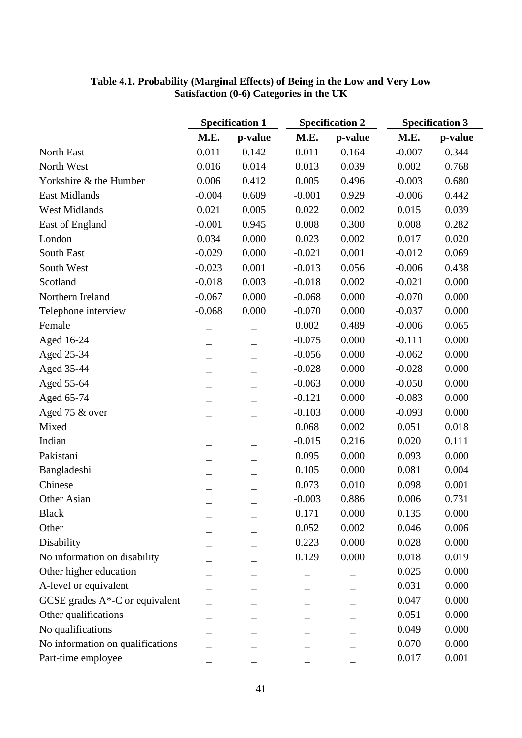|                                  |          | <b>Specification 1</b>   |          | <b>Specification 2</b> | <b>Specification 3</b> |         |  |
|----------------------------------|----------|--------------------------|----------|------------------------|------------------------|---------|--|
|                                  | M.E.     | p-value                  | M.E.     | p-value                | M.E.                   | p-value |  |
| North East                       | 0.011    | 0.142                    | 0.011    | 0.164                  | $-0.007$               | 0.344   |  |
| North West                       | 0.016    | 0.014                    | 0.013    | 0.039                  | 0.002                  | 0.768   |  |
| Yorkshire & the Humber           | 0.006    | 0.412                    | 0.005    | 0.496                  | $-0.003$               | 0.680   |  |
| <b>East Midlands</b>             | $-0.004$ | 0.609                    | $-0.001$ | 0.929                  | $-0.006$               | 0.442   |  |
| <b>West Midlands</b>             | 0.021    | 0.005                    | 0.022    | 0.002                  | 0.015                  | 0.039   |  |
| East of England                  | $-0.001$ | 0.945                    | 0.008    | 0.300                  | 0.008                  | 0.282   |  |
| London                           | 0.034    | 0.000                    | 0.023    | 0.002                  | 0.017                  | 0.020   |  |
| South East                       | $-0.029$ | 0.000                    | $-0.021$ | 0.001                  | $-0.012$               | 0.069   |  |
| South West                       | $-0.023$ | 0.001                    | $-0.013$ | 0.056                  | $-0.006$               | 0.438   |  |
| Scotland                         | $-0.018$ | 0.003                    | $-0.018$ | 0.002                  | $-0.021$               | 0.000   |  |
| Northern Ireland                 | $-0.067$ | 0.000                    | $-0.068$ | 0.000                  | $-0.070$               | 0.000   |  |
| Telephone interview              | $-0.068$ | 0.000                    | $-0.070$ | 0.000                  | $-0.037$               | 0.000   |  |
| Female                           |          |                          | 0.002    | 0.489                  | $-0.006$               | 0.065   |  |
| Aged 16-24                       |          |                          | $-0.075$ | 0.000                  | $-0.111$               | 0.000   |  |
| Aged 25-34                       |          |                          | $-0.056$ | 0.000                  | $-0.062$               | 0.000   |  |
| Aged 35-44                       |          |                          | $-0.028$ | 0.000                  | $-0.028$               | 0.000   |  |
| Aged 55-64                       |          |                          | $-0.063$ | 0.000                  | $-0.050$               | 0.000   |  |
| Aged 65-74                       |          |                          | $-0.121$ | 0.000                  | $-0.083$               | 0.000   |  |
| Aged 75 & over                   |          |                          | $-0.103$ | 0.000                  | $-0.093$               | 0.000   |  |
| Mixed                            |          |                          | 0.068    | 0.002                  | 0.051                  | 0.018   |  |
| Indian                           |          | $\overline{\phantom{0}}$ | $-0.015$ | 0.216                  | 0.020                  | 0.111   |  |
| Pakistani                        |          |                          | 0.095    | 0.000                  | 0.093                  | 0.000   |  |
| Bangladeshi                      |          | —                        | 0.105    | 0.000                  | 0.081                  | 0.004   |  |
| Chinese                          |          |                          | 0.073    | 0.010                  | 0.098                  | 0.001   |  |
| Other Asian                      |          |                          | $-0.003$ | 0.886                  | 0.006                  | 0.731   |  |
| <b>Black</b>                     |          |                          | 0.171    | 0.000                  | 0.135                  | 0.000   |  |
| Other                            |          |                          | 0.052    | 0.002                  | 0.046                  | 0.006   |  |
| Disability                       |          |                          | 0.223    | 0.000                  | 0.028                  | 0.000   |  |
| No information on disability     |          |                          | 0.129    | 0.000                  | 0.018                  | 0.019   |  |
| Other higher education           |          |                          |          |                        | 0.025                  | 0.000   |  |
| A-level or equivalent            |          |                          |          |                        | 0.031                  | 0.000   |  |
| GCSE grades A*-C or equivalent   |          |                          |          |                        | 0.047                  | 0.000   |  |
| Other qualifications             |          |                          |          |                        | 0.051                  | 0.000   |  |
| No qualifications                |          |                          |          |                        | 0.049                  | 0.000   |  |
| No information on qualifications |          |                          |          |                        | 0.070                  | 0.000   |  |
| Part-time employee               |          |                          |          |                        | 0.017                  | 0.001   |  |

# **Table 4.1. Probability (Marginal Effects) of Being in the Low and Very Low Satisfaction (0-6) Categories in the UK**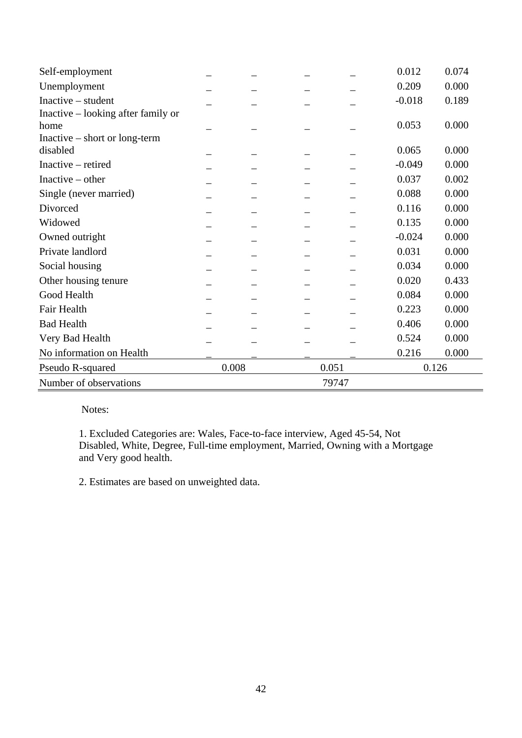| Self-employment                    |       |       |       | 0.012    | 0.074 |
|------------------------------------|-------|-------|-------|----------|-------|
| Unemployment                       |       |       |       | 0.209    | 0.000 |
| Inactive – student                 |       |       |       | $-0.018$ | 0.189 |
| Inactive – looking after family or |       |       |       |          |       |
| home                               |       |       |       | 0.053    | 0.000 |
| $Inactive - short or long-term$    |       |       |       |          |       |
| disabled                           |       |       |       | 0.065    | 0.000 |
| Inactive – retired                 |       |       |       | $-0.049$ | 0.000 |
| Inactive $-$ other                 |       |       |       | 0.037    | 0.002 |
| Single (never married)             |       |       |       | 0.088    | 0.000 |
| Divorced                           |       |       |       | 0.116    | 0.000 |
| Widowed                            |       |       |       | 0.135    | 0.000 |
| Owned outright                     |       |       |       | $-0.024$ | 0.000 |
| Private landlord                   |       |       |       | 0.031    | 0.000 |
| Social housing                     |       |       |       | 0.034    | 0.000 |
| Other housing tenure               |       |       |       | 0.020    | 0.433 |
| Good Health                        |       |       |       | 0.084    | 0.000 |
| Fair Health                        |       |       |       | 0.223    | 0.000 |
| <b>Bad Health</b>                  |       |       |       | 0.406    | 0.000 |
| Very Bad Health                    |       |       |       | 0.524    | 0.000 |
| No information on Health           |       |       |       | 0.216    | 0.000 |
| Pseudo R-squared                   | 0.008 | 0.051 |       | 0.126    |       |
| Number of observations             |       |       | 79747 |          |       |

1. Excluded Categories are: Wales, Face-to-face interview, Aged 45-54, Not Disabled, White, Degree, Full-time employment, Married, Owning with a Mortgage and Very good health.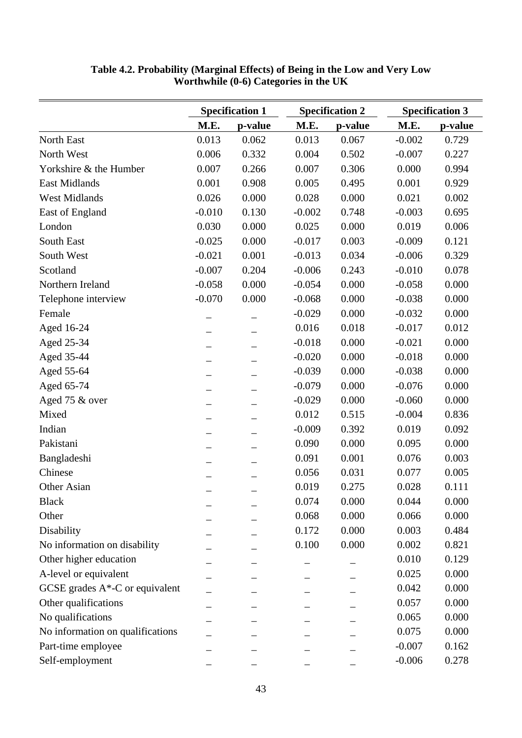|                                    | <b>Specification 1</b> |         |          | <b>Specification 2</b> | <b>Specification 3</b> |         |  |
|------------------------------------|------------------------|---------|----------|------------------------|------------------------|---------|--|
|                                    | M.E.                   | p-value | M.E.     | p-value                | M.E.                   | p-value |  |
| North East                         | 0.013                  | 0.062   | 0.013    | 0.067                  | $-0.002$               | 0.729   |  |
| North West                         | 0.006                  | 0.332   | 0.004    | 0.502                  | $-0.007$               | 0.227   |  |
| Yorkshire & the Humber             | 0.007                  | 0.266   | 0.007    | 0.306                  | 0.000                  | 0.994   |  |
| <b>East Midlands</b>               | 0.001                  | 0.908   | 0.005    | 0.495                  | 0.001                  | 0.929   |  |
| <b>West Midlands</b>               | 0.026                  | 0.000   | 0.028    | 0.000                  | 0.021                  | 0.002   |  |
| East of England                    | $-0.010$               | 0.130   | $-0.002$ | 0.748                  | $-0.003$               | 0.695   |  |
| London                             | 0.030                  | 0.000   | 0.025    | 0.000                  | 0.019                  | 0.006   |  |
| South East                         | $-0.025$               | 0.000   | $-0.017$ | 0.003                  | $-0.009$               | 0.121   |  |
| South West                         | $-0.021$               | 0.001   | $-0.013$ | 0.034                  | $-0.006$               | 0.329   |  |
| Scotland                           | $-0.007$               | 0.204   | $-0.006$ | 0.243                  | $-0.010$               | 0.078   |  |
| Northern Ireland                   | $-0.058$               | 0.000   | $-0.054$ | 0.000                  | $-0.058$               | 0.000   |  |
| Telephone interview                | $-0.070$               | 0.000   | $-0.068$ | 0.000                  | $-0.038$               | 0.000   |  |
| Female                             |                        |         | $-0.029$ | 0.000                  | $-0.032$               | 0.000   |  |
| Aged 16-24                         |                        |         | 0.016    | 0.018                  | $-0.017$               | 0.012   |  |
| Aged 25-34                         |                        |         | $-0.018$ | 0.000                  | $-0.021$               | 0.000   |  |
| Aged 35-44                         |                        |         | $-0.020$ | 0.000                  | $-0.018$               | 0.000   |  |
| Aged 55-64                         |                        |         | $-0.039$ | 0.000                  | $-0.038$               | 0.000   |  |
| Aged 65-74                         |                        |         | $-0.079$ | 0.000                  | $-0.076$               | 0.000   |  |
| Aged 75 & over                     |                        |         | $-0.029$ | 0.000                  | $-0.060$               | 0.000   |  |
| Mixed                              |                        |         | 0.012    | 0.515                  | $-0.004$               | 0.836   |  |
| Indian                             |                        |         | $-0.009$ | 0.392                  | 0.019                  | 0.092   |  |
| Pakistani                          |                        |         | 0.090    | 0.000                  | 0.095                  | 0.000   |  |
| Bangladeshi                        |                        |         | 0.091    | 0.001                  | 0.076                  | 0.003   |  |
| Chinese                            |                        |         | 0.056    | 0.031                  | 0.077                  | 0.005   |  |
| Other Asian                        |                        |         | 0.019    | 0.275                  | 0.028                  | 0.111   |  |
| <b>Black</b>                       |                        |         | 0.074    | 0.000                  | 0.044                  | 0.000   |  |
| Other                              |                        |         | 0.068    | 0.000                  | 0.066                  | 0.000   |  |
| Disability                         |                        |         | 0.172    | 0.000                  | 0.003                  | 0.484   |  |
| No information on disability       |                        |         | 0.100    | 0.000                  | 0.002                  | 0.821   |  |
| Other higher education             |                        |         |          |                        | 0.010                  | 0.129   |  |
| A-level or equivalent              |                        |         |          |                        | 0.025                  | 0.000   |  |
| GCSE grades $A^*$ -C or equivalent |                        |         |          |                        | 0.042                  | 0.000   |  |
| Other qualifications               |                        |         |          |                        | 0.057                  | 0.000   |  |
| No qualifications                  |                        |         |          |                        | 0.065                  | 0.000   |  |
| No information on qualifications   |                        |         |          |                        | 0.075                  | 0.000   |  |
| Part-time employee                 |                        |         |          |                        | $-0.007$               | 0.162   |  |
| Self-employment                    |                        |         |          |                        | $-0.006$               | 0.278   |  |

**Table 4.2. Probability (Marginal Effects) of Being in the Low and Very Low Worthwhile (0-6) Categories in the UK**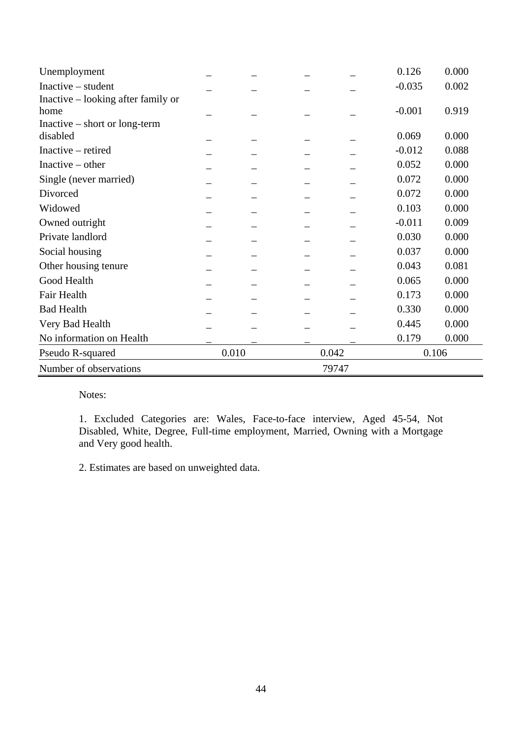| Unemployment                       |       |       | 0.126    | 0.000 |  |  |
|------------------------------------|-------|-------|----------|-------|--|--|
| $Inactive - student$               |       |       | $-0.035$ | 0.002 |  |  |
| Inactive – looking after family or |       |       |          |       |  |  |
| home                               |       |       | $-0.001$ | 0.919 |  |  |
| Inactive – short or long-term      |       |       |          |       |  |  |
| disabled                           |       |       | 0.069    | 0.000 |  |  |
| Inactive – retired                 |       |       | $-0.012$ | 0.088 |  |  |
| Inactive $-$ other                 |       |       | 0.052    | 0.000 |  |  |
| Single (never married)             |       |       | 0.072    | 0.000 |  |  |
| Divorced                           |       |       | 0.072    | 0.000 |  |  |
| Widowed                            |       |       | 0.103    | 0.000 |  |  |
| Owned outright                     |       |       | $-0.011$ | 0.009 |  |  |
| Private landlord                   |       |       | 0.030    | 0.000 |  |  |
| Social housing                     |       |       | 0.037    | 0.000 |  |  |
| Other housing tenure               |       |       | 0.043    | 0.081 |  |  |
| Good Health                        |       |       | 0.065    | 0.000 |  |  |
| Fair Health                        |       |       | 0.173    | 0.000 |  |  |
| <b>Bad Health</b>                  |       |       | 0.330    | 0.000 |  |  |
| Very Bad Health                    |       |       | 0.445    | 0.000 |  |  |
| No information on Health           |       |       | 0.179    | 0.000 |  |  |
| Pseudo R-squared                   | 0.010 | 0.042 |          | 0.106 |  |  |
| Number of observations             |       | 79747 |          |       |  |  |

1. Excluded Categories are: Wales, Face-to-face interview, Aged 45-54, Not Disabled, White, Degree, Full-time employment, Married, Owning with a Mortgage and Very good health.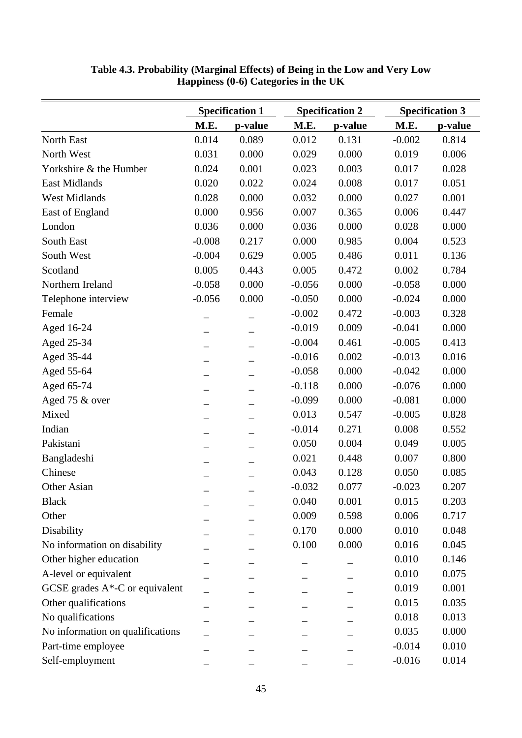|                                    |          | <b>Specification 1</b> |          | <b>Specification 2</b> | <b>Specification 3</b> |         |  |
|------------------------------------|----------|------------------------|----------|------------------------|------------------------|---------|--|
|                                    | M.E.     | p-value                | M.E.     | p-value                | M.E.                   | p-value |  |
| North East                         | 0.014    | 0.089                  | 0.012    | 0.131                  | $-0.002$               | 0.814   |  |
| North West                         | 0.031    | 0.000                  | 0.029    | 0.000                  | 0.019                  | 0.006   |  |
| Yorkshire & the Humber             | 0.024    | 0.001                  | 0.023    | 0.003                  | 0.017                  | 0.028   |  |
| <b>East Midlands</b>               | 0.020    | 0.022                  | 0.024    | 0.008                  | 0.017                  | 0.051   |  |
| <b>West Midlands</b>               | 0.028    | 0.000                  | 0.032    | 0.000                  | 0.027                  | 0.001   |  |
| East of England                    | 0.000    | 0.956                  | 0.007    | 0.365                  | 0.006                  | 0.447   |  |
| London                             | 0.036    | 0.000                  | 0.036    | 0.000                  | 0.028                  | 0.000   |  |
| South East                         | $-0.008$ | 0.217                  | 0.000    | 0.985                  | 0.004                  | 0.523   |  |
| South West                         | $-0.004$ | 0.629                  | 0.005    | 0.486                  | 0.011                  | 0.136   |  |
| Scotland                           | 0.005    | 0.443                  | 0.005    | 0.472                  | 0.002                  | 0.784   |  |
| Northern Ireland                   | $-0.058$ | 0.000                  | $-0.056$ | 0.000                  | $-0.058$               | 0.000   |  |
| Telephone interview                | $-0.056$ | 0.000                  | $-0.050$ | 0.000                  | $-0.024$               | 0.000   |  |
| Female                             |          |                        | $-0.002$ | 0.472                  | $-0.003$               | 0.328   |  |
| Aged 16-24                         |          |                        | $-0.019$ | 0.009                  | $-0.041$               | 0.000   |  |
| Aged 25-34                         |          |                        | $-0.004$ | 0.461                  | $-0.005$               | 0.413   |  |
| Aged 35-44                         |          |                        | $-0.016$ | 0.002                  | $-0.013$               | 0.016   |  |
| Aged 55-64                         |          |                        | $-0.058$ | 0.000                  | $-0.042$               | 0.000   |  |
| Aged 65-74                         |          |                        | $-0.118$ | 0.000                  | $-0.076$               | 0.000   |  |
| Aged 75 & over                     |          |                        | $-0.099$ | 0.000                  | $-0.081$               | 0.000   |  |
| Mixed                              |          |                        | 0.013    | 0.547                  | $-0.005$               | 0.828   |  |
| Indian                             |          |                        | $-0.014$ | 0.271                  | 0.008                  | 0.552   |  |
| Pakistani                          |          |                        | 0.050    | 0.004                  | 0.049                  | 0.005   |  |
| Bangladeshi                        |          |                        | 0.021    | 0.448                  | 0.007                  | 0.800   |  |
| Chinese                            |          |                        | 0.043    | 0.128                  | 0.050                  | 0.085   |  |
| Other Asian                        |          |                        | $-0.032$ | 0.077                  | $-0.023$               | 0.207   |  |
| <b>Black</b>                       |          |                        | 0.040    | 0.001                  | 0.015                  | 0.203   |  |
| Other                              |          |                        | 0.009    | 0.598                  | 0.006                  | 0.717   |  |
| Disability                         |          |                        | 0.170    | 0.000                  | 0.010                  | 0.048   |  |
| No information on disability       |          |                        | 0.100    | 0.000                  | 0.016                  | 0.045   |  |
| Other higher education             |          |                        |          |                        | 0.010                  | 0.146   |  |
| A-level or equivalent              |          |                        |          |                        | 0.010                  | 0.075   |  |
| GCSE grades $A^*$ -C or equivalent |          |                        |          |                        | 0.019                  | 0.001   |  |
| Other qualifications               |          |                        |          |                        | 0.015                  | 0.035   |  |
| No qualifications                  |          |                        |          |                        | 0.018                  | 0.013   |  |
| No information on qualifications   |          |                        |          |                        | 0.035                  | 0.000   |  |
| Part-time employee                 |          |                        |          |                        | $-0.014$               | 0.010   |  |
| Self-employment                    |          |                        |          |                        | $-0.016$               | 0.014   |  |

**Table 4.3. Probability (Marginal Effects) of Being in the Low and Very Low Happiness (0-6) Categories in the UK**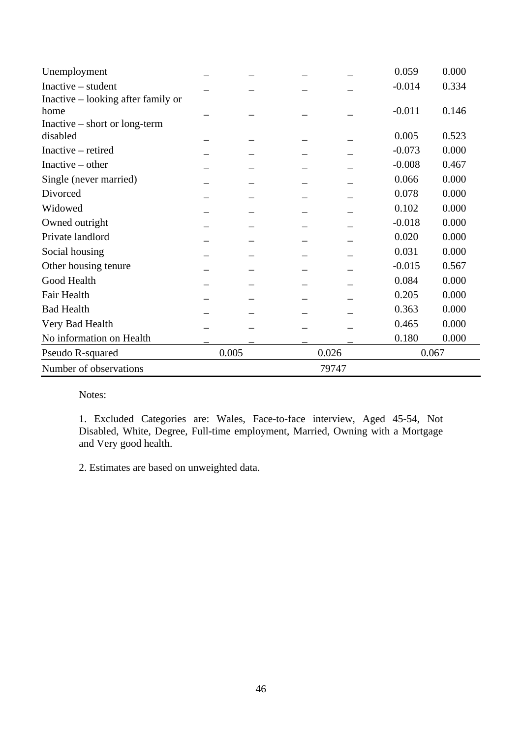| Unemployment                       |       |       | 0.059    | 0.000 |
|------------------------------------|-------|-------|----------|-------|
| $Inactive - student$               |       |       | $-0.014$ | 0.334 |
| Inactive – looking after family or |       |       |          |       |
| home                               |       |       | $-0.011$ | 0.146 |
| $Inactive - short or long-term$    |       |       |          |       |
| disabled                           |       |       | 0.005    | 0.523 |
| Inactive – retired                 |       |       | $-0.073$ | 0.000 |
| Inactive $-$ other                 |       |       | $-0.008$ | 0.467 |
| Single (never married)             |       |       | 0.066    | 0.000 |
| Divorced                           |       |       | 0.078    | 0.000 |
| Widowed                            |       |       | 0.102    | 0.000 |
| Owned outright                     |       |       | $-0.018$ | 0.000 |
| Private landlord                   |       |       | 0.020    | 0.000 |
| Social housing                     |       |       | 0.031    | 0.000 |
| Other housing tenure               |       |       | $-0.015$ | 0.567 |
| Good Health                        |       |       | 0.084    | 0.000 |
| Fair Health                        |       |       | 0.205    | 0.000 |
| <b>Bad Health</b>                  |       |       | 0.363    | 0.000 |
| Very Bad Health                    |       |       | 0.465    | 0.000 |
| No information on Health           |       |       | 0.180    | 0.000 |
| Pseudo R-squared                   | 0.005 | 0.026 | 0.067    |       |
| Number of observations             |       | 79747 |          |       |

1. Excluded Categories are: Wales, Face-to-face interview, Aged 45-54, Not Disabled, White, Degree, Full-time employment, Married, Owning with a Mortgage and Very good health.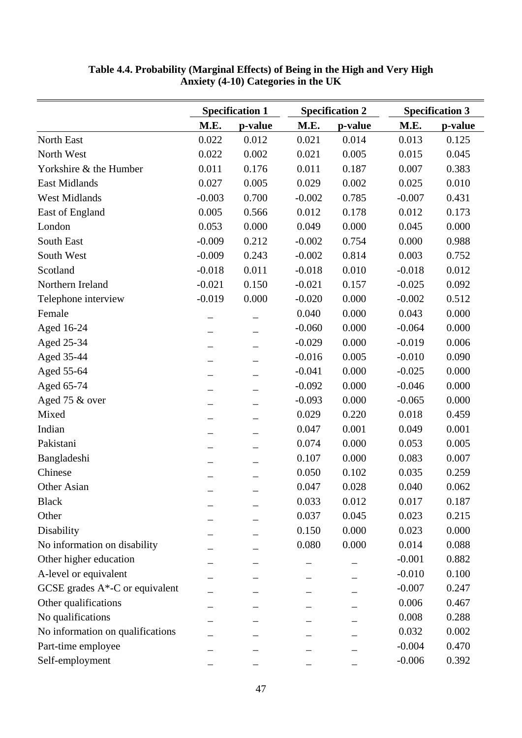|                                  |          | <b>Specification 1</b> |          | <b>Specification 2</b> | <b>Specification 3</b> |         |  |
|----------------------------------|----------|------------------------|----------|------------------------|------------------------|---------|--|
|                                  | M.E.     | p-value                | M.E.     | p-value                | M.E.                   | p-value |  |
| North East                       | 0.022    | 0.012                  | 0.021    | 0.014                  | 0.013                  | 0.125   |  |
| North West                       | 0.022    | 0.002                  | 0.021    | 0.005                  | 0.015                  | 0.045   |  |
| Yorkshire & the Humber           | 0.011    | 0.176                  | 0.011    | 0.187                  | 0.007                  | 0.383   |  |
| <b>East Midlands</b>             | 0.027    | 0.005                  | 0.029    | 0.002                  | 0.025                  | 0.010   |  |
| <b>West Midlands</b>             | $-0.003$ | 0.700                  | $-0.002$ | 0.785                  | $-0.007$               | 0.431   |  |
| East of England                  | 0.005    | 0.566                  | 0.012    | 0.178                  | 0.012                  | 0.173   |  |
| London                           | 0.053    | 0.000                  | 0.049    | 0.000                  | 0.045                  | 0.000   |  |
| South East                       | $-0.009$ | 0.212                  | $-0.002$ | 0.754                  | 0.000                  | 0.988   |  |
| South West                       | $-0.009$ | 0.243                  | $-0.002$ | 0.814                  | 0.003                  | 0.752   |  |
| Scotland                         | $-0.018$ | 0.011                  | $-0.018$ | 0.010                  | $-0.018$               | 0.012   |  |
| Northern Ireland                 | $-0.021$ | 0.150                  | $-0.021$ | 0.157                  | $-0.025$               | 0.092   |  |
| Telephone interview              | $-0.019$ | 0.000                  | $-0.020$ | 0.000                  | $-0.002$               | 0.512   |  |
| Female                           |          |                        | 0.040    | 0.000                  | 0.043                  | 0.000   |  |
| Aged 16-24                       |          |                        | $-0.060$ | 0.000                  | $-0.064$               | 0.000   |  |
| Aged 25-34                       |          |                        | $-0.029$ | 0.000                  | $-0.019$               | 0.006   |  |
| Aged 35-44                       |          |                        | $-0.016$ | 0.005                  | $-0.010$               | 0.090   |  |
| Aged 55-64                       |          |                        | $-0.041$ | 0.000                  | $-0.025$               | 0.000   |  |
| Aged 65-74                       |          |                        | $-0.092$ | 0.000                  | $-0.046$               | 0.000   |  |
| Aged 75 & over                   |          |                        | $-0.093$ | 0.000                  | $-0.065$               | 0.000   |  |
| Mixed                            |          |                        | 0.029    | 0.220                  | 0.018                  | 0.459   |  |
| Indian                           |          |                        | 0.047    | 0.001                  | 0.049                  | 0.001   |  |
| Pakistani                        |          |                        | 0.074    | 0.000                  | 0.053                  | 0.005   |  |
| Bangladeshi                      |          |                        | 0.107    | 0.000                  | 0.083                  | 0.007   |  |
| Chinese                          |          |                        | 0.050    | 0.102                  | 0.035                  | 0.259   |  |
| Other Asian                      |          |                        | 0.047    | 0.028                  | 0.040                  | 0.062   |  |
| <b>Black</b>                     |          |                        | 0.033    | 0.012                  | 0.017                  | 0.187   |  |
| Other                            |          |                        | 0.037    | 0.045                  | 0.023                  | 0.215   |  |
| Disability                       |          |                        | 0.150    | 0.000                  | 0.023                  | 0.000   |  |
| No information on disability     |          |                        | 0.080    | 0.000                  | 0.014                  | 0.088   |  |
| Other higher education           |          |                        |          |                        | $-0.001$               | 0.882   |  |
| A-level or equivalent            |          |                        |          |                        | $-0.010$               | 0.100   |  |
| GCSE grades A*-C or equivalent   |          |                        |          |                        | $-0.007$               | 0.247   |  |
| Other qualifications             |          |                        |          |                        | 0.006                  | 0.467   |  |
| No qualifications                |          |                        |          |                        | 0.008                  | 0.288   |  |
| No information on qualifications |          |                        |          |                        | 0.032                  | 0.002   |  |
| Part-time employee               |          |                        |          |                        | $-0.004$               | 0.470   |  |
| Self-employment                  |          |                        |          |                        | $-0.006$               | 0.392   |  |

**Table 4.4. Probability (Marginal Effects) of Being in the High and Very High Anxiety (4-10) Categories in the UK**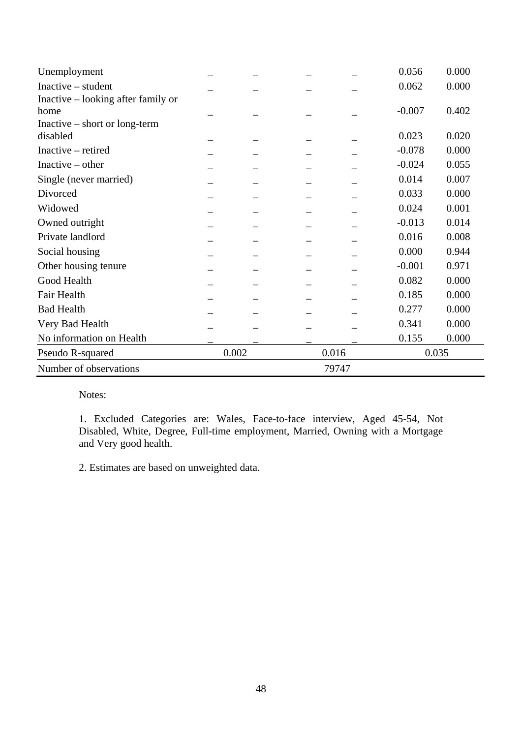| Unemployment                       |       |       |       | 0.056    | 0.000 |  |
|------------------------------------|-------|-------|-------|----------|-------|--|
| $Inactive-student$                 |       |       |       | 0.062    | 0.000 |  |
| Inactive – looking after family or |       |       |       |          |       |  |
| home                               |       |       |       | $-0.007$ | 0.402 |  |
| Inactive – short or long-term      |       |       |       |          |       |  |
| disabled                           |       |       |       | 0.023    | 0.020 |  |
| Inactive – retired                 |       |       |       | $-0.078$ | 0.000 |  |
| Inactive $-$ other                 |       |       |       | $-0.024$ | 0.055 |  |
| Single (never married)             |       |       |       | 0.014    | 0.007 |  |
| Divorced                           |       |       |       | 0.033    | 0.000 |  |
| Widowed                            |       |       |       | 0.024    | 0.001 |  |
| Owned outright                     |       |       |       | $-0.013$ | 0.014 |  |
| Private landlord                   |       |       |       | 0.016    | 0.008 |  |
| Social housing                     |       |       |       | 0.000    | 0.944 |  |
| Other housing tenure               |       |       |       | $-0.001$ | 0.971 |  |
| Good Health                        |       |       |       | 0.082    | 0.000 |  |
| Fair Health                        |       |       |       | 0.185    | 0.000 |  |
| <b>Bad Health</b>                  |       |       |       | 0.277    | 0.000 |  |
| Very Bad Health                    |       |       |       | 0.341    | 0.000 |  |
| No information on Health           |       |       |       | 0.155    | 0.000 |  |
| Pseudo R-squared                   | 0.002 | 0.016 |       | 0.035    |       |  |
| Number of observations             |       |       | 79747 |          |       |  |

1. Excluded Categories are: Wales, Face-to-face interview, Aged 45-54, Not Disabled, White, Degree, Full-time employment, Married, Owning with a Mortgage and Very good health.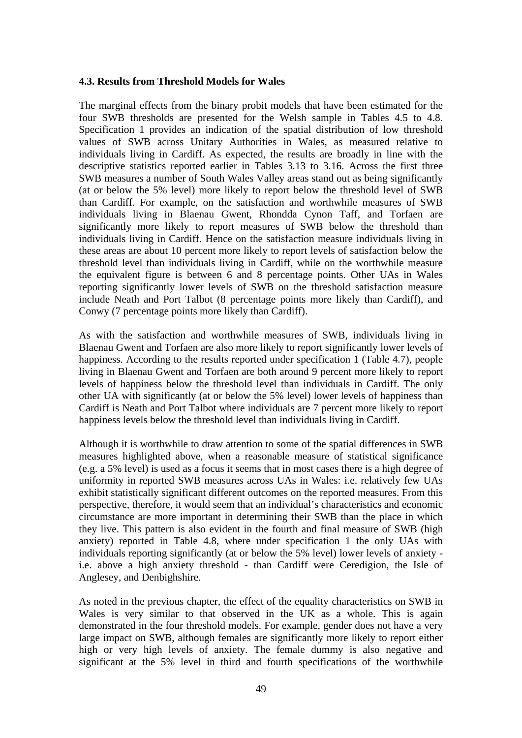#### **4.3. Results from Threshold Models for Wales**

The marginal effects from the binary probit models that have been estimated for the four SWB thresholds are presented for the Welsh sample in Tables 4.5 to 4.8. Specification 1 provides an indication of the spatial distribution of low threshold values of SWB across Unitary Authorities in Wales, as measured relative to individuals living in Cardiff. As expected, the results are broadly in line with the descriptive statistics reported earlier in Tables 3.13 to 3.16. Across the first three SWB measures a number of South Wales Valley areas stand out as being significantly (at or below the 5% level) more likely to report below the threshold level of SWB than Cardiff. For example, on the satisfaction and worthwhile measures of SWB individuals living in Blaenau Gwent, Rhondda Cynon Taff, and Torfaen are significantly more likely to report measures of SWB below the threshold than individuals living in Cardiff. Hence on the satisfaction measure individuals living in these areas are about 10 percent more likely to report levels of satisfaction below the threshold level than individuals living in Cardiff, while on the worthwhile measure the equivalent figure is between 6 and 8 percentage points. Other UAs in Wales reporting significantly lower levels of SWB on the threshold satisfaction measure include Neath and Port Talbot (8 percentage points more likely than Cardiff), and Conwy (7 percentage points more likely than Cardiff).

As with the satisfaction and worthwhile measures of SWB, individuals living in Blaenau Gwent and Torfaen are also more likely to report significantly lower levels of happiness. According to the results reported under specification 1 (Table 4.7), people living in Blaenau Gwent and Torfaen are both around 9 percent more likely to report levels of happiness below the threshold level than individuals in Cardiff. The only other UA with significantly (at or below the 5% level) lower levels of happiness than Cardiff is Neath and Port Talbot where individuals are 7 percent more likely to report happiness levels below the threshold level than individuals living in Cardiff.

Although it is worthwhile to draw attention to some of the spatial differences in SWB measures highlighted above, when a reasonable measure of statistical significance (e.g. a 5% level) is used as a focus it seems that in most cases there is a high degree of uniformity in reported SWB measures across UAs in Wales: i.e. relatively few UAs exhibit statistically significant different outcomes on the reported measures. From this perspective, therefore, it would seem that an individual's characteristics and economic circumstance are more important in determining their SWB than the place in which they live. This pattern is also evident in the fourth and final measure of SWB (high anxiety) reported in Table 4.8, where under specification 1 the only UAs with individuals reporting significantly (at or below the 5% level) lower levels of anxiety i.e. above a high anxiety threshold - than Cardiff were Ceredigion, the Isle of Anglesey, and Denbighshire.

As noted in the previous chapter, the effect of the equality characteristics on SWB in Wales is very similar to that observed in the UK as a whole. This is again demonstrated in the four threshold models. For example, gender does not have a very large impact on SWB, although females are significantly more likely to report either high or very high levels of anxiety. The female dummy is also negative and significant at the 5% level in third and fourth specifications of the worthwhile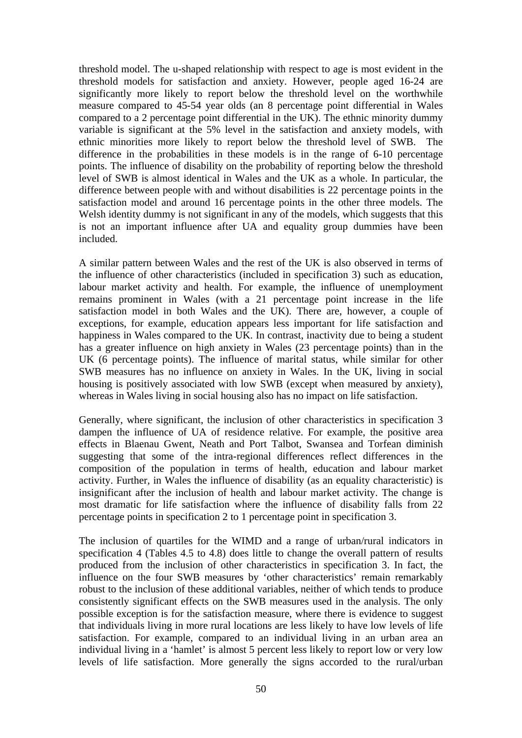threshold model. The u-shaped relationship with respect to age is most evident in the threshold models for satisfaction and anxiety. However, people aged 16-24 are significantly more likely to report below the threshold level on the worthwhile measure compared to 45-54 year olds (an 8 percentage point differential in Wales compared to a 2 percentage point differential in the UK). The ethnic minority dummy variable is significant at the 5% level in the satisfaction and anxiety models, with ethnic minorities more likely to report below the threshold level of SWB. The difference in the probabilities in these models is in the range of 6-10 percentage points. The influence of disability on the probability of reporting below the threshold level of SWB is almost identical in Wales and the UK as a whole. In particular, the difference between people with and without disabilities is 22 percentage points in the satisfaction model and around 16 percentage points in the other three models. The Welsh identity dummy is not significant in any of the models, which suggests that this is not an important influence after UA and equality group dummies have been included.

A similar pattern between Wales and the rest of the UK is also observed in terms of the influence of other characteristics (included in specification 3) such as education, labour market activity and health. For example, the influence of unemployment remains prominent in Wales (with a 21 percentage point increase in the life satisfaction model in both Wales and the UK). There are, however, a couple of exceptions, for example, education appears less important for life satisfaction and happiness in Wales compared to the UK. In contrast, inactivity due to being a student has a greater influence on high anxiety in Wales (23 percentage points) than in the UK (6 percentage points). The influence of marital status, while similar for other SWB measures has no influence on anxiety in Wales. In the UK, living in social housing is positively associated with low SWB (except when measured by anxiety), whereas in Wales living in social housing also has no impact on life satisfaction.

Generally, where significant, the inclusion of other characteristics in specification 3 dampen the influence of UA of residence relative. For example, the positive area effects in Blaenau Gwent, Neath and Port Talbot, Swansea and Torfean diminish suggesting that some of the intra-regional differences reflect differences in the composition of the population in terms of health, education and labour market activity. Further, in Wales the influence of disability (as an equality characteristic) is insignificant after the inclusion of health and labour market activity. The change is most dramatic for life satisfaction where the influence of disability falls from 22 percentage points in specification 2 to 1 percentage point in specification 3.

The inclusion of quartiles for the WIMD and a range of urban/rural indicators in specification 4 (Tables 4.5 to 4.8) does little to change the overall pattern of results produced from the inclusion of other characteristics in specification 3. In fact, the influence on the four SWB measures by 'other characteristics' remain remarkably robust to the inclusion of these additional variables, neither of which tends to produce consistently significant effects on the SWB measures used in the analysis. The only possible exception is for the satisfaction measure, where there is evidence to suggest that individuals living in more rural locations are less likely to have low levels of life satisfaction. For example, compared to an individual living in an urban area an individual living in a 'hamlet' is almost 5 percent less likely to report low or very low levels of life satisfaction. More generally the signs accorded to the rural/urban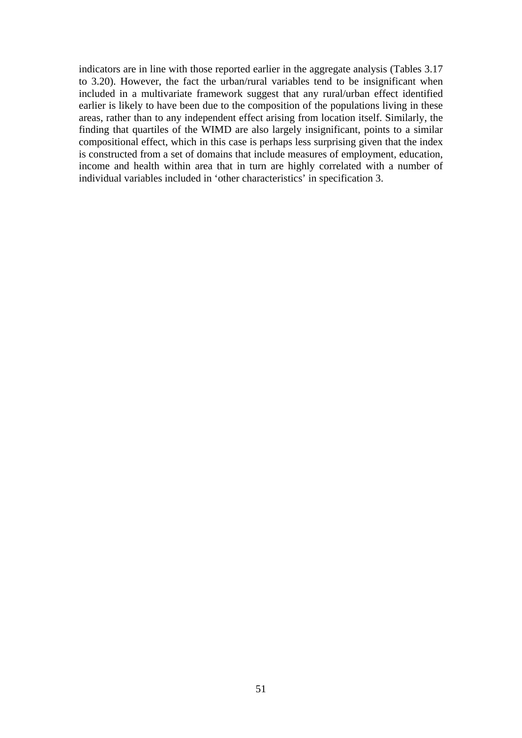indicators are in line with those reported earlier in the aggregate analysis (Tables 3.17 to 3.20). However, the fact the urban/rural variables tend to be insignificant when included in a multivariate framework suggest that any rural/urban effect identified earlier is likely to have been due to the composition of the populations living in these areas, rather than to any independent effect arising from location itself. Similarly, the finding that quartiles of the WIMD are also largely insignificant, points to a similar compositional effect, which in this case is perhaps less surprising given that the index is constructed from a set of domains that include measures of employment, education, income and health within area that in turn are highly correlated with a number of individual variables included in 'other characteristics' in specification 3.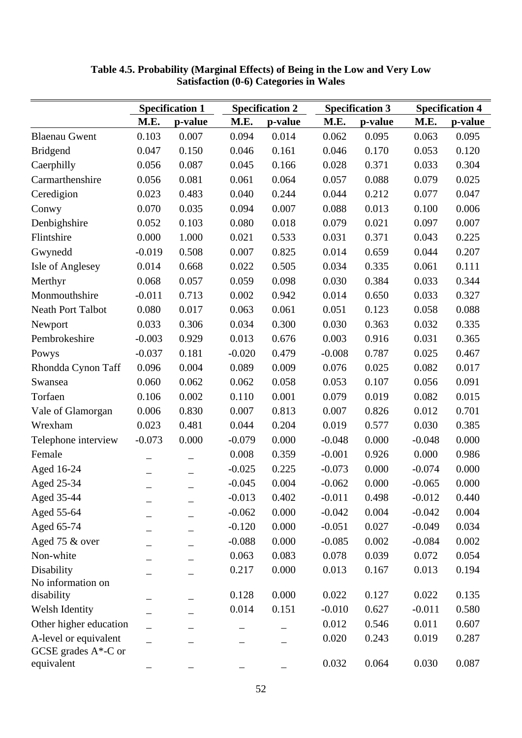|                                                  | <b>Specification 1</b><br><b>Specification 2</b> |         |          |         | <b>Specification 3</b> | <b>Specification 4</b> |          |         |
|--------------------------------------------------|--------------------------------------------------|---------|----------|---------|------------------------|------------------------|----------|---------|
|                                                  | M.E.                                             | p-value | M.E.     | p-value | M.E.                   | p-value                | M.E.     | p-value |
| <b>Blaenau Gwent</b>                             | 0.103                                            | 0.007   | 0.094    | 0.014   | 0.062                  | 0.095                  | 0.063    | 0.095   |
| <b>Bridgend</b>                                  | 0.047                                            | 0.150   | 0.046    | 0.161   | 0.046                  | 0.170                  | 0.053    | 0.120   |
| Caerphilly                                       | 0.056                                            | 0.087   | 0.045    | 0.166   | 0.028                  | 0.371                  | 0.033    | 0.304   |
| Carmarthenshire                                  | 0.056                                            | 0.081   | 0.061    | 0.064   | 0.057                  | 0.088                  | 0.079    | 0.025   |
| Ceredigion                                       | 0.023                                            | 0.483   | 0.040    | 0.244   | 0.044                  | 0.212                  | 0.077    | 0.047   |
| Conwy                                            | 0.070                                            | 0.035   | 0.094    | 0.007   | 0.088                  | 0.013                  | 0.100    | 0.006   |
| Denbighshire                                     | 0.052                                            | 0.103   | 0.080    | 0.018   | 0.079                  | 0.021                  | 0.097    | 0.007   |
| Flintshire                                       | 0.000                                            | 1.000   | 0.021    | 0.533   | 0.031                  | 0.371                  | 0.043    | 0.225   |
| Gwynedd                                          | $-0.019$                                         | 0.508   | 0.007    | 0.825   | 0.014                  | 0.659                  | 0.044    | 0.207   |
| <b>Isle of Anglesey</b>                          | 0.014                                            | 0.668   | 0.022    | 0.505   | 0.034                  | 0.335                  | 0.061    | 0.111   |
| Merthyr                                          | 0.068                                            | 0.057   | 0.059    | 0.098   | 0.030                  | 0.384                  | 0.033    | 0.344   |
| Monmouthshire                                    | $-0.011$                                         | 0.713   | 0.002    | 0.942   | 0.014                  | 0.650                  | 0.033    | 0.327   |
| <b>Neath Port Talbot</b>                         | 0.080                                            | 0.017   | 0.063    | 0.061   | 0.051                  | 0.123                  | 0.058    | 0.088   |
| Newport                                          | 0.033                                            | 0.306   | 0.034    | 0.300   | 0.030                  | 0.363                  | 0.032    | 0.335   |
| Pembrokeshire                                    | $-0.003$                                         | 0.929   | 0.013    | 0.676   | 0.003                  | 0.916                  | 0.031    | 0.365   |
| Powys                                            | $-0.037$                                         | 0.181   | $-0.020$ | 0.479   | $-0.008$               | 0.787                  | 0.025    | 0.467   |
| Rhondda Cynon Taff                               | 0.096                                            | 0.004   | 0.089    | 0.009   | 0.076                  | 0.025                  | 0.082    | 0.017   |
| Swansea                                          | 0.060                                            | 0.062   | 0.062    | 0.058   | 0.053                  | 0.107                  | 0.056    | 0.091   |
| Torfaen                                          | 0.106                                            | 0.002   | 0.110    | 0.001   | 0.079                  | 0.019                  | 0.082    | 0.015   |
| Vale of Glamorgan                                | 0.006                                            | 0.830   | 0.007    | 0.813   | 0.007                  | 0.826                  | 0.012    | 0.701   |
| Wrexham                                          | 0.023                                            | 0.481   | 0.044    | 0.204   | 0.019                  | 0.577                  | 0.030    | 0.385   |
| Telephone interview                              | $-0.073$                                         | 0.000   | $-0.079$ | 0.000   | $-0.048$               | 0.000                  | $-0.048$ | 0.000   |
| Female                                           |                                                  |         | 0.008    | 0.359   | $-0.001$               | 0.926                  | 0.000    | 0.986   |
| Aged 16-24                                       |                                                  |         | $-0.025$ | 0.225   | $-0.073$               | 0.000                  | $-0.074$ | 0.000   |
| Aged 25-34                                       |                                                  |         | $-0.045$ | 0.004   | $-0.062$               | 0.000                  | $-0.065$ | 0.000   |
| Aged 35-44                                       |                                                  |         | $-0.013$ | 0.402   | $-0.011$               | 0.498                  | $-0.012$ | 0.440   |
| Aged 55-64                                       |                                                  |         | $-0.062$ | 0.000   | $-0.042$               | 0.004                  | $-0.042$ | 0.004   |
| Aged 65-74                                       |                                                  |         | $-0.120$ | 0.000   | $-0.051$               | 0.027                  | $-0.049$ | 0.034   |
| Aged 75 & over                                   |                                                  |         | $-0.088$ | 0.000   | $-0.085$               | 0.002                  | $-0.084$ | 0.002   |
| Non-white                                        |                                                  |         | 0.063    | 0.083   | 0.078                  | 0.039                  | 0.072    | 0.054   |
| Disability                                       |                                                  |         | 0.217    | 0.000   | 0.013                  | 0.167                  | 0.013    | 0.194   |
| No information on                                |                                                  |         |          |         |                        |                        |          |         |
| disability                                       |                                                  |         | 0.128    | 0.000   | 0.022                  | 0.127                  | 0.022    | 0.135   |
| Welsh Identity                                   |                                                  |         | 0.014    | 0.151   | $-0.010$               | 0.627                  | $-0.011$ | 0.580   |
| Other higher education                           |                                                  |         |          |         | 0.012                  | 0.546                  | 0.011    | 0.607   |
| A-level or equivalent<br>GCSE grades $A^*$ -C or |                                                  |         |          |         | 0.020                  | 0.243                  | 0.019    | 0.287   |
| equivalent                                       |                                                  |         |          |         | 0.032                  | 0.064                  | 0.030    | 0.087   |

**Table 4.5. Probability (Marginal Effects) of Being in the Low and Very Low Satisfaction (0-6) Categories in Wales**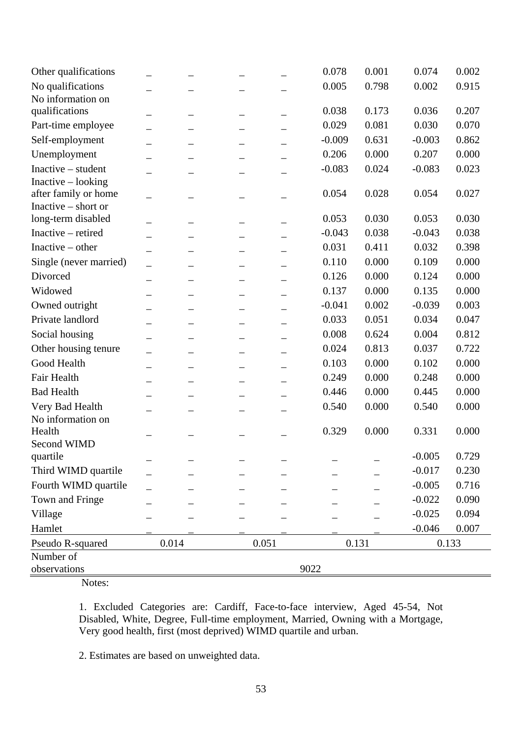| Other qualifications   |                          |       |  |       | 0.078    | 0.001 | 0.074    | 0.002 |  |  |
|------------------------|--------------------------|-------|--|-------|----------|-------|----------|-------|--|--|
| No qualifications      |                          |       |  |       | 0.005    | 0.798 | 0.002    | 0.915 |  |  |
| No information on      |                          |       |  |       |          |       |          |       |  |  |
| qualifications         |                          |       |  |       | 0.038    | 0.173 | 0.036    | 0.207 |  |  |
| Part-time employee     |                          | —     |  |       | 0.029    | 0.081 | 0.030    | 0.070 |  |  |
| Self-employment        |                          |       |  |       | $-0.009$ | 0.631 | $-0.003$ | 0.862 |  |  |
| Unemployment           |                          |       |  |       | 0.206    | 0.000 | 0.207    | 0.000 |  |  |
| Inactive - student     |                          |       |  |       | $-0.083$ | 0.024 | $-0.083$ | 0.023 |  |  |
| Inactive - looking     |                          |       |  |       |          |       |          |       |  |  |
| after family or home   |                          |       |  |       | 0.054    | 0.028 | 0.054    | 0.027 |  |  |
| Inactive – short or    |                          |       |  |       |          |       |          |       |  |  |
| long-term disabled     |                          |       |  |       | 0.053    | 0.030 | 0.053    | 0.030 |  |  |
| Inactive - retired     |                          |       |  |       | $-0.043$ | 0.038 | $-0.043$ | 0.038 |  |  |
| Inactive $-$ other     |                          |       |  |       | 0.031    | 0.411 | 0.032    | 0.398 |  |  |
| Single (never married) |                          | —     |  |       | 0.110    | 0.000 | 0.109    | 0.000 |  |  |
| Divorced               | $\overline{\phantom{0}}$ |       |  |       | 0.126    | 0.000 | 0.124    | 0.000 |  |  |
| Widowed                |                          |       |  |       | 0.137    | 0.000 | 0.135    | 0.000 |  |  |
| Owned outright         |                          |       |  |       | $-0.041$ | 0.002 | $-0.039$ | 0.003 |  |  |
| Private landlord       |                          |       |  |       | 0.033    | 0.051 | 0.034    | 0.047 |  |  |
| Social housing         |                          |       |  |       | 0.008    | 0.624 | 0.004    | 0.812 |  |  |
| Other housing tenure   |                          |       |  |       | 0.024    | 0.813 | 0.037    | 0.722 |  |  |
| Good Health            |                          |       |  |       | 0.103    | 0.000 | 0.102    | 0.000 |  |  |
| Fair Health            |                          |       |  |       | 0.249    | 0.000 | 0.248    | 0.000 |  |  |
| <b>Bad Health</b>      |                          |       |  |       | 0.446    | 0.000 | 0.445    | 0.000 |  |  |
| Very Bad Health        |                          |       |  |       | 0.540    | 0.000 | 0.540    | 0.000 |  |  |
| No information on      |                          |       |  |       |          |       |          |       |  |  |
| Health                 |                          |       |  |       | 0.329    | 0.000 | 0.331    | 0.000 |  |  |
| Second WIMD            |                          |       |  |       |          |       |          |       |  |  |
| quartile               |                          |       |  |       |          |       | $-0.005$ | 0.729 |  |  |
| Third WIMD quartile    |                          |       |  |       |          |       | $-0.017$ | 0.230 |  |  |
| Fourth WIMD quartile   |                          |       |  |       |          |       | $-0.005$ | 0.716 |  |  |
| Town and Fringe        |                          |       |  |       |          |       | $-0.022$ | 0.090 |  |  |
| Village                |                          |       |  |       |          |       | $-0.025$ | 0.094 |  |  |
| Hamlet                 |                          |       |  |       |          |       | $-0.046$ | 0.007 |  |  |
| Pseudo R-squared       |                          | 0.014 |  | 0.051 |          | 0.131 |          | 0.133 |  |  |
| Number of              |                          |       |  |       |          |       |          |       |  |  |
| observations           | 9022                     |       |  |       |          |       |          |       |  |  |

1. Excluded Categories are: Cardiff, Face-to-face interview, Aged 45-54, Not Disabled, White, Degree, Full-time employment, Married, Owning with a Mortgage, Very good health, first (most deprived) WIMD quartile and urban.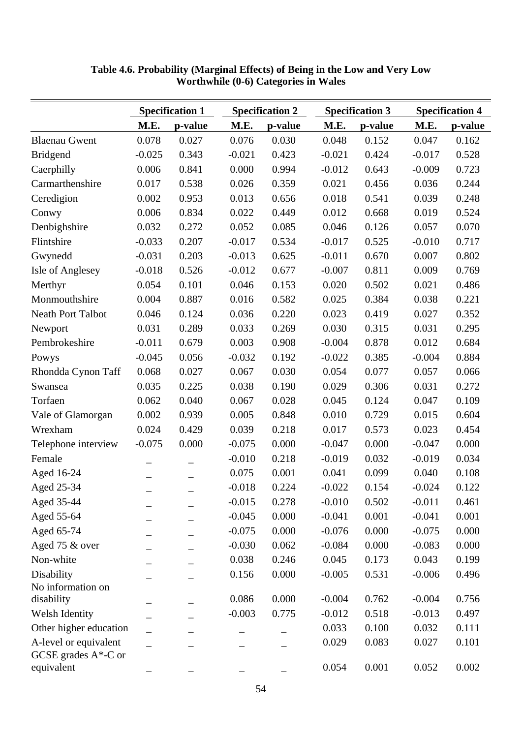|                                                  |          | <b>Specification 1</b> | <b>Specification 2</b> |         |          | <b>Specification 3</b> | <b>Specification 4</b> |         |
|--------------------------------------------------|----------|------------------------|------------------------|---------|----------|------------------------|------------------------|---------|
|                                                  | M.E.     | p-value                | M.E.                   | p-value | M.E.     | p-value                | M.E.                   | p-value |
| <b>Blaenau Gwent</b>                             | 0.078    | 0.027                  | 0.076                  | 0.030   | 0.048    | 0.152                  | 0.047                  | 0.162   |
| <b>Bridgend</b>                                  | $-0.025$ | 0.343                  | $-0.021$               | 0.423   | $-0.021$ | 0.424                  | $-0.017$               | 0.528   |
| Caerphilly                                       | 0.006    | 0.841                  | 0.000                  | 0.994   | $-0.012$ | 0.643                  | $-0.009$               | 0.723   |
| Carmarthenshire                                  | 0.017    | 0.538                  | 0.026                  | 0.359   | 0.021    | 0.456                  | 0.036                  | 0.244   |
| Ceredigion                                       | 0.002    | 0.953                  | 0.013                  | 0.656   | 0.018    | 0.541                  | 0.039                  | 0.248   |
| Conwy                                            | 0.006    | 0.834                  | 0.022                  | 0.449   | 0.012    | 0.668                  | 0.019                  | 0.524   |
| Denbighshire                                     | 0.032    | 0.272                  | 0.052                  | 0.085   | 0.046    | 0.126                  | 0.057                  | 0.070   |
| Flintshire                                       | $-0.033$ | 0.207                  | $-0.017$               | 0.534   | $-0.017$ | 0.525                  | $-0.010$               | 0.717   |
| Gwynedd                                          | $-0.031$ | 0.203                  | $-0.013$               | 0.625   | $-0.011$ | 0.670                  | 0.007                  | 0.802   |
| Isle of Anglesey                                 | $-0.018$ | 0.526                  | $-0.012$               | 0.677   | $-0.007$ | 0.811                  | 0.009                  | 0.769   |
| Merthyr                                          | 0.054    | 0.101                  | 0.046                  | 0.153   | 0.020    | 0.502                  | 0.021                  | 0.486   |
| Monmouthshire                                    | 0.004    | 0.887                  | 0.016                  | 0.582   | 0.025    | 0.384                  | 0.038                  | 0.221   |
| <b>Neath Port Talbot</b>                         | 0.046    | 0.124                  | 0.036                  | 0.220   | 0.023    | 0.419                  | 0.027                  | 0.352   |
| Newport                                          | 0.031    | 0.289                  | 0.033                  | 0.269   | 0.030    | 0.315                  | 0.031                  | 0.295   |
| Pembrokeshire                                    | $-0.011$ | 0.679                  | 0.003                  | 0.908   | $-0.004$ | 0.878                  | 0.012                  | 0.684   |
| Powys                                            | $-0.045$ | 0.056                  | $-0.032$               | 0.192   | $-0.022$ | 0.385                  | $-0.004$               | 0.884   |
| Rhondda Cynon Taff                               | 0.068    | 0.027                  | 0.067                  | 0.030   | 0.054    | 0.077                  | 0.057                  | 0.066   |
| Swansea                                          | 0.035    | 0.225                  | 0.038                  | 0.190   | 0.029    | 0.306                  | 0.031                  | 0.272   |
| Torfaen                                          | 0.062    | 0.040                  | 0.067                  | 0.028   | 0.045    | 0.124                  | 0.047                  | 0.109   |
| Vale of Glamorgan                                | 0.002    | 0.939                  | 0.005                  | 0.848   | 0.010    | 0.729                  | 0.015                  | 0.604   |
| Wrexham                                          | 0.024    | 0.429                  | 0.039                  | 0.218   | 0.017    | 0.573                  | 0.023                  | 0.454   |
| Telephone interview                              | $-0.075$ | 0.000                  | $-0.075$               | 0.000   | $-0.047$ | 0.000                  | $-0.047$               | 0.000   |
| Female                                           |          |                        | $-0.010$               | 0.218   | $-0.019$ | 0.032                  | $-0.019$               | 0.034   |
| Aged 16-24                                       |          |                        | 0.075                  | 0.001   | 0.041    | 0.099                  | 0.040                  | 0.108   |
| Aged 25-34                                       |          |                        | $-0.018$               | 0.224   | $-0.022$ | 0.154                  | $-0.024$               | 0.122   |
| Aged 35-44                                       |          |                        | $-0.015$               | 0.278   | $-0.010$ | 0.502                  | $-0.011$               | 0.461   |
| Aged 55-64                                       |          |                        | $-0.045$               | 0.000   | $-0.041$ | 0.001                  | $-0.041$               | 0.001   |
| Aged 65-74                                       |          |                        | $-0.075$               | 0.000   | $-0.076$ | 0.000                  | $-0.075$               | 0.000   |
| Aged 75 & over                                   |          | $\qquad \qquad -$      | $-0.030$               | 0.062   | $-0.084$ | 0.000                  | $-0.083$               | 0.000   |
| Non-white                                        |          |                        | 0.038                  | 0.246   | 0.045    | 0.173                  | 0.043                  | 0.199   |
| Disability                                       |          |                        | 0.156                  | 0.000   | $-0.005$ | 0.531                  | $-0.006$               | 0.496   |
| No information on                                |          |                        |                        |         |          |                        |                        |         |
| disability                                       |          |                        | 0.086                  | 0.000   | $-0.004$ | 0.762                  | $-0.004$               | 0.756   |
| Welsh Identity                                   |          |                        | $-0.003$               | 0.775   | $-0.012$ | 0.518                  | $-0.013$               | 0.497   |
| Other higher education                           |          |                        |                        |         | 0.033    | 0.100                  | 0.032                  | 0.111   |
| A-level or equivalent<br>GCSE grades $A^*$ -C or |          |                        |                        |         | 0.029    | 0.083                  | 0.027                  | 0.101   |
| equivalent                                       |          |                        |                        |         | 0.054    | 0.001                  | 0.052                  | 0.002   |

**Table 4.6. Probability (Marginal Effects) of Being in the Low and Very Low Worthwhile (0-6) Categories in Wales**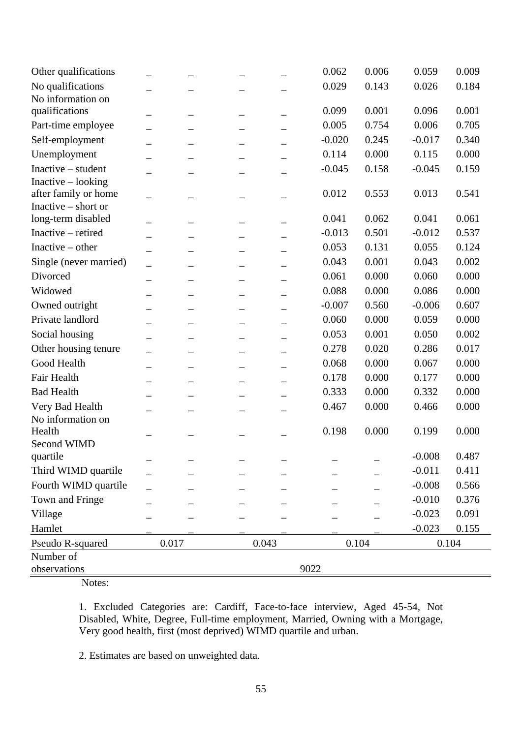| Other qualifications   |                          |       |       | 0.062    | 0.006 | 0.059    | 0.009 |
|------------------------|--------------------------|-------|-------|----------|-------|----------|-------|
| No qualifications      |                          |       |       | 0.029    | 0.143 | 0.026    | 0.184 |
| No information on      |                          |       |       |          |       |          |       |
| qualifications         |                          |       |       | 0.099    | 0.001 | 0.096    | 0.001 |
| Part-time employee     |                          | —     |       | 0.005    | 0.754 | 0.006    | 0.705 |
| Self-employment        | $\overline{\phantom{0}}$ |       |       | $-0.020$ | 0.245 | $-0.017$ | 0.340 |
| Unemployment           |                          |       |       | 0.114    | 0.000 | 0.115    | 0.000 |
| Inactive - student     |                          |       |       | $-0.045$ | 0.158 | $-0.045$ | 0.159 |
| Inactive - looking     |                          |       |       |          |       |          |       |
| after family or home   |                          |       |       | 0.012    | 0.553 | 0.013    | 0.541 |
| Inactive – short or    |                          |       |       |          |       |          |       |
| long-term disabled     |                          |       |       | 0.041    | 0.062 | 0.041    | 0.061 |
| Inactive - retired     |                          |       |       | $-0.013$ | 0.501 | $-0.012$ | 0.537 |
| Inactive $-$ other     |                          |       |       | 0.053    | 0.131 | 0.055    | 0.124 |
| Single (never married) |                          | —     |       | 0.043    | 0.001 | 0.043    | 0.002 |
| Divorced               | $\overline{\phantom{0}}$ |       |       | 0.061    | 0.000 | 0.060    | 0.000 |
| Widowed                |                          |       |       | 0.088    | 0.000 | 0.086    | 0.000 |
| Owned outright         |                          |       |       | $-0.007$ | 0.560 | $-0.006$ | 0.607 |
| Private landlord       |                          |       |       | 0.060    | 0.000 | 0.059    | 0.000 |
| Social housing         |                          |       |       | 0.053    | 0.001 | 0.050    | 0.002 |
| Other housing tenure   |                          |       |       | 0.278    | 0.020 | 0.286    | 0.017 |
| Good Health            |                          |       |       | 0.068    | 0.000 | 0.067    | 0.000 |
| Fair Health            |                          |       |       | 0.178    | 0.000 | 0.177    | 0.000 |
| <b>Bad Health</b>      |                          |       |       | 0.333    | 0.000 | 0.332    | 0.000 |
| Very Bad Health        |                          |       |       | 0.467    | 0.000 | 0.466    | 0.000 |
| No information on      |                          |       |       |          |       |          |       |
| Health                 |                          |       |       | 0.198    | 0.000 | 0.199    | 0.000 |
| Second WIMD            |                          |       |       |          |       |          |       |
| quartile               |                          |       |       |          |       | $-0.008$ | 0.487 |
| Third WIMD quartile    |                          |       |       |          |       | $-0.011$ | 0.411 |
| Fourth WIMD quartile   |                          |       |       |          |       | $-0.008$ | 0.566 |
| Town and Fringe        |                          |       |       |          |       | $-0.010$ | 0.376 |
| Village                |                          |       |       |          |       | $-0.023$ | 0.091 |
| Hamlet                 |                          |       |       |          |       | $-0.023$ | 0.155 |
| Pseudo R-squared       |                          | 0.017 | 0.043 |          | 0.104 |          | 0.104 |
| Number of              |                          |       |       |          |       |          |       |
| observations           |                          |       |       | 9022     |       |          |       |

1. Excluded Categories are: Cardiff, Face-to-face interview, Aged 45-54, Not Disabled, White, Degree, Full-time employment, Married, Owning with a Mortgage, Very good health, first (most deprived) WIMD quartile and urban.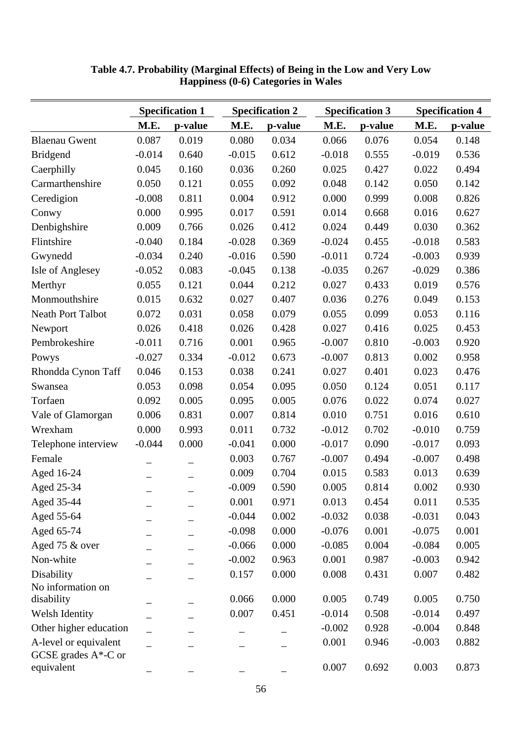|                                                  |          | <b>Specification 1</b> |          | <b>Specification 2</b> | <b>Specification 3</b> |         | <b>Specification 4</b> |         |
|--------------------------------------------------|----------|------------------------|----------|------------------------|------------------------|---------|------------------------|---------|
|                                                  | M.E.     | p-value                | M.E.     | p-value                | M.E.                   | p-value | M.E.                   | p-value |
| <b>Blaenau Gwent</b>                             | 0.087    | 0.019                  | 0.080    | 0.034                  | 0.066                  | 0.076   | 0.054                  | 0.148   |
| <b>Bridgend</b>                                  | $-0.014$ | 0.640                  | $-0.015$ | 0.612                  | $-0.018$               | 0.555   | $-0.019$               | 0.536   |
| Caerphilly                                       | 0.045    | 0.160                  | 0.036    | 0.260                  | 0.025                  | 0.427   | 0.022                  | 0.494   |
| Carmarthenshire                                  | 0.050    | 0.121                  | 0.055    | 0.092                  | 0.048                  | 0.142   | 0.050                  | 0.142   |
| Ceredigion                                       | $-0.008$ | 0.811                  | 0.004    | 0.912                  | 0.000                  | 0.999   | 0.008                  | 0.826   |
| Conwy                                            | 0.000    | 0.995                  | 0.017    | 0.591                  | 0.014                  | 0.668   | 0.016                  | 0.627   |
| Denbighshire                                     | 0.009    | 0.766                  | 0.026    | 0.412                  | 0.024                  | 0.449   | 0.030                  | 0.362   |
| Flintshire                                       | $-0.040$ | 0.184                  | $-0.028$ | 0.369                  | $-0.024$               | 0.455   | $-0.018$               | 0.583   |
| Gwynedd                                          | $-0.034$ | 0.240                  | $-0.016$ | 0.590                  | $-0.011$               | 0.724   | $-0.003$               | 0.939   |
| Isle of Anglesey                                 | $-0.052$ | 0.083                  | $-0.045$ | 0.138                  | $-0.035$               | 0.267   | $-0.029$               | 0.386   |
| Merthyr                                          | 0.055    | 0.121                  | 0.044    | 0.212                  | 0.027                  | 0.433   | 0.019                  | 0.576   |
| Monmouthshire                                    | 0.015    | 0.632                  | 0.027    | 0.407                  | 0.036                  | 0.276   | 0.049                  | 0.153   |
| <b>Neath Port Talbot</b>                         | 0.072    | 0.031                  | 0.058    | 0.079                  | 0.055                  | 0.099   | 0.053                  | 0.116   |
| Newport                                          | 0.026    | 0.418                  | 0.026    | 0.428                  | 0.027                  | 0.416   | 0.025                  | 0.453   |
| Pembrokeshire                                    | $-0.011$ | 0.716                  | 0.001    | 0.965                  | $-0.007$               | 0.810   | $-0.003$               | 0.920   |
| Powys                                            | $-0.027$ | 0.334                  | $-0.012$ | 0.673                  | $-0.007$               | 0.813   | 0.002                  | 0.958   |
| Rhondda Cynon Taff                               | 0.046    | 0.153                  | 0.038    | 0.241                  | 0.027                  | 0.401   | 0.023                  | 0.476   |
| Swansea                                          | 0.053    | 0.098                  | 0.054    | 0.095                  | 0.050                  | 0.124   | 0.051                  | 0.117   |
| Torfaen                                          | 0.092    | 0.005                  | 0.095    | 0.005                  | 0.076                  | 0.022   | 0.074                  | 0.027   |
| Vale of Glamorgan                                | 0.006    | 0.831                  | 0.007    | 0.814                  | 0.010                  | 0.751   | 0.016                  | 0.610   |
| Wrexham                                          | 0.000    | 0.993                  | 0.011    | 0.732                  | $-0.012$               | 0.702   | $-0.010$               | 0.759   |
| Telephone interview                              | $-0.044$ | 0.000                  | $-0.041$ | 0.000                  | $-0.017$               | 0.090   | $-0.017$               | 0.093   |
| Female                                           |          |                        | 0.003    | 0.767                  | $-0.007$               | 0.494   | $-0.007$               | 0.498   |
| Aged 16-24                                       |          |                        | 0.009    | 0.704                  | 0.015                  | 0.583   | 0.013                  | 0.639   |
| Aged 25-34                                       |          |                        | $-0.009$ | 0.590                  | 0.005                  | 0.814   | 0.002                  | 0.930   |
| Aged 35-44                                       |          |                        | 0.001    | 0.971                  | 0.013                  | 0.454   | 0.011                  | 0.535   |
| Aged 55-64                                       |          |                        | $-0.044$ | 0.002                  | $-0.032$               | 0.038   | $-0.031$               | 0.043   |
| Aged 65-74                                       |          |                        | $-0.098$ | 0.000                  | $-0.076$               | 0.001   | $-0.075$               | 0.001   |
| Aged 75 & over                                   |          |                        | $-0.066$ | 0.000                  | $-0.085$               | 0.004   | $-0.084$               | 0.005   |
| Non-white                                        |          |                        | $-0.002$ | 0.963                  | 0.001                  | 0.987   | $-0.003$               | 0.942   |
| Disability                                       |          |                        | 0.157    | 0.000                  | 0.008                  | 0.431   | 0.007                  | 0.482   |
| No information on                                |          |                        |          |                        |                        |         |                        |         |
| disability                                       |          |                        | 0.066    | 0.000                  | 0.005                  | 0.749   | 0.005                  | 0.750   |
| Welsh Identity                                   |          |                        | 0.007    | 0.451                  | $-0.014$               | 0.508   | $-0.014$               | 0.497   |
| Other higher education                           |          |                        |          |                        | $-0.002$               | 0.928   | $-0.004$               | 0.848   |
| A-level or equivalent<br>GCSE grades $A^*$ -C or |          |                        |          |                        | 0.001                  | 0.946   | $-0.003$               | 0.882   |
| equivalent                                       |          |                        |          |                        | 0.007                  | 0.692   | 0.003                  | 0.873   |

**Table 4.7. Probability (Marginal Effects) of Being in the Low and Very Low Happiness (0-6) Categories in Wales**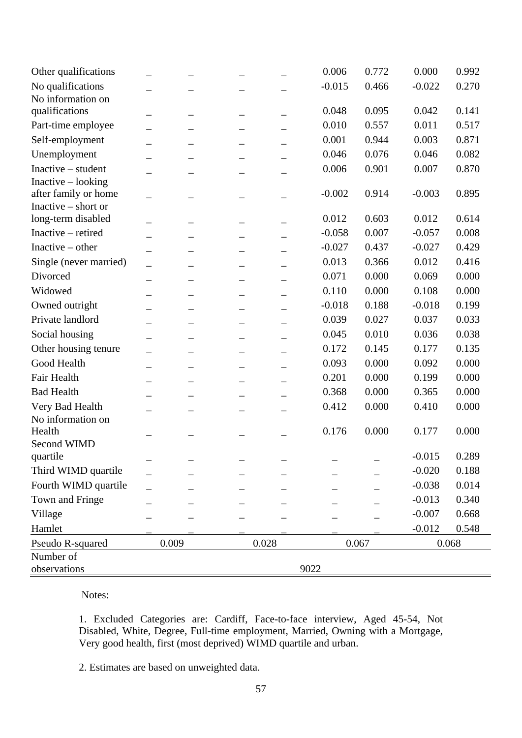| Other qualifications   |                          |                          |       | 0.006    | 0.772 | 0.000    | 0.992 |
|------------------------|--------------------------|--------------------------|-------|----------|-------|----------|-------|
| No qualifications      |                          |                          |       | $-0.015$ | 0.466 | $-0.022$ | 0.270 |
| No information on      |                          |                          |       |          |       |          |       |
| qualifications         |                          |                          |       | 0.048    | 0.095 | 0.042    | 0.141 |
| Part-time employee     |                          | —                        |       | 0.010    | 0.557 | 0.011    | 0.517 |
| Self-employment        | $\overline{\phantom{0}}$ |                          |       | 0.001    | 0.944 | 0.003    | 0.871 |
| Unemployment           |                          |                          |       | 0.046    | 0.076 | 0.046    | 0.082 |
| Inactive - student     |                          |                          |       | 0.006    | 0.901 | 0.007    | 0.870 |
| Inactive - looking     |                          |                          |       |          |       |          |       |
| after family or home   |                          |                          |       | $-0.002$ | 0.914 | $-0.003$ | 0.895 |
| Inactive – short or    |                          |                          |       |          |       |          |       |
| long-term disabled     |                          |                          |       | 0.012    | 0.603 | 0.012    | 0.614 |
| Inactive - retired     |                          |                          |       | $-0.058$ | 0.007 | $-0.057$ | 0.008 |
| Inactive $-$ other     |                          |                          |       | $-0.027$ | 0.437 | $-0.027$ | 0.429 |
| Single (never married) |                          | —                        |       | 0.013    | 0.366 | 0.012    | 0.416 |
| Divorced               | $\overline{\phantom{0}}$ |                          |       | 0.071    | 0.000 | 0.069    | 0.000 |
| Widowed                |                          |                          |       | 0.110    | 0.000 | 0.108    | 0.000 |
| Owned outright         |                          | $\overline{\phantom{0}}$ |       | $-0.018$ | 0.188 | $-0.018$ | 0.199 |
| Private landlord       |                          |                          |       | 0.039    | 0.027 | 0.037    | 0.033 |
| Social housing         |                          |                          |       | 0.045    | 0.010 | 0.036    | 0.038 |
| Other housing tenure   |                          |                          |       | 0.172    | 0.145 | 0.177    | 0.135 |
| Good Health            |                          |                          |       | 0.093    | 0.000 | 0.092    | 0.000 |
| Fair Health            |                          |                          |       | 0.201    | 0.000 | 0.199    | 0.000 |
| <b>Bad Health</b>      |                          |                          |       | 0.368    | 0.000 | 0.365    | 0.000 |
| Very Bad Health        |                          |                          |       | 0.412    | 0.000 | 0.410    | 0.000 |
| No information on      |                          |                          |       |          |       |          |       |
| Health                 |                          |                          |       | 0.176    | 0.000 | 0.177    | 0.000 |
| Second WIMD            |                          |                          |       |          |       |          |       |
| quartile               |                          |                          |       |          |       | $-0.015$ | 0.289 |
| Third WIMD quartile    |                          |                          |       |          |       | $-0.020$ | 0.188 |
| Fourth WIMD quartile   |                          |                          |       |          |       | $-0.038$ | 0.014 |
| Town and Fringe        |                          |                          |       |          |       | $-0.013$ | 0.340 |
| Village                |                          |                          |       |          |       | $-0.007$ | 0.668 |
| Hamlet                 |                          |                          |       |          |       | $-0.012$ | 0.548 |
| Pseudo R-squared       |                          | 0.009                    | 0.028 |          | 0.067 |          | 0.068 |
| Number of              |                          |                          |       |          |       |          |       |
| observations           |                          |                          |       | 9022     |       |          |       |

1. Excluded Categories are: Cardiff, Face-to-face interview, Aged 45-54, Not Disabled, White, Degree, Full-time employment, Married, Owning with a Mortgage, Very good health, first (most deprived) WIMD quartile and urban.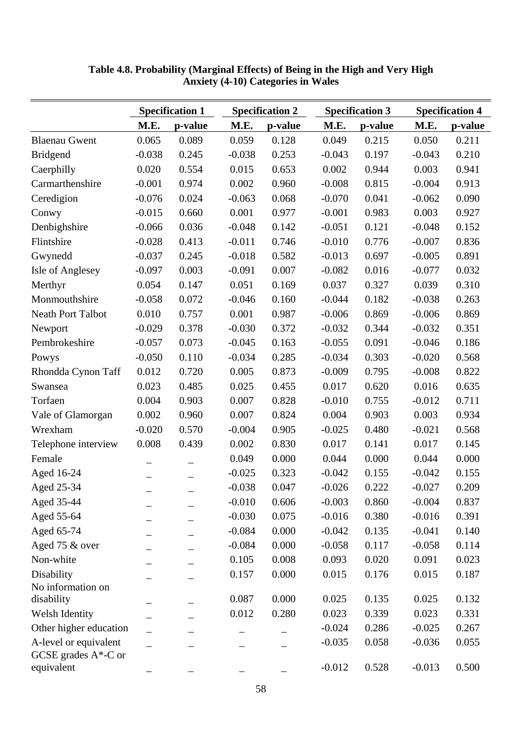|                                                  |          | <b>Specification 1</b> |          | <b>Specification 2</b> |          | <b>Specification 3</b> | <b>Specification 4</b> |         |
|--------------------------------------------------|----------|------------------------|----------|------------------------|----------|------------------------|------------------------|---------|
|                                                  | M.E.     | p-value                | M.E.     | p-value                | M.E.     | p-value                | M.E.                   | p-value |
| <b>Blaenau Gwent</b>                             | 0.065    | 0.089                  | 0.059    | 0.128                  | 0.049    | 0.215                  | 0.050                  | 0.211   |
| <b>Bridgend</b>                                  | $-0.038$ | 0.245                  | $-0.038$ | 0.253                  | $-0.043$ | 0.197                  | $-0.043$               | 0.210   |
| Caerphilly                                       | 0.020    | 0.554                  | 0.015    | 0.653                  | 0.002    | 0.944                  | 0.003                  | 0.941   |
| Carmarthenshire                                  | $-0.001$ | 0.974                  | 0.002    | 0.960                  | $-0.008$ | 0.815                  | $-0.004$               | 0.913   |
| Ceredigion                                       | $-0.076$ | 0.024                  | $-0.063$ | 0.068                  | $-0.070$ | 0.041                  | $-0.062$               | 0.090   |
| Conwy                                            | $-0.015$ | 0.660                  | 0.001    | 0.977                  | $-0.001$ | 0.983                  | 0.003                  | 0.927   |
| Denbighshire                                     | $-0.066$ | 0.036                  | $-0.048$ | 0.142                  | $-0.051$ | 0.121                  | $-0.048$               | 0.152   |
| Flintshire                                       | $-0.028$ | 0.413                  | $-0.011$ | 0.746                  | $-0.010$ | 0.776                  | $-0.007$               | 0.836   |
| Gwynedd                                          | $-0.037$ | 0.245                  | $-0.018$ | 0.582                  | $-0.013$ | 0.697                  | $-0.005$               | 0.891   |
| Isle of Anglesey                                 | $-0.097$ | 0.003                  | $-0.091$ | 0.007                  | $-0.082$ | 0.016                  | $-0.077$               | 0.032   |
| Merthyr                                          | 0.054    | 0.147                  | 0.051    | 0.169                  | 0.037    | 0.327                  | 0.039                  | 0.310   |
| Monmouthshire                                    | $-0.058$ | 0.072                  | $-0.046$ | 0.160                  | $-0.044$ | 0.182                  | $-0.038$               | 0.263   |
| <b>Neath Port Talbot</b>                         | 0.010    | 0.757                  | 0.001    | 0.987                  | $-0.006$ | 0.869                  | $-0.006$               | 0.869   |
| Newport                                          | $-0.029$ | 0.378                  | $-0.030$ | 0.372                  | $-0.032$ | 0.344                  | $-0.032$               | 0.351   |
| Pembrokeshire                                    | $-0.057$ | 0.073                  | $-0.045$ | 0.163                  | $-0.055$ | 0.091                  | $-0.046$               | 0.186   |
| Powys                                            | $-0.050$ | 0.110                  | $-0.034$ | 0.285                  | $-0.034$ | 0.303                  | $-0.020$               | 0.568   |
| Rhondda Cynon Taff                               | 0.012    | 0.720                  | 0.005    | 0.873                  | $-0.009$ | 0.795                  | $-0.008$               | 0.822   |
| Swansea                                          | 0.023    | 0.485                  | 0.025    | 0.455                  | 0.017    | 0.620                  | 0.016                  | 0.635   |
| Torfaen                                          | 0.004    | 0.903                  | 0.007    | 0.828                  | $-0.010$ | 0.755                  | $-0.012$               | 0.711   |
| Vale of Glamorgan                                | 0.002    | 0.960                  | 0.007    | 0.824                  | 0.004    | 0.903                  | 0.003                  | 0.934   |
| Wrexham                                          | $-0.020$ | 0.570                  | $-0.004$ | 0.905                  | $-0.025$ | 0.480                  | $-0.021$               | 0.568   |
| Telephone interview                              | 0.008    | 0.439                  | 0.002    | 0.830                  | 0.017    | 0.141                  | 0.017                  | 0.145   |
| Female                                           |          |                        | 0.049    | 0.000                  | 0.044    | 0.000                  | 0.044                  | 0.000   |
| Aged 16-24                                       |          |                        | $-0.025$ | 0.323                  | $-0.042$ | 0.155                  | $-0.042$               | 0.155   |
| Aged 25-34                                       |          |                        | $-0.038$ | 0.047                  | $-0.026$ | 0.222                  | $-0.027$               | 0.209   |
| Aged 35-44                                       |          |                        | $-0.010$ | 0.606                  | $-0.003$ | 0.860                  | $-0.004$               | 0.837   |
| Aged 55-64                                       |          |                        | $-0.030$ | 0.075                  | $-0.016$ | 0.380                  | $-0.016$               | 0.391   |
| Aged 65-74                                       |          |                        | $-0.084$ | 0.000                  | $-0.042$ | 0.135                  | $-0.041$               | 0.140   |
| Aged 75 & over                                   |          | $\qquad \qquad -$      | $-0.084$ | 0.000                  | $-0.058$ | 0.117                  | $-0.058$               | 0.114   |
| Non-white                                        |          |                        | 0.105    | 0.008                  | 0.093    | 0.020                  | 0.091                  | 0.023   |
| Disability                                       |          |                        | 0.157    | 0.000                  | 0.015    | 0.176                  | 0.015                  | 0.187   |
| No information on                                |          |                        |          |                        |          |                        |                        |         |
| disability                                       |          |                        | 0.087    | 0.000                  | 0.025    | 0.135                  | 0.025                  | 0.132   |
| Welsh Identity                                   |          |                        | 0.012    | 0.280                  | 0.023    | 0.339                  | 0.023                  | 0.331   |
| Other higher education                           |          |                        |          |                        | $-0.024$ | 0.286                  | $-0.025$               | 0.267   |
| A-level or equivalent<br>GCSE grades $A^*$ -C or |          |                        |          |                        | $-0.035$ | 0.058                  | $-0.036$               | 0.055   |
| equivalent                                       |          |                        |          |                        | $-0.012$ | 0.528                  | $-0.013$               | 0.500   |

**Table 4.8. Probability (Marginal Effects) of Being in the High and Very High Anxiety (4-10) Categories in Wales**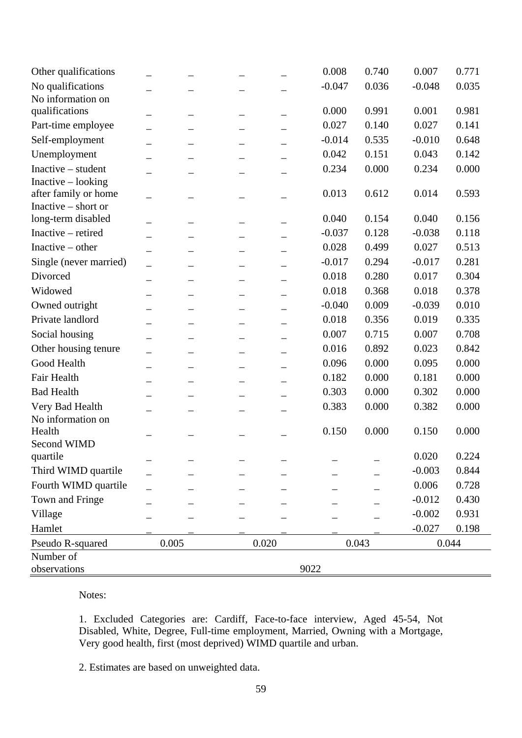| Other qualifications                      |       |       | 0.008    | 0.740 | 0.007    | 0.771 |
|-------------------------------------------|-------|-------|----------|-------|----------|-------|
| No qualifications                         |       |       | $-0.047$ | 0.036 | $-0.048$ | 0.035 |
| No information on                         |       |       |          |       |          |       |
| qualifications                            |       |       | 0.000    | 0.991 | 0.001    | 0.981 |
| Part-time employee                        |       |       | 0.027    | 0.140 | 0.027    | 0.141 |
| Self-employment                           |       |       | $-0.014$ | 0.535 | $-0.010$ | 0.648 |
| Unemployment                              |       |       | 0.042    | 0.151 | 0.043    | 0.142 |
| Inactive - student                        |       |       | 0.234    | 0.000 | 0.234    | 0.000 |
| Inactive - looking                        |       |       |          |       |          |       |
| after family or home                      |       |       | 0.013    | 0.612 | 0.014    | 0.593 |
| Inactive – short or<br>long-term disabled |       |       | 0.040    | 0.154 | 0.040    | 0.156 |
| Inactive - retired                        |       |       | $-0.037$ | 0.128 | $-0.038$ | 0.118 |
| Inactive $-$ other                        |       |       | 0.028    | 0.499 | 0.027    | 0.513 |
| Single (never married)                    |       |       | $-0.017$ | 0.294 | $-0.017$ | 0.281 |
| Divorced                                  |       |       | 0.018    | 0.280 | 0.017    | 0.304 |
| Widowed                                   |       |       | 0.018    | 0.368 | 0.018    | 0.378 |
| Owned outright                            |       |       | $-0.040$ | 0.009 | $-0.039$ | 0.010 |
| Private landlord                          |       |       | 0.018    | 0.356 | 0.019    | 0.335 |
|                                           |       |       | 0.007    | 0.715 | 0.007    | 0.708 |
| Social housing                            |       |       |          |       |          |       |
| Other housing tenure                      |       |       | 0.016    | 0.892 | 0.023    | 0.842 |
| Good Health                               |       |       | 0.096    | 0.000 | 0.095    | 0.000 |
| Fair Health                               |       |       | 0.182    | 0.000 | 0.181    | 0.000 |
| <b>Bad Health</b>                         |       |       | 0.303    | 0.000 | 0.302    | 0.000 |
| Very Bad Health                           |       |       | 0.383    | 0.000 | 0.382    | 0.000 |
| No information on<br>Health               |       |       | 0.150    | 0.000 | 0.150    | 0.000 |
| Second WIMD                               |       |       |          |       |          |       |
| quartile                                  |       |       |          |       | 0.020    | 0.224 |
| Third WIMD quartile                       |       |       |          |       | $-0.003$ | 0.844 |
| Fourth WIMD quartile                      |       |       |          |       | 0.006    | 0.728 |
| Town and Fringe                           |       |       |          |       | $-0.012$ | 0.430 |
| Village                                   |       |       |          |       | $-0.002$ | 0.931 |
| Hamlet                                    |       |       |          |       | $-0.027$ | 0.198 |
| Pseudo R-squared                          | 0.005 | 0.020 |          | 0.043 |          | 0.044 |
| Number of                                 |       |       |          |       |          |       |
| observations                              |       |       | 9022     |       |          |       |

1. Excluded Categories are: Cardiff, Face-to-face interview, Aged 45-54, Not Disabled, White, Degree, Full-time employment, Married, Owning with a Mortgage, Very good health, first (most deprived) WIMD quartile and urban.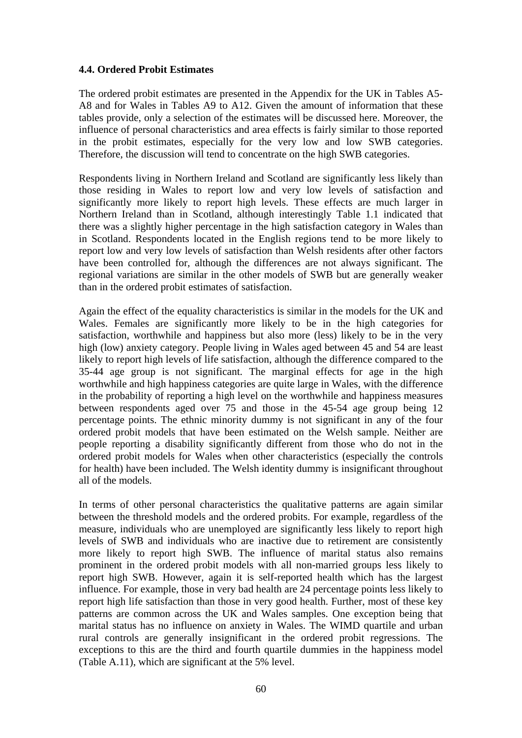### **4.4. Ordered Probit Estimates**

The ordered probit estimates are presented in the Appendix for the UK in Tables A5- A8 and for Wales in Tables A9 to A12. Given the amount of information that these tables provide, only a selection of the estimates will be discussed here. Moreover, the influence of personal characteristics and area effects is fairly similar to those reported in the probit estimates, especially for the very low and low SWB categories. Therefore, the discussion will tend to concentrate on the high SWB categories.

Respondents living in Northern Ireland and Scotland are significantly less likely than those residing in Wales to report low and very low levels of satisfaction and significantly more likely to report high levels. These effects are much larger in Northern Ireland than in Scotland, although interestingly Table 1.1 indicated that there was a slightly higher percentage in the high satisfaction category in Wales than in Scotland. Respondents located in the English regions tend to be more likely to report low and very low levels of satisfaction than Welsh residents after other factors have been controlled for, although the differences are not always significant. The regional variations are similar in the other models of SWB but are generally weaker than in the ordered probit estimates of satisfaction.

Again the effect of the equality characteristics is similar in the models for the UK and Wales. Females are significantly more likely to be in the high categories for satisfaction, worthwhile and happiness but also more (less) likely to be in the very high (low) anxiety category. People living in Wales aged between 45 and 54 are least likely to report high levels of life satisfaction, although the difference compared to the 35-44 age group is not significant. The marginal effects for age in the high worthwhile and high happiness categories are quite large in Wales, with the difference in the probability of reporting a high level on the worthwhile and happiness measures between respondents aged over 75 and those in the 45-54 age group being 12 percentage points. The ethnic minority dummy is not significant in any of the four ordered probit models that have been estimated on the Welsh sample. Neither are people reporting a disability significantly different from those who do not in the ordered probit models for Wales when other characteristics (especially the controls for health) have been included. The Welsh identity dummy is insignificant throughout all of the models.

In terms of other personal characteristics the qualitative patterns are again similar between the threshold models and the ordered probits. For example, regardless of the measure, individuals who are unemployed are significantly less likely to report high levels of SWB and individuals who are inactive due to retirement are consistently more likely to report high SWB. The influence of marital status also remains prominent in the ordered probit models with all non-married groups less likely to report high SWB. However, again it is self-reported health which has the largest influence. For example, those in very bad health are 24 percentage points less likely to report high life satisfaction than those in very good health. Further, most of these key patterns are common across the UK and Wales samples. One exception being that marital status has no influence on anxiety in Wales. The WIMD quartile and urban rural controls are generally insignificant in the ordered probit regressions. The exceptions to this are the third and fourth quartile dummies in the happiness model (Table A.11), which are significant at the 5% level.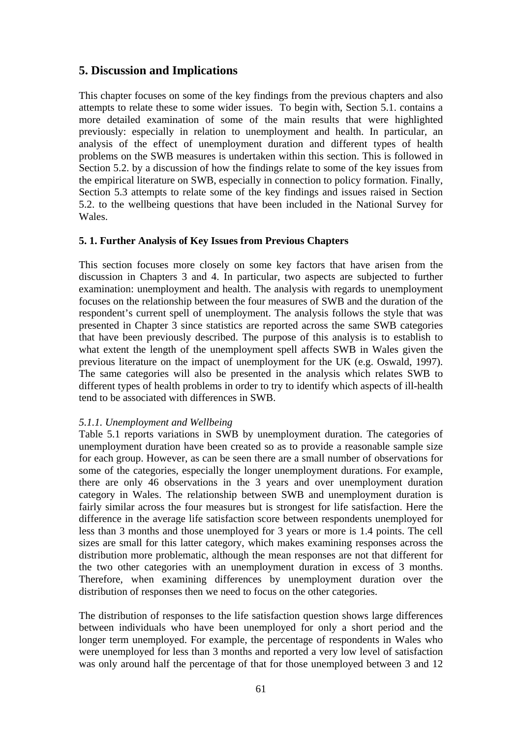# **5. Discussion and Implications**

This chapter focuses on some of the key findings from the previous chapters and also attempts to relate these to some wider issues. To begin with, Section 5.1. contains a more detailed examination of some of the main results that were highlighted previously: especially in relation to unemployment and health. In particular, an analysis of the effect of unemployment duration and different types of health problems on the SWB measures is undertaken within this section. This is followed in Section 5.2. by a discussion of how the findings relate to some of the key issues from the empirical literature on SWB, especially in connection to policy formation. Finally, Section 5.3 attempts to relate some of the key findings and issues raised in Section 5.2. to the wellbeing questions that have been included in the National Survey for Wales.

### **5. 1. Further Analysis of Key Issues from Previous Chapters**

This section focuses more closely on some key factors that have arisen from the discussion in Chapters 3 and 4. In particular, two aspects are subjected to further examination: unemployment and health. The analysis with regards to unemployment focuses on the relationship between the four measures of SWB and the duration of the respondent's current spell of unemployment. The analysis follows the style that was presented in Chapter 3 since statistics are reported across the same SWB categories that have been previously described. The purpose of this analysis is to establish to what extent the length of the unemployment spell affects SWB in Wales given the previous literature on the impact of unemployment for the UK (e.g. Oswald, 1997). The same categories will also be presented in the analysis which relates SWB to different types of health problems in order to try to identify which aspects of ill-health tend to be associated with differences in SWB.

### *5.1.1. Unemployment and Wellbeing*

Table 5.1 reports variations in SWB by unemployment duration. The categories of unemployment duration have been created so as to provide a reasonable sample size for each group. However, as can be seen there are a small number of observations for some of the categories, especially the longer unemployment durations. For example, there are only 46 observations in the 3 years and over unemployment duration category in Wales. The relationship between SWB and unemployment duration is fairly similar across the four measures but is strongest for life satisfaction. Here the difference in the average life satisfaction score between respondents unemployed for less than 3 months and those unemployed for 3 years or more is 1.4 points. The cell sizes are small for this latter category, which makes examining responses across the distribution more problematic, although the mean responses are not that different for the two other categories with an unemployment duration in excess of 3 months. Therefore, when examining differences by unemployment duration over the distribution of responses then we need to focus on the other categories.

The distribution of responses to the life satisfaction question shows large differences between individuals who have been unemployed for only a short period and the longer term unemployed. For example, the percentage of respondents in Wales who were unemployed for less than 3 months and reported a very low level of satisfaction was only around half the percentage of that for those unemployed between 3 and 12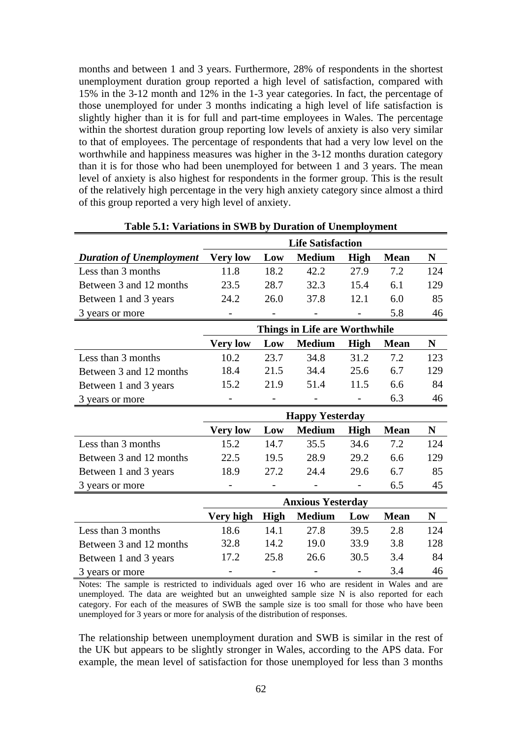months and between 1 and 3 years. Furthermore, 28% of respondents in the shortest unemployment duration group reported a high level of satisfaction, compared with 15% in the 3-12 month and 12% in the 1-3 year categories. In fact, the percentage of those unemployed for under 3 months indicating a high level of life satisfaction is slightly higher than it is for full and part-time employees in Wales. The percentage within the shortest duration group reporting low levels of anxiety is also very similar to that of employees. The percentage of respondents that had a very low level on the worthwhile and happiness measures was higher in the 3-12 months duration category than it is for those who had been unemployed for between 1 and 3 years. The mean level of anxiety is also highest for respondents in the former group. This is the result of the relatively high percentage in the very high anxiety category since almost a third of this group reported a very high level of anxiety.

|                                 | <b>Life Satisfaction</b>      |             |                          |                   |             |             |  |  |
|---------------------------------|-------------------------------|-------------|--------------------------|-------------------|-------------|-------------|--|--|
| <b>Duration of Unemployment</b> | <b>Very low</b>               | Low         | <b>Medium</b>            | High              | <b>Mean</b> | N           |  |  |
| Less than 3 months              | 11.8                          | 18.2        | 42.2                     | 27.9              | 7.2         | 124         |  |  |
| Between 3 and 12 months         | 23.5                          | 28.7        | 32.3                     | 15.4              | 6.1         | 129         |  |  |
| Between 1 and 3 years           | 24.2                          | 26.0        | 37.8                     | 12.1              | 6.0         | 85          |  |  |
| 3 years or more                 | $\overline{\phantom{0}}$      |             | $\overline{\phantom{0}}$ | $\qquad \qquad -$ | 5.8         | 46          |  |  |
|                                 | Things in Life are Worthwhile |             |                          |                   |             |             |  |  |
|                                 | <b>Very low</b>               | Low         | <b>Medium</b>            | High              | <b>Mean</b> | N           |  |  |
| Less than 3 months              | 10.2                          | 23.7        | 34.8                     | 31.2              | 7.2         | 123         |  |  |
| Between 3 and 12 months         | 18.4                          | 21.5        | 34.4                     | 25.6              | 6.7         | 129         |  |  |
| Between 1 and 3 years           | 15.2                          | 21.9        | 51.4                     | 11.5              | 6.6         | 84          |  |  |
| 3 years or more                 |                               |             |                          |                   | 6.3         | 46          |  |  |
|                                 |                               |             | <b>Happy Yesterday</b>   |                   |             |             |  |  |
|                                 | <b>Very low</b>               | Low         | <b>Medium</b>            | <b>High</b>       | <b>Mean</b> | $\mathbf N$ |  |  |
| Less than 3 months              | 15.2                          | 14.7        | 35.5                     | 34.6              | 7.2         | 124         |  |  |
| Between 3 and 12 months         | 22.5                          | 19.5        | 28.9                     | 29.2              | 6.6         | 129         |  |  |
| Between 1 and 3 years           | 18.9                          | 27.2        | 24.4                     | 29.6              | 6.7         | 85          |  |  |
| 3 years or more                 |                               |             |                          |                   | 6.5         | 45          |  |  |
|                                 |                               |             | <b>Anxious Yesterday</b> |                   |             |             |  |  |
|                                 | Very high                     | <b>High</b> | <b>Medium</b>            | Low               | <b>Mean</b> | $\mathbf N$ |  |  |
| Less than 3 months              | 18.6                          | 14.1        | 27.8                     | 39.5              | 2.8         | 124         |  |  |
| Between 3 and 12 months         | 32.8                          | 14.2        | 19.0                     | 33.9              | 3.8         | 128         |  |  |
| Between 1 and 3 years           | 17.2                          | 25.8        | 26.6                     | 30.5              | 3.4         | 84          |  |  |
| 3 years or more                 |                               |             |                          |                   | 3.4         | 46          |  |  |

**Table 5.1: Variations in SWB by Duration of Unemployment** 

Notes: The sample is restricted to individuals aged over 16 who are resident in Wales and are unemployed. The data are weighted but an unweighted sample size N is also reported for each category. For each of the measures of SWB the sample size is too small for those who have been unemployed for 3 years or more for analysis of the distribution of responses.

The relationship between unemployment duration and SWB is similar in the rest of the UK but appears to be slightly stronger in Wales, according to the APS data. For example, the mean level of satisfaction for those unemployed for less than 3 months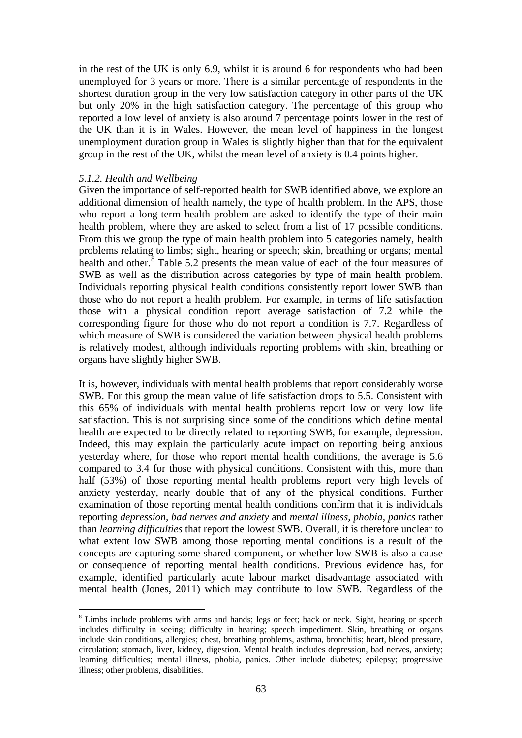in the rest of the UK is only 6.9, whilst it is around 6 for respondents who had been unemployed for 3 years or more. There is a similar percentage of respondents in the shortest duration group in the very low satisfaction category in other parts of the UK but only 20% in the high satisfaction category. The percentage of this group who reported a low level of anxiety is also around 7 percentage points lower in the rest of the UK than it is in Wales. However, the mean level of happiness in the longest unemployment duration group in Wales is slightly higher than that for the equivalent group in the rest of the UK, whilst the mean level of anxiety is 0.4 points higher.

#### *5.1.2. Health and Wellbeing*

1

Given the importance of self-reported health for SWB identified above, we explore an additional dimension of health namely, the type of health problem. In the APS, those who report a long-term health problem are asked to identify the type of their main health problem, where they are asked to select from a list of 17 possible conditions. From this we group the type of main health problem into 5 categories namely, health problems relating to limbs; sight, hearing or speech; skin, breathing or organs; mental health and other.<sup>[8](#page-64-0)</sup> Table 5.2 presents the mean value of each of the four measures of SWB as well as the distribution across categories by type of main health problem. Individuals reporting physical health conditions consistently report lower SWB than those who do not report a health problem. For example, in terms of life satisfaction those with a physical condition report average satisfaction of 7.2 while the corresponding figure for those who do not report a condition is 7.7. Regardless of which measure of SWB is considered the variation between physical health problems is relatively modest, although individuals reporting problems with skin, breathing or organs have slightly higher SWB.

It is, however, individuals with mental health problems that report considerably worse SWB. For this group the mean value of life satisfaction drops to 5.5. Consistent with this 65% of individuals with mental health problems report low or very low life satisfaction. This is not surprising since some of the conditions which define mental health are expected to be directly related to reporting SWB, for example, depression. Indeed, this may explain the particularly acute impact on reporting being anxious yesterday where, for those who report mental health conditions, the average is 5.6 compared to 3.4 for those with physical conditions. Consistent with this, more than half (53%) of those reporting mental health problems report very high levels of anxiety yesterday, nearly double that of any of the physical conditions. Further examination of those reporting mental health conditions confirm that it is individuals reporting *depression, bad nerves and anxiety* and *mental illness, phobia, panics* rather than *learning difficulties* that report the lowest SWB. Overall, it is therefore unclear to what extent low SWB among those reporting mental conditions is a result of the concepts are capturing some shared component, or whether low SWB is also a cause or consequence of reporting mental health conditions. Previous evidence has, for example, identified particularly acute labour market disadvantage associated with mental health (Jones, 2011) which may contribute to low SWB. Regardless of the

<span id="page-64-0"></span><sup>&</sup>lt;sup>8</sup> Limbs include problems with arms and hands; legs or feet; back or neck. Sight, hearing or speech includes difficulty in seeing; difficulty in hearing; speech impediment. Skin, breathing or organs include skin conditions, allergies; chest, breathing problems, asthma, bronchitis; heart, blood pressure, circulation; stomach, liver, kidney, digestion. Mental health includes depression, bad nerves, anxiety; learning difficulties; mental illness, phobia, panics. Other include diabetes; epilepsy; progressive illness; other problems, disabilities.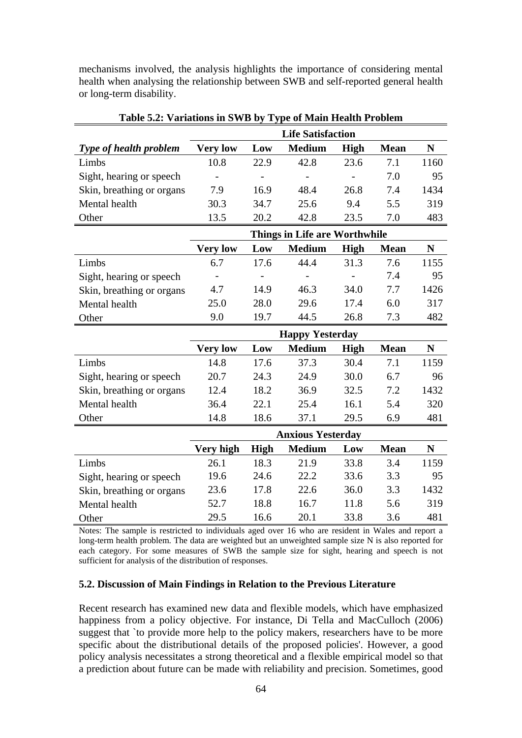mechanisms involved, the analysis highlights the importance of considering mental health when analysing the relationship between SWB and self-reported general health or long-term disability.

|                           |                 |      | <b>Life Satisfaction</b>             |                |             |             |
|---------------------------|-----------------|------|--------------------------------------|----------------|-------------|-------------|
| Type of health problem    | <b>Very low</b> | Low  | <b>Medium</b>                        | <b>High</b>    | <b>Mean</b> | ${\bf N}$   |
| Limbs                     | 10.8            | 22.9 | 42.8                                 | 23.6           | 7.1         | 1160        |
| Sight, hearing or speech  |                 |      | $\overline{\phantom{a}}$             | $\overline{a}$ | 7.0         | 95          |
| Skin, breathing or organs | 7.9             | 16.9 | 48.4                                 | 26.8           | 7.4         | 1434        |
| Mental health             | 30.3            | 34.7 | 25.6                                 | 9.4            | 5.5         | 319         |
| Other                     | 13.5            | 20.2 | 42.8                                 | 23.5           | 7.0         | 483         |
|                           |                 |      | <b>Things in Life are Worthwhile</b> |                |             |             |
|                           | <b>Very low</b> | Low  | <b>Medium</b>                        | <b>High</b>    | <b>Mean</b> | $\mathbf N$ |
| Limbs                     | 6.7             | 17.6 | 44.4                                 | 31.3           | 7.6         | 1155        |
| Sight, hearing or speech  |                 |      |                                      |                | 7.4         | 95          |
| Skin, breathing or organs | 4.7             | 14.9 | 46.3                                 | 34.0           | 7.7         | 1426        |
| Mental health             | 25.0            | 28.0 | 29.6                                 | 17.4           | 6.0         | 317         |
| Other                     | 9.0             | 19.7 | 44.5                                 | 26.8           | 7.3         | 482         |
|                           |                 |      | <b>Happy Yesterday</b>               |                |             |             |
|                           | <b>Very low</b> | Low  | <b>Medium</b>                        | <b>High</b>    | <b>Mean</b> | ${\bf N}$   |
| Limbs                     | 14.8            | 17.6 | 37.3                                 | 30.4           | 7.1         | 1159        |
| Sight, hearing or speech  | 20.7            | 24.3 | 24.9                                 | 30.0           | 6.7         | 96          |
| Skin, breathing or organs | 12.4            | 18.2 | 36.9                                 | 32.5           | 7.2         | 1432        |
| Mental health             | 36.4            | 22.1 | 25.4                                 | 16.1           | 5.4         | 320         |
| Other                     |                 |      |                                      |                |             |             |
|                           | 14.8            | 18.6 | 37.1                                 | 29.5           | 6.9         | 481         |
|                           |                 |      | <b>Anxious Yesterday</b>             |                |             |             |
|                           | Very high       | High | <b>Medium</b>                        | Low            | <b>Mean</b> | ${\bf N}$   |
| Limbs                     | 26.1            | 18.3 | 21.9                                 | 33.8           | 3.4         | 1159        |
| Sight, hearing or speech  | 19.6            | 24.6 | 22.2                                 | 33.6           | 3.3         | 95          |
| Skin, breathing or organs | 23.6            | 17.8 | 22.6                                 | 36.0           | 3.3         | 1432        |
| Mental health             | 52.7            | 18.8 | 16.7                                 | 11.8           | 5.6         | 319         |

**Table 5.2: Variations in SWB by Type of Main Health Problem** 

Notes: The sample is restricted to individuals aged over 16 who are resident in Wales and report a long-term health problem. The data are weighted but an unweighted sample size N is also reported for each category. For some measures of SWB the sample size for sight, hearing and speech is not sufficient for analysis of the distribution of responses.

### **5.2. Discussion of Main Findings in Relation to the Previous Literature**

Recent research has examined new data and flexible models, which have emphasized happiness from a policy objective. For instance, Di Tella and MacCulloch (2006) suggest that `to provide more help to the policy makers, researchers have to be more specific about the distributional details of the proposed policies'. However, a good policy analysis necessitates a strong theoretical and a flexible empirical model so that a prediction about future can be made with reliability and precision. Sometimes, good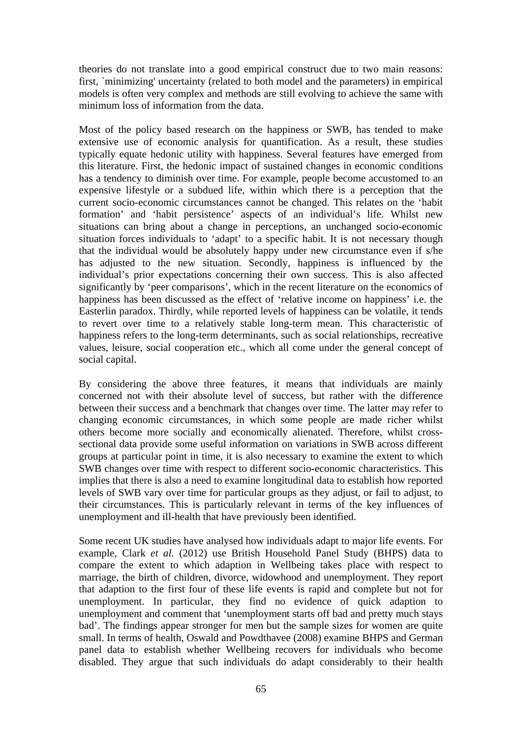theories do not translate into a good empirical construct due to two main reasons: first, `minimizing' uncertainty (related to both model and the parameters) in empirical models is often very complex and methods are still evolving to achieve the same with minimum loss of information from the data.

Most of the policy based research on the happiness or SWB, has tended to make extensive use of economic analysis for quantification. As a result, these studies typically equate hedonic utility with happiness. Several features have emerged from this literature. First, the hedonic impact of sustained changes in economic conditions has a tendency to diminish over time. For example, people become accustomed to an expensive lifestyle or a subdued life, within which there is a perception that the current socio-economic circumstances cannot be changed. This relates on the 'habit formation' and 'habit persistence' aspects of an individual's life. Whilst new situations can bring about a change in perceptions, an unchanged socio-economic situation forces individuals to 'adapt' to a specific habit. It is not necessary though that the individual would be absolutely happy under new circumstance even if s/he has adjusted to the new situation. Secondly, happiness is influenced by the individual's prior expectations concerning their own success. This is also affected significantly by 'peer comparisons', which in the recent literature on the economics of happiness has been discussed as the effect of 'relative income on happiness' i.e. the Easterlin paradox. Thirdly, while reported levels of happiness can be volatile, it tends to revert over time to a relatively stable long-term mean. This characteristic of happiness refers to the long-term determinants, such as social relationships, recreative values, leisure, social cooperation etc., which all come under the general concept of social capital.

By considering the above three features, it means that individuals are mainly concerned not with their absolute level of success, but rather with the difference between their success and a benchmark that changes over time. The latter may refer to changing economic circumstances, in which some people are made richer whilst others become more socially and economically alienated. Therefore, whilst crosssectional data provide some useful information on variations in SWB across different groups at particular point in time, it is also necessary to examine the extent to which SWB changes over time with respect to different socio-economic characteristics. This implies that there is also a need to examine longitudinal data to establish how reported levels of SWB vary over time for particular groups as they adjust, or fail to adjust, to their circumstances. This is particularly relevant in terms of the key influences of unemployment and ill-health that have previously been identified.

Some recent UK studies have analysed how individuals adapt to major life events. For example, Clark *et al.* (2012) use British Household Panel Study (BHPS) data to compare the extent to which adaption in Wellbeing takes place with respect to marriage, the birth of children, divorce, widowhood and unemployment. They report that adaption to the first four of these life events is rapid and complete but not for unemployment. In particular, they find no evidence of quick adaption to unemployment and comment that 'unemployment starts off bad and pretty much stays bad'. The findings appear stronger for men but the sample sizes for women are quite small. In terms of health, Oswald and Powdthavee (2008) examine BHPS and German panel data to establish whether Wellbeing recovers for individuals who become disabled. They argue that such individuals do adapt considerably to their health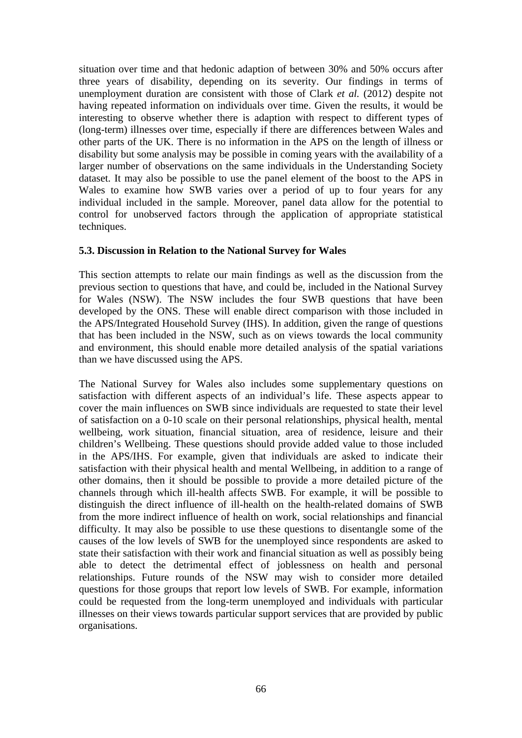situation over time and that hedonic adaption of between 30% and 50% occurs after three years of disability, depending on its severity. Our findings in terms of unemployment duration are consistent with those of Clark *et al.* (2012) despite not having repeated information on individuals over time. Given the results, it would be interesting to observe whether there is adaption with respect to different types of (long-term) illnesses over time, especially if there are differences between Wales and other parts of the UK. There is no information in the APS on the length of illness or disability but some analysis may be possible in coming years with the availability of a larger number of observations on the same individuals in the Understanding Society dataset. It may also be possible to use the panel element of the boost to the APS in Wales to examine how SWB varies over a period of up to four years for any individual included in the sample. Moreover, panel data allow for the potential to control for unobserved factors through the application of appropriate statistical techniques.

## **5.3. Discussion in Relation to the National Survey for Wales**

This section attempts to relate our main findings as well as the discussion from the previous section to questions that have, and could be, included in the National Survey for Wales (NSW). The NSW includes the four SWB questions that have been developed by the ONS. These will enable direct comparison with those included in the APS/Integrated Household Survey (IHS). In addition, given the range of questions that has been included in the NSW, such as on views towards the local community and environment, this should enable more detailed analysis of the spatial variations than we have discussed using the APS.

The National Survey for Wales also includes some supplementary questions on satisfaction with different aspects of an individual's life. These aspects appear to cover the main influences on SWB since individuals are requested to state their level of satisfaction on a 0-10 scale on their personal relationships, physical health, mental wellbeing, work situation, financial situation, area of residence, leisure and their children's Wellbeing. These questions should provide added value to those included in the APS/IHS. For example, given that individuals are asked to indicate their satisfaction with their physical health and mental Wellbeing, in addition to a range of other domains, then it should be possible to provide a more detailed picture of the channels through which ill-health affects SWB. For example, it will be possible to distinguish the direct influence of ill-health on the health-related domains of SWB from the more indirect influence of health on work, social relationships and financial difficulty. It may also be possible to use these questions to disentangle some of the causes of the low levels of SWB for the unemployed since respondents are asked to state their satisfaction with their work and financial situation as well as possibly being able to detect the detrimental effect of joblessness on health and personal relationships. Future rounds of the NSW may wish to consider more detailed questions for those groups that report low levels of SWB. For example, information could be requested from the long-term unemployed and individuals with particular illnesses on their views towards particular support services that are provided by public organisations.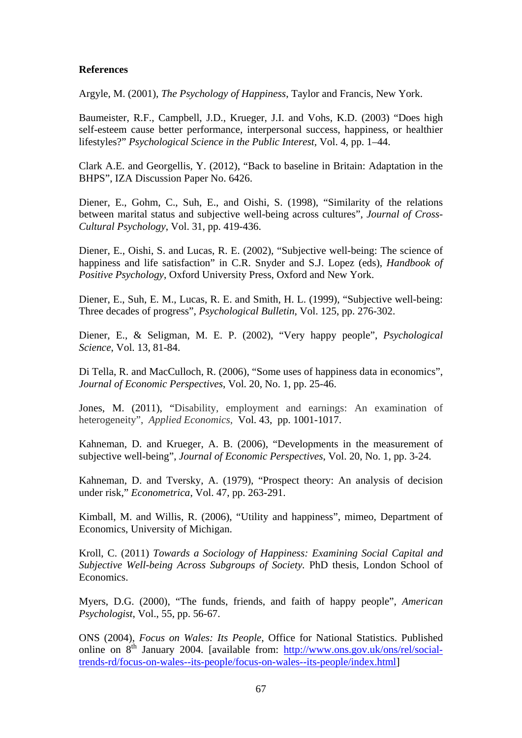#### **References**

Argyle, M. (2001), *The Psychology of Happiness*, Taylor and Francis, New York.

Baumeister, R.F., Campbell, J.D., Krueger, J.I. and Vohs, K.D. (2003) "Does high self-esteem cause better performance, interpersonal success, happiness, or healthier lifestyles?" *Psychological Science in the Public Interest,* Vol. 4, pp. 1–44.

Clark A.E. and Georgellis, Y. (2012), "Back to baseline in Britain: Adaptation in the BHPS", IZA Discussion Paper No. 6426.

Diener, E., Gohm, C., Suh, E., and Oishi, S. (1998), "Similarity of the relations between marital status and subjective well-being across cultures", *Journal of Cross-Cultural Psychology*, Vol. 31, pp. 419-436.

Diener, E., Oishi, S. and Lucas, R. E. (2002), "Subjective well-being: The science of happiness and life satisfaction" in C.R. Snyder and S.J. Lopez (eds), *Handbook of Positive Psychology*, Oxford University Press, Oxford and New York.

Diener, E., Suh, E. M., Lucas, R. E. and Smith, H. L. (1999), "Subjective well-being: Three decades of progress", *Psychological Bulletin*, Vol. 125, pp. 276-302.

Diener, E., & Seligman, M. E. P. (2002), "Very happy people", *Psychological Science*, Vol. 13, 81-84.

Di Tella, R. and MacCulloch, R. (2006), "[Some uses of happiness data in economics"](http://ideas.repec.org/a/aea/jecper/v20y2006i1p25-46.html), *[Journal of Economic Perspectives](http://ideas.repec.org/s/aea/jecper.html)*, Vol. 20, No. 1, pp. 25-46.

Jones, M. (2011), "Disability, employment and earnings: An examination of heterogeneity", *Applied Economics*, Vol. 43, pp. 1001-1017.

Kahneman, D. and Krueger, A. B. (2006), "[Developments in the measurement of](http://ideas.repec.org/a/aea/jecper/v20y2006i1p3-24.html)  [subjective well-being](http://ideas.repec.org/a/aea/jecper/v20y2006i1p3-24.html)", *[Journal of Economic Perspectives](http://ideas.repec.org/s/aea/jecper.html)*, Vol. 20, No. 1, pp. 3-24.

Kahneman, D. and Tversky, A. (1979), "Prospect theory: An analysis of decision under risk," *Econometrica*, Vol. 47, pp. 263-291.

Kimball, M. and Willis, R. (2006), "Utility and happiness", mimeo, Department of Economics, University of Michigan.

Kroll, C. (2011) *Towards a Sociology of Happiness: Examining Social Capital and Subjective Well-being Across Subgroups of Society.* PhD thesis, London School of Economics.

Myers, D.G. (2000), "The funds, friends, and faith of happy people", *American Psychologist*, Vol., 55, pp. 56-67.

ONS (2004), *Focus on Wales: Its People*, Office for National Statistics. Published online on 8<sup>th</sup> January 2004. [available from: [http://www.ons.gov.uk/ons/rel/social](http://www.ons.gov.uk/ons/rel/social-trends-rd/focus-on-wales--its-people/focus-on-wales--its-people/index.html)[trends-rd/focus-on-wales--its-people/focus-on-wales--its-people/index.html](http://www.ons.gov.uk/ons/rel/social-trends-rd/focus-on-wales--its-people/focus-on-wales--its-people/index.html)]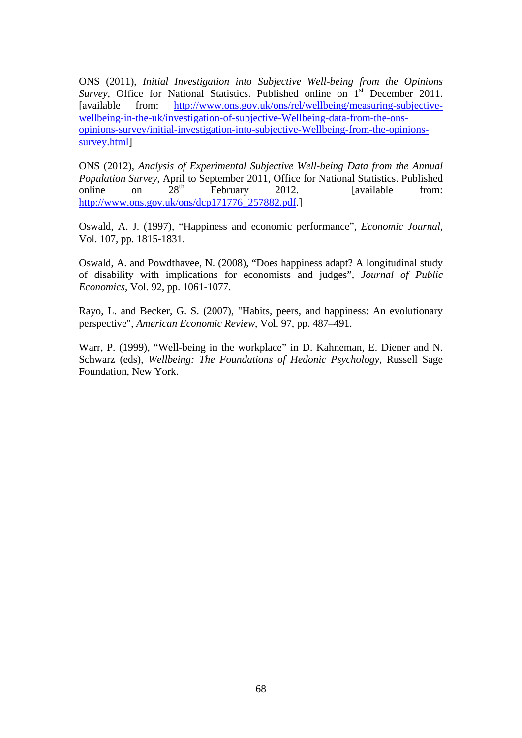ONS (2011), *Initial Investigation into Subjective Well-being from the Opinions Survey*, Office for National Statistics. Published online on 1<sup>st</sup> December 2011. [available from: [http://www.ons.gov.uk/ons/rel/wellbeing/measuring-subjective](http://www.ons.gov.uk/ons/rel/wellbeing/measuring-subjective-wellbeing-in-the-uk/investigation-of-subjective-well-being-data-from-the-ons-opinions-survey/initial-investigation-into-subjective-well-being-from-the-opinions-survey.html)[wellbeing-in-the-uk/investigation-of-subjective-Wellbeing-data-from-the-ons](http://www.ons.gov.uk/ons/rel/wellbeing/measuring-subjective-wellbeing-in-the-uk/investigation-of-subjective-well-being-data-from-the-ons-opinions-survey/initial-investigation-into-subjective-well-being-from-the-opinions-survey.html)[opinions-survey/initial-investigation-into-subjective-Wellbeing-from-the-opinions](http://www.ons.gov.uk/ons/rel/wellbeing/measuring-subjective-wellbeing-in-the-uk/investigation-of-subjective-well-being-data-from-the-ons-opinions-survey/initial-investigation-into-subjective-well-being-from-the-opinions-survey.html)[survey.html](http://www.ons.gov.uk/ons/rel/wellbeing/measuring-subjective-wellbeing-in-the-uk/investigation-of-subjective-well-being-data-from-the-ons-opinions-survey/initial-investigation-into-subjective-well-being-from-the-opinions-survey.html)]

ONS (2012), *Analysis of Experimental Subjective Well-being Data from the Annual Population Survey*, April to September 2011, Office for National Statistics. Published<br>
on 28<sup>th</sup> February 2012 [available from: online on  $28<sup>th</sup>$  February 2012. [available from: [http://www.ons.gov.uk/ons/dcp171776\\_257882.pdf.](http://www.ons.gov.uk/ons/dcp171776_257882.pdf)]

Oswald, A. J. (1997), "Happiness and economic performance", *Economic Journal*, Vol. 107, pp. 1815-1831.

Oswald, A. and Powdthavee, N. (2008), "Does happiness adapt? A longitudinal study of disability with implications for economists and judges", *Journal of Public Economics*, Vol. 92, pp. 1061-1077.

Rayo, L. and Becker, G. S. (2007), "Habits, peers, and happiness: An evolutionary perspective", *American Economic Review*, Vol. 97, pp. 487–491.

Warr, P. (1999), "Well-being in the workplace" in D. Kahneman, E. Diener and N. Schwarz (eds), *Wellbeing: The Foundations of Hedonic Psychology*, Russell Sage Foundation, New York.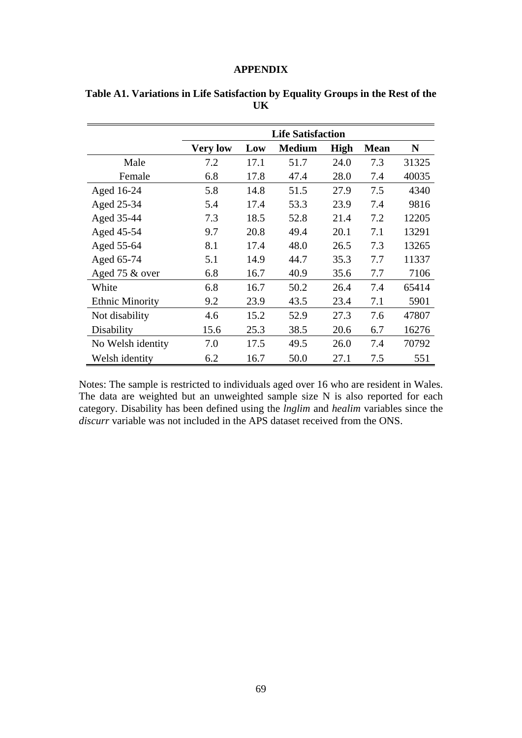#### **APPENDIX**

|                        | <b>Life Satisfaction</b> |      |               |             |             |       |  |
|------------------------|--------------------------|------|---------------|-------------|-------------|-------|--|
|                        | <b>Very low</b>          | Low  | <b>Medium</b> | <b>High</b> | <b>Mean</b> | N     |  |
| Male                   | 7.2                      | 17.1 | 51.7          | 24.0        | 7.3         | 31325 |  |
| Female                 | 6.8                      | 17.8 | 47.4          | 28.0        | 7.4         | 40035 |  |
| Aged 16-24             | 5.8                      | 14.8 | 51.5          | 27.9        | 7.5         | 4340  |  |
| Aged 25-34             | 5.4                      | 17.4 | 53.3          | 23.9        | 7.4         | 9816  |  |
| Aged 35-44             | 7.3                      | 18.5 | 52.8          | 21.4        | 7.2         | 12205 |  |
| Aged 45-54             | 9.7                      | 20.8 | 49.4          | 20.1        | 7.1         | 13291 |  |
| Aged 55-64             | 8.1                      | 17.4 | 48.0          | 26.5        | 7.3         | 13265 |  |
| Aged 65-74             | 5.1                      | 14.9 | 44.7          | 35.3        | 7.7         | 11337 |  |
| Aged 75 & over         | 6.8                      | 16.7 | 40.9          | 35.6        | 7.7         | 7106  |  |
| White                  | 6.8                      | 16.7 | 50.2          | 26.4        | 7.4         | 65414 |  |
| <b>Ethnic Minority</b> | 9.2                      | 23.9 | 43.5          | 23.4        | 7.1         | 5901  |  |
| Not disability         | 4.6                      | 15.2 | 52.9          | 27.3        | 7.6         | 47807 |  |
| Disability             | 15.6                     | 25.3 | 38.5          | 20.6        | 6.7         | 16276 |  |
| No Welsh identity      | 7.0                      | 17.5 | 49.5          | 26.0        | 7.4         | 70792 |  |
| Welsh identity         | 6.2                      | 16.7 | 50.0          | 27.1        | 7.5         | 551   |  |

|  | Table A1. Variations in Life Satisfaction by Equality Groups in the Rest of the |  |  |  |
|--|---------------------------------------------------------------------------------|--|--|--|
|  |                                                                                 |  |  |  |

Notes: The sample is restricted to individuals aged over 16 who are resident in Wales. The data are weighted but an unweighted sample size N is also reported for each category. Disability has been defined using the *lnglim* and *healim* variables since the *discurr* variable was not included in the APS dataset received from the ONS.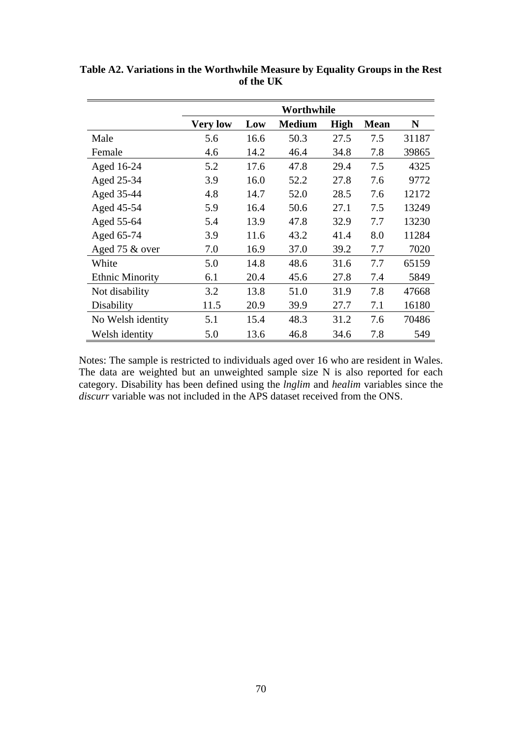|                        |                 |      | Worthwhile    |             |             |       |
|------------------------|-----------------|------|---------------|-------------|-------------|-------|
|                        | <b>Very low</b> | Low  | <b>Medium</b> | <b>High</b> | <b>Mean</b> | N     |
| Male                   | 5.6             | 16.6 | 50.3          | 27.5        | 7.5         | 31187 |
| Female                 | 4.6             | 14.2 | 46.4          | 34.8        | 7.8         | 39865 |
| Aged 16-24             | 5.2             | 17.6 | 47.8          | 29.4        | 7.5         | 4325  |
| Aged 25-34             | 3.9             | 16.0 | 52.2          | 27.8        | 7.6         | 9772  |
| Aged 35-44             | 4.8             | 14.7 | 52.0          | 28.5        | 7.6         | 12172 |
| Aged 45-54             | 5.9             | 16.4 | 50.6          | 27.1        | 7.5         | 13249 |
| Aged 55-64             | 5.4             | 13.9 | 47.8          | 32.9        | 7.7         | 13230 |
| Aged 65-74             | 3.9             | 11.6 | 43.2          | 41.4        | 8.0         | 11284 |
| Aged 75 & over         | 7.0             | 16.9 | 37.0          | 39.2        | 7.7         | 7020  |
| White                  | 5.0             | 14.8 | 48.6          | 31.6        | 7.7         | 65159 |
| <b>Ethnic Minority</b> | 6.1             | 20.4 | 45.6          | 27.8        | 7.4         | 5849  |
| Not disability         | 3.2             | 13.8 | 51.0          | 31.9        | 7.8         | 47668 |
| Disability             | 11.5            | 20.9 | 39.9          | 27.7        | 7.1         | 16180 |
| No Welsh identity      | 5.1             | 15.4 | 48.3          | 31.2        | 7.6         | 70486 |
| Welsh identity         | 5.0             | 13.6 | 46.8          | 34.6        | 7.8         | 549   |

**Table A2. Variations in the Worthwhile Measure by Equality Groups in the Rest of the UK** 

Notes: The sample is restricted to individuals aged over 16 who are resident in Wales. The data are weighted but an unweighted sample size N is also reported for each category. Disability has been defined using the *lnglim* and *healim* variables since the *discurr* variable was not included in the APS dataset received from the ONS.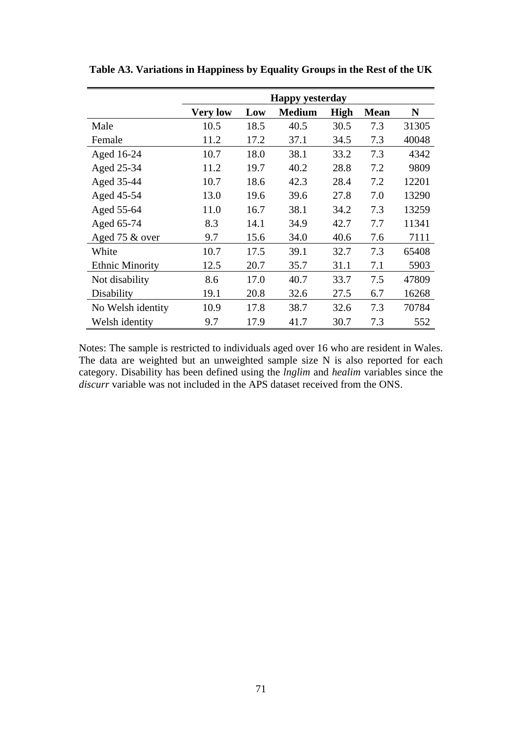|                        |                 |      | <b>Happy yesterday</b> |             |             |       |
|------------------------|-----------------|------|------------------------|-------------|-------------|-------|
|                        | <b>Very low</b> | Low  | <b>Medium</b>          | <b>High</b> | <b>Mean</b> | N     |
| Male                   | 10.5            | 18.5 | 40.5                   | 30.5        | 7.3         | 31305 |
| Female                 | 11.2            | 17.2 | 37.1                   | 34.5        | 7.3         | 40048 |
| Aged 16-24             | 10.7            | 18.0 | 38.1                   | 33.2        | 7.3         | 4342  |
| Aged 25-34             | 11.2            | 19.7 | 40.2                   | 28.8        | 7.2         | 9809  |
| Aged 35-44             | 10.7            | 18.6 | 42.3                   | 28.4        | 7.2         | 12201 |
| Aged 45-54             | 13.0            | 19.6 | 39.6                   | 27.8        | 7.0         | 13290 |
| Aged 55-64             | 11.0            | 16.7 | 38.1                   | 34.2        | 7.3         | 13259 |
| Aged 65-74             | 8.3             | 14.1 | 34.9                   | 42.7        | 7.7         | 11341 |
| Aged 75 & over         | 9.7             | 15.6 | 34.0                   | 40.6        | 7.6         | 7111  |
| White                  | 10.7            | 17.5 | 39.1                   | 32.7        | 7.3         | 65408 |
| <b>Ethnic Minority</b> | 12.5            | 20.7 | 35.7                   | 31.1        | 7.1         | 5903  |
| Not disability         | 8.6             | 17.0 | 40.7                   | 33.7        | 7.5         | 47809 |
| Disability             | 19.1            | 20.8 | 32.6                   | 27.5        | 6.7         | 16268 |
| No Welsh identity      | 10.9            | 17.8 | 38.7                   | 32.6        | 7.3         | 70784 |
| Welsh identity         | 9.7             | 17.9 | 41.7                   | 30.7        | 7.3         | 552   |

**Table A3. Variations in Happiness by Equality Groups in the Rest of the UK** 

Notes: The sample is restricted to individuals aged over 16 who are resident in Wales. The data are weighted but an unweighted sample size N is also reported for each category. Disability has been defined using the *lnglim* and *healim* variables since the *discurr* variable was not included in the APS dataset received from the ONS.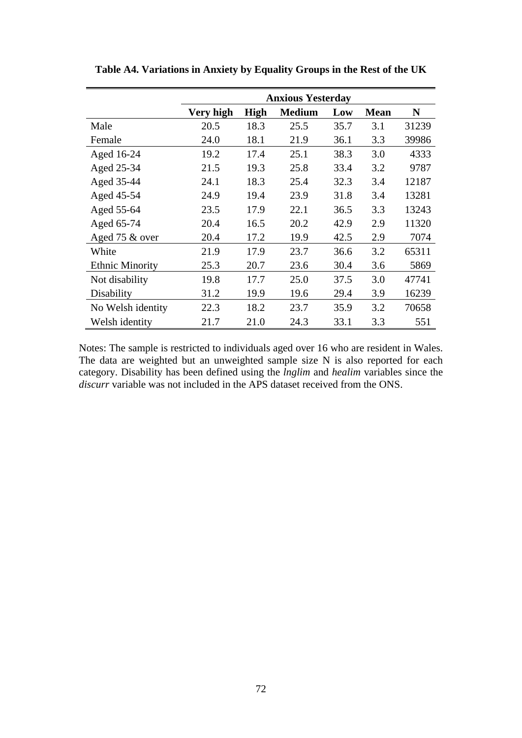|                        |           |             | <b>Anxious Yesterday</b> |      |             |       |
|------------------------|-----------|-------------|--------------------------|------|-------------|-------|
|                        | Very high | <b>High</b> | <b>Medium</b>            | Low  | <b>Mean</b> | N     |
| Male                   | 20.5      | 18.3        | 25.5                     | 35.7 | 3.1         | 31239 |
| Female                 | 24.0      | 18.1        | 21.9                     | 36.1 | 3.3         | 39986 |
| Aged 16-24             | 19.2      | 17.4        | 25.1                     | 38.3 | 3.0         | 4333  |
| Aged 25-34             | 21.5      | 19.3        | 25.8                     | 33.4 | 3.2         | 9787  |
| Aged 35-44             | 24.1      | 18.3        | 25.4                     | 32.3 | 3.4         | 12187 |
| Aged 45-54             | 24.9      | 19.4        | 23.9                     | 31.8 | 3.4         | 13281 |
| Aged 55-64             | 23.5      | 17.9        | 22.1                     | 36.5 | 3.3         | 13243 |
| Aged 65-74             | 20.4      | 16.5        | 20.2                     | 42.9 | 2.9         | 11320 |
| Aged 75 & over         | 20.4      | 17.2        | 19.9                     | 42.5 | 2.9         | 7074  |
| White                  | 21.9      | 17.9        | 23.7                     | 36.6 | 3.2         | 65311 |
| <b>Ethnic Minority</b> | 25.3      | 20.7        | 23.6                     | 30.4 | 3.6         | 5869  |
| Not disability         | 19.8      | 17.7        | 25.0                     | 37.5 | 3.0         | 47741 |
| Disability             | 31.2      | 19.9        | 19.6                     | 29.4 | 3.9         | 16239 |
| No Welsh identity      | 22.3      | 18.2        | 23.7                     | 35.9 | 3.2         | 70658 |
| Welsh identity         | 21.7      | 21.0        | 24.3                     | 33.1 | 3.3         | 551   |

**Table A4. Variations in Anxiety by Equality Groups in the Rest of the UK** 

Notes: The sample is restricted to individuals aged over 16 who are resident in Wales. The data are weighted but an unweighted sample size N is also reported for each category. Disability has been defined using the *lnglim* and *healim* variables since the *discurr* variable was not included in the APS dataset received from the ONS.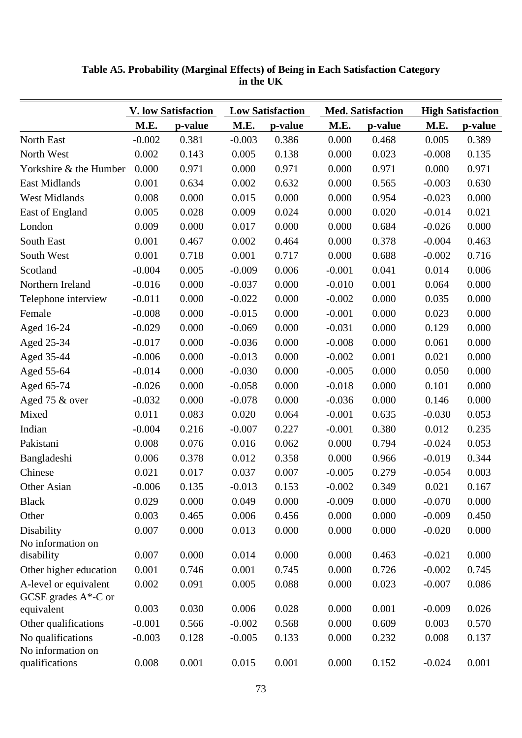|                                                  |          | <b>V. low Satisfaction</b> |          | <b>Low Satisfaction</b> |          | <b>Med. Satisfaction</b> |          | <b>High Satisfaction</b> |
|--------------------------------------------------|----------|----------------------------|----------|-------------------------|----------|--------------------------|----------|--------------------------|
|                                                  | M.E.     | p-value                    | M.E.     | p-value                 | M.E.     | p-value                  | M.E.     | p-value                  |
| North East                                       | $-0.002$ | 0.381                      | $-0.003$ | 0.386                   | 0.000    | 0.468                    | 0.005    | 0.389                    |
| North West                                       | 0.002    | 0.143                      | 0.005    | 0.138                   | 0.000    | 0.023                    | $-0.008$ | 0.135                    |
| Yorkshire & the Humber                           | 0.000    | 0.971                      | 0.000    | 0.971                   | 0.000    | 0.971                    | 0.000    | 0.971                    |
| East Midlands                                    | 0.001    | 0.634                      | 0.002    | 0.632                   | 0.000    | 0.565                    | $-0.003$ | 0.630                    |
| <b>West Midlands</b>                             | 0.008    | 0.000                      | 0.015    | 0.000                   | 0.000    | 0.954                    | $-0.023$ | 0.000                    |
| East of England                                  | 0.005    | 0.028                      | 0.009    | 0.024                   | 0.000    | 0.020                    | $-0.014$ | 0.021                    |
| London                                           | 0.009    | 0.000                      | 0.017    | 0.000                   | 0.000    | 0.684                    | $-0.026$ | 0.000                    |
| South East                                       | 0.001    | 0.467                      | 0.002    | 0.464                   | 0.000    | 0.378                    | $-0.004$ | 0.463                    |
| South West                                       | 0.001    | 0.718                      | 0.001    | 0.717                   | 0.000    | 0.688                    | $-0.002$ | 0.716                    |
| Scotland                                         | $-0.004$ | 0.005                      | $-0.009$ | 0.006                   | $-0.001$ | 0.041                    | 0.014    | 0.006                    |
| Northern Ireland                                 | $-0.016$ | 0.000                      | $-0.037$ | 0.000                   | $-0.010$ | 0.001                    | 0.064    | 0.000                    |
| Telephone interview                              | $-0.011$ | 0.000                      | $-0.022$ | 0.000                   | $-0.002$ | 0.000                    | 0.035    | 0.000                    |
| Female                                           | $-0.008$ | 0.000                      | $-0.015$ | 0.000                   | $-0.001$ | 0.000                    | 0.023    | 0.000                    |
| Aged 16-24                                       | $-0.029$ | 0.000                      | $-0.069$ | 0.000                   | $-0.031$ | 0.000                    | 0.129    | 0.000                    |
| Aged 25-34                                       | $-0.017$ | 0.000                      | $-0.036$ | 0.000                   | $-0.008$ | 0.000                    | 0.061    | 0.000                    |
| Aged 35-44                                       | $-0.006$ | 0.000                      | $-0.013$ | 0.000                   | $-0.002$ | 0.001                    | 0.021    | 0.000                    |
| Aged 55-64                                       | $-0.014$ | 0.000                      | $-0.030$ | 0.000                   | $-0.005$ | 0.000                    | 0.050    | 0.000                    |
| Aged 65-74                                       | $-0.026$ | 0.000                      | $-0.058$ | 0.000                   | $-0.018$ | 0.000                    | 0.101    | 0.000                    |
| Aged 75 & over                                   | $-0.032$ | 0.000                      | $-0.078$ | 0.000                   | $-0.036$ | 0.000                    | 0.146    | 0.000                    |
| Mixed                                            | 0.011    | 0.083                      | 0.020    | 0.064                   | $-0.001$ | 0.635                    | $-0.030$ | 0.053                    |
| Indian                                           | $-0.004$ | 0.216                      | $-0.007$ | 0.227                   | $-0.001$ | 0.380                    | 0.012    | 0.235                    |
| Pakistani                                        | 0.008    | 0.076                      | 0.016    | 0.062                   | 0.000    | 0.794                    | $-0.024$ | 0.053                    |
| Bangladeshi                                      | 0.006    | 0.378                      | 0.012    | 0.358                   | 0.000    | 0.966                    | $-0.019$ | 0.344                    |
| Chinese                                          | 0.021    | 0.017                      | 0.037    | 0.007                   | $-0.005$ | 0.279                    | $-0.054$ | 0.003                    |
| Other Asian                                      | $-0.006$ | 0.135                      | $-0.013$ | 0.153                   | $-0.002$ | 0.349                    | 0.021    | 0.167                    |
| <b>Black</b>                                     | 0.029    | 0.000                      | 0.049    | 0.000                   | $-0.009$ | 0.000                    | $-0.070$ | 0.000                    |
| Other                                            | 0.003    | 0.465                      | 0.006    | 0.456                   | 0.000    | 0.000                    | $-0.009$ | 0.450                    |
| Disability                                       | 0.007    | 0.000                      | 0.013    | 0.000                   | 0.000    | 0.000                    | $-0.020$ | 0.000                    |
| No information on                                |          |                            |          |                         |          |                          |          |                          |
| disability                                       | 0.007    | 0.000                      | 0.014    | 0.000                   | 0.000    | 0.463                    | $-0.021$ | 0.000                    |
| Other higher education                           | 0.001    | 0.746                      | 0.001    | 0.745                   | 0.000    | 0.726                    | $-0.002$ | 0.745                    |
| A-level or equivalent<br>GCSE grades $A^*$ -C or | 0.002    | 0.091                      | 0.005    | 0.088                   | 0.000    | 0.023                    | $-0.007$ | 0.086                    |
| equivalent                                       | 0.003    | 0.030                      | 0.006    | 0.028                   | 0.000    | 0.001                    | $-0.009$ | 0.026                    |
| Other qualifications                             | $-0.001$ | 0.566                      | $-0.002$ | 0.568                   | 0.000    | 0.609                    | 0.003    | 0.570                    |
| No qualifications<br>No information on           | $-0.003$ | 0.128                      | $-0.005$ | 0.133                   | 0.000    | 0.232                    | 0.008    | 0.137                    |
| qualifications                                   | 0.008    | 0.001                      | 0.015    | 0.001                   | 0.000    | 0.152                    | $-0.024$ | 0.001                    |

**Table A5. Probability (Marginal Effects) of Being in Each Satisfaction Category in the UK**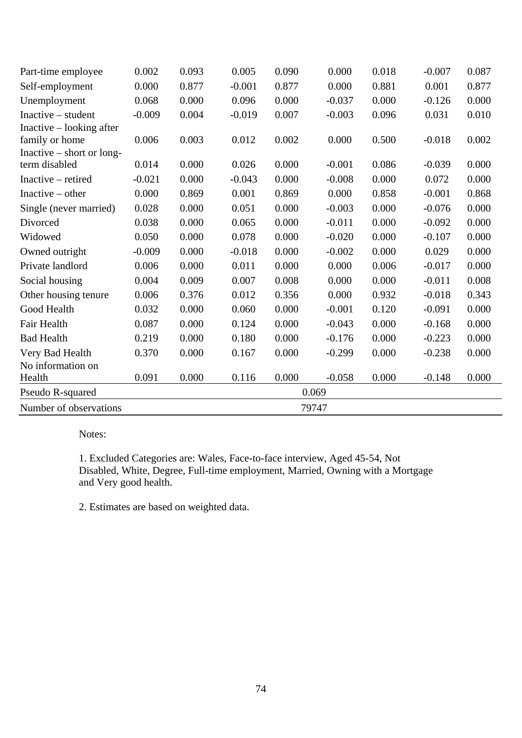| Part-time employee        | 0.002    | 0.093 | 0.005    | 0.090 | 0.000    | 0.018 | $-0.007$ | 0.087 |
|---------------------------|----------|-------|----------|-------|----------|-------|----------|-------|
| Self-employment           | 0.000    | 0.877 | $-0.001$ | 0.877 | 0.000    | 0.881 | 0.001    | 0.877 |
| Unemployment              | 0.068    | 0.000 | 0.096    | 0.000 | $-0.037$ | 0.000 | $-0.126$ | 0.000 |
| $Inactive - student$      | $-0.009$ | 0.004 | $-0.019$ | 0.007 | $-0.003$ | 0.096 | 0.031    | 0.010 |
| Inactive – looking after  |          |       |          |       |          |       |          |       |
| family or home            | 0.006    | 0.003 | 0.012    | 0.002 | 0.000    | 0.500 | $-0.018$ | 0.002 |
| Inactive – short or long- |          |       |          |       |          |       |          |       |
| term disabled             | 0.014    | 0.000 | 0.026    | 0.000 | $-0.001$ | 0.086 | $-0.039$ | 0.000 |
| Inactive – retired        | $-0.021$ | 0.000 | $-0.043$ | 0.000 | $-0.008$ | 0.000 | 0.072    | 0.000 |
| Inactive $-$ other        | 0.000    | 0.869 | 0.001    | 0.869 | 0.000    | 0.858 | $-0.001$ | 0.868 |
| Single (never married)    | 0.028    | 0.000 | 0.051    | 0.000 | $-0.003$ | 0.000 | $-0.076$ | 0.000 |
| Divorced                  | 0.038    | 0.000 | 0.065    | 0.000 | $-0.011$ | 0.000 | $-0.092$ | 0.000 |
| Widowed                   | 0.050    | 0.000 | 0.078    | 0.000 | $-0.020$ | 0.000 | $-0.107$ | 0.000 |
| Owned outright            | $-0.009$ | 0.000 | $-0.018$ | 0.000 | $-0.002$ | 0.000 | 0.029    | 0.000 |
| Private landlord          | 0.006    | 0.000 | 0.011    | 0.000 | 0.000    | 0.006 | $-0.017$ | 0.000 |
| Social housing            | 0.004    | 0.009 | 0.007    | 0.008 | 0.000    | 0.000 | $-0.011$ | 0.008 |
| Other housing tenure      | 0.006    | 0.376 | 0.012    | 0.356 | 0.000    | 0.932 | $-0.018$ | 0.343 |
| Good Health               | 0.032    | 0.000 | 0.060    | 0.000 | $-0.001$ | 0.120 | $-0.091$ | 0.000 |
| Fair Health               | 0.087    | 0.000 | 0.124    | 0.000 | $-0.043$ | 0.000 | $-0.168$ | 0.000 |
| <b>Bad Health</b>         | 0.219    | 0.000 | 0.180    | 0.000 | $-0.176$ | 0.000 | $-0.223$ | 0.000 |
| Very Bad Health           | 0.370    | 0.000 | 0.167    | 0.000 | $-0.299$ | 0.000 | $-0.238$ | 0.000 |
| No information on         |          |       |          |       |          |       |          |       |
| Health                    | 0.091    | 0.000 | 0.116    | 0.000 | $-0.058$ | 0.000 | $-0.148$ | 0.000 |
| Pseudo R-squared          |          |       |          | 0.069 |          |       |          |       |
| Number of observations    |          |       |          | 79747 |          |       |          |       |

1. Excluded Categories are: Wales, Face-to-face interview, Aged 45-54, Not Disabled, White, Degree, Full-time employment, Married, Owning with a Mortgage and Very good health.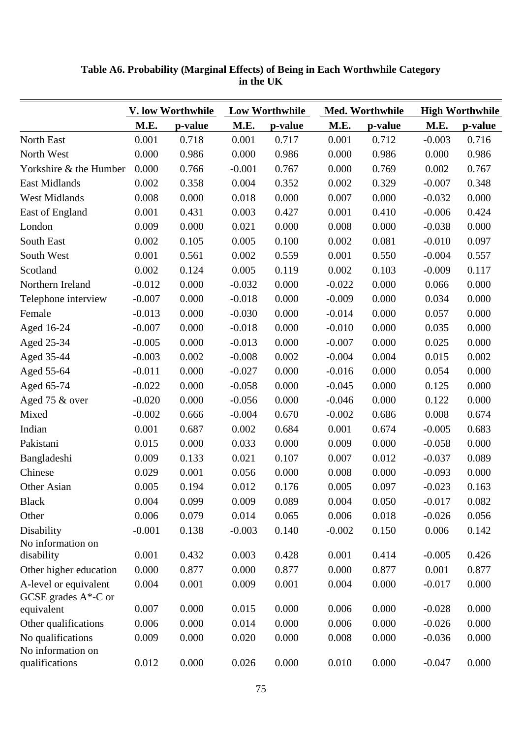|                                                  |          | V. low Worthwhile |          | <b>Low Worthwhile</b> |          | Med. Worthwhile | <b>High Worthwhile</b> |         |
|--------------------------------------------------|----------|-------------------|----------|-----------------------|----------|-----------------|------------------------|---------|
|                                                  | M.E.     | p-value           | M.E.     | p-value               | M.E.     | p-value         | M.E.                   | p-value |
| North East                                       | 0.001    | 0.718             | 0.001    | 0.717                 | 0.001    | 0.712           | $-0.003$               | 0.716   |
| North West                                       | 0.000    | 0.986             | 0.000    | 0.986                 | 0.000    | 0.986           | 0.000                  | 0.986   |
| Yorkshire & the Humber                           | 0.000    | 0.766             | $-0.001$ | 0.767                 | 0.000    | 0.769           | 0.002                  | 0.767   |
| East Midlands                                    | 0.002    | 0.358             | 0.004    | 0.352                 | 0.002    | 0.329           | $-0.007$               | 0.348   |
| <b>West Midlands</b>                             | 0.008    | 0.000             | 0.018    | 0.000                 | 0.007    | 0.000           | $-0.032$               | 0.000   |
| East of England                                  | 0.001    | 0.431             | 0.003    | 0.427                 | 0.001    | 0.410           | $-0.006$               | 0.424   |
| London                                           | 0.009    | 0.000             | 0.021    | 0.000                 | 0.008    | 0.000           | $-0.038$               | 0.000   |
| South East                                       | 0.002    | 0.105             | 0.005    | 0.100                 | 0.002    | 0.081           | $-0.010$               | 0.097   |
| South West                                       | 0.001    | 0.561             | 0.002    | 0.559                 | 0.001    | 0.550           | $-0.004$               | 0.557   |
| Scotland                                         | 0.002    | 0.124             | 0.005    | 0.119                 | 0.002    | 0.103           | $-0.009$               | 0.117   |
| Northern Ireland                                 | $-0.012$ | 0.000             | $-0.032$ | 0.000                 | $-0.022$ | 0.000           | 0.066                  | 0.000   |
| Telephone interview                              | $-0.007$ | 0.000             | $-0.018$ | 0.000                 | $-0.009$ | 0.000           | 0.034                  | 0.000   |
| Female                                           | $-0.013$ | 0.000             | $-0.030$ | 0.000                 | $-0.014$ | 0.000           | 0.057                  | 0.000   |
| Aged 16-24                                       | $-0.007$ | 0.000             | $-0.018$ | 0.000                 | $-0.010$ | 0.000           | 0.035                  | 0.000   |
| Aged 25-34                                       | $-0.005$ | 0.000             | $-0.013$ | 0.000                 | $-0.007$ | 0.000           | 0.025                  | 0.000   |
| Aged 35-44                                       | $-0.003$ | 0.002             | $-0.008$ | 0.002                 | $-0.004$ | 0.004           | 0.015                  | 0.002   |
| Aged 55-64                                       | $-0.011$ | 0.000             | $-0.027$ | 0.000                 | $-0.016$ | 0.000           | 0.054                  | 0.000   |
| Aged 65-74                                       | $-0.022$ | 0.000             | $-0.058$ | 0.000                 | $-0.045$ | 0.000           | 0.125                  | 0.000   |
| Aged 75 & over                                   | $-0.020$ | 0.000             | $-0.056$ | 0.000                 | $-0.046$ | 0.000           | 0.122                  | 0.000   |
| Mixed                                            | $-0.002$ | 0.666             | $-0.004$ | 0.670                 | $-0.002$ | 0.686           | 0.008                  | 0.674   |
| Indian                                           | 0.001    | 0.687             | 0.002    | 0.684                 | 0.001    | 0.674           | $-0.005$               | 0.683   |
| Pakistani                                        | 0.015    | 0.000             | 0.033    | 0.000                 | 0.009    | 0.000           | $-0.058$               | 0.000   |
| Bangladeshi                                      | 0.009    | 0.133             | 0.021    | 0.107                 | 0.007    | 0.012           | $-0.037$               | 0.089   |
| Chinese                                          | 0.029    | 0.001             | 0.056    | 0.000                 | 0.008    | 0.000           | $-0.093$               | 0.000   |
| Other Asian                                      | 0.005    | 0.194             | 0.012    | 0.176                 | 0.005    | 0.097           | $-0.023$               | 0.163   |
| <b>Black</b>                                     | 0.004    | 0.099             | 0.009    | 0.089                 | 0.004    | 0.050           | $-0.017$               | 0.082   |
| Other                                            | 0.006    | 0.079             | 0.014    | 0.065                 | 0.006    | 0.018           | $-0.026$               | 0.056   |
| Disability                                       | $-0.001$ | 0.138             | $-0.003$ | 0.140                 | $-0.002$ | 0.150           | 0.006                  | 0.142   |
| No information on                                |          |                   |          |                       |          |                 |                        |         |
| disability                                       | 0.001    | 0.432             | 0.003    | 0.428                 | 0.001    | 0.414           | $-0.005$               | 0.426   |
| Other higher education                           | 0.000    | 0.877             | 0.000    | 0.877                 | 0.000    | 0.877           | 0.001                  | 0.877   |
| A-level or equivalent<br>GCSE grades $A^*$ -C or | 0.004    | 0.001             | 0.009    | 0.001                 | 0.004    | 0.000           | $-0.017$               | 0.000   |
| equivalent                                       | 0.007    | 0.000             | 0.015    | 0.000                 | 0.006    | 0.000           | $-0.028$               | 0.000   |
| Other qualifications                             | 0.006    | 0.000             | 0.014    | 0.000                 | 0.006    | 0.000           | $-0.026$               | 0.000   |
| No qualifications<br>No information on           | 0.009    | 0.000             | 0.020    | 0.000                 | 0.008    | 0.000           | $-0.036$               | 0.000   |
| qualifications                                   | 0.012    | 0.000             | 0.026    | 0.000                 | 0.010    | 0.000           | $-0.047$               | 0.000   |

**Table A6. Probability (Marginal Effects) of Being in Each Worthwhile Category in the UK**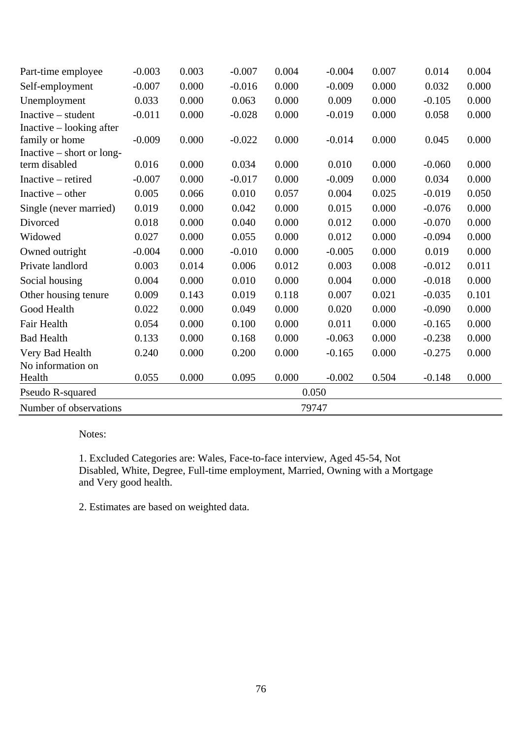| Part-time employee          | $-0.003$ | 0.003 | $-0.007$ | 0.004 | $-0.004$ | 0.007 | 0.014    | 0.004 |
|-----------------------------|----------|-------|----------|-------|----------|-------|----------|-------|
| Self-employment             | $-0.007$ | 0.000 | $-0.016$ | 0.000 | $-0.009$ | 0.000 | 0.032    | 0.000 |
| Unemployment                | 0.033    | 0.000 | 0.063    | 0.000 | 0.009    | 0.000 | $-0.105$ | 0.000 |
| $Inactive - student$        | $-0.011$ | 0.000 | $-0.028$ | 0.000 | $-0.019$ | 0.000 | 0.058    | 0.000 |
| Inactive – looking after    |          |       |          |       |          |       |          |       |
| family or home              | $-0.009$ | 0.000 | $-0.022$ | 0.000 | $-0.014$ | 0.000 | 0.045    | 0.000 |
| Inactive $-$ short or long- |          |       |          |       |          |       |          |       |
| term disabled               | 0.016    | 0.000 | 0.034    | 0.000 | 0.010    | 0.000 | $-0.060$ | 0.000 |
| Inactive – retired          | $-0.007$ | 0.000 | $-0.017$ | 0.000 | $-0.009$ | 0.000 | 0.034    | 0.000 |
| Inactive $-$ other          | 0.005    | 0.066 | 0.010    | 0.057 | 0.004    | 0.025 | $-0.019$ | 0.050 |
| Single (never married)      | 0.019    | 0.000 | 0.042    | 0.000 | 0.015    | 0.000 | $-0.076$ | 0.000 |
| Divorced                    | 0.018    | 0.000 | 0.040    | 0.000 | 0.012    | 0.000 | $-0.070$ | 0.000 |
| Widowed                     | 0.027    | 0.000 | 0.055    | 0.000 | 0.012    | 0.000 | $-0.094$ | 0.000 |
| Owned outright              | $-0.004$ | 0.000 | $-0.010$ | 0.000 | $-0.005$ | 0.000 | 0.019    | 0.000 |
| Private landlord            | 0.003    | 0.014 | 0.006    | 0.012 | 0.003    | 0.008 | $-0.012$ | 0.011 |
| Social housing              | 0.004    | 0.000 | 0.010    | 0.000 | 0.004    | 0.000 | $-0.018$ | 0.000 |
| Other housing tenure        | 0.009    | 0.143 | 0.019    | 0.118 | 0.007    | 0.021 | $-0.035$ | 0.101 |
| Good Health                 | 0.022    | 0.000 | 0.049    | 0.000 | 0.020    | 0.000 | $-0.090$ | 0.000 |
| Fair Health                 | 0.054    | 0.000 | 0.100    | 0.000 | 0.011    | 0.000 | $-0.165$ | 0.000 |
| <b>Bad Health</b>           | 0.133    | 0.000 | 0.168    | 0.000 | $-0.063$ | 0.000 | $-0.238$ | 0.000 |
| Very Bad Health             | 0.240    | 0.000 | 0.200    | 0.000 | $-0.165$ | 0.000 | $-0.275$ | 0.000 |
| No information on           |          |       |          |       |          |       |          |       |
| Health                      | 0.055    | 0.000 | 0.095    | 0.000 | $-0.002$ | 0.504 | $-0.148$ | 0.000 |
| Pseudo R-squared            |          |       |          | 0.050 |          |       |          |       |
| Number of observations      |          |       |          | 79747 |          |       |          |       |

1. Excluded Categories are: Wales, Face-to-face interview, Aged 45-54, Not Disabled, White, Degree, Full-time employment, Married, Owning with a Mortgage and Very good health.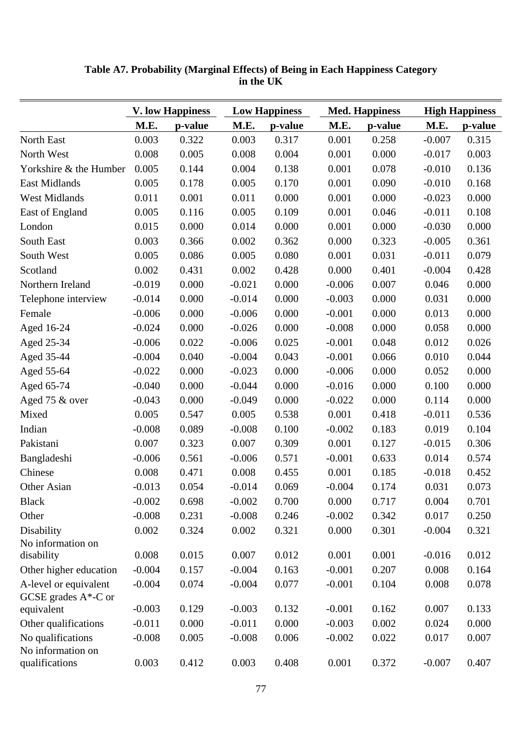|                                                  |          | <b>V. low Happiness</b> |          | <b>Low Happiness</b> |          | <b>Med. Happiness</b><br><b>High Happiness</b> |          |         |
|--------------------------------------------------|----------|-------------------------|----------|----------------------|----------|------------------------------------------------|----------|---------|
|                                                  | M.E.     | p-value                 | M.E.     | p-value              | M.E.     | p-value                                        | M.E.     | p-value |
| North East                                       | 0.003    | 0.322                   | 0.003    | 0.317                | 0.001    | 0.258                                          | $-0.007$ | 0.315   |
| North West                                       | 0.008    | 0.005                   | 0.008    | 0.004                | 0.001    | 0.000                                          | $-0.017$ | 0.003   |
| Yorkshire & the Humber                           | 0.005    | 0.144                   | 0.004    | 0.138                | 0.001    | 0.078                                          | $-0.010$ | 0.136   |
| East Midlands                                    | 0.005    | 0.178                   | 0.005    | 0.170                | 0.001    | 0.090                                          | $-0.010$ | 0.168   |
| <b>West Midlands</b>                             | 0.011    | 0.001                   | 0.011    | 0.000                | 0.001    | 0.000                                          | $-0.023$ | 0.000   |
| East of England                                  | 0.005    | 0.116                   | 0.005    | 0.109                | 0.001    | 0.046                                          | $-0.011$ | 0.108   |
| London                                           | 0.015    | 0.000                   | 0.014    | 0.000                | 0.001    | 0.000                                          | $-0.030$ | 0.000   |
| South East                                       | 0.003    | 0.366                   | 0.002    | 0.362                | 0.000    | 0.323                                          | $-0.005$ | 0.361   |
| South West                                       | 0.005    | 0.086                   | 0.005    | 0.080                | 0.001    | 0.031                                          | $-0.011$ | 0.079   |
| Scotland                                         | 0.002    | 0.431                   | 0.002    | 0.428                | 0.000    | 0.401                                          | $-0.004$ | 0.428   |
| Northern Ireland                                 | $-0.019$ | 0.000                   | $-0.021$ | 0.000                | $-0.006$ | 0.007                                          | 0.046    | 0.000   |
| Telephone interview                              | $-0.014$ | 0.000                   | $-0.014$ | 0.000                | $-0.003$ | 0.000                                          | 0.031    | 0.000   |
| Female                                           | $-0.006$ | 0.000                   | $-0.006$ | 0.000                | $-0.001$ | 0.000                                          | 0.013    | 0.000   |
| Aged 16-24                                       | $-0.024$ | 0.000                   | $-0.026$ | 0.000                | $-0.008$ | 0.000                                          | 0.058    | 0.000   |
| Aged 25-34                                       | $-0.006$ | 0.022                   | $-0.006$ | 0.025                | $-0.001$ | 0.048                                          | 0.012    | 0.026   |
| Aged 35-44                                       | $-0.004$ | 0.040                   | $-0.004$ | 0.043                | $-0.001$ | 0.066                                          | 0.010    | 0.044   |
| Aged 55-64                                       | $-0.022$ | 0.000                   | $-0.023$ | 0.000                | $-0.006$ | 0.000                                          | 0.052    | 0.000   |
| Aged 65-74                                       | $-0.040$ | 0.000                   | $-0.044$ | 0.000                | $-0.016$ | 0.000                                          | 0.100    | 0.000   |
| Aged 75 & over                                   | $-0.043$ | 0.000                   | $-0.049$ | 0.000                | $-0.022$ | 0.000                                          | 0.114    | 0.000   |
| Mixed                                            | 0.005    | 0.547                   | 0.005    | 0.538                | 0.001    | 0.418                                          | $-0.011$ | 0.536   |
| Indian                                           | $-0.008$ | 0.089                   | $-0.008$ | 0.100                | $-0.002$ | 0.183                                          | 0.019    | 0.104   |
| Pakistani                                        | 0.007    | 0.323                   | 0.007    | 0.309                | 0.001    | 0.127                                          | $-0.015$ | 0.306   |
| Bangladeshi                                      | $-0.006$ | 0.561                   | $-0.006$ | 0.571                | $-0.001$ | 0.633                                          | 0.014    | 0.574   |
| Chinese                                          | 0.008    | 0.471                   | 0.008    | 0.455                | 0.001    | 0.185                                          | $-0.018$ | 0.452   |
| Other Asian                                      | $-0.013$ | 0.054                   | $-0.014$ | 0.069                | $-0.004$ | 0.174                                          | 0.031    | 0.073   |
| <b>Black</b>                                     | $-0.002$ | 0.698                   | $-0.002$ | 0.700                | 0.000    | 0.717                                          | 0.004    | 0.701   |
| Other                                            | $-0.008$ | 0.231                   | $-0.008$ | 0.246                | $-0.002$ | 0.342                                          | 0.017    | 0.250   |
| Disability                                       | 0.002    | 0.324                   | 0.002    | 0.321                | 0.000    | 0.301                                          | $-0.004$ | 0.321   |
| No information on                                |          |                         |          |                      |          |                                                |          |         |
| disability                                       | 0.008    | 0.015                   | 0.007    | 0.012                | 0.001    | 0.001                                          | $-0.016$ | 0.012   |
| Other higher education                           | $-0.004$ | 0.157                   | $-0.004$ | 0.163                | $-0.001$ | 0.207                                          | 0.008    | 0.164   |
| A-level or equivalent<br>GCSE grades $A^*$ -C or | $-0.004$ | 0.074                   | $-0.004$ | 0.077                | $-0.001$ | 0.104                                          | 0.008    | 0.078   |
| equivalent                                       | $-0.003$ | 0.129                   | $-0.003$ | 0.132                | $-0.001$ | 0.162                                          | 0.007    | 0.133   |
| Other qualifications                             | $-0.011$ | 0.000                   | $-0.011$ | 0.000                | $-0.003$ | 0.002                                          | 0.024    | 0.000   |
| No qualifications<br>No information on           | $-0.008$ | 0.005                   | $-0.008$ | 0.006                | $-0.002$ | 0.022                                          | 0.017    | 0.007   |
| qualifications                                   | 0.003    | 0.412                   | 0.003    | 0.408                | 0.001    | 0.372                                          | $-0.007$ | 0.407   |

**Table A7. Probability (Marginal Effects) of Being in Each Happiness Category in the UK**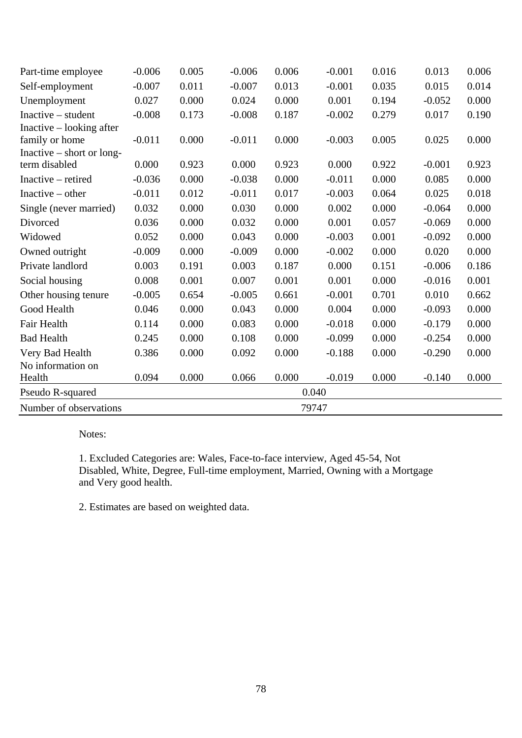| Part-time employee          | $-0.006$ | 0.005 | $-0.006$ | 0.006 | $-0.001$ | 0.016 | 0.013    | 0.006 |
|-----------------------------|----------|-------|----------|-------|----------|-------|----------|-------|
| Self-employment             | $-0.007$ | 0.011 | $-0.007$ | 0.013 | $-0.001$ | 0.035 | 0.015    | 0.014 |
| Unemployment                | 0.027    | 0.000 | 0.024    | 0.000 | 0.001    | 0.194 | $-0.052$ | 0.000 |
| Inactive – student          | $-0.008$ | 0.173 | $-0.008$ | 0.187 | $-0.002$ | 0.279 | 0.017    | 0.190 |
| Inactive – looking after    |          |       |          |       |          |       |          |       |
| family or home              | $-0.011$ | 0.000 | $-0.011$ | 0.000 | $-0.003$ | 0.005 | 0.025    | 0.000 |
| Inactive $-$ short or long- |          |       |          |       |          |       |          |       |
| term disabled               | 0.000    | 0.923 | 0.000    | 0.923 | 0.000    | 0.922 | $-0.001$ | 0.923 |
| Inactive – retired          | $-0.036$ | 0.000 | $-0.038$ | 0.000 | $-0.011$ | 0.000 | 0.085    | 0.000 |
| Inactive $-$ other          | $-0.011$ | 0.012 | $-0.011$ | 0.017 | $-0.003$ | 0.064 | 0.025    | 0.018 |
| Single (never married)      | 0.032    | 0.000 | 0.030    | 0.000 | 0.002    | 0.000 | $-0.064$ | 0.000 |
| Divorced                    | 0.036    | 0.000 | 0.032    | 0.000 | 0.001    | 0.057 | $-0.069$ | 0.000 |
| Widowed                     | 0.052    | 0.000 | 0.043    | 0.000 | $-0.003$ | 0.001 | $-0.092$ | 0.000 |
| Owned outright              | $-0.009$ | 0.000 | $-0.009$ | 0.000 | $-0.002$ | 0.000 | 0.020    | 0.000 |
| Private landlord            | 0.003    | 0.191 | 0.003    | 0.187 | 0.000    | 0.151 | $-0.006$ | 0.186 |
| Social housing              | 0.008    | 0.001 | 0.007    | 0.001 | 0.001    | 0.000 | $-0.016$ | 0.001 |
| Other housing tenure        | $-0.005$ | 0.654 | $-0.005$ | 0.661 | $-0.001$ | 0.701 | 0.010    | 0.662 |
| Good Health                 | 0.046    | 0.000 | 0.043    | 0.000 | 0.004    | 0.000 | $-0.093$ | 0.000 |
| Fair Health                 | 0.114    | 0.000 | 0.083    | 0.000 | $-0.018$ | 0.000 | $-0.179$ | 0.000 |
| <b>Bad Health</b>           | 0.245    | 0.000 | 0.108    | 0.000 | $-0.099$ | 0.000 | $-0.254$ | 0.000 |
| Very Bad Health             | 0.386    | 0.000 | 0.092    | 0.000 | $-0.188$ | 0.000 | $-0.290$ | 0.000 |
| No information on           |          |       |          |       |          |       |          |       |
| Health                      | 0.094    | 0.000 | 0.066    | 0.000 | $-0.019$ | 0.000 | $-0.140$ | 0.000 |
| Pseudo R-squared            |          |       |          | 0.040 |          |       |          |       |
| Number of observations      |          |       |          | 79747 |          |       |          |       |

1. Excluded Categories are: Wales, Face-to-face interview, Aged 45-54, Not Disabled, White, Degree, Full-time employment, Married, Owning with a Mortgage and Very good health.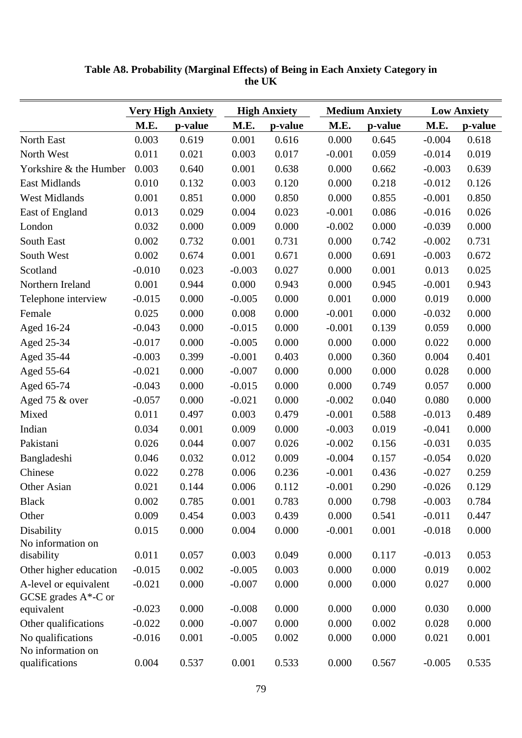|                                                  |          | <b>Very High Anxiety</b> |          | <b>High Anxiety</b> |          | <b>Medium Anxiety</b> |          | <b>Low Anxiety</b> |
|--------------------------------------------------|----------|--------------------------|----------|---------------------|----------|-----------------------|----------|--------------------|
|                                                  | M.E.     | p-value                  | M.E.     | p-value             | M.E.     | p-value               | M.E.     | p-value            |
| North East                                       | 0.003    | 0.619                    | 0.001    | 0.616               | 0.000    | 0.645                 | $-0.004$ | 0.618              |
| North West                                       | 0.011    | 0.021                    | 0.003    | 0.017               | $-0.001$ | 0.059                 | $-0.014$ | 0.019              |
| Yorkshire & the Humber                           | 0.003    | 0.640                    | 0.001    | 0.638               | 0.000    | 0.662                 | $-0.003$ | 0.639              |
| East Midlands                                    | 0.010    | 0.132                    | 0.003    | 0.120               | 0.000    | 0.218                 | $-0.012$ | 0.126              |
| <b>West Midlands</b>                             | 0.001    | 0.851                    | 0.000    | 0.850               | 0.000    | 0.855                 | $-0.001$ | 0.850              |
| East of England                                  | 0.013    | 0.029                    | 0.004    | 0.023               | $-0.001$ | 0.086                 | $-0.016$ | 0.026              |
| London                                           | 0.032    | 0.000                    | 0.009    | 0.000               | $-0.002$ | 0.000                 | $-0.039$ | 0.000              |
| South East                                       | 0.002    | 0.732                    | 0.001    | 0.731               | 0.000    | 0.742                 | $-0.002$ | 0.731              |
| South West                                       | 0.002    | 0.674                    | 0.001    | 0.671               | 0.000    | 0.691                 | $-0.003$ | 0.672              |
| Scotland                                         | $-0.010$ | 0.023                    | $-0.003$ | 0.027               | 0.000    | 0.001                 | 0.013    | 0.025              |
| Northern Ireland                                 | 0.001    | 0.944                    | 0.000    | 0.943               | 0.000    | 0.945                 | $-0.001$ | 0.943              |
| Telephone interview                              | $-0.015$ | 0.000                    | $-0.005$ | 0.000               | 0.001    | 0.000                 | 0.019    | 0.000              |
| Female                                           | 0.025    | 0.000                    | 0.008    | 0.000               | $-0.001$ | 0.000                 | $-0.032$ | 0.000              |
| Aged 16-24                                       | $-0.043$ | 0.000                    | $-0.015$ | 0.000               | $-0.001$ | 0.139                 | 0.059    | 0.000              |
| Aged 25-34                                       | $-0.017$ | 0.000                    | $-0.005$ | 0.000               | 0.000    | 0.000                 | 0.022    | 0.000              |
| Aged 35-44                                       | $-0.003$ | 0.399                    | $-0.001$ | 0.403               | 0.000    | 0.360                 | 0.004    | 0.401              |
| Aged 55-64                                       | $-0.021$ | 0.000                    | $-0.007$ | 0.000               | 0.000    | 0.000                 | 0.028    | 0.000              |
| Aged 65-74                                       | $-0.043$ | 0.000                    | $-0.015$ | 0.000               | 0.000    | 0.749                 | 0.057    | 0.000              |
| Aged 75 & over                                   | $-0.057$ | 0.000                    | $-0.021$ | 0.000               | $-0.002$ | 0.040                 | 0.080    | 0.000              |
| Mixed                                            | 0.011    | 0.497                    | 0.003    | 0.479               | $-0.001$ | 0.588                 | $-0.013$ | 0.489              |
| Indian                                           | 0.034    | 0.001                    | 0.009    | 0.000               | $-0.003$ | 0.019                 | $-0.041$ | 0.000              |
| Pakistani                                        | 0.026    | 0.044                    | 0.007    | 0.026               | $-0.002$ | 0.156                 | $-0.031$ | 0.035              |
| Bangladeshi                                      | 0.046    | 0.032                    | 0.012    | 0.009               | $-0.004$ | 0.157                 | $-0.054$ | 0.020              |
| Chinese                                          | 0.022    | 0.278                    | 0.006    | 0.236               | $-0.001$ | 0.436                 | $-0.027$ | 0.259              |
| Other Asian                                      | 0.021    | 0.144                    | 0.006    | 0.112               | $-0.001$ | 0.290                 | $-0.026$ | 0.129              |
| <b>Black</b>                                     | 0.002    | 0.785                    | 0.001    | 0.783               | 0.000    | 0.798                 | $-0.003$ | 0.784              |
| Other                                            | 0.009    | 0.454                    | 0.003    | 0.439               | 0.000    | 0.541                 | $-0.011$ | 0.447              |
| Disability                                       | 0.015    | 0.000                    | 0.004    | 0.000               | $-0.001$ | 0.001                 | $-0.018$ | 0.000              |
| No information on                                |          |                          |          |                     |          |                       |          |                    |
| disability                                       | 0.011    | 0.057                    | 0.003    | 0.049               | 0.000    | 0.117                 | $-0.013$ | 0.053              |
| Other higher education                           | $-0.015$ | 0.002                    | $-0.005$ | 0.003               | 0.000    | 0.000                 | 0.019    | 0.002              |
| A-level or equivalent<br>GCSE grades $A^*$ -C or | $-0.021$ | 0.000                    | $-0.007$ | 0.000               | 0.000    | 0.000                 | 0.027    | 0.000              |
| equivalent                                       | $-0.023$ | 0.000                    | $-0.008$ | 0.000               | 0.000    | 0.000                 | 0.030    | 0.000              |
| Other qualifications                             | $-0.022$ | 0.000                    | $-0.007$ | 0.000               | 0.000    | 0.002                 | 0.028    | 0.000              |
| No qualifications<br>No information on           | $-0.016$ | 0.001                    | $-0.005$ | 0.002               | 0.000    | 0.000                 | 0.021    | 0.001              |
| qualifications                                   | 0.004    | 0.537                    | 0.001    | 0.533               | 0.000    | 0.567                 | $-0.005$ | 0.535              |

**Table A8. Probability (Marginal Effects) of Being in Each Anxiety Category in the UK**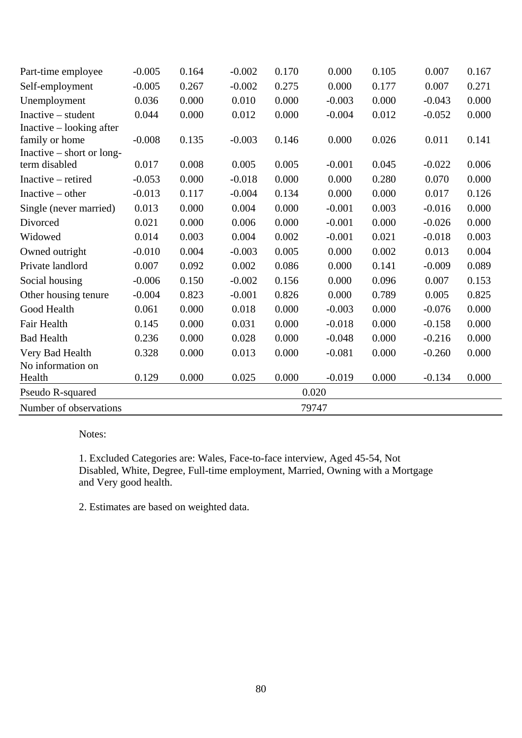| Part-time employee          | $-0.005$ | 0.164 | $-0.002$ | 0.170 | 0.000    | 0.105 | 0.007    | 0.167 |
|-----------------------------|----------|-------|----------|-------|----------|-------|----------|-------|
| Self-employment             | $-0.005$ | 0.267 | $-0.002$ | 0.275 | 0.000    | 0.177 | 0.007    | 0.271 |
| Unemployment                | 0.036    | 0.000 | 0.010    | 0.000 | $-0.003$ | 0.000 | $-0.043$ | 0.000 |
| $Inactive - student$        | 0.044    | 0.000 | 0.012    | 0.000 | $-0.004$ | 0.012 | $-0.052$ | 0.000 |
| Inactive – looking after    |          |       |          |       |          |       |          |       |
| family or home              | $-0.008$ | 0.135 | $-0.003$ | 0.146 | 0.000    | 0.026 | 0.011    | 0.141 |
| Inactive $-$ short or long- |          |       |          |       |          |       |          |       |
| term disabled               | 0.017    | 0.008 | 0.005    | 0.005 | $-0.001$ | 0.045 | $-0.022$ | 0.006 |
| Inactive – retired          | $-0.053$ | 0.000 | $-0.018$ | 0.000 | 0.000    | 0.280 | 0.070    | 0.000 |
| Inactive $-$ other          | $-0.013$ | 0.117 | $-0.004$ | 0.134 | 0.000    | 0.000 | 0.017    | 0.126 |
| Single (never married)      | 0.013    | 0.000 | 0.004    | 0.000 | $-0.001$ | 0.003 | $-0.016$ | 0.000 |
| Divorced                    | 0.021    | 0.000 | 0.006    | 0.000 | $-0.001$ | 0.000 | $-0.026$ | 0.000 |
| Widowed                     | 0.014    | 0.003 | 0.004    | 0.002 | $-0.001$ | 0.021 | $-0.018$ | 0.003 |
| Owned outright              | $-0.010$ | 0.004 | $-0.003$ | 0.005 | 0.000    | 0.002 | 0.013    | 0.004 |
| Private landlord            | 0.007    | 0.092 | 0.002    | 0.086 | 0.000    | 0.141 | $-0.009$ | 0.089 |
| Social housing              | $-0.006$ | 0.150 | $-0.002$ | 0.156 | 0.000    | 0.096 | 0.007    | 0.153 |
| Other housing tenure        | $-0.004$ | 0.823 | $-0.001$ | 0.826 | 0.000    | 0.789 | 0.005    | 0.825 |
| Good Health                 | 0.061    | 0.000 | 0.018    | 0.000 | $-0.003$ | 0.000 | $-0.076$ | 0.000 |
| Fair Health                 | 0.145    | 0.000 | 0.031    | 0.000 | $-0.018$ | 0.000 | $-0.158$ | 0.000 |
| <b>Bad Health</b>           | 0.236    | 0.000 | 0.028    | 0.000 | $-0.048$ | 0.000 | $-0.216$ | 0.000 |
| Very Bad Health             | 0.328    | 0.000 | 0.013    | 0.000 | $-0.081$ | 0.000 | $-0.260$ | 0.000 |
| No information on           |          |       |          |       |          |       |          |       |
| Health                      | 0.129    | 0.000 | 0.025    | 0.000 | $-0.019$ | 0.000 | $-0.134$ | 0.000 |
| Pseudo R-squared            |          |       |          | 0.020 |          |       |          |       |
| Number of observations      |          |       |          | 79747 |          |       |          |       |

1. Excluded Categories are: Wales, Face-to-face interview, Aged 45-54, Not Disabled, White, Degree, Full-time employment, Married, Owning with a Mortgage and Very good health.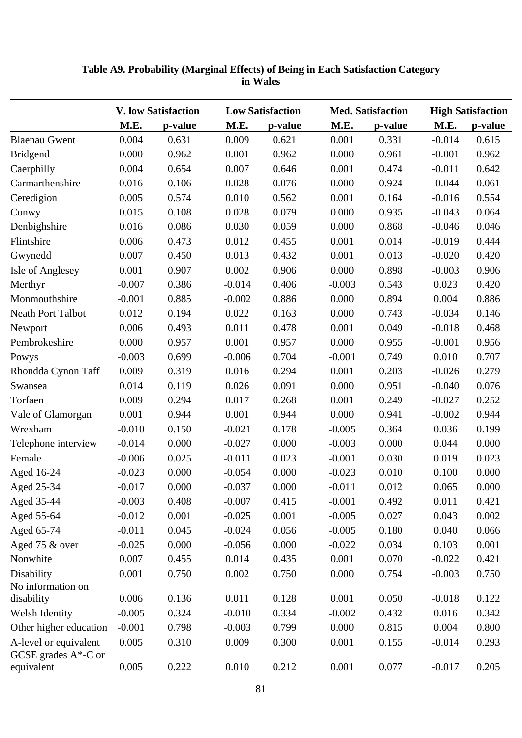|                                                  |          | <b>V. low Satisfaction</b> |          | <b>Low Satisfaction</b> |          | <b>Med. Satisfaction</b> |          | <b>High Satisfaction</b> |  |
|--------------------------------------------------|----------|----------------------------|----------|-------------------------|----------|--------------------------|----------|--------------------------|--|
|                                                  | M.E.     | p-value                    | M.E.     | p-value                 | M.E.     | p-value                  | M.E.     | p-value                  |  |
| <b>Blaenau Gwent</b>                             | 0.004    | 0.631                      | 0.009    | 0.621                   | 0.001    | 0.331                    | $-0.014$ | 0.615                    |  |
| <b>Bridgend</b>                                  | 0.000    | 0.962                      | 0.001    | 0.962                   | 0.000    | 0.961                    | $-0.001$ | 0.962                    |  |
| Caerphilly                                       | 0.004    | 0.654                      | 0.007    | 0.646                   | 0.001    | 0.474                    | $-0.011$ | 0.642                    |  |
| Carmarthenshire                                  | 0.016    | 0.106                      | 0.028    | 0.076                   | 0.000    | 0.924                    | $-0.044$ | 0.061                    |  |
| Ceredigion                                       | 0.005    | 0.574                      | 0.010    | 0.562                   | 0.001    | 0.164                    | $-0.016$ | 0.554                    |  |
| Conwy                                            | 0.015    | 0.108                      | 0.028    | 0.079                   | 0.000    | 0.935                    | $-0.043$ | 0.064                    |  |
| Denbighshire                                     | 0.016    | 0.086                      | 0.030    | 0.059                   | 0.000    | 0.868                    | $-0.046$ | 0.046                    |  |
| Flintshire                                       | 0.006    | 0.473                      | 0.012    | 0.455                   | 0.001    | 0.014                    | $-0.019$ | 0.444                    |  |
| Gwynedd                                          | 0.007    | 0.450                      | 0.013    | 0.432                   | 0.001    | 0.013                    | $-0.020$ | 0.420                    |  |
| <b>Isle of Anglesey</b>                          | 0.001    | 0.907                      | 0.002    | 0.906                   | 0.000    | 0.898                    | $-0.003$ | 0.906                    |  |
| Merthyr                                          | $-0.007$ | 0.386                      | $-0.014$ | 0.406                   | $-0.003$ | 0.543                    | 0.023    | 0.420                    |  |
| Monmouthshire                                    | $-0.001$ | 0.885                      | $-0.002$ | 0.886                   | 0.000    | 0.894                    | 0.004    | 0.886                    |  |
| <b>Neath Port Talbot</b>                         | 0.012    | 0.194                      | 0.022    | 0.163                   | 0.000    | 0.743                    | $-0.034$ | 0.146                    |  |
| Newport                                          | 0.006    | 0.493                      | 0.011    | 0.478                   | 0.001    | 0.049                    | $-0.018$ | 0.468                    |  |
| Pembrokeshire                                    | 0.000    | 0.957                      | 0.001    | 0.957                   | 0.000    | 0.955                    | $-0.001$ | 0.956                    |  |
| Powys                                            | $-0.003$ | 0.699                      | $-0.006$ | 0.704                   | $-0.001$ | 0.749                    | 0.010    | 0.707                    |  |
| Rhondda Cynon Taff                               | 0.009    | 0.319                      | 0.016    | 0.294                   | 0.001    | 0.203                    | $-0.026$ | 0.279                    |  |
| Swansea                                          | 0.014    | 0.119                      | 0.026    | 0.091                   | 0.000    | 0.951                    | $-0.040$ | 0.076                    |  |
| Torfaen                                          | 0.009    | 0.294                      | 0.017    | 0.268                   | 0.001    | 0.249                    | $-0.027$ | 0.252                    |  |
| Vale of Glamorgan                                | 0.001    | 0.944                      | 0.001    | 0.944                   | 0.000    | 0.941                    | $-0.002$ | 0.944                    |  |
| Wrexham                                          | $-0.010$ | 0.150                      | $-0.021$ | 0.178                   | $-0.005$ | 0.364                    | 0.036    | 0.199                    |  |
| Telephone interview                              | $-0.014$ | 0.000                      | $-0.027$ | 0.000                   | $-0.003$ | 0.000                    | 0.044    | 0.000                    |  |
| Female                                           | $-0.006$ | 0.025                      | $-0.011$ | 0.023                   | $-0.001$ | 0.030                    | 0.019    | 0.023                    |  |
| Aged 16-24                                       | $-0.023$ | 0.000                      | $-0.054$ | 0.000                   | $-0.023$ | 0.010                    | 0.100    | 0.000                    |  |
| Aged 25-34                                       | $-0.017$ | 0.000                      | $-0.037$ | 0.000                   | $-0.011$ | 0.012                    | 0.065    | 0.000                    |  |
| Aged 35-44                                       | $-0.003$ | 0.408                      | $-0.007$ | 0.415                   | $-0.001$ | 0.492                    | 0.011    | 0.421                    |  |
| Aged 55-64                                       | $-0.012$ | 0.001                      | $-0.025$ | 0.001                   | $-0.005$ | 0.027                    | 0.043    | 0.002                    |  |
| Aged 65-74                                       | $-0.011$ | 0.045                      | $-0.024$ | 0.056                   | $-0.005$ | 0.180                    | 0.040    | 0.066                    |  |
| Aged 75 & over                                   | $-0.025$ | 0.000                      | $-0.056$ | 0.000                   | $-0.022$ | 0.034                    | 0.103    | 0.001                    |  |
| Nonwhite                                         | 0.007    | 0.455                      | 0.014    | 0.435                   | 0.001    | 0.070                    | $-0.022$ | 0.421                    |  |
| Disability                                       | 0.001    | 0.750                      | 0.002    | 0.750                   | 0.000    | 0.754                    | $-0.003$ | 0.750                    |  |
| No information on                                |          |                            |          |                         |          |                          |          |                          |  |
| disability                                       | 0.006    | 0.136                      | 0.011    | 0.128                   | 0.001    | 0.050                    | $-0.018$ | 0.122                    |  |
| Welsh Identity                                   | $-0.005$ | 0.324                      | $-0.010$ | 0.334                   | $-0.002$ | 0.432                    | 0.016    | 0.342                    |  |
| Other higher education                           | $-0.001$ | 0.798                      | $-0.003$ | 0.799                   | 0.000    | 0.815                    | 0.004    | 0.800                    |  |
| A-level or equivalent<br>GCSE grades $A^*$ -C or | 0.005    | 0.310                      | 0.009    | 0.300                   | 0.001    | 0.155                    | $-0.014$ | 0.293                    |  |
| equivalent                                       | 0.005    | 0.222                      | 0.010    | 0.212                   | 0.001    | 0.077                    | $-0.017$ | 0.205                    |  |

## **Table A9. Probability (Marginal Effects) of Being in Each Satisfaction Category in Wales**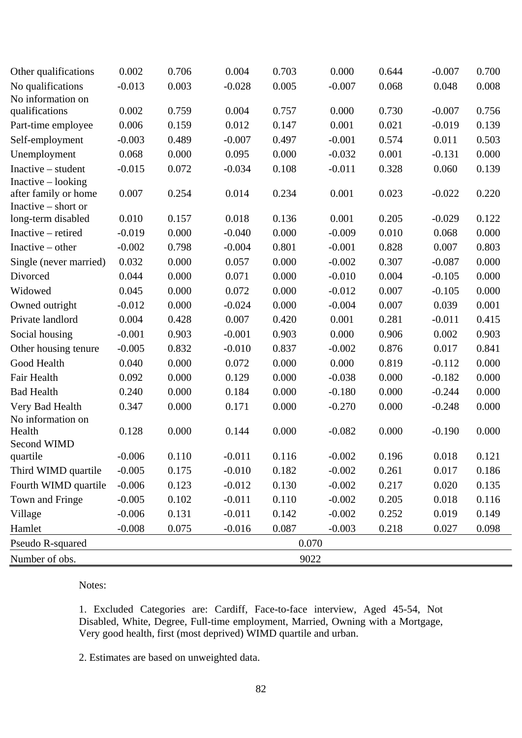| Other qualifications   | 0.002    | 0.706 | 0.004    | 0.703 | 0.000    | 0.644 | $-0.007$ | 0.700 |
|------------------------|----------|-------|----------|-------|----------|-------|----------|-------|
| No qualifications      | $-0.013$ | 0.003 | $-0.028$ | 0.005 | $-0.007$ | 0.068 | 0.048    | 0.008 |
| No information on      |          |       |          |       |          |       |          |       |
| qualifications         | 0.002    | 0.759 | 0.004    | 0.757 | 0.000    | 0.730 | $-0.007$ | 0.756 |
| Part-time employee     | 0.006    | 0.159 | 0.012    | 0.147 | 0.001    | 0.021 | $-0.019$ | 0.139 |
| Self-employment        | $-0.003$ | 0.489 | $-0.007$ | 0.497 | $-0.001$ | 0.574 | 0.011    | 0.503 |
| Unemployment           | 0.068    | 0.000 | 0.095    | 0.000 | $-0.032$ | 0.001 | $-0.131$ | 0.000 |
| Inactive – student     | $-0.015$ | 0.072 | $-0.034$ | 0.108 | $-0.011$ | 0.328 | 0.060    | 0.139 |
| $Inactive - looking$   |          |       |          |       |          |       |          |       |
| after family or home   | 0.007    | 0.254 | 0.014    | 0.234 | 0.001    | 0.023 | $-0.022$ | 0.220 |
| Inactive $-$ short or  | 0.010    | 0.157 | 0.018    | 0.136 | 0.001    | 0.205 | $-0.029$ | 0.122 |
| long-term disabled     |          |       |          |       |          |       |          |       |
| Inactive – retired     | $-0.019$ | 0.000 | $-0.040$ | 0.000 | $-0.009$ | 0.010 | 0.068    | 0.000 |
| Inactive $-$ other     | $-0.002$ | 0.798 | $-0.004$ | 0.801 | $-0.001$ | 0.828 | 0.007    | 0.803 |
| Single (never married) | 0.032    | 0.000 | 0.057    | 0.000 | $-0.002$ | 0.307 | $-0.087$ | 0.000 |
| Divorced               | 0.044    | 0.000 | 0.071    | 0.000 | $-0.010$ | 0.004 | $-0.105$ | 0.000 |
| Widowed                | 0.045    | 0.000 | 0.072    | 0.000 | $-0.012$ | 0.007 | $-0.105$ | 0.000 |
| Owned outright         | $-0.012$ | 0.000 | $-0.024$ | 0.000 | $-0.004$ | 0.007 | 0.039    | 0.001 |
| Private landlord       | 0.004    | 0.428 | 0.007    | 0.420 | 0.001    | 0.281 | $-0.011$ | 0.415 |
| Social housing         | $-0.001$ | 0.903 | $-0.001$ | 0.903 | 0.000    | 0.906 | 0.002    | 0.903 |
| Other housing tenure   | $-0.005$ | 0.832 | $-0.010$ | 0.837 | $-0.002$ | 0.876 | 0.017    | 0.841 |
| Good Health            | 0.040    | 0.000 | 0.072    | 0.000 | 0.000    | 0.819 | $-0.112$ | 0.000 |
| Fair Health            | 0.092    | 0.000 | 0.129    | 0.000 | $-0.038$ | 0.000 | $-0.182$ | 0.000 |
| <b>Bad Health</b>      | 0.240    | 0.000 | 0.184    | 0.000 | $-0.180$ | 0.000 | $-0.244$ | 0.000 |
| Very Bad Health        | 0.347    | 0.000 | 0.171    | 0.000 | $-0.270$ | 0.000 | $-0.248$ | 0.000 |
| No information on      |          |       |          |       |          |       |          |       |
| Health                 | 0.128    | 0.000 | 0.144    | 0.000 | $-0.082$ | 0.000 | $-0.190$ | 0.000 |
| Second WIMD            |          |       |          |       |          |       |          |       |
| quartile               | $-0.006$ | 0.110 | $-0.011$ | 0.116 | $-0.002$ | 0.196 | 0.018    | 0.121 |
| Third WIMD quartile    | $-0.005$ | 0.175 | $-0.010$ | 0.182 | $-0.002$ | 0.261 | 0.017    | 0.186 |
| Fourth WIMD quartile   | $-0.006$ | 0.123 | $-0.012$ | 0.130 | $-0.002$ | 0.217 | 0.020    | 0.135 |
| Town and Fringe        | $-0.005$ | 0.102 | $-0.011$ | 0.110 | $-0.002$ | 0.205 | 0.018    | 0.116 |
| Village                | $-0.006$ | 0.131 | $-0.011$ | 0.142 | $-0.002$ | 0.252 | 0.019    | 0.149 |
| Hamlet                 | $-0.008$ | 0.075 | $-0.016$ | 0.087 | $-0.003$ | 0.218 | 0.027    | 0.098 |
| Pseudo R-squared       |          |       |          |       | 0.070    |       |          |       |
| Number of obs.         |          |       |          |       | 9022     |       |          |       |

1. Excluded Categories are: Cardiff, Face-to-face interview, Aged 45-54, Not Disabled, White, Degree, Full-time employment, Married, Owning with a Mortgage, Very good health, first (most deprived) WIMD quartile and urban.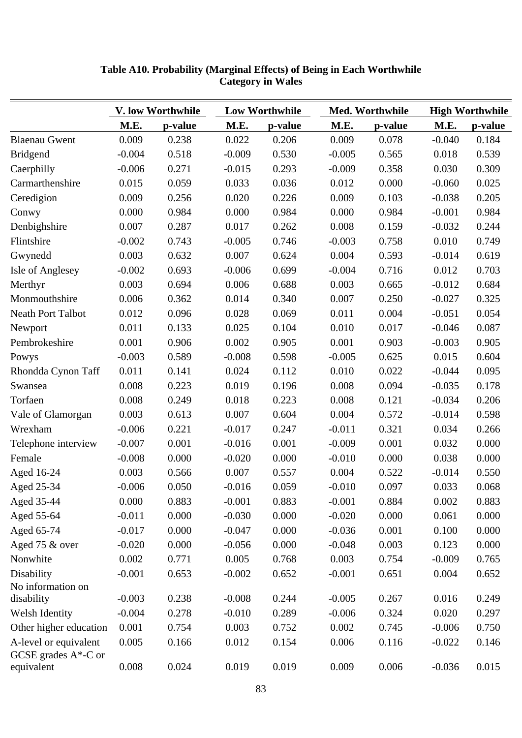|                                                  | V. low Worthwhile |         | <b>Low Worthwhile</b> |         | Med. Worthwhile |         | <b>High Worthwhile</b> |         |
|--------------------------------------------------|-------------------|---------|-----------------------|---------|-----------------|---------|------------------------|---------|
|                                                  | M.E.              | p-value | M.E.                  | p-value | M.E.            | p-value | M.E.                   | p-value |
| <b>Blaenau Gwent</b>                             | 0.009             | 0.238   | 0.022                 | 0.206   | 0.009           | 0.078   | $-0.040$               | 0.184   |
| <b>Bridgend</b>                                  | $-0.004$          | 0.518   | $-0.009$              | 0.530   | $-0.005$        | 0.565   | 0.018                  | 0.539   |
| Caerphilly                                       | $-0.006$          | 0.271   | $-0.015$              | 0.293   | $-0.009$        | 0.358   | 0.030                  | 0.309   |
| Carmarthenshire                                  | 0.015             | 0.059   | 0.033                 | 0.036   | 0.012           | 0.000   | $-0.060$               | 0.025   |
| Ceredigion                                       | 0.009             | 0.256   | 0.020                 | 0.226   | 0.009           | 0.103   | $-0.038$               | 0.205   |
| Conwy                                            | 0.000             | 0.984   | 0.000                 | 0.984   | 0.000           | 0.984   | $-0.001$               | 0.984   |
| Denbighshire                                     | 0.007             | 0.287   | 0.017                 | 0.262   | 0.008           | 0.159   | $-0.032$               | 0.244   |
| Flintshire                                       | $-0.002$          | 0.743   | $-0.005$              | 0.746   | $-0.003$        | 0.758   | 0.010                  | 0.749   |
| Gwynedd                                          | 0.003             | 0.632   | 0.007                 | 0.624   | 0.004           | 0.593   | $-0.014$               | 0.619   |
| <b>Isle of Anglesey</b>                          | $-0.002$          | 0.693   | $-0.006$              | 0.699   | $-0.004$        | 0.716   | 0.012                  | 0.703   |
| Merthyr                                          | 0.003             | 0.694   | 0.006                 | 0.688   | 0.003           | 0.665   | $-0.012$               | 0.684   |
| Monmouthshire                                    | 0.006             | 0.362   | 0.014                 | 0.340   | 0.007           | 0.250   | $-0.027$               | 0.325   |
| <b>Neath Port Talbot</b>                         | 0.012             | 0.096   | 0.028                 | 0.069   | 0.011           | 0.004   | $-0.051$               | 0.054   |
| Newport                                          | 0.011             | 0.133   | 0.025                 | 0.104   | 0.010           | 0.017   | $-0.046$               | 0.087   |
| Pembrokeshire                                    | 0.001             | 0.906   | 0.002                 | 0.905   | 0.001           | 0.903   | $-0.003$               | 0.905   |
| Powys                                            | $-0.003$          | 0.589   | $-0.008$              | 0.598   | $-0.005$        | 0.625   | 0.015                  | 0.604   |
| Rhondda Cynon Taff                               | 0.011             | 0.141   | 0.024                 | 0.112   | 0.010           | 0.022   | $-0.044$               | 0.095   |
| Swansea                                          | 0.008             | 0.223   | 0.019                 | 0.196   | 0.008           | 0.094   | $-0.035$               | 0.178   |
| Torfaen                                          | 0.008             | 0.249   | 0.018                 | 0.223   | 0.008           | 0.121   | $-0.034$               | 0.206   |
| Vale of Glamorgan                                | 0.003             | 0.613   | 0.007                 | 0.604   | 0.004           | 0.572   | $-0.014$               | 0.598   |
| Wrexham                                          | $-0.006$          | 0.221   | $-0.017$              | 0.247   | $-0.011$        | 0.321   | 0.034                  | 0.266   |
| Telephone interview                              | $-0.007$          | 0.001   | $-0.016$              | 0.001   | $-0.009$        | 0.001   | 0.032                  | 0.000   |
| Female                                           | $-0.008$          | 0.000   | $-0.020$              | 0.000   | $-0.010$        | 0.000   | 0.038                  | 0.000   |
| Aged 16-24                                       | 0.003             | 0.566   | 0.007                 | 0.557   | 0.004           | 0.522   | $-0.014$               | 0.550   |
| Aged 25-34                                       | $-0.006$          | 0.050   | $-0.016$              | 0.059   | $-0.010$        | 0.097   | 0.033                  | 0.068   |
| Aged 35-44                                       | 0.000             | 0.883   | $-0.001$              | 0.883   | $-0.001$        | 0.884   | 0.002                  | 0.883   |
| Aged 55-64                                       | $-0.011$          | 0.000   | $-0.030$              | 0.000   | $-0.020$        | 0.000   | 0.061                  | 0.000   |
| Aged 65-74                                       | $-0.017$          | 0.000   | $-0.047$              | 0.000   | $-0.036$        | 0.001   | 0.100                  | 0.000   |
| Aged 75 & over                                   | $-0.020$          | 0.000   | $-0.056$              | 0.000   | $-0.048$        | 0.003   | 0.123                  | 0.000   |
| Nonwhite                                         | 0.002             | 0.771   | 0.005                 | 0.768   | 0.003           | 0.754   | $-0.009$               | 0.765   |
| Disability                                       | $-0.001$          | 0.653   | $-0.002$              | 0.652   | $-0.001$        | 0.651   | 0.004                  | 0.652   |
| No information on                                |                   |         |                       |         |                 |         |                        |         |
| disability                                       | $-0.003$          | 0.238   | $-0.008$              | 0.244   | $-0.005$        | 0.267   | 0.016                  | 0.249   |
| Welsh Identity                                   | $-0.004$          | 0.278   | $-0.010$              | 0.289   | $-0.006$        | 0.324   | 0.020                  | 0.297   |
| Other higher education                           | 0.001             | 0.754   | 0.003                 | 0.752   | 0.002           | 0.745   | $-0.006$               | 0.750   |
| A-level or equivalent<br>GCSE grades $A^*$ -C or | 0.005             | 0.166   | 0.012                 | 0.154   | 0.006           | 0.116   | $-0.022$               | 0.146   |
| equivalent                                       | 0.008             | 0.024   | 0.019                 | 0.019   | 0.009           | 0.006   | $-0.036$               | 0.015   |

| Table A10. Probability (Marginal Effects) of Being in Each Worthwhile |
|-----------------------------------------------------------------------|
| <b>Category in Wales</b>                                              |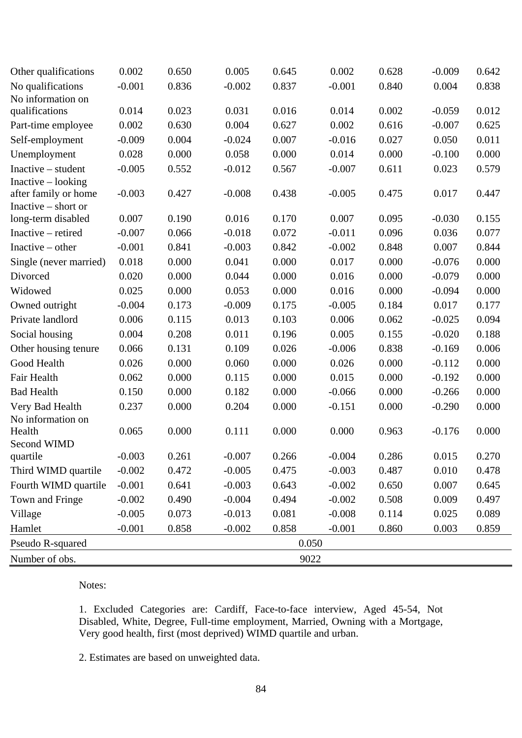| Other qualifications   | 0.002    | 0.650 | 0.005    | 0.645 | 0.002    | 0.628 | $-0.009$ | 0.642 |
|------------------------|----------|-------|----------|-------|----------|-------|----------|-------|
| No qualifications      | $-0.001$ | 0.836 | $-0.002$ | 0.837 | $-0.001$ | 0.840 | 0.004    | 0.838 |
| No information on      |          |       |          |       |          |       |          |       |
| qualifications         | 0.014    | 0.023 | 0.031    | 0.016 | 0.014    | 0.002 | $-0.059$ | 0.012 |
| Part-time employee     | 0.002    | 0.630 | 0.004    | 0.627 | 0.002    | 0.616 | $-0.007$ | 0.625 |
| Self-employment        | $-0.009$ | 0.004 | $-0.024$ | 0.007 | $-0.016$ | 0.027 | 0.050    | 0.011 |
| Unemployment           | 0.028    | 0.000 | 0.058    | 0.000 | 0.014    | 0.000 | $-0.100$ | 0.000 |
| Inactive – student     | $-0.005$ | 0.552 | $-0.012$ | 0.567 | $-0.007$ | 0.611 | 0.023    | 0.579 |
| $Inactive - looking$   |          |       |          |       |          |       |          |       |
| after family or home   | $-0.003$ | 0.427 | $-0.008$ | 0.438 | $-0.005$ | 0.475 | 0.017    | 0.447 |
| Inactive $-$ short or  | 0.007    | 0.190 | 0.016    | 0.170 | 0.007    | 0.095 | $-0.030$ | 0.155 |
| long-term disabled     |          |       |          |       |          |       |          |       |
| Inactive – retired     | $-0.007$ | 0.066 | $-0.018$ | 0.072 | $-0.011$ | 0.096 | 0.036    | 0.077 |
| Inactive $-$ other     | $-0.001$ | 0.841 | $-0.003$ | 0.842 | $-0.002$ | 0.848 | 0.007    | 0.844 |
| Single (never married) | 0.018    | 0.000 | 0.041    | 0.000 | 0.017    | 0.000 | $-0.076$ | 0.000 |
| Divorced               | 0.020    | 0.000 | 0.044    | 0.000 | 0.016    | 0.000 | $-0.079$ | 0.000 |
| Widowed                | 0.025    | 0.000 | 0.053    | 0.000 | 0.016    | 0.000 | $-0.094$ | 0.000 |
| Owned outright         | $-0.004$ | 0.173 | $-0.009$ | 0.175 | $-0.005$ | 0.184 | 0.017    | 0.177 |
| Private landlord       | 0.006    | 0.115 | 0.013    | 0.103 | 0.006    | 0.062 | $-0.025$ | 0.094 |
| Social housing         | 0.004    | 0.208 | 0.011    | 0.196 | 0.005    | 0.155 | $-0.020$ | 0.188 |
| Other housing tenure   | 0.066    | 0.131 | 0.109    | 0.026 | $-0.006$ | 0.838 | $-0.169$ | 0.006 |
| Good Health            | 0.026    | 0.000 | 0.060    | 0.000 | 0.026    | 0.000 | $-0.112$ | 0.000 |
| Fair Health            | 0.062    | 0.000 | 0.115    | 0.000 | 0.015    | 0.000 | $-0.192$ | 0.000 |
| <b>Bad Health</b>      | 0.150    | 0.000 | 0.182    | 0.000 | $-0.066$ | 0.000 | $-0.266$ | 0.000 |
| Very Bad Health        | 0.237    | 0.000 | 0.204    | 0.000 | $-0.151$ | 0.000 | $-0.290$ | 0.000 |
| No information on      |          |       |          |       |          |       |          |       |
| Health                 | 0.065    | 0.000 | 0.111    | 0.000 | 0.000    | 0.963 | $-0.176$ | 0.000 |
| Second WIMD            |          |       |          |       |          |       |          |       |
| quartile               | $-0.003$ | 0.261 | $-0.007$ | 0.266 | $-0.004$ | 0.286 | 0.015    | 0.270 |
| Third WIMD quartile    | $-0.002$ | 0.472 | $-0.005$ | 0.475 | $-0.003$ | 0.487 | 0.010    | 0.478 |
| Fourth WIMD quartile   | $-0.001$ | 0.641 | $-0.003$ | 0.643 | $-0.002$ | 0.650 | 0.007    | 0.645 |
| Town and Fringe        | $-0.002$ | 0.490 | $-0.004$ | 0.494 | $-0.002$ | 0.508 | 0.009    | 0.497 |
| Village                | $-0.005$ | 0.073 | $-0.013$ | 0.081 | $-0.008$ | 0.114 | 0.025    | 0.089 |
| Hamlet                 | $-0.001$ | 0.858 | $-0.002$ | 0.858 | $-0.001$ | 0.860 | 0.003    | 0.859 |
| Pseudo R-squared       |          |       |          |       | 0.050    |       |          |       |
| Number of obs.         |          |       |          |       | 9022     |       |          |       |

1. Excluded Categories are: Cardiff, Face-to-face interview, Aged 45-54, Not Disabled, White, Degree, Full-time employment, Married, Owning with a Mortgage, Very good health, first (most deprived) WIMD quartile and urban.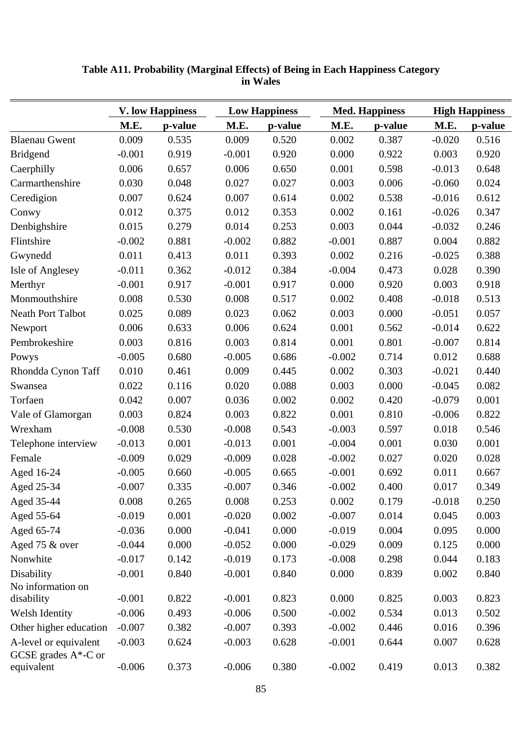|                                                  | <b>V. low Happiness</b> |         | <b>Low Happiness</b> |         |          | <b>Med. Happiness</b> |          | <b>High Happiness</b> |  |
|--------------------------------------------------|-------------------------|---------|----------------------|---------|----------|-----------------------|----------|-----------------------|--|
|                                                  | M.E.                    | p-value | M.E.                 | p-value | M.E.     | p-value               | M.E.     | p-value               |  |
| <b>Blaenau Gwent</b>                             | 0.009                   | 0.535   | 0.009                | 0.520   | 0.002    | 0.387                 | $-0.020$ | 0.516                 |  |
| <b>Bridgend</b>                                  | $-0.001$                | 0.919   | $-0.001$             | 0.920   | 0.000    | 0.922                 | 0.003    | 0.920                 |  |
| Caerphilly                                       | 0.006                   | 0.657   | 0.006                | 0.650   | 0.001    | 0.598                 | $-0.013$ | 0.648                 |  |
| Carmarthenshire                                  | 0.030                   | 0.048   | 0.027                | 0.027   | 0.003    | 0.006                 | $-0.060$ | 0.024                 |  |
| Ceredigion                                       | 0.007                   | 0.624   | 0.007                | 0.614   | 0.002    | 0.538                 | $-0.016$ | 0.612                 |  |
| Conwy                                            | 0.012                   | 0.375   | 0.012                | 0.353   | 0.002    | 0.161                 | $-0.026$ | 0.347                 |  |
| Denbighshire                                     | 0.015                   | 0.279   | 0.014                | 0.253   | 0.003    | 0.044                 | $-0.032$ | 0.246                 |  |
| Flintshire                                       | $-0.002$                | 0.881   | $-0.002$             | 0.882   | $-0.001$ | 0.887                 | 0.004    | 0.882                 |  |
| Gwynedd                                          | 0.011                   | 0.413   | 0.011                | 0.393   | 0.002    | 0.216                 | $-0.025$ | 0.388                 |  |
| Isle of Anglesey                                 | $-0.011$                | 0.362   | $-0.012$             | 0.384   | $-0.004$ | 0.473                 | 0.028    | 0.390                 |  |
| Merthyr                                          | $-0.001$                | 0.917   | $-0.001$             | 0.917   | 0.000    | 0.920                 | 0.003    | 0.918                 |  |
| Monmouthshire                                    | 0.008                   | 0.530   | 0.008                | 0.517   | 0.002    | 0.408                 | $-0.018$ | 0.513                 |  |
| <b>Neath Port Talbot</b>                         | 0.025                   | 0.089   | 0.023                | 0.062   | 0.003    | 0.000                 | $-0.051$ | 0.057                 |  |
| Newport                                          | 0.006                   | 0.633   | 0.006                | 0.624   | 0.001    | 0.562                 | $-0.014$ | 0.622                 |  |
| Pembrokeshire                                    | 0.003                   | 0.816   | 0.003                | 0.814   | 0.001    | 0.801                 | $-0.007$ | 0.814                 |  |
| Powys                                            | $-0.005$                | 0.680   | $-0.005$             | 0.686   | $-0.002$ | 0.714                 | 0.012    | 0.688                 |  |
| Rhondda Cynon Taff                               | 0.010                   | 0.461   | 0.009                | 0.445   | 0.002    | 0.303                 | $-0.021$ | 0.440                 |  |
| Swansea                                          | 0.022                   | 0.116   | 0.020                | 0.088   | 0.003    | 0.000                 | $-0.045$ | 0.082                 |  |
| Torfaen                                          | 0.042                   | 0.007   | 0.036                | 0.002   | 0.002    | 0.420                 | $-0.079$ | 0.001                 |  |
| Vale of Glamorgan                                | 0.003                   | 0.824   | 0.003                | 0.822   | 0.001    | 0.810                 | $-0.006$ | 0.822                 |  |
| Wrexham                                          | $-0.008$                | 0.530   | $-0.008$             | 0.543   | $-0.003$ | 0.597                 | 0.018    | 0.546                 |  |
| Telephone interview                              | $-0.013$                | 0.001   | $-0.013$             | 0.001   | $-0.004$ | 0.001                 | 0.030    | 0.001                 |  |
| Female                                           | $-0.009$                | 0.029   | $-0.009$             | 0.028   | $-0.002$ | 0.027                 | 0.020    | 0.028                 |  |
| Aged 16-24                                       | $-0.005$                | 0.660   | $-0.005$             | 0.665   | $-0.001$ | 0.692                 | 0.011    | 0.667                 |  |
| Aged 25-34                                       | $-0.007$                | 0.335   | $-0.007$             | 0.346   | $-0.002$ | 0.400                 | 0.017    | 0.349                 |  |
| Aged 35-44                                       | 0.008                   | 0.265   | 0.008                | 0.253   | 0.002    | 0.179                 | $-0.018$ | 0.250                 |  |
| Aged 55-64                                       | $-0.019$                | 0.001   | $-0.020$             | 0.002   | $-0.007$ | 0.014                 | 0.045    | 0.003                 |  |
| Aged 65-74                                       | $-0.036$                | 0.000   | $-0.041$             | 0.000   | $-0.019$ | 0.004                 | 0.095    | 0.000                 |  |
| Aged 75 & over                                   | $-0.044$                | 0.000   | $-0.052$             | 0.000   | $-0.029$ | 0.009                 | 0.125    | 0.000                 |  |
| Nonwhite                                         | $-0.017$                | 0.142   | $-0.019$             | 0.173   | $-0.008$ | 0.298                 | 0.044    | 0.183                 |  |
| Disability                                       | $-0.001$                | 0.840   | $-0.001$             | 0.840   | 0.000    | 0.839                 | 0.002    | 0.840                 |  |
| No information on                                |                         |         |                      |         |          |                       |          |                       |  |
| disability                                       | $-0.001$                | 0.822   | $-0.001$             | 0.823   | 0.000    | 0.825                 | 0.003    | 0.823                 |  |
| Welsh Identity                                   | $-0.006$                | 0.493   | $-0.006$             | 0.500   | $-0.002$ | 0.534                 | 0.013    | 0.502                 |  |
| Other higher education                           | $-0.007$                | 0.382   | $-0.007$             | 0.393   | $-0.002$ | 0.446                 | 0.016    | 0.396                 |  |
| A-level or equivalent<br>GCSE grades $A^*$ -C or | $-0.003$                | 0.624   | $-0.003$             | 0.628   | $-0.001$ | 0.644                 | 0.007    | 0.628                 |  |
| equivalent                                       | $-0.006$                | 0.373   | $-0.006$             | 0.380   | $-0.002$ | 0.419                 | 0.013    | 0.382                 |  |

## **Table A11. Probability (Marginal Effects) of Being in Each Happiness Category in Wales**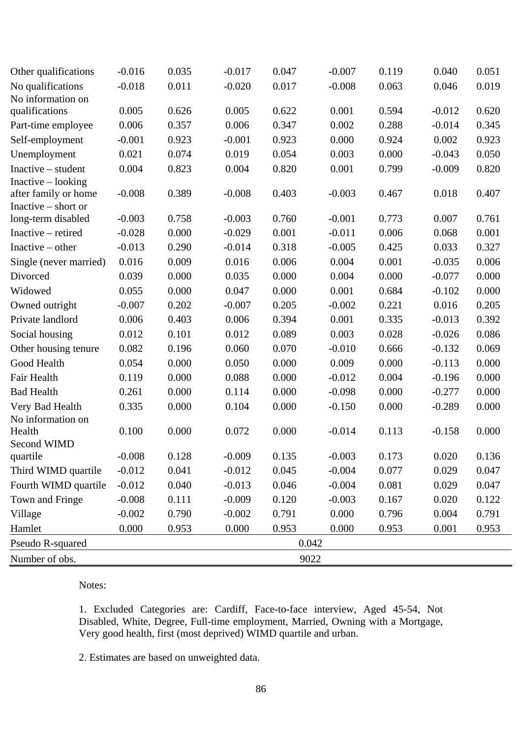| Other qualifications                     | $-0.016$ | 0.035 | $-0.017$ | 0.047 | $-0.007$ | 0.119 | 0.040    | 0.051 |
|------------------------------------------|----------|-------|----------|-------|----------|-------|----------|-------|
| No qualifications                        | $-0.018$ | 0.011 | $-0.020$ | 0.017 | $-0.008$ | 0.063 | 0.046    | 0.019 |
| No information on                        |          |       |          |       |          |       |          |       |
| qualifications                           | 0.005    | 0.626 | 0.005    | 0.622 | 0.001    | 0.594 | $-0.012$ | 0.620 |
| Part-time employee                       | 0.006    | 0.357 | 0.006    | 0.347 | 0.002    | 0.288 | $-0.014$ | 0.345 |
| Self-employment                          | $-0.001$ | 0.923 | $-0.001$ | 0.923 | 0.000    | 0.924 | 0.002    | 0.923 |
| Unemployment                             | 0.021    | 0.074 | 0.019    | 0.054 | 0.003    | 0.000 | $-0.043$ | 0.050 |
| $Inactive - student$                     | 0.004    | 0.823 | 0.004    | 0.820 | 0.001    | 0.799 | $-0.009$ | 0.820 |
| Inactive – looking                       |          |       |          |       |          |       |          |       |
| after family or home                     | $-0.008$ | 0.389 | $-0.008$ | 0.403 | $-0.003$ | 0.467 | 0.018    | 0.407 |
| Inactive $-$ short or                    | $-0.003$ | 0.758 | $-0.003$ | 0.760 | $-0.001$ | 0.773 | 0.007    | 0.761 |
| long-term disabled<br>Inactive – retired | $-0.028$ | 0.000 | $-0.029$ | 0.001 | $-0.011$ | 0.006 | 0.068    | 0.001 |
|                                          |          |       |          |       |          |       |          |       |
| Inactive $-$ other                       | $-0.013$ | 0.290 | $-0.014$ | 0.318 | $-0.005$ | 0.425 | 0.033    | 0.327 |
| Single (never married)                   | 0.016    | 0.009 | 0.016    | 0.006 | 0.004    | 0.001 | $-0.035$ | 0.006 |
| Divorced                                 | 0.039    | 0.000 | 0.035    | 0.000 | 0.004    | 0.000 | $-0.077$ | 0.000 |
| Widowed                                  | 0.055    | 0.000 | 0.047    | 0.000 | 0.001    | 0.684 | $-0.102$ | 0.000 |
| Owned outright                           | $-0.007$ | 0.202 | $-0.007$ | 0.205 | $-0.002$ | 0.221 | 0.016    | 0.205 |
| Private landlord                         | 0.006    | 0.403 | 0.006    | 0.394 | 0.001    | 0.335 | $-0.013$ | 0.392 |
| Social housing                           | 0.012    | 0.101 | 0.012    | 0.089 | 0.003    | 0.028 | $-0.026$ | 0.086 |
| Other housing tenure                     | 0.082    | 0.196 | 0.060    | 0.070 | $-0.010$ | 0.666 | $-0.132$ | 0.069 |
| Good Health                              | 0.054    | 0.000 | 0.050    | 0.000 | 0.009    | 0.000 | $-0.113$ | 0.000 |
| Fair Health                              | 0.119    | 0.000 | 0.088    | 0.000 | $-0.012$ | 0.004 | $-0.196$ | 0.000 |
| <b>Bad Health</b>                        | 0.261    | 0.000 | 0.114    | 0.000 | $-0.098$ | 0.000 | $-0.277$ | 0.000 |
| Very Bad Health                          | 0.335    | 0.000 | 0.104    | 0.000 | $-0.150$ | 0.000 | $-0.289$ | 0.000 |
| No information on                        |          |       |          |       |          |       |          |       |
| Health                                   | 0.100    | 0.000 | 0.072    | 0.000 | $-0.014$ | 0.113 | $-0.158$ | 0.000 |
| Second WIMD<br>quartile                  | $-0.008$ | 0.128 | $-0.009$ | 0.135 | $-0.003$ | 0.173 | 0.020    | 0.136 |
| Third WIMD quartile                      | $-0.012$ | 0.041 | $-0.012$ | 0.045 | $-0.004$ | 0.077 | 0.029    | 0.047 |
| Fourth WIMD quartile                     | $-0.012$ | 0.040 | $-0.013$ | 0.046 | $-0.004$ | 0.081 | 0.029    | 0.047 |
| Town and Fringe                          | $-0.008$ | 0.111 | $-0.009$ | 0.120 | $-0.003$ | 0.167 | 0.020    | 0.122 |
|                                          | $-0.002$ | 0.790 | $-0.002$ | 0.791 | 0.000    | 0.796 | 0.004    | 0.791 |
| Village                                  | 0.000    |       |          | 0.953 |          |       |          |       |
| Hamlet                                   |          | 0.953 | 0.000    |       | 0.000    | 0.953 | 0.001    | 0.953 |
| Pseudo R-squared                         |          |       |          |       | 0.042    |       |          |       |
| Number of obs.                           |          |       |          |       | 9022     |       |          |       |

1. Excluded Categories are: Cardiff, Face-to-face interview, Aged 45-54, Not Disabled, White, Degree, Full-time employment, Married, Owning with a Mortgage, Very good health, first (most deprived) WIMD quartile and urban.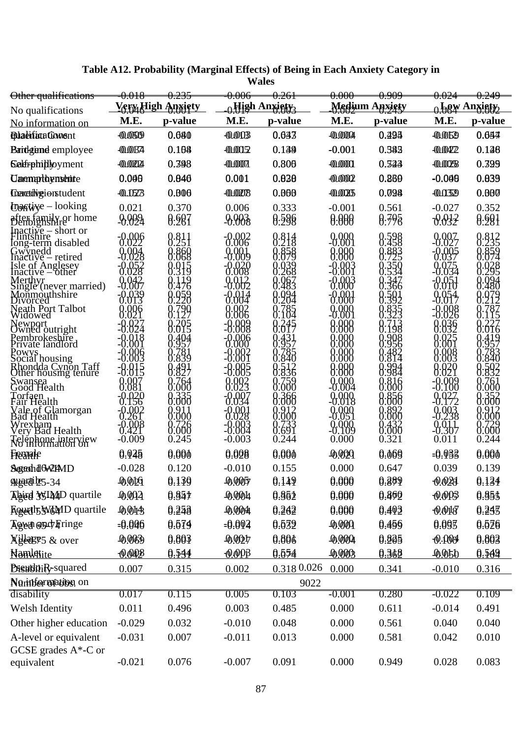| Other qualifications                                                                                                                                                                                                                                                                                                                                                                                                                                                                                                              | <del>0.018</del>                                        |                                                            | <del>0.006</del>                                           | <del>0.261</del>                              | <del>0.000</del>                                                                       | <del>0.909</del>                                                         |                                                                                                                                                    |                                                            |
|-----------------------------------------------------------------------------------------------------------------------------------------------------------------------------------------------------------------------------------------------------------------------------------------------------------------------------------------------------------------------------------------------------------------------------------------------------------------------------------------------------------------------------------|---------------------------------------------------------|------------------------------------------------------------|------------------------------------------------------------|-----------------------------------------------|----------------------------------------------------------------------------------------|--------------------------------------------------------------------------|----------------------------------------------------------------------------------------------------------------------------------------------------|------------------------------------------------------------|
| No qualifications                                                                                                                                                                                                                                                                                                                                                                                                                                                                                                                 |                                                         | <u>Very High Anxiety</u>                                   |                                                            | $_{\cap}$ High Anxiety $_{\lambda}$           |                                                                                        | Medium Anxigty                                                           |                                                                                                                                                    | <sub>0</sub> haw Anxisty,                                  |
| No information on                                                                                                                                                                                                                                                                                                                                                                                                                                                                                                                 | M.E.                                                    | p-value                                                    | M.E.                                                       | p-value                                       | M.E.                                                                                   | p-value                                                                  | M.E.                                                                                                                                               | p-value                                                    |
| <b>Blatifixafonsnt</b>                                                                                                                                                                                                                                                                                                                                                                                                                                                                                                            | -0.060                                                  | 0.680                                                      | 0.003                                                      | 0.633                                         | $-0.0004$                                                                              | 0.495                                                                    | $-0.052$                                                                                                                                           | 0.657                                                      |
| Bardgiand employee                                                                                                                                                                                                                                                                                                                                                                                                                                                                                                                | -0.0674                                                 | 0.168                                                      | -0.00152                                                   | 0.139                                         | $-0.001$                                                                               | 0.382                                                                    | $-0.0422$                                                                                                                                          | 0.128                                                      |
| <b>Salfrphilly</b> by ment                                                                                                                                                                                                                                                                                                                                                                                                                                                                                                        | $-0.0024$                                               | 0.398                                                      | $-0.0007$                                                  | 0.806                                         | $-0.0001$                                                                              | 0.323                                                                    | $-0.0028$                                                                                                                                          | 0.399                                                      |
| <b>Campthynshite</b>                                                                                                                                                                                                                                                                                                                                                                                                                                                                                                              | 0.046                                                   | 0.846                                                      | 0.001                                                      | 0.030                                         | $-0.0002$                                                                              | 0.869                                                                    | $-0.000$                                                                                                                                           | 0.039                                                      |
| Genetalvgionstudent                                                                                                                                                                                                                                                                                                                                                                                                                                                                                                               | $-00.102B$                                              | 0.806                                                      | $-0.0008$                                                  | 0.000                                         | 0.0005                                                                                 | 0.098                                                                    | $-0.032$                                                                                                                                           | 0.000                                                      |
| $\theta$ of time $-\text{looking}$                                                                                                                                                                                                                                                                                                                                                                                                                                                                                                | 0.021                                                   | 0.370                                                      | 0.006                                                      | 0.333                                         | $-0.001$                                                                               | 0.561                                                                    | $-0.027$                                                                                                                                           | 0.352                                                      |
| after family or home                                                                                                                                                                                                                                                                                                                                                                                                                                                                                                              | $-0.0024$                                               | 0.687                                                      | $-0.003$                                                   | 0.596                                         | 0.000                                                                                  | 0.795                                                                    | 0.032                                                                                                                                              | 0.691                                                      |
| Inactive – short or<br>Flintshire<br>Iong-term disabled<br>Gwynedd<br>Inactive – retired<br>sle of Anglesey<br>Inactive – other<br>Merthyr<br>Single (never married)<br>Monmouthshire<br>Neath Port Talbot<br>Widowed<br>Newport<br>Owned outright<br>Pembrokeshire<br>Private landlord<br>Powys<br>Social housing<br>Rhondda Cynon Taff<br>Other housing tenure<br>Swansea<br>Good Health<br>Torfaen<br>Fair Health<br>Vale of Glamorgan<br>Bad Health<br>Wrexham<br>Very Bad Health<br>Telephone interview<br>No information on | 824<br>-8:883<br>-992<br>261<br><u>.998</u><br>$-0.009$ | 8:311<br>889<br>88<br>76<br>8:999<br>000<br>8:668<br>0.245 | -0.002<br>0.006<br>823<br>028<br>028<br>-8:884<br>$-0.003$ | 8.813<br>836<br>366<br>:000<br>8:691<br>0.244 | 0.000<br>-0.001<br>88<br>188<br>000<br>88c<br>888<br>888<br>888<br>888<br>988<br>0.000 | 8:528<br>883<br>366<br>984<br>984<br>888<br>892<br>000<br>8:333<br>0.321 | 0.007<br>-0.027<br>005<br>037<br>ЭTО<br>328<br>J28<br>332<br>835<br>001<br>883<br>003<br>029<br>021<br>488<br>9272<br>.238<br>.238<br>9b7<br>0.011 | 0.812<br>0.235<br>}:ර8ර<br>,999<br>1:000<br>8:338<br>0.244 |
| Freanaile                                                                                                                                                                                                                                                                                                                                                                                                                                                                                                                         | 0.945                                                   | 0.000                                                      | 0.008                                                      | 0.000                                         | -0.029                                                                                 | 0.069                                                                    | -0.033                                                                                                                                             | 0.000                                                      |
| SegechdoWIMD                                                                                                                                                                                                                                                                                                                                                                                                                                                                                                                      | $-0.028$                                                | 0.120                                                      | $-0.010$                                                   | 0.155                                         | 0.000                                                                                  | 0.647                                                                    | 0.039                                                                                                                                              | 0.139                                                      |
| Allgerdites-34                                                                                                                                                                                                                                                                                                                                                                                                                                                                                                                    | 0.0059                                                  | 0.139                                                      | 0.0007                                                     | 0.149                                         | 0.000                                                                                  | 0.389                                                                    | 0.028                                                                                                                                              | 0.134                                                      |
| <b>Abigd WIMD</b> quartile                                                                                                                                                                                                                                                                                                                                                                                                                                                                                                        | 0.001                                                   | 0.857                                                      | 0.0004                                                     | 0.852                                         | 0.000                                                                                  | 0.860                                                                    | 0.003                                                                                                                                              | 0.853                                                      |
| <b>Rowth WAMD</b> quartile                                                                                                                                                                                                                                                                                                                                                                                                                                                                                                        | 0.043                                                   | 0.258                                                      | 0.004                                                      | 0.262                                         | 0.000                                                                                  | 0.403                                                                    | $-0.018$                                                                                                                                           | 0.243                                                      |
| Agen esch Fringe                                                                                                                                                                                                                                                                                                                                                                                                                                                                                                                  | $=0.096$                                                | 0.579                                                      | $=0.004$                                                   | 0.632                                         | 0.0001                                                                                 | 0.456                                                                    | 0.093                                                                                                                                              | 0.526                                                      |
| <b>Xilleggets</b> & over                                                                                                                                                                                                                                                                                                                                                                                                                                                                                                          | 49063                                                   | 0.803                                                      | 0.0027                                                     | 0.806                                         | 0.0004                                                                                 | 0.805                                                                    | $-0.0004$                                                                                                                                          | 0.803                                                      |
| <b>Namightite</b>                                                                                                                                                                                                                                                                                                                                                                                                                                                                                                                 | 0.042                                                   | 0.534                                                      | $0.00\beta$                                                | 0.654                                         | 0,0003                                                                                 | 0.362                                                                    | 0.050                                                                                                                                              | 0.509                                                      |
| <b>Bisubli</b> R-squared                                                                                                                                                                                                                                                                                                                                                                                                                                                                                                          | 0.007                                                   | 0.315                                                      | 0.002                                                      | $0.318\,0.026$                                | 0.000                                                                                  | 0.341                                                                    | $-0.010$                                                                                                                                           | 0.316                                                      |
| Norintformation on                                                                                                                                                                                                                                                                                                                                                                                                                                                                                                                |                                                         |                                                            |                                                            | 9022                                          |                                                                                        |                                                                          |                                                                                                                                                    |                                                            |
| disability                                                                                                                                                                                                                                                                                                                                                                                                                                                                                                                        | 0.017                                                   | 0.115                                                      | 0.005                                                      | 0.103                                         | $-0.001$                                                                               | 0.280                                                                    | $-0.022$                                                                                                                                           | 0.109                                                      |
| Welsh Identity                                                                                                                                                                                                                                                                                                                                                                                                                                                                                                                    | 0.011                                                   | 0.496                                                      | 0.003                                                      | 0.485                                         | 0.000                                                                                  | 0.611                                                                    | $-0.014$                                                                                                                                           | 0.491                                                      |
| Other higher education                                                                                                                                                                                                                                                                                                                                                                                                                                                                                                            | $-0.029$                                                | 0.032                                                      | $-0.010$                                                   | 0.048                                         | 0.000                                                                                  | 0.561                                                                    | 0.040                                                                                                                                              | 0.040                                                      |
| A-level or equivalent<br>GCSE grades $A^*$ -C or<br>equivalent                                                                                                                                                                                                                                                                                                                                                                                                                                                                    | $-0.031$<br>$-0.021$                                    | 0.007<br>0.076                                             | $-0.011$<br>$-0.007$                                       | 0.013<br>0.091                                | 0.000<br>0.000                                                                         | 0.581<br>0.949                                                           | 0.042<br>0.028                                                                                                                                     | 0.010<br>0.083                                             |
|                                                                                                                                                                                                                                                                                                                                                                                                                                                                                                                                   |                                                         |                                                            |                                                            |                                               |                                                                                        |                                                                          |                                                                                                                                                    |                                                            |

| Table A12. Probability (Marginal Effects) of Being in Each Anxiety Category in |              |  |  |  |
|--------------------------------------------------------------------------------|--------------|--|--|--|
|                                                                                | <b>Wales</b> |  |  |  |